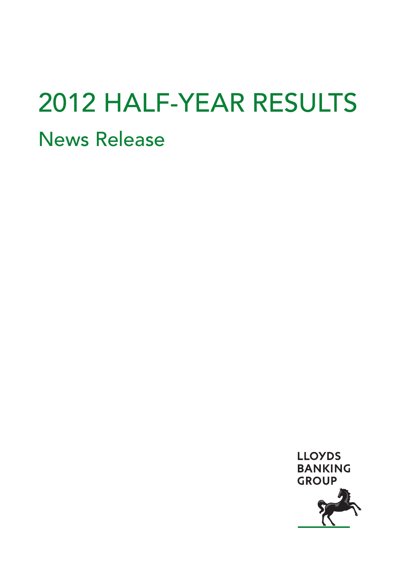# 2012 HALF-YEAR RESULTS News Release

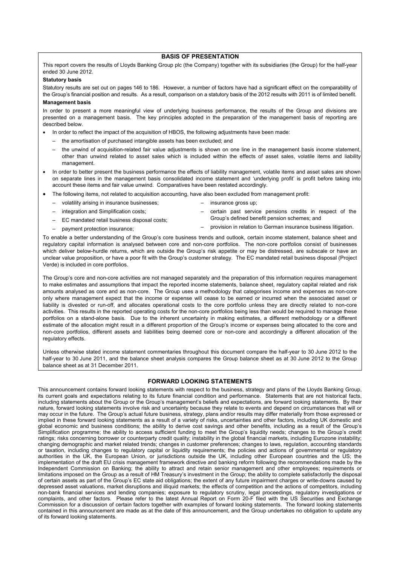## **BASIS OF PRESENTATION**

This report covers the results of Lloyds Banking Group plc (the Company) together with its subsidiaries (the Group) for the half-year ended 30 June 2012.

#### **Statutory basis**

Statutory results are set out on pages 146 to 186. However, a number of factors have had a significant effect on the comparability of the Group's financial position and results. As a result, comparison on a statutory basis of the 2012 results with 2011 is of limited benefit. **Management basis** 

#### In order to present a more meaningful view of underlying business performance, the results of the Group and divisions are presented on a management basis. The key principles adopted in the preparation of the management basis of reporting are described below.

- In order to reflect the impact of the acquisition of HBOS, the following adjustments have been made:
	- the amortisation of purchased intangible assets has been excluded; and
	- the unwind of acquisition-related fair value adjustments is shown on one line in the management basis income statement, other than unwind related to asset sales which is included within the effects of asset sales, volatile items and liability management.
- In order to better present the business performance the effects of liability management, volatile items and asset sales are shown on separate lines in the management basis consolidated income statement and 'underlying profit' is profit before taking into account these items and fair value unwind. Comparatives have been restated accordingly.
- The following items, not related to acquisition accounting, have also been excluded from management profit:
	- volatility arising in insurance businesses;

– payment protection insurance;

- 
- insurance gross up;
- integration and Simplification costs;
- certain past service pensions credits in respect of the Group's defined benefit pension schemes; and
- EC mandated retail business disposal costs;
- provision in relation to German insurance business litigation.

To enable a better understanding of the Group's core business trends and outlook, certain income statement, balance sheet and regulatory capital information is analysed between core and non-core portfolios. The non-core portfolios consist of businesses which deliver below-hurdle returns, which are outside the Group's risk appetite or may be distressed, are subscale or have an unclear value proposition, or have a poor fit with the Group's customer strategy. The EC mandated retail business disposal (Project Verde) is included in core portfolios.

The Group's core and non-core activities are not managed separately and the preparation of this information requires management to make estimates and assumptions that impact the reported income statements, balance sheet, regulatory capital related and risk amounts analysed as core and as non-core. The Group uses a methodology that categorises income and expenses as non-core only where management expect that the income or expense will cease to be earned or incurred when the associated asset or liability is divested or run-off, and allocates operational costs to the core portfolio unless they are directly related to non-core activities. This results in the reported operating costs for the non-core portfolios being less than would be required to manage these portfolios on a stand-alone basis. Due to the inherent uncertainty in making estimates, a different methodology or a different estimate of the allocation might result in a different proportion of the Group's income or expenses being allocated to the core and non-core portfolios, different assets and liabilities being deemed core or non-core and accordingly a different allocation of the regulatory effects.

Unless otherwise stated income statement commentaries throughout this document compare the half-year to 30 June 2012 to the half-year to 30 June 2011, and the balance sheet analysis compares the Group balance sheet as at 30 June 2012 to the Group balance sheet as at 31 December 2011.

#### **FORWARD LOOKING STATEMENTS**

This announcement contains forward looking statements with respect to the business, strategy and plans of the Lloyds Banking Group, its current goals and expectations relating to its future financial condition and performance. Statements that are not historical facts, including statements about the Group or the Group's management's beliefs and expectations, are forward looking statements. By their nature, forward looking statements involve risk and uncertainty because they relate to events and depend on circumstances that will or may occur in the future. The Group's actual future business, strategy, plans and/or results may differ materially from those expressed or implied in these forward looking statements as a result of a variety of risks, uncertainties and other factors, including UK domestic and global economic and business conditions; the ability to derive cost savings and other benefits, including as a result of the Group's Simplification programme; the ability to access sufficient funding to meet the Group's liquidity needs; changes to the Group's credit ratings; risks concerning borrower or counterparty credit quality; instability in the global financial markets, including Eurozone instability; changing demographic and market related trends; changes in customer preferences; changes to laws, regulation, accounting standards or taxation, including changes to regulatory capital or liquidity requirements; the policies and actions of governmental or regulatory authorities in the UK, the European Union, or jurisdictions outside the UK, including other European countries and the US; the implementation of the draft EU crisis management framework directive and banking reform following the recommendations made by the Independent Commission on Banking; the ability to attract and retain senior management and other employees; requirements or limitations imposed on the Group as a result of HM Treasury's investment in the Group; the ability to complete satisfactorily the disposal of certain assets as part of the Group's EC state aid obligations; the extent of any future impairment charges or write-downs caused by depressed asset valuations, market disruptions and illiquid markets; the effects of competition and the actions of competitors, including non-bank financial services and lending companies; exposure to regulatory scrutiny, legal proceedings, regulatory investigations or complaints, and other factors. Please refer to the latest Annual Report on Form 20-F filed with the US Securities and Exchange Commission for a discussion of certain factors together with examples of forward looking statements. The forward looking statements contained in this announcement are made as at the date of this announcement, and the Group undertakes no obligation to update any of its forward looking statements.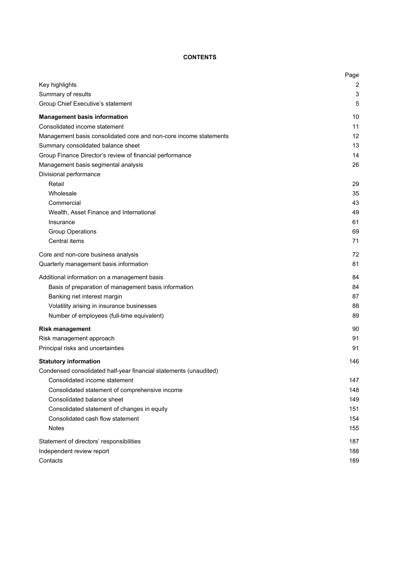# **CONTENTS**

|                                                                   | Page |
|-------------------------------------------------------------------|------|
| Key highlights                                                    | 2    |
| Summary of results                                                | 3    |
| Group Chief Executive's statement                                 | 5    |
| <b>Management basis information</b>                               | 10   |
| Consolidated income statement                                     | 11   |
| Management basis consolidated core and non-core income statements | 12   |
| Summary consolidated balance sheet                                | 13   |
| Group Finance Director's review of financial performance          | 14   |
| Management basis segmental analysis                               | 26   |
| Divisional performance                                            |      |
| Retail                                                            | 29   |
| Wholesale                                                         | 35   |
| Commercial                                                        | 43   |
| Wealth, Asset Finance and International                           | 49   |
| Insurance                                                         | 61   |
| <b>Group Operations</b>                                           | 69   |
| Central items                                                     | 71   |
| Core and non-core business analysis                               | 72   |
| Quarterly management basis information                            | 81   |
| Additional information on a management basis                      | 84   |
| Basis of preparation of management basis information              | 84   |
| Banking net interest margin                                       | 87   |
| Volatility arising in insurance businesses                        | 88   |
| Number of employees (full-time equivalent)                        | 89   |
| <b>Risk management</b>                                            | 90   |
| Risk management approach                                          | 91   |
| Principal risks and uncertainties                                 | 91   |
| <b>Statutory information</b>                                      | 146  |
| Condensed consolidated half-year financial statements (unaudited) |      |
| Consolidated income statement                                     | 147  |
| Consolidated statement of comprehensive income                    | 148  |
| Consolidated balance sheet                                        | 149  |
| Consolidated statement of changes in equity                       | 151  |
| Consolidated cash flow statement                                  | 154  |
| <b>Notes</b>                                                      | 155  |
| Statement of directors' responsibilities                          | 187  |
| Independent review report                                         | 188  |
| Contacts                                                          | 189  |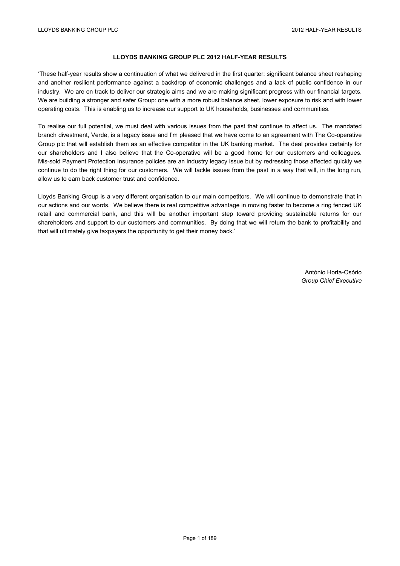## **LLOYDS BANKING GROUP PLC 2012 HALF-YEAR RESULTS**

'These half-year results show a continuation of what we delivered in the first quarter: significant balance sheet reshaping and another resilient performance against a backdrop of economic challenges and a lack of public confidence in our industry. We are on track to deliver our strategic aims and we are making significant progress with our financial targets. We are building a stronger and safer Group: one with a more robust balance sheet, lower exposure to risk and with lower operating costs. This is enabling us to increase our support to UK households, businesses and communities.

To realise our full potential, we must deal with various issues from the past that continue to affect us. The mandated branch divestment, Verde, is a legacy issue and I'm pleased that we have come to an agreement with The Co-operative Group plc that will establish them as an effective competitor in the UK banking market. The deal provides certainty for our shareholders and I also believe that the Co-operative will be a good home for our customers and colleagues. Mis-sold Payment Protection Insurance policies are an industry legacy issue but by redressing those affected quickly we continue to do the right thing for our customers. We will tackle issues from the past in a way that will, in the long run, allow us to earn back customer trust and confidence.

Lloyds Banking Group is a very different organisation to our main competitors. We will continue to demonstrate that in our actions and our words. We believe there is real competitive advantage in moving faster to become a ring fenced UK retail and commercial bank, and this will be another important step toward providing sustainable returns for our shareholders and support to our customers and communities. By doing that we will return the bank to profitability and that will ultimately give taxpayers the opportunity to get their money back.'

> António Horta-Osório *Group Chief Executive*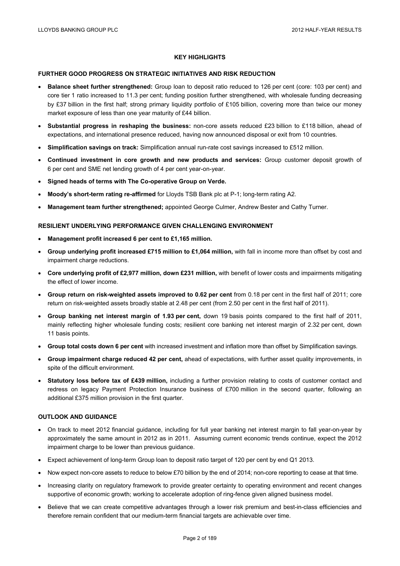## **KEY HIGHLIGHTS**

## **FURTHER GOOD PROGRESS ON STRATEGIC INITIATIVES AND RISK REDUCTION**

- **Balance sheet further strengthened:** Group loan to deposit ratio reduced to 126 per cent (core: 103 per cent) and core tier 1 ratio increased to 11.3 per cent; funding position further strengthened, with wholesale funding decreasing by £37 billion in the first half; strong primary liquidity portfolio of £105 billion, covering more than twice our money market exposure of less than one year maturity of £44 billion.
- **Substantial progress in reshaping the business:** non-core assets reduced £23 billion to £118 billion, ahead of expectations, and international presence reduced, having now announced disposal or exit from 10 countries.
- **Simplification savings on track:** Simplification annual run-rate cost savings increased to £512 million.
- **Continued investment in core growth and new products and services:** Group customer deposit growth of 6 per cent and SME net lending growth of 4 per cent year-on-year.
- **Signed heads of terms with The Co-operative Group on Verde.**
- **Moody's short-term rating re-affirmed** for Lloyds TSB Bank plc at P-1; long-term rating A2.
- **Management team further strengthened;** appointed George Culmer, Andrew Bester and Cathy Turner.

## **RESILIENT UNDERLYING PERFORMANCE GIVEN CHALLENGING ENVIRONMENT**

- **Management profit increased 6 per cent to £1,165 million.**
- **Group underlying profit increased £715 million to £1,064 million,** with fall in income more than offset by cost and impairment charge reductions.
- **Core underlying profit of £2,977 million, down £231 million,** with benefit of lower costs and impairments mitigating the effect of lower income.
- **Group return on risk-weighted assets improved to 0.62 per cent** from 0.18 per cent in the first half of 2011; core return on risk-weighted assets broadly stable at 2.48 per cent (from 2.50 per cent in the first half of 2011).
- **Group banking net interest margin of 1.93 per cent,** down 19 basis points compared to the first half of 2011, mainly reflecting higher wholesale funding costs; resilient core banking net interest margin of 2.32 per cent, down 11 basis points.
- **Group total costs down 6 per cent** with increased investment and inflation more than offset by Simplification savings.
- **Group impairment charge reduced 42 per cent,** ahead of expectations, with further asset quality improvements, in spite of the difficult environment.
- **Statutory loss before tax of £439 million,** including a further provision relating to costs of customer contact and redress on legacy Payment Protection Insurance business of £700 million in the second quarter, following an additional £375 million provision in the first quarter.

## **OUTLOOK AND GUIDANCE**

- On track to meet 2012 financial guidance, including for full year banking net interest margin to fall year-on-year by approximately the same amount in 2012 as in 2011. Assuming current economic trends continue, expect the 2012 impairment charge to be lower than previous guidance.
- Expect achievement of long-term Group loan to deposit ratio target of 120 per cent by end Q1 2013.
- Now expect non-core assets to reduce to below £70 billion by the end of 2014; non-core reporting to cease at that time.
- Increasing clarity on regulatory framework to provide greater certainty to operating environment and recent changes supportive of economic growth; working to accelerate adoption of ring-fence given aligned business model.
- Believe that we can create competitive advantages through a lower risk premium and best-in-class efficiencies and therefore remain confident that our medium-term financial targets are achievable over time.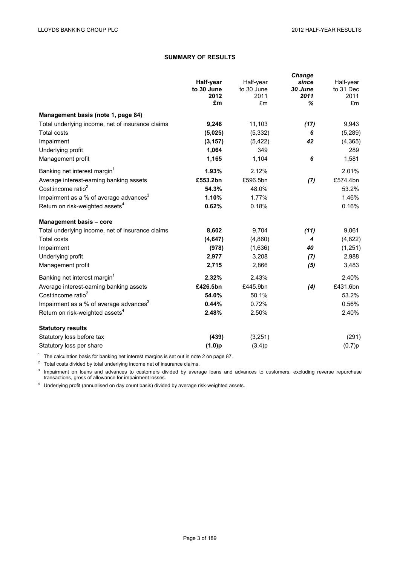## **SUMMARY OF RESULTS**

|                                                    | Half-year<br>to 30 June<br>2012<br>£m | Half-year<br>to 30 June<br>2011<br>£m | <b>Change</b><br>since<br>30 June<br>2011<br>℅ | Half-year<br>to 31 Dec<br>2011<br>£m |
|----------------------------------------------------|---------------------------------------|---------------------------------------|------------------------------------------------|--------------------------------------|
| Management basis (note 1, page 84)                 |                                       |                                       |                                                |                                      |
| Total underlying income, net of insurance claims   | 9,246                                 | 11,103                                | (17)                                           | 9,943                                |
| <b>Total costs</b>                                 | (5,025)                               | (5,332)                               | 6                                              | (5, 289)                             |
| Impairment                                         | (3, 157)                              | (5, 422)                              | 42                                             | (4, 365)                             |
| Underlying profit                                  | 1,064                                 | 349                                   |                                                | 289                                  |
| Management profit                                  | 1,165                                 | 1,104                                 | 6                                              | 1,581                                |
| Banking net interest margin <sup>1</sup>           | 1.93%                                 | 2.12%                                 |                                                | 2.01%                                |
| Average interest-earning banking assets            | £553.2bn                              | £596.5bn                              | (7)                                            | £574.4bn                             |
| Cost:income ratio <sup>2</sup>                     | 54.3%                                 | 48.0%                                 |                                                | 53.2%                                |
| Impairment as a % of average advances <sup>3</sup> | 1.10%                                 | 1.77%                                 |                                                | 1.46%                                |
| Return on risk-weighted assets <sup>4</sup>        | 0.62%                                 | 0.18%                                 |                                                | 0.16%                                |
| Management basis - core                            |                                       |                                       |                                                |                                      |
| Total underlying income, net of insurance claims   | 8,602                                 | 9,704                                 | (11)                                           | 9,061                                |
| <b>Total costs</b>                                 | (4, 647)                              | (4,860)                               | 4                                              | (4,822)                              |
| Impairment                                         | (978)                                 | (1,636)                               | 40                                             | (1, 251)                             |
| Underlying profit                                  | 2,977                                 | 3,208                                 | (7)                                            | 2,988                                |
| Management profit                                  | 2,715                                 | 2,866                                 | (5)                                            | 3,483                                |
| Banking net interest margin <sup>1</sup>           | 2.32%                                 | 2.43%                                 |                                                | 2.40%                                |
| Average interest-earning banking assets            | £426.5bn                              | £445.9bn                              | (4)                                            | £431.6bn                             |
| Cost:income ratio <sup>2</sup>                     | 54.0%                                 | 50.1%                                 |                                                | 53.2%                                |
| Impairment as a % of average advances <sup>3</sup> | 0.44%                                 | 0.72%                                 |                                                | 0.56%                                |
| Return on risk-weighted assets <sup>4</sup>        | 2.48%                                 | 2.50%                                 |                                                | 2.40%                                |
| <b>Statutory results</b>                           |                                       |                                       |                                                |                                      |
| Statutory loss before tax                          | (439)                                 | (3,251)                               |                                                | (291)                                |
| Statutory loss per share                           | (1.0)p                                | (3.4)p                                |                                                | (0.7)p                               |

 $1$  The calculation basis for banking net interest margins is set out in note 2 on page 87.

 $2$  Total costs divided by total underlying income net of insurance claims.

 $3$  Impairment on loans and advances to customers divided by average loans and advances to customers, excluding reverse repurchase transactions, gross of allowance for impairment losses.

<sup>4</sup> Underlying profit (annualised on day count basis) divided by average risk-weighted assets.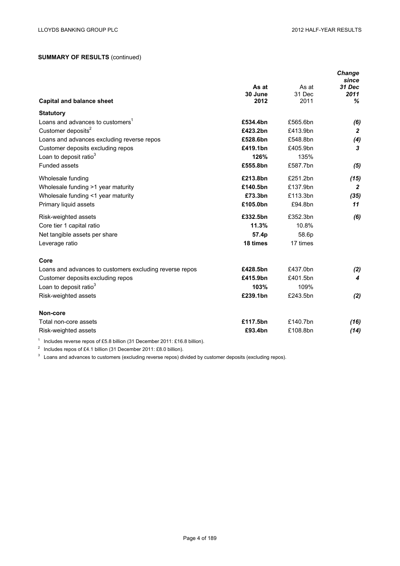# **SUMMARY OF RESULTS (continued)**

|                                                         |          |          | <b>Change</b><br>since |
|---------------------------------------------------------|----------|----------|------------------------|
|                                                         | As at    | As at    | 31 Dec                 |
|                                                         | 30 June  | 31 Dec   | 2011                   |
| <b>Capital and balance sheet</b>                        | 2012     | 2011     | ℅                      |
| <b>Statutory</b>                                        |          |          |                        |
| Loans and advances to customers <sup>1</sup>            | £534.4bn | £565.6bn | (6)                    |
| Customer deposits <sup>2</sup>                          | £423.2bn | £413.9bn | $\overline{2}$         |
| Loans and advances excluding reverse repos              | £528.6bn | £548.8bn | (4)                    |
| Customer deposits excluding repos                       | £419.1bn | £405.9bn | 3                      |
| Loan to deposit ratio <sup>3</sup>                      | 126%     | 135%     |                        |
| Funded assets                                           | £555.8bn | £587.7bn | (5)                    |
| Wholesale funding                                       | £213.8bn | £251.2bn | (15)                   |
| Wholesale funding >1 year maturity                      | £140.5bn | £137.9bn | $\overline{2}$         |
| Wholesale funding <1 year maturity                      | £73.3bn  | £113.3bn | (35)                   |
| Primary liquid assets                                   | £105.0bn | £94.8bn  | 11                     |
| Risk-weighted assets                                    | £332.5bn | £352.3bn | (6)                    |
| Core tier 1 capital ratio                               | 11.3%    | 10.8%    |                        |
| Net tangible assets per share                           | 57.4p    | 58.6p    |                        |
| Leverage ratio                                          | 18 times | 17 times |                        |
| Core                                                    |          |          |                        |
| Loans and advances to customers excluding reverse repos | £428.5bn | £437.0bn | (2)                    |
| Customer deposits excluding repos                       | £415.9bn | £401.5bn | 4                      |
| Loan to deposit ratio <sup>3</sup>                      | 103%     | 109%     |                        |
| Risk-weighted assets                                    | £239.1bn | £243.5bn | (2)                    |
| Non-core                                                |          |          |                        |
| Total non-core assets                                   | £117.5bn | £140.7bn | (16)                   |
| Risk-weighted assets                                    | £93.4bn  | £108.8bn | (14)                   |
|                                                         |          |          |                        |

<sup>1</sup> Includes reverse repos of £5.8 billion (31 December 2011: £16.8 billion).

<sup>2</sup> Includes repos of £4.1 billion (31 December 2011: £8.0 billion).

<sup>3</sup> Loans and advances to customers (excluding reverse repos) divided by customer deposits (excluding repos).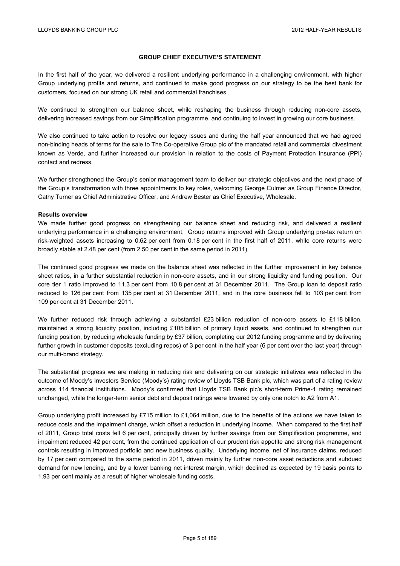## **GROUP CHIEF EXECUTIVE'S STATEMENT**

In the first half of the year, we delivered a resilient underlying performance in a challenging environment, with higher Group underlying profits and returns, and continued to make good progress on our strategy to be the best bank for customers, focused on our strong UK retail and commercial franchises.

We continued to strengthen our balance sheet, while reshaping the business through reducing non-core assets, delivering increased savings from our Simplification programme, and continuing to invest in growing our core business.

We also continued to take action to resolve our legacy issues and during the half year announced that we had agreed non-binding heads of terms for the sale to The Co-operative Group plc of the mandated retail and commercial divestment known as Verde, and further increased our provision in relation to the costs of Payment Protection Insurance (PPI) contact and redress.

We further strengthened the Group's senior management team to deliver our strategic objectives and the next phase of the Group's transformation with three appointments to key roles, welcoming George Culmer as Group Finance Director, Cathy Turner as Chief Administrative Officer, and Andrew Bester as Chief Executive, Wholesale.

## **Results overview**

We made further good progress on strengthening our balance sheet and reducing risk, and delivered a resilient underlying performance in a challenging environment. Group returns improved with Group underlying pre-tax return on risk-weighted assets increasing to 0.62 per cent from 0.18 per cent in the first half of 2011, while core returns were broadly stable at 2.48 per cent (from 2.50 per cent in the same period in 2011).

The continued good progress we made on the balance sheet was reflected in the further improvement in key balance sheet ratios, in a further substantial reduction in non-core assets, and in our strong liquidity and funding position. Our core tier 1 ratio improved to 11.3 per cent from 10.8 per cent at 31 December 2011. The Group loan to deposit ratio reduced to 126 per cent from 135 per cent at 31 December 2011, and in the core business fell to 103 per cent from 109 per cent at 31 December 2011.

We further reduced risk through achieving a substantial £23 billion reduction of non-core assets to £118 billion, maintained a strong liquidity position, including £105 billion of primary liquid assets, and continued to strengthen our funding position, by reducing wholesale funding by £37 billion, completing our 2012 funding programme and by delivering further growth in customer deposits (excluding repos) of 3 per cent in the half year (6 per cent over the last year) through our multi-brand strategy.

The substantial progress we are making in reducing risk and delivering on our strategic initiatives was reflected in the outcome of Moody's Investors Service (Moody's) rating review of Lloyds TSB Bank plc, which was part of a rating review across 114 financial institutions. Moody's confirmed that Lloyds TSB Bank plc's short-term Prime-1 rating remained unchanged, while the longer-term senior debt and deposit ratings were lowered by only one notch to A2 from A1.

Group underlying profit increased by £715 million to £1,064 million, due to the benefits of the actions we have taken to reduce costs and the impairment charge, which offset a reduction in underlying income. When compared to the first half of 2011, Group total costs fell 6 per cent, principally driven by further savings from our Simplification programme, and impairment reduced 42 per cent, from the continued application of our prudent risk appetite and strong risk management controls resulting in improved portfolio and new business quality. Underlying income, net of insurance claims, reduced by 17 per cent compared to the same period in 2011, driven mainly by further non-core asset reductions and subdued demand for new lending, and by a lower banking net interest margin, which declined as expected by 19 basis points to 1.93 per cent mainly as a result of higher wholesale funding costs.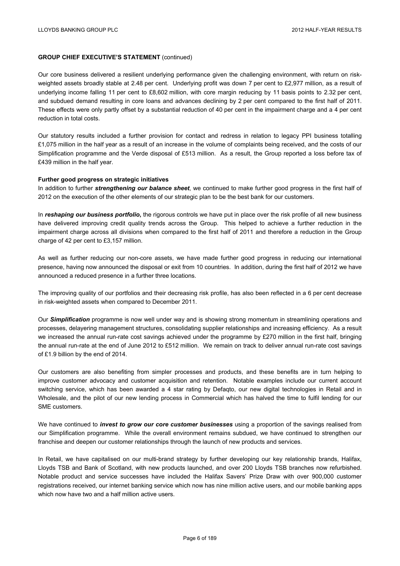Our core business delivered a resilient underlying performance given the challenging environment, with return on riskweighted assets broadly stable at 2.48 per cent. Underlying profit was down 7 per cent to £2,977 million, as a result of underlying income falling 11 per cent to £8,602 million, with core margin reducing by 11 basis points to 2.32 per cent, and subdued demand resulting in core loans and advances declining by 2 per cent compared to the first half of 2011. These effects were only partly offset by a substantial reduction of 40 per cent in the impairment charge and a 4 per cent reduction in total costs.

Our statutory results included a further provision for contact and redress in relation to legacy PPI business totalling £1,075 million in the half year as a result of an increase in the volume of complaints being received, and the costs of our Simplification programme and the Verde disposal of £513 million. As a result, the Group reported a loss before tax of £439 million in the half year.

## **Further good progress on strategic initiatives**

In addition to further *strengthening our balance sheet*, we continued to make further good progress in the first half of 2012 on the execution of the other elements of our strategic plan to be the best bank for our customers.

In *reshaping our business portfolio*, the rigorous controls we have put in place over the risk profile of all new business have delivered improving credit quality trends across the Group. This helped to achieve a further reduction in the impairment charge across all divisions when compared to the first half of 2011 and therefore a reduction in the Group charge of 42 per cent to £3,157 million.

As well as further reducing our non-core assets, we have made further good progress in reducing our international presence, having now announced the disposal or exit from 10 countries. In addition, during the first half of 2012 we have announced a reduced presence in a further three locations.

The improving quality of our portfolios and their decreasing risk profile, has also been reflected in a 6 per cent decrease in risk-weighted assets when compared to December 2011.

Our *Simplification* programme is now well under way and is showing strong momentum in streamlining operations and processes, delayering management structures, consolidating supplier relationships and increasing efficiency. As a result we increased the annual run-rate cost savings achieved under the programme by £270 million in the first half, bringing the annual run-rate at the end of June 2012 to £512 million. We remain on track to deliver annual run-rate cost savings of £1.9 billion by the end of 2014.

Our customers are also benefiting from simpler processes and products, and these benefits are in turn helping to improve customer advocacy and customer acquisition and retention. Notable examples include our current account switching service, which has been awarded a 4 star rating by Defaqto, our new digital technologies in Retail and in Wholesale, and the pilot of our new lending process in Commercial which has halved the time to fulfil lending for our SME customers.

We have continued to *invest to grow our core customer businesses* using a proportion of the savings realised from our Simplification programme. While the overall environment remains subdued, we have continued to strengthen our franchise and deepen our customer relationships through the launch of new products and services.

In Retail, we have capitalised on our multi-brand strategy by further developing our key relationship brands, Halifax, Lloyds TSB and Bank of Scotland, with new products launched, and over 200 Lloyds TSB branches now refurbished. Notable product and service successes have included the Halifax Savers' Prize Draw with over 900,000 customer registrations received, our internet banking service which now has nine million active users, and our mobile banking apps which now have two and a half million active users.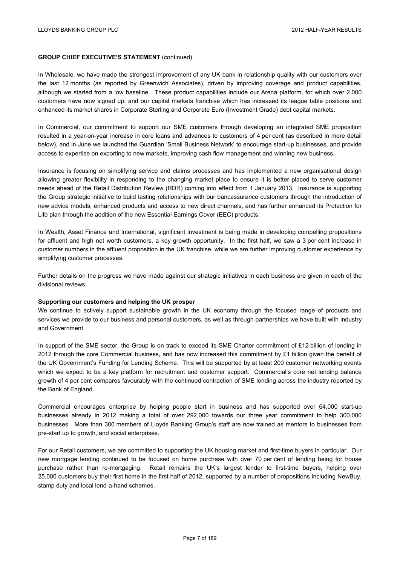In Wholesale, we have made the strongest improvement of any UK bank in relationship quality with our customers over the last 12 months (as reported by Greenwich Associates), driven by improving coverage and product capabilities, although we started from a low baseline. These product capabilities include our Arena platform, for which over 2,000 customers have now signed up, and our capital markets franchise which has increased its league table positions and enhanced its market shares in Corporate Sterling and Corporate Euro (Investment Grade) debt capital markets.

In Commercial, our commitment to support our SME customers through developing an integrated SME proposition resulted in a year-on-year increase in core loans and advances to customers of 4 per cent (as described in more detail below), and in June we launched the Guardian 'Small Business Network' to encourage start-up businesses, and provide access to expertise on exporting to new markets, improving cash flow management and winning new business.

Insurance is focusing on simplifying service and claims processes and has implemented a new organisational design allowing greater flexibility in responding to the changing market place to ensure it is better placed to serve customer needs ahead of the Retail Distribution Review (RDR) coming into effect from 1 January 2013. Insurance is supporting the Group strategic initiative to build lasting relationships with our bancassurance customers through the introduction of new advice models, enhanced products and access to new direct channels, and has further enhanced its Protection for Life plan through the addition of the new Essential Earnings Cover (EEC) products.

In Wealth, Asset Finance and International, significant investment is being made in developing compelling propositions for affluent and high net worth customers, a key growth opportunity. In the first half, we saw a 3 per cent increase in customer numbers in the affluent proposition in the UK franchise, while we are further improving customer experience by simplifying customer processes.

Further details on the progress we have made against our strategic initiatives in each business are given in each of the divisional reviews.

## **Supporting our customers and helping the UK prosper**

We continue to actively support sustainable growth in the UK economy through the focused range of products and services we provide to our business and personal customers, as well as through partnerships we have built with industry and Government.

In support of the SME sector, the Group is on track to exceed its SME Charter commitment of £12 billion of lending in 2012 through the core Commercial business, and has now increased this commitment by  $£1$  billion given the benefit of the UK Government's Funding for Lending Scheme. This will be supported by at least 200 customer networking events which we expect to be a key platform for recruitment and customer support. Commercial's core net lending balance growth of 4 per cent compares favourably with the continued contraction of SME lending across the industry reported by the Bank of England.

Commercial encourages enterprise by helping people start in business and has supported over 64,000 start-up businesses already in 2012 making a total of over 292,000 towards our three year commitment to help 300,000 businesses. More than 300 members of Lloyds Banking Group's staff are now trained as mentors to businesses from pre-start up to growth, and social enterprises.

For our Retail customers, we are committed to supporting the UK housing market and first-time buyers in particular. Our new mortgage lending continued to be focused on home purchase with over 70 per cent of lending being for house purchase rather than re-mortgaging. Retail remains the UK's largest lender to first-time buyers, helping over 25,000 customers buy their first home in the first half of 2012, supported by a number of propositions including NewBuy, stamp duty and local lend-a-hand schemes.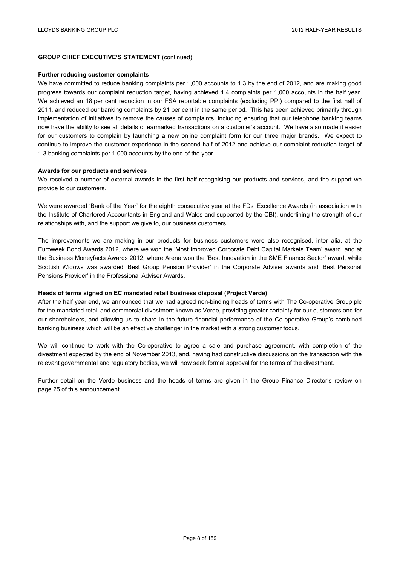#### **Further reducing customer complaints**

We have committed to reduce banking complaints per 1,000 accounts to 1.3 by the end of 2012, and are making good progress towards our complaint reduction target, having achieved 1.4 complaints per 1,000 accounts in the half year. We achieved an 18 per cent reduction in our FSA reportable complaints (excluding PPI) compared to the first half of 2011, and reduced our banking complaints by 21 per cent in the same period. This has been achieved primarily through implementation of initiatives to remove the causes of complaints, including ensuring that our telephone banking teams now have the ability to see all details of earmarked transactions on a customer's account. We have also made it easier for our customers to complain by launching a new online complaint form for our three major brands. We expect to continue to improve the customer experience in the second half of 2012 and achieve our complaint reduction target of 1.3 banking complaints per 1,000 accounts by the end of the year.

## **Awards for our products and services**

We received a number of external awards in the first half recognising our products and services, and the support we provide to our customers.

We were awarded 'Bank of the Year' for the eighth consecutive year at the FDs' Excellence Awards (in association with the Institute of Chartered Accountants in England and Wales and supported by the CBI), underlining the strength of our relationships with, and the support we give to, our business customers.

The improvements we are making in our products for business customers were also recognised, inter alia, at the Euroweek Bond Awards 2012, where we won the 'Most Improved Corporate Debt Capital Markets Team' award, and at the Business Moneyfacts Awards 2012, where Arena won the 'Best Innovation in the SME Finance Sector' award, while Scottish Widows was awarded 'Best Group Pension Provider' in the Corporate Adviser awards and 'Best Personal Pensions Provider' in the Professional Adviser Awards.

## **Heads of terms signed on EC mandated retail business disposal (Project Verde)**

After the half year end, we announced that we had agreed non-binding heads of terms with The Co-operative Group plc for the mandated retail and commercial divestment known as Verde, providing greater certainty for our customers and for our shareholders, and allowing us to share in the future financial performance of the Co-operative Group's combined banking business which will be an effective challenger in the market with a strong customer focus.

We will continue to work with the Co-operative to agree a sale and purchase agreement, with completion of the divestment expected by the end of November 2013, and, having had constructive discussions on the transaction with the relevant governmental and regulatory bodies, we will now seek formal approval for the terms of the divestment.

Further detail on the Verde business and the heads of terms are given in the Group Finance Director's review on page 25 of this announcement.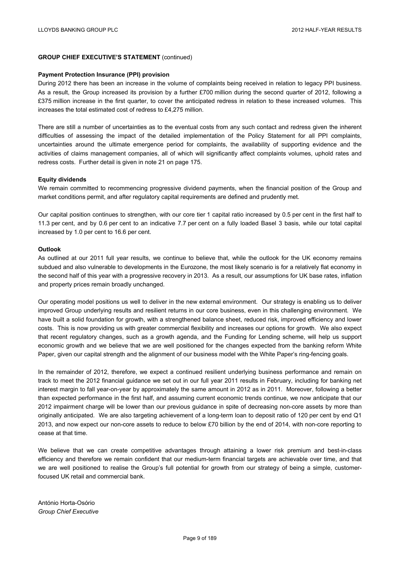## **Payment Protection Insurance (PPI) provision**

During 2012 there has been an increase in the volume of complaints being received in relation to legacy PPI business. As a result, the Group increased its provision by a further £700 million during the second quarter of 2012, following a £375 million increase in the first quarter, to cover the anticipated redress in relation to these increased volumes. This increases the total estimated cost of redress to £4,275 million.

There are still a number of uncertainties as to the eventual costs from any such contact and redress given the inherent difficulties of assessing the impact of the detailed implementation of the Policy Statement for all PPI complaints, uncertainties around the ultimate emergence period for complaints, the availability of supporting evidence and the activities of claims management companies, all of which will significantly affect complaints volumes, uphold rates and redress costs. Further detail is given in note 21 on page 175.

## **Equity dividends**

We remain committed to recommencing progressive dividend payments, when the financial position of the Group and market conditions permit, and after regulatory capital requirements are defined and prudently met.

Our capital position continues to strengthen, with our core tier 1 capital ratio increased by 0.5 per cent in the first half to 11.3 per cent, and by 0.6 per cent to an indicative 7.7 per cent on a fully loaded Basel 3 basis, while our total capital increased by 1.0 per cent to 16.6 per cent.

## **Outlook**

As outlined at our 2011 full year results, we continue to believe that, while the outlook for the UK economy remains subdued and also vulnerable to developments in the Eurozone, the most likely scenario is for a relatively flat economy in the second half of this year with a progressive recovery in 2013. As a result, our assumptions for UK base rates, inflation and property prices remain broadly unchanged.

Our operating model positions us well to deliver in the new external environment. Our strategy is enabling us to deliver improved Group underlying results and resilient returns in our core business, even in this challenging environment. We have built a solid foundation for growth, with a strengthened balance sheet, reduced risk, improved efficiency and lower costs. This is now providing us with greater commercial flexibility and increases our options for growth. We also expect that recent regulatory changes, such as a growth agenda, and the Funding for Lending scheme, will help us support economic growth and we believe that we are well positioned for the changes expected from the banking reform White Paper, given our capital strength and the alignment of our business model with the White Paper's ring-fencing goals.

In the remainder of 2012, therefore, we expect a continued resilient underlying business performance and remain on track to meet the 2012 financial guidance we set out in our full year 2011 results in February, including for banking net interest margin to fall year-on-year by approximately the same amount in 2012 as in 2011. Moreover, following a better than expected performance in the first half, and assuming current economic trends continue, we now anticipate that our 2012 impairment charge will be lower than our previous guidance in spite of decreasing non-core assets by more than originally anticipated. We are also targeting achievement of a long-term loan to deposit ratio of 120 per cent by end Q1 2013, and now expect our non-core assets to reduce to below £70 billion by the end of 2014, with non-core reporting to cease at that time.

We believe that we can create competitive advantages through attaining a lower risk premium and best-in-class efficiency and therefore we remain confident that our medium-term financial targets are achievable over time, and that we are well positioned to realise the Group's full potential for growth from our strategy of being a simple, customerfocused UK retail and commercial bank.

António Horta-Osório *Group Chief Executive*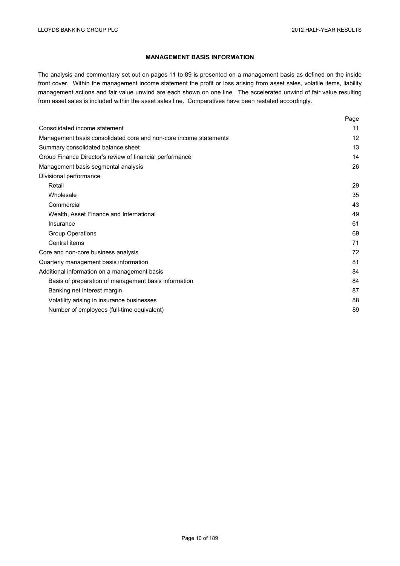# **MANAGEMENT BASIS INFORMATION**

The analysis and commentary set out on pages 11 to 89 is presented on a management basis as defined on the inside front cover. Within the management income statement the profit or loss arising from asset sales, volatile items, liability management actions and fair value unwind are each shown on one line. The accelerated unwind of fair value resulting from asset sales is included within the asset sales line. Comparatives have been restated accordingly.

|                                                                   | Page |
|-------------------------------------------------------------------|------|
| Consolidated income statement                                     | 11   |
| Management basis consolidated core and non-core income statements | 12   |
| Summary consolidated balance sheet                                | 13   |
| Group Finance Director's review of financial performance          | 14   |
| Management basis segmental analysis                               | 26   |
| Divisional performance                                            |      |
| Retail                                                            | 29   |
| Wholesale                                                         | 35   |
| Commercial                                                        | 43   |
| Wealth, Asset Finance and International                           | 49   |
| Insurance                                                         | 61   |
| <b>Group Operations</b>                                           | 69   |
| Central items                                                     | 71   |
| Core and non-core business analysis                               | 72   |
| Quarterly management basis information                            | 81   |
| Additional information on a management basis                      | 84   |
| Basis of preparation of management basis information              | 84   |
| Banking net interest margin                                       | 87   |
| Volatility arising in insurance businesses                        | 88   |
| Number of employees (full-time equivalent)                        | 89   |
|                                                                   |      |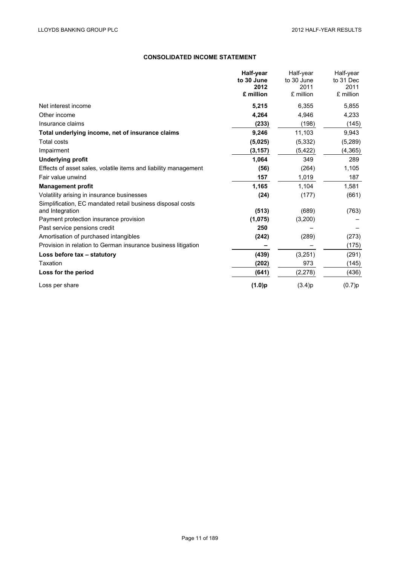# **CONSOLIDATED INCOME STATEMENT**

|                                                                 | Half-year  | Half-year  | Half-year |
|-----------------------------------------------------------------|------------|------------|-----------|
|                                                                 | to 30 June | to 30 June | to 31 Dec |
|                                                                 | 2012       | 2011       | 2011      |
|                                                                 | £ million  | £ million  | £ million |
| Net interest income                                             | 5,215      | 6,355      | 5,855     |
| Other income                                                    | 4,264      | 4,946      | 4,233     |
| Insurance claims                                                | (233)      | (198)      | (145)     |
| Total underlying income, net of insurance claims                | 9,246      | 11,103     | 9,943     |
| Total costs                                                     | (5,025)    | (5, 332)   | (5,289)   |
| Impairment                                                      | (3, 157)   | (5, 422)   | (4, 365)  |
| <b>Underlying profit</b>                                        | 1,064      | 349        | 289       |
| Effects of asset sales, volatile items and liability management | (56)       | (264)      | 1,105     |
| Fair value unwind                                               | 157        | 1,019      | 187       |
| <b>Management profit</b>                                        | 1,165      | 1,104      | 1,581     |
| Volatility arising in insurance businesses                      | (24)       | (177)      | (661)     |
| Simplification, EC mandated retail business disposal costs      |            |            |           |
| and Integration                                                 | (513)      | (689)      | (763)     |
| Payment protection insurance provision                          | (1,075)    | (3,200)    |           |
| Past service pensions credit                                    | 250        |            |           |
| Amortisation of purchased intangibles                           | (242)      | (289)      | (273)     |
| Provision in relation to German insurance business litigation   |            |            | (175)     |
| Loss before tax - statutory                                     | (439)      | (3,251)    | (291)     |
| Taxation                                                        | (202)      | 973        | (145)     |
| Loss for the period                                             | (641)      | (2, 278)   | (436)     |
| Loss per share                                                  | (1.0)p     | (3.4)p     | (0.7)p    |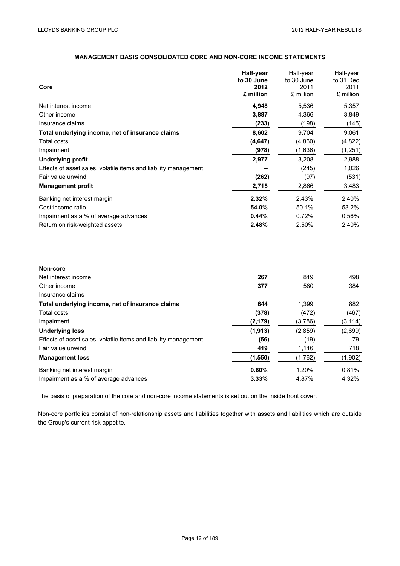# **MANAGEMENT BASIS CONSOLIDATED CORE AND NON-CORE INCOME STATEMENTS**

|                                                                 | Half-year  | Half-year  | Half-year |
|-----------------------------------------------------------------|------------|------------|-----------|
|                                                                 | to 30 June | to 30 June | to 31 Dec |
| Core                                                            | 2012       | 2011       | 2011      |
|                                                                 | £ million  | £ million  | £ million |
| Net interest income                                             | 4,948      | 5,536      | 5,357     |
| Other income                                                    | 3,887      | 4,366      | 3,849     |
| Insurance claims                                                | (233)      | (198)      | (145)     |
| Total underlying income, net of insurance claims                | 8,602      | 9,704      | 9,061     |
| Total costs                                                     | (4, 647)   | (4,860)    | (4,822)   |
| Impairment                                                      | (978)      | (1,636)    | (1,251)   |
| <b>Underlying profit</b>                                        | 2,977      | 3,208      | 2,988     |
| Effects of asset sales, volatile items and liability management |            | (245)      | 1,026     |
| Fair value unwind                                               | (262)      | (97)       | (531)     |
| <b>Management profit</b>                                        | 2,715      | 2,866      | 3,483     |
| Banking net interest margin                                     | 2.32%      | 2.43%      | 2.40%     |
| Cost:income ratio                                               | 54.0%      | 50.1%      | 53.2%     |
| Impairment as a % of average advances                           | 0.44%      | 0.72%      | 0.56%     |
| Return on risk-weighted assets                                  | 2.48%      | 2.50%      | 2.40%     |

| Non-core                                                        |          |         |          |
|-----------------------------------------------------------------|----------|---------|----------|
| Net interest income                                             | 267      | 819     | 498      |
| Other income                                                    | 377      | 580     | 384      |
| Insurance claims                                                |          |         |          |
| Total underlying income, net of insurance claims                | 644      | 1.399   | 882      |
| Total costs                                                     | (378)    | (472)   | (467)    |
| Impairment                                                      | (2, 179) | (3,786) | (3, 114) |
| <b>Underlying loss</b>                                          | (1,913)  | (2,859) | (2,699)  |
| Effects of asset sales, volatile items and liability management | (56)     | (19)    | 79       |
| Fair value unwind                                               | 419      | 1,116   | 718      |
| <b>Management loss</b>                                          | (1,550)  | (1,762) | (1,902)  |
| Banking net interest margin                                     | 0.60%    | 1.20%   | 0.81%    |
| Impairment as a % of average advances                           | 3.33%    | 4.87%   | 4.32%    |

The basis of preparation of the core and non-core income statements is set out on the inside front cover.

Non-core portfolios consist of non-relationship assets and liabilities together with assets and liabilities which are outside the Group's current risk appetite.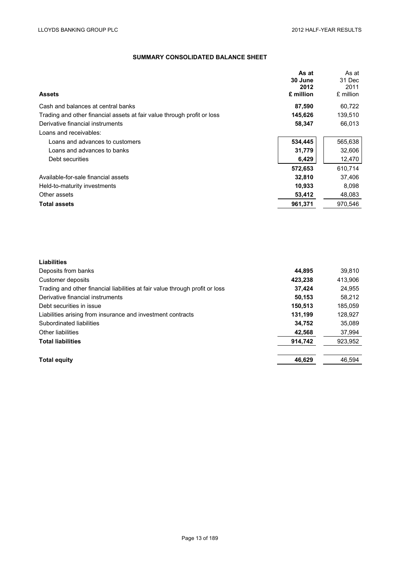# **SUMMARY CONSOLIDATED BALANCE SHEET**

|                                                                         | As at     | As at     |
|-------------------------------------------------------------------------|-----------|-----------|
|                                                                         | 30 June   | 31 Dec    |
|                                                                         | 2012      | 2011      |
| <b>Assets</b>                                                           | £ million | £ million |
| Cash and balances at central banks                                      | 87,590    | 60,722    |
| Trading and other financial assets at fair value through profit or loss | 145,626   | 139,510   |
| Derivative financial instruments                                        | 58,347    | 66,013    |
| Loans and receivables:                                                  |           |           |
| Loans and advances to customers                                         | 534,445   | 565,638   |
| Loans and advances to banks                                             | 31,779    | 32,606    |
| Debt securities                                                         | 6,429     | 12,470    |
|                                                                         | 572,653   | 610,714   |
| Available-for-sale financial assets                                     | 32,810    | 37,406    |
| Held-to-maturity investments                                            | 10,933    | 8,098     |
| Other assets                                                            | 53,412    | 48,083    |
| <b>Total assets</b>                                                     | 961.371   | 970.546   |

| <b>Liabilities</b>                                                           |         |         |
|------------------------------------------------------------------------------|---------|---------|
| Deposits from banks                                                          | 44,895  | 39,810  |
| Customer deposits                                                            | 423.238 | 413.906 |
| Trading and other financial liabilities at fair value through profit or loss | 37.424  | 24.955  |
| Derivative financial instruments                                             | 50.153  | 58.212  |
| Debt securities in issue                                                     | 150.513 | 185,059 |
| Liabilities arising from insurance and investment contracts                  | 131,199 | 128,927 |
| Subordinated liabilities                                                     | 34,752  | 35,089  |
| Other liabilities                                                            | 42,568  | 37,994  |
| <b>Total liabilities</b>                                                     | 914.742 | 923,952 |
| <b>Total equity</b>                                                          | 46.629  | 46.594  |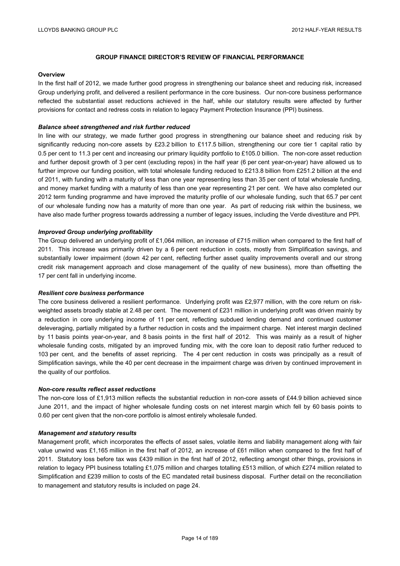#### **Overview**

In the first half of 2012, we made further good progress in strengthening our balance sheet and reducing risk, increased Group underlying profit, and delivered a resilient performance in the core business. Our non-core business performance reflected the substantial asset reductions achieved in the half, while our statutory results were affected by further provisions for contact and redress costs in relation to legacy Payment Protection Insurance (PPI) business.

## *Balance sheet strengthened and risk further reduced*

In line with our strategy, we made further good progress in strengthening our balance sheet and reducing risk by significantly reducing non-core assets by £23.2 billion to £117.5 billion, strengthening our core tier 1 capital ratio by 0.5 per cent to 11.3 per cent and increasing our primary liquidity portfolio to £105.0 billion. The non-core asset reduction and further deposit growth of 3 per cent (excluding repos) in the half year (6 per cent year-on-year) have allowed us to further improve our funding position, with total wholesale funding reduced to £213.8 billion from £251.2 billion at the end of 2011, with funding with a maturity of less than one year representing less than 35 per cent of total wholesale funding, and money market funding with a maturity of less than one year representing 21 per cent. We have also completed our 2012 term funding programme and have improved the maturity profile of our wholesale funding, such that 65.7 per cent of our wholesale funding now has a maturity of more than one year. As part of reducing risk within the business, we have also made further progress towards addressing a number of legacy issues, including the Verde divestiture and PPI.

## *Improved Group underlying profitability*

The Group delivered an underlying profit of £1,064 million, an increase of £715 million when compared to the first half of 2011. This increase was primarily driven by a 6 per cent reduction in costs, mostly from Simplification savings, and substantially lower impairment (down 42 per cent, reflecting further asset quality improvements overall and our strong credit risk management approach and close management of the quality of new business), more than offsetting the 17 per cent fall in underlying income.

## *Resilient core business performance*

The core business delivered a resilient performance. Underlying profit was £2,977 million, with the core return on riskweighted assets broadly stable at 2.48 per cent. The movement of £231 million in underlying profit was driven mainly by a reduction in core underlying income of 11 per cent, reflecting subdued lending demand and continued customer deleveraging, partially mitigated by a further reduction in costs and the impairment charge. Net interest margin declined by 11 basis points year-on-year, and 8 basis points in the first half of 2012. This was mainly as a result of higher wholesale funding costs, mitigated by an improved funding mix, with the core loan to deposit ratio further reduced to 103 per cent, and the benefits of asset repricing. The 4 per cent reduction in costs was principally as a result of Simplification savings, while the 40 per cent decrease in the impairment charge was driven by continued improvement in the quality of our portfolios.

## *Non-core results reflect asset reductions*

The non-core loss of £1,913 million reflects the substantial reduction in non-core assets of £44.9 billion achieved since June 2011, and the impact of higher wholesale funding costs on net interest margin which fell by 60 basis points to 0.60 per cent given that the non-core portfolio is almost entirely wholesale funded.

## *Management and statutory results*

Management profit, which incorporates the effects of asset sales, volatile items and liability management along with fair value unwind was £1,165 million in the first half of 2012, an increase of £61 million when compared to the first half of 2011. Statutory loss before tax was £439 million in the first half of 2012, reflecting amongst other things, provisions in relation to legacy PPI business totalling £1,075 million and charges totalling £513 million, of which £274 million related to Simplification and £239 million to costs of the EC mandated retail business disposal. Further detail on the reconciliation to management and statutory results is included on page 24.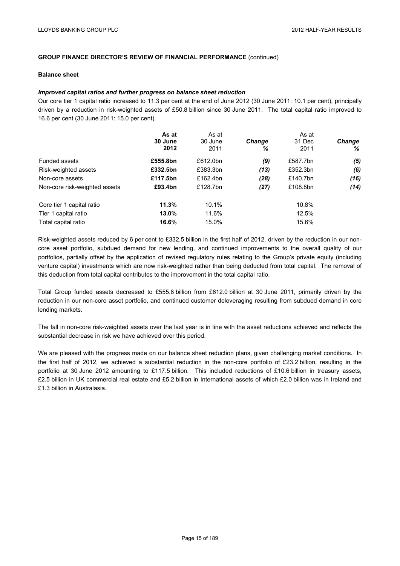#### **Balance sheet**

#### *Improved capital ratios and further progress on balance sheet reduction*

Our core tier 1 capital ratio increased to 11.3 per cent at the end of June 2012 (30 June 2011: 10.1 per cent), principally driven by a reduction in risk-weighted assets of £50.8 billion since 30 June 2011. The total capital ratio improved to 16.6 per cent (30 June 2011: 15.0 per cent).

|                               | As at<br>30 June<br>2012 | As at<br>30 June<br>2011 | <b>Change</b><br>% | As at<br>31 Dec<br>2011 | <b>Change</b><br>% |
|-------------------------------|--------------------------|--------------------------|--------------------|-------------------------|--------------------|
| Funded assets                 | £555.8bn                 | £612.0bn                 | (9)                | £587.7bn                | (5)                |
| Risk-weighted assets          | £332.5bn                 | £383.3bn                 | (13)               | £352.3bn                | (6)                |
| Non-core assets               | £117.5bn                 | £162.4bn                 | (28)               | £140.7bn                | (16)               |
| Non-core risk-weighted assets | £93.4bn                  | £128.7bn                 | (27)               | £108.8bn                | (14)               |
| Core tier 1 capital ratio     | 11.3%                    | 10.1%                    |                    | 10.8%                   |                    |
| Tier 1 capital ratio          | 13.0%                    | 11.6%                    |                    | 12.5%                   |                    |
| Total capital ratio           | 16.6%                    | 15.0%                    |                    | 15.6%                   |                    |

Risk-weighted assets reduced by 6 per cent to £332.5 billion in the first half of 2012, driven by the reduction in our noncore asset portfolio, subdued demand for new lending, and continued improvements to the overall quality of our portfolios, partially offset by the application of revised regulatory rules relating to the Group's private equity (including venture capital) investments which are now risk-weighted rather than being deducted from total capital. The removal of this deduction from total capital contributes to the improvement in the total capital ratio.

Total Group funded assets decreased to £555.8 billion from £612.0 billion at 30 June 2011, primarily driven by the reduction in our non-core asset portfolio, and continued customer deleveraging resulting from subdued demand in core lending markets.

The fall in non-core risk-weighted assets over the last year is in line with the asset reductions achieved and reflects the substantial decrease in risk we have achieved over this period.

We are pleased with the progress made on our balance sheet reduction plans, given challenging market conditions. In the first half of 2012, we achieved a substantial reduction in the non-core portfolio of £23.2 billion, resulting in the portfolio at 30 June 2012 amounting to £117.5 billion. This included reductions of £10.6 billion in treasury assets, £2.5 billion in UK commercial real estate and £5.2 billion in International assets of which £2.0 billion was in Ireland and £1.3 billion in Australasia.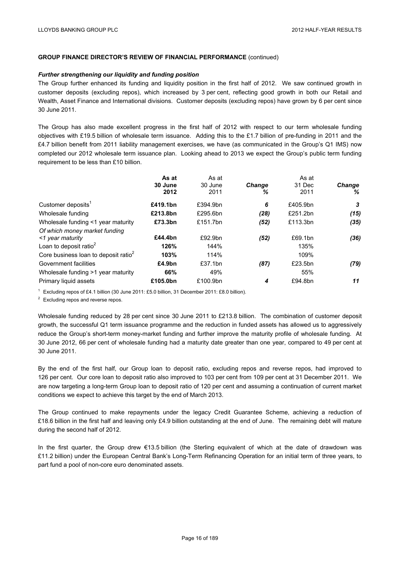#### *Further strengthening our liquidity and funding position*

The Group further enhanced its funding and liquidity position in the first half of 2012. We saw continued growth in customer deposits (excluding repos), which increased by 3 per cent, reflecting good growth in both our Retail and Wealth, Asset Finance and International divisions. Customer deposits (excluding repos) have grown by 6 per cent since 30 June 2011.

The Group has also made excellent progress in the first half of 2012 with respect to our term wholesale funding objectives with £19.5 billion of wholesale term issuance. Adding this to the £1.7 billion of pre-funding in 2011 and the £4.7 billion benefit from 2011 liability management exercises, we have (as communicated in the Group's Q1 IMS) now completed our 2012 wholesale term issuance plan. Looking ahead to 2013 we expect the Group's public term funding requirement to be less than £10 billion.

| As at           | As at    |               | As at    |               |
|-----------------|----------|---------------|----------|---------------|
| 30 June<br>2012 | 30 June  | <b>Change</b> | 31 Dec   | <b>Change</b> |
|                 | 2011     | %             | 2011     | %             |
| £419.1bn        | £394.9bn | 6             | £405.9bn | 3             |
| £213.8bn        | £295.6bn | (28)          | £251.2bn | (15)          |
| £73.3bn         | £151.7bn | (52)          | £113.3bn | (35)          |
|                 |          |               |          |               |
| £44.4bn         | £92.9bn  | (52)          | £69.1bn  | (36)          |
| 126%            | 144%     |               | 135%     |               |
| 103%            | 114%     |               | 109%     |               |
| £4.9bn          | £37.1bn  | (87)          | £23.5bn  | (79)          |
| 66%             | 49%      |               | 55%      |               |
| £105.0bn        | £100.9bn | 4             | £94.8bn  | 11            |
|                 |          |               |          |               |

<sup>1</sup> Excluding repos of £4.1 billion (30 June 2011: £5.0 billion, 31 December 2011: £8.0 billion).

<sup>2</sup> Excluding repos and reverse repos.

Wholesale funding reduced by 28 per cent since 30 June 2011 to £213.8 billion. The combination of customer deposit growth, the successful Q1 term issuance programme and the reduction in funded assets has allowed us to aggressively reduce the Group's short-term money-market funding and further improve the maturity profile of wholesale funding. At 30 June 2012, 66 per cent of wholesale funding had a maturity date greater than one year, compared to 49 per cent at 30 June 2011.

By the end of the first half, our Group loan to deposit ratio, excluding repos and reverse repos, had improved to 126 per cent. Our core loan to deposit ratio also improved to 103 per cent from 109 per cent at 31 December 2011. We are now targeting a long-term Group loan to deposit ratio of 120 per cent and assuming a continuation of current market conditions we expect to achieve this target by the end of March 2013.

The Group continued to make repayments under the legacy Credit Guarantee Scheme, achieving a reduction of £18.6 billion in the first half and leaving only £4.9 billion outstanding at the end of June. The remaining debt will mature during the second half of 2012.

In the first quarter, the Group drew €13.5 billion (the Sterling equivalent of which at the date of drawdown was £11.2 billion) under the European Central Bank's Long-Term Refinancing Operation for an initial term of three years, to part fund a pool of non-core euro denominated assets.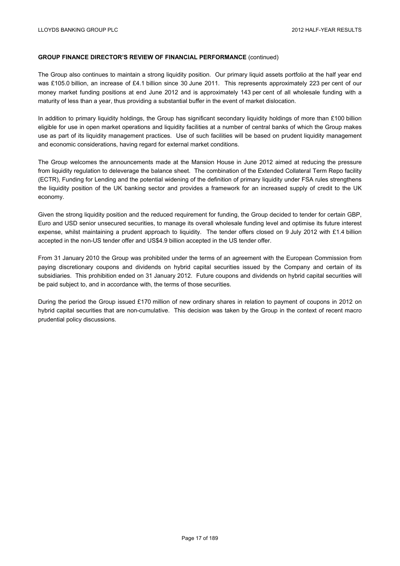The Group also continues to maintain a strong liquidity position. Our primary liquid assets portfolio at the half year end was £105.0 billion, an increase of £4.1 billion since 30 June 2011. This represents approximately 223 per cent of our money market funding positions at end June 2012 and is approximately 143 per cent of all wholesale funding with a maturity of less than a year, thus providing a substantial buffer in the event of market dislocation.

In addition to primary liquidity holdings, the Group has significant secondary liquidity holdings of more than  $£100$  billion eligible for use in open market operations and liquidity facilities at a number of central banks of which the Group makes use as part of its liquidity management practices. Use of such facilities will be based on prudent liquidity management and economic considerations, having regard for external market conditions.

The Group welcomes the announcements made at the Mansion House in June 2012 aimed at reducing the pressure from liquidity regulation to deleverage the balance sheet. The combination of the Extended Collateral Term Repo facility (ECTR), Funding for Lending and the potential widening of the definition of primary liquidity under FSA rules strengthens the liquidity position of the UK banking sector and provides a framework for an increased supply of credit to the UK economy.

Given the strong liquidity position and the reduced requirement for funding, the Group decided to tender for certain GBP, Euro and USD senior unsecured securities, to manage its overall wholesale funding level and optimise its future interest expense, whilst maintaining a prudent approach to liquidity. The tender offers closed on 9 July 2012 with £1.4 billion accepted in the non-US tender offer and US\$4.9 billion accepted in the US tender offer.

From 31 January 2010 the Group was prohibited under the terms of an agreement with the European Commission from paying discretionary coupons and dividends on hybrid capital securities issued by the Company and certain of its subsidiaries. This prohibition ended on 31 January 2012. Future coupons and dividends on hybrid capital securities will be paid subject to, and in accordance with, the terms of those securities.

During the period the Group issued £170 million of new ordinary shares in relation to payment of coupons in 2012 on hybrid capital securities that are non-cumulative. This decision was taken by the Group in the context of recent macro prudential policy discussions.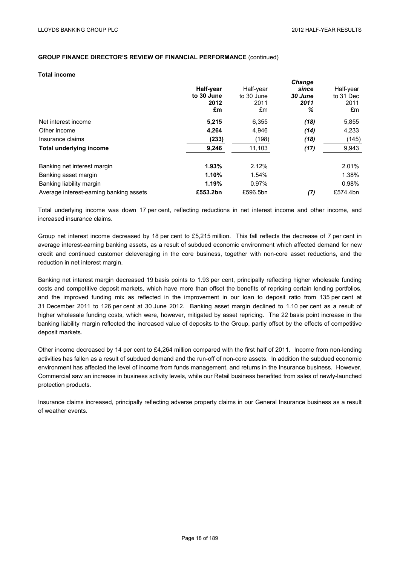#### **Total income**

|                                         | Half-year<br>to 30 June<br>2012<br>£m | Half-year<br>to 30 June<br>2011<br>£m | <b>Change</b><br>since<br>30 June<br>2011<br>℅ | Half-year<br>to 31 Dec<br>2011<br>£m |
|-----------------------------------------|---------------------------------------|---------------------------------------|------------------------------------------------|--------------------------------------|
| Net interest income                     | 5,215                                 | 6,355                                 | (18)                                           | 5,855                                |
| Other income                            | 4.264                                 | 4.946                                 | (14)                                           | 4,233                                |
| Insurance claims                        | (233)                                 | (198)                                 | (18)                                           | (145)                                |
| <b>Total underlying income</b>          | 9,246                                 | 11,103                                | (17)                                           | 9,943                                |
| Banking net interest margin             | 1.93%                                 | 2.12%                                 |                                                | 2.01%                                |
| Banking asset margin                    | 1.10%                                 | 1.54%                                 |                                                | 1.38%                                |
| Banking liability margin                | 1.19%                                 | 0.97%                                 |                                                | 0.98%                                |
| Average interest-earning banking assets | £553.2bn                              | £596.5bn                              | (7)                                            | £574.4bn                             |

Total underlying income was down 17 per cent, reflecting reductions in net interest income and other income, and increased insurance claims.

Group net interest income decreased by 18 per cent to £5,215 million. This fall reflects the decrease of 7 per cent in average interest-earning banking assets, as a result of subdued economic environment which affected demand for new credit and continued customer deleveraging in the core business, together with non-core asset reductions, and the reduction in net interest margin.

Banking net interest margin decreased 19 basis points to 1.93 per cent, principally reflecting higher wholesale funding costs and competitive deposit markets, which have more than offset the benefits of repricing certain lending portfolios, and the improved funding mix as reflected in the improvement in our loan to deposit ratio from 135 per cent at 31 December 2011 to 126 per cent at 30 June 2012. Banking asset margin declined to 1.10 per cent as a result of higher wholesale funding costs, which were, however, mitigated by asset repricing. The 22 basis point increase in the banking liability margin reflected the increased value of deposits to the Group, partly offset by the effects of competitive deposit markets.

Other income decreased by 14 per cent to £4,264 million compared with the first half of 2011. Income from non-lending activities has fallen as a result of subdued demand and the run-off of non-core assets. In addition the subdued economic environment has affected the level of income from funds management, and returns in the Insurance business. However, Commercial saw an increase in business activity levels, while our Retail business benefited from sales of newly-launched protection products.

Insurance claims increased, principally reflecting adverse property claims in our General Insurance business as a result of weather events.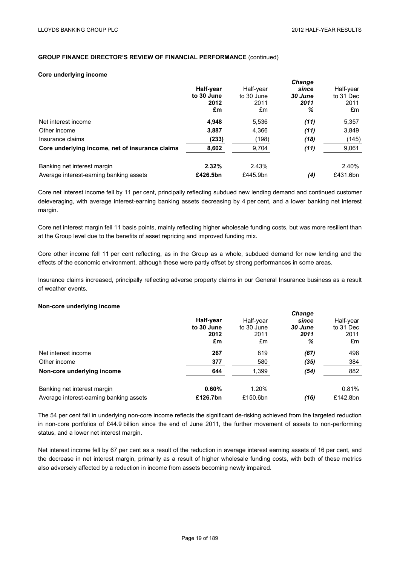#### **Core underlying income**

|                                                 | Half-year<br>to 30 June<br>2012<br>£m | Half-year<br>to 30 June<br>2011<br>£m | <b>Change</b><br>since<br>30 June<br>2011<br>℅ | Half-year<br>to 31 Dec<br>2011<br>£m |
|-------------------------------------------------|---------------------------------------|---------------------------------------|------------------------------------------------|--------------------------------------|
| Net interest income                             | 4,948                                 | 5,536                                 | (11)                                           | 5,357                                |
| Other income                                    | 3.887                                 | 4,366                                 | (11)                                           | 3,849                                |
| Insurance claims                                | (233)                                 | (198)                                 | (18)                                           | (145)                                |
| Core underlying income, net of insurance claims | 8,602                                 | 9,704                                 | (11)                                           | 9,061                                |
| Banking net interest margin                     | 2.32%                                 | 2.43%                                 |                                                | 2.40%                                |
| Average interest-earning banking assets         | £426.5bn                              | £445.9bn                              | (4)                                            | £431.6bn                             |

Core net interest income fell by 11 per cent, principally reflecting subdued new lending demand and continued customer deleveraging, with average interest-earning banking assets decreasing by 4 per cent, and a lower banking net interest margin.

Core net interest margin fell 11 basis points, mainly reflecting higher wholesale funding costs, but was more resilient than at the Group level due to the benefits of asset repricing and improved funding mix.

Core other income fell 11 per cent reflecting, as in the Group as a whole, subdued demand for new lending and the effects of the economic environment, although these were partly offset by strong performances in some areas.

Insurance claims increased, principally reflecting adverse property claims in our General Insurance business as a result of weather events.

## **Non-core underlying income**

|                                         | Half-year<br>to 30 June<br>2012<br>£m | Half-year<br>to 30 June<br>2011<br>£m | <b>Change</b><br>since<br>30 June<br>2011<br>% | Half-year<br>to 31 Dec<br>2011<br>£m |
|-----------------------------------------|---------------------------------------|---------------------------------------|------------------------------------------------|--------------------------------------|
| Net interest income                     | 267                                   | 819                                   | (67)                                           | 498                                  |
| Other income                            | 377                                   | 580                                   | (35)                                           | 384                                  |
| Non-core underlying income              | 644                                   | 1,399                                 | (54)                                           | 882                                  |
| Banking net interest margin             | 0.60%                                 | 1.20%                                 |                                                | 0.81%                                |
| Average interest-earning banking assets | £126.7bn                              | £150.6bn                              | (16)                                           | £142.8bn                             |

The 54 per cent fall in underlying non-core income reflects the significant de-risking achieved from the targeted reduction in non-core portfolios of £44.9 billion since the end of June 2011, the further movement of assets to non-performing status, and a lower net interest margin.

Net interest income fell by 67 per cent as a result of the reduction in average interest earning assets of 16 per cent, and the decrease in net interest margin, primarily as a result of higher wholesale funding costs, with both of these metrics also adversely affected by a reduction in income from assets becoming newly impaired.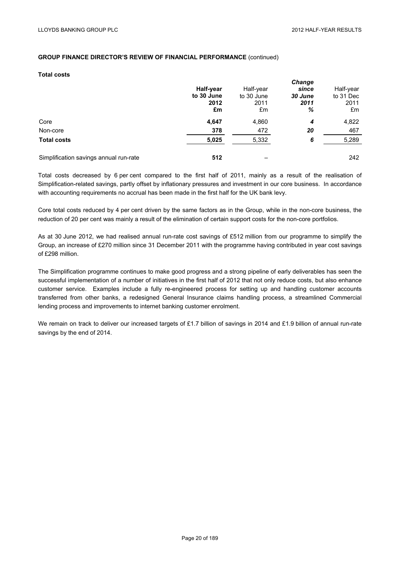## **Total costs**

|                                        |            |            | Change  |           |  |
|----------------------------------------|------------|------------|---------|-----------|--|
|                                        | Half-year  | Half-year  | since   | Half-year |  |
|                                        | to 30 June | to 30 June | 30 June | to 31 Dec |  |
|                                        | 2012       | 2011       | 2011    | 2011      |  |
|                                        | £m         | £m         | %       | £m        |  |
| Core                                   | 4,647      | 4,860      | 4       | 4,822     |  |
| Non-core                               | 378        | 472        | 20      | 467       |  |
| <b>Total costs</b>                     | 5,025      | 5,332      | 6       | 5,289     |  |
| Simplification savings annual run-rate | 512        |            |         | 242       |  |

Total costs decreased by 6 per cent compared to the first half of 2011, mainly as a result of the realisation of Simplification-related savings, partly offset by inflationary pressures and investment in our core business. In accordance with accounting requirements no accrual has been made in the first half for the UK bank levy.

Core total costs reduced by 4 per cent driven by the same factors as in the Group, while in the non-core business, the reduction of 20 per cent was mainly a result of the elimination of certain support costs for the non-core portfolios.

As at 30 June 2012, we had realised annual run-rate cost savings of £512 million from our programme to simplify the Group, an increase of £270 million since 31 December 2011 with the programme having contributed in year cost savings of £298 million.

The Simplification programme continues to make good progress and a strong pipeline of early deliverables has seen the successful implementation of a number of initiatives in the first half of 2012 that not only reduce costs, but also enhance customer service. Examples include a fully re-engineered process for setting up and handling customer accounts transferred from other banks, a redesigned General Insurance claims handling process, a streamlined Commercial lending process and improvements to internet banking customer enrolment.

We remain on track to deliver our increased targets of £1.7 billion of savings in 2014 and £1.9 billion of annual run-rate savings by the end of 2014.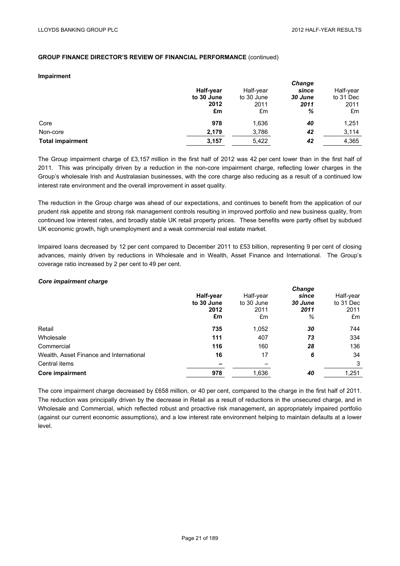#### **Impairment**

|                         | Half-year  | Half-year  | since   | Half-year |
|-------------------------|------------|------------|---------|-----------|
|                         | to 30 June | to 30 June | 30 June | to 31 Dec |
|                         | 2012       | 2011       | 2011    | 2011      |
|                         | £m         | £m         | %       | £m        |
| Core                    | 978        | 1,636      | 40      | 1,251     |
| Non-core                | 2.179      | 3,786      | 42      | 3.114     |
| <b>Total impairment</b> | 3,157      | 5,422      | 42      | 4,365     |

The Group impairment charge of £3,157 million in the first half of 2012 was 42 per cent lower than in the first half of 2011. This was principally driven by a reduction in the non-core impairment charge, reflecting lower charges in the Group's wholesale Irish and Australasian businesses, with the core charge also reducing as a result of a continued low interest rate environment and the overall improvement in asset quality.

The reduction in the Group charge was ahead of our expectations, and continues to benefit from the application of our prudent risk appetite and strong risk management controls resulting in improved portfolio and new business quality, from continued low interest rates, and broadly stable UK retail property prices. These benefits were partly offset by subdued UK economic growth, high unemployment and a weak commercial real estate market.

Impaired loans decreased by 12 per cent compared to December 2011 to £53 billion, representing 9 per cent of closing advances, mainly driven by reductions in Wholesale and in Wealth, Asset Finance and International. The Group's coverage ratio increased by 2 per cent to 49 per cent.

## *Core impairment charge*

|                                         | Half-year<br>to 30 June<br>2012<br>£m | Half-year<br>to 30 June<br>2011<br>£m | Change<br>since<br>30 June<br>2011<br>% | Half-year<br>to 31 Dec<br>2011<br>£m |
|-----------------------------------------|---------------------------------------|---------------------------------------|-----------------------------------------|--------------------------------------|
| Retail                                  | 735                                   | 1,052                                 | 30                                      | 744                                  |
| Wholesale                               | 111                                   | 407                                   | 73                                      | 334                                  |
| Commercial                              | 116                                   | 160                                   | 28                                      | 136                                  |
| Wealth, Asset Finance and International | 16                                    | 17                                    | 6                                       | 34                                   |
| Central items                           |                                       |                                       |                                         | 3                                    |
| <b>Core impairment</b>                  | 978                                   | 1,636                                 | 40                                      | 1,251                                |

The core impairment charge decreased by £658 million, or 40 per cent, compared to the charge in the first half of 2011. The reduction was principally driven by the decrease in Retail as a result of reductions in the unsecured charge, and in Wholesale and Commercial, which reflected robust and proactive risk management, an appropriately impaired portfolio (against our current economic assumptions), and a low interest rate environment helping to maintain defaults at a lower level.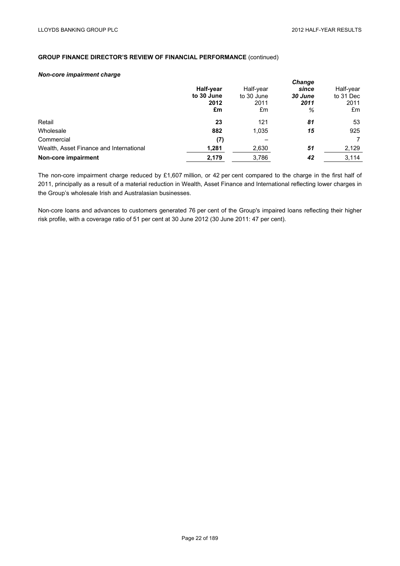## *Non-core impairment charge*

|                                         | <b>Half-year</b><br>to 30 June<br>2012<br>£m | Half-year<br>to 30 June<br>2011<br>£m | Change<br>since<br>30 June<br>2011<br>% | Half-year<br>to 31 Dec<br>2011<br>£m |
|-----------------------------------------|----------------------------------------------|---------------------------------------|-----------------------------------------|--------------------------------------|
| Retail                                  | 23                                           | 121                                   | 81                                      | 53                                   |
| Wholesale                               | 882                                          | 1,035                                 | 15                                      | 925                                  |
| Commercial                              | (7)                                          |                                       |                                         |                                      |
| Wealth, Asset Finance and International | 1,281                                        | 2,630                                 | 51                                      | 2,129                                |
| Non-core impairment                     | 2,179                                        | 3,786                                 | 42                                      | 3,114                                |

The non-core impairment charge reduced by £1,607 million, or 42 per cent compared to the charge in the first half of 2011, principally as a result of a material reduction in Wealth, Asset Finance and International reflecting lower charges in the Group's wholesale Irish and Australasian businesses.

Non-core loans and advances to customers generated 76 per cent of the Group's impaired loans reflecting their higher risk profile, with a coverage ratio of 51 per cent at 30 June 2012 (30 June 2011: 47 per cent).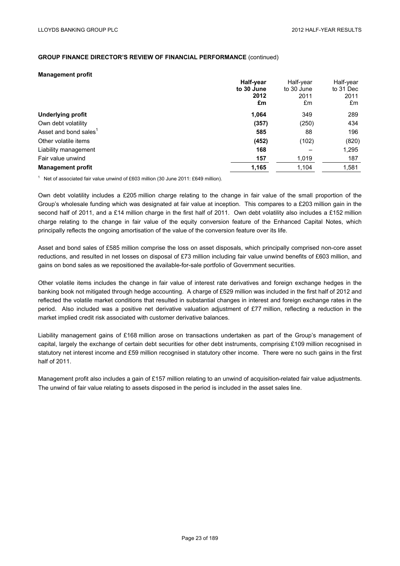## **Management profit**

| Half-year  | Half-year  | Half-year |
|------------|------------|-----------|
| to 30 June | to 30 June | to 31 Dec |
| 2012       | 2011       | 2011      |
| £m         | £m         | £m        |
| 1,064      | 349        | 289       |
| (357)      | (250)      | 434       |
| 585        | 88         | 196       |
| (452)      | (102)      | (820)     |
| 168        |            | 1,295     |
| 157        | 1,019      | 187       |
| 1,165      | 1,104      | 1,581     |
|            |            |           |

<sup>1</sup> Net of associated fair value unwind of £603 million (30 June 2011: £649 million).

Own debt volatility includes a £205 million charge relating to the change in fair value of the small proportion of the Group's wholesale funding which was designated at fair value at inception. This compares to a £203 million gain in the second half of 2011, and a £14 million charge in the first half of 2011. Own debt volatility also includes a £152 million charge relating to the change in fair value of the equity conversion feature of the Enhanced Capital Notes, which principally reflects the ongoing amortisation of the value of the conversion feature over its life.

Asset and bond sales of £585 million comprise the loss on asset disposals, which principally comprised non-core asset reductions, and resulted in net losses on disposal of £73 million including fair value unwind benefits of £603 million, and gains on bond sales as we repositioned the available-for-sale portfolio of Government securities.

Other volatile items includes the change in fair value of interest rate derivatives and foreign exchange hedges in the banking book not mitigated through hedge accounting. A charge of £529 million was included in the first half of 2012 and reflected the volatile market conditions that resulted in substantial changes in interest and foreign exchange rates in the period. Also included was a positive net derivative valuation adjustment of £77 million, reflecting a reduction in the market implied credit risk associated with customer derivative balances.

Liability management gains of £168 million arose on transactions undertaken as part of the Group's management of capital, largely the exchange of certain debt securities for other debt instruments, comprising £109 million recognised in statutory net interest income and £59 million recognised in statutory other income. There were no such gains in the first half of 2011.

Management profit also includes a gain of £157 million relating to an unwind of acquisition-related fair value adjustments. The unwind of fair value relating to assets disposed in the period is included in the asset sales line.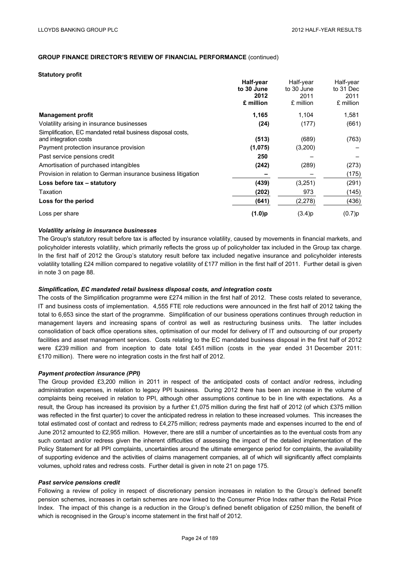#### **Statutory profit**

|                                                               | Half-year  | Half-year  | Half-year |
|---------------------------------------------------------------|------------|------------|-----------|
|                                                               | to 30 June | to 30 June | to 31 Dec |
|                                                               | 2012       | 2011       | 2011      |
|                                                               | £ million  | £ million  | £ million |
| <b>Management profit</b>                                      | 1,165      | 1,104      | 1,581     |
| Volatility arising in insurance businesses                    | (24)       | (177)      | (661)     |
| Simplification, EC mandated retail business disposal costs,   |            |            |           |
| and integration costs                                         | (513)      | (689)      | (763)     |
| Payment protection insurance provision                        | (1,075)    | (3,200)    |           |
| Past service pensions credit                                  | 250        |            |           |
| Amortisation of purchased intangibles                         | (242)      | (289)      | (273)     |
| Provision in relation to German insurance business litigation |            |            | (175)     |
| Loss before tax - statutory                                   | (439)      | (3,251)    | (291)     |
| Taxation                                                      | (202)      | 973        | (145)     |
| Loss for the period                                           | (641)      | (2,278)    | (436)     |
| Loss per share                                                | (1.0)p     | (3.4)p     | (0.7)p    |

## *Volatility arising in insurance businesses*

The Group's statutory result before tax is affected by insurance volatility, caused by movements in financial markets, and policyholder interests volatility, which primarily reflects the gross up of policyholder tax included in the Group tax charge. In the first half of 2012 the Group's statutory result before tax included negative insurance and policyholder interests volatility totalling £24 million compared to negative volatility of £177 million in the first half of 2011. Further detail is given in note 3 on page 88.

## *Simplification, EC mandated retail business disposal costs, and integration costs*

The costs of the Simplification programme were £274 million in the first half of 2012. These costs related to severance, IT and business costs of implementation. 4,555 FTE role reductions were announced in the first half of 2012 taking the total to 6,653 since the start of the programme. Simplification of our business operations continues through reduction in management layers and increasing spans of control as well as restructuring business units. The latter includes consolidation of back office operations sites, optimisation of our model for delivery of IT and outsourcing of our property facilities and asset management services. Costs relating to the EC mandated business disposal in the first half of 2012 were £239 million and from inception to date total £451 million (costs in the year ended 31 December 2011: £170 million). There were no integration costs in the first half of 2012.

## *Payment protection insurance (PPI)*

The Group provided £3,200 million in 2011 in respect of the anticipated costs of contact and/or redress, including administration expenses, in relation to legacy PPI business. During 2012 there has been an increase in the volume of complaints being received in relation to PPI, although other assumptions continue to be in line with expectations. As a result, the Group has increased its provision by a further £1,075 million during the first half of 2012 (of which £375 million was reflected in the first quarter) to cover the anticipated redress in relation to these increased volumes. This increases the total estimated cost of contact and redress to £4,275 million; redress payments made and expenses incurred to the end of June 2012 amounted to £2,955 million. However, there are still a number of uncertainties as to the eventual costs from any such contact and/or redress given the inherent difficulties of assessing the impact of the detailed implementation of the Policy Statement for all PPI complaints, uncertainties around the ultimate emergence period for complaints, the availability of supporting evidence and the activities of claims management companies, all of which will significantly affect complaints volumes, uphold rates and redress costs. Further detail is given in note 21 on page 175.

## *Past service pensions credit*

Following a review of policy in respect of discretionary pension increases in relation to the Group's defined benefit pension schemes, increases in certain schemes are now linked to the Consumer Price Index rather than the Retail Price Index. The impact of this change is a reduction in the Group's defined benefit obligation of £250 million, the benefit of which is recognised in the Group's income statement in the first half of 2012.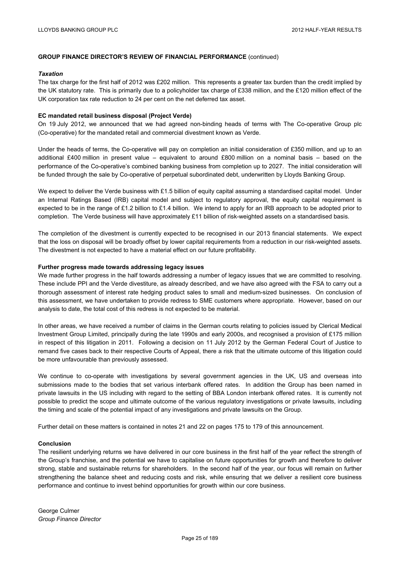#### *Taxation*

The tax charge for the first half of 2012 was £202 million. This represents a greater tax burden than the credit implied by the UK statutory rate. This is primarily due to a policyholder tax charge of £338 million, and the £120 million effect of the UK corporation tax rate reduction to 24 per cent on the net deferred tax asset.

## **EC mandated retail business disposal (Project Verde)**

On 19 July 2012, we announced that we had agreed non-binding heads of terms with The Co-operative Group plc (Co-operative) for the mandated retail and commercial divestment known as Verde.

Under the heads of terms, the Co-operative will pay on completion an initial consideration of £350 million, and up to an additional £400 million in present value – equivalent to around £800 million on a nominal basis – based on the performance of the Co-operative's combined banking business from completion up to 2027. The initial consideration will be funded through the sale by Co-operative of perpetual subordinated debt, underwritten by Lloyds Banking Group.

We expect to deliver the Verde business with £1.5 billion of equity capital assuming a standardised capital model. Under an Internal Ratings Based (IRB) capital model and subject to regulatory approval, the equity capital requirement is expected to be in the range of £1.2 billion to £1.4 billion. We intend to apply for an IRB approach to be adopted prior to completion. The Verde business will have approximately £11 billion of risk-weighted assets on a standardised basis.

The completion of the divestment is currently expected to be recognised in our 2013 financial statements. We expect that the loss on disposal will be broadly offset by lower capital requirements from a reduction in our risk-weighted assets. The divestment is not expected to have a material effect on our future profitability.

## **Further progress made towards addressing legacy issues**

We made further progress in the half towards addressing a number of legacy issues that we are committed to resolving. These include PPI and the Verde divestiture, as already described, and we have also agreed with the FSA to carry out a thorough assessment of interest rate hedging product sales to small and medium-sized businesses. On conclusion of this assessment, we have undertaken to provide redress to SME customers where appropriate. However, based on our analysis to date, the total cost of this redress is not expected to be material.

In other areas, we have received a number of claims in the German courts relating to policies issued by Clerical Medical Investment Group Limited, principally during the late 1990s and early 2000s, and recognised a provision of £175 million in respect of this litigation in 2011. Following a decision on 11 July 2012 by the German Federal Court of Justice to remand five cases back to their respective Courts of Appeal, there a risk that the ultimate outcome of this litigation could be more unfavourable than previously assessed.

We continue to co-operate with investigations by several government agencies in the UK, US and overseas into submissions made to the bodies that set various interbank offered rates. In addition the Group has been named in private lawsuits in the US including with regard to the setting of BBA London interbank offered rates. It is currently not possible to predict the scope and ultimate outcome of the various regulatory investigations or private lawsuits, including the timing and scale of the potential impact of any investigations and private lawsuits on the Group.

Further detail on these matters is contained in notes 21 and 22 on pages 175 to 179 of this announcement.

## **Conclusion**

The resilient underlying returns we have delivered in our core business in the first half of the year reflect the strength of the Group's franchise, and the potential we have to capitalise on future opportunities for growth and therefore to deliver strong, stable and sustainable returns for shareholders. In the second half of the year, our focus will remain on further strengthening the balance sheet and reducing costs and risk, while ensuring that we deliver a resilient core business performance and continue to invest behind opportunities for growth within our core business.

George Culmer *Group Finance Director*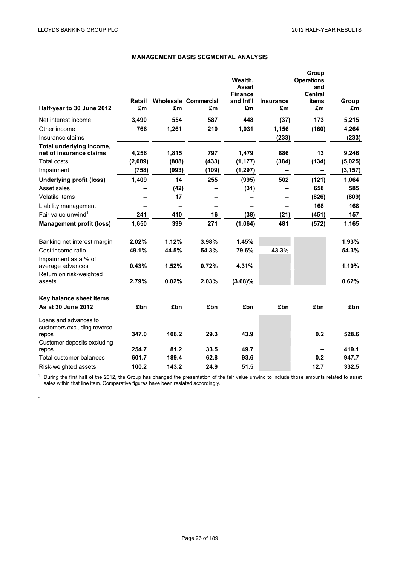$\overline{a}$ 

# **MANAGEMENT BASIS SEGMENTAL ANALYSIS**

| Half-year to 30 June 2012                                           | Retail<br>£m | £m    | <b>Wholesale Commercial</b><br>£m | Wealth,<br><b>Asset</b><br><b>Finance</b><br>and Int'l<br>£m | <b>Insurance</b><br>£m | Group<br><b>Operations</b><br>and<br>Central<br>items<br>£m | Group<br>£m |
|---------------------------------------------------------------------|--------------|-------|-----------------------------------|--------------------------------------------------------------|------------------------|-------------------------------------------------------------|-------------|
| Net interest income                                                 | 3,490        | 554   | 587                               | 448                                                          | (37)                   | 173                                                         | 5,215       |
| Other income                                                        | 766          | 1,261 | 210                               | 1,031                                                        | 1,156                  | (160)                                                       | 4,264       |
| Insurance claims                                                    |              |       |                                   |                                                              | (233)                  |                                                             | (233)       |
| Total underlying income,<br>net of insurance claims                 | 4,256        | 1,815 | 797                               | 1,479                                                        | 886                    | 13                                                          | 9,246       |
| <b>Total costs</b>                                                  | (2,089)      | (808) | (433)                             | (1, 177)                                                     | (384)                  | (134)                                                       | (5,025)     |
| Impairment                                                          | (758)        | (993) | (109)                             | (1, 297)                                                     |                        |                                                             | (3, 157)    |
| <b>Underlying profit (loss)</b>                                     | 1,409        | 14    | 255                               | (995)                                                        | 502                    | (121)                                                       | 1,064       |
| Asset sales <sup>1</sup>                                            |              | (42)  |                                   | (31)                                                         |                        | 658                                                         | 585         |
| Volatile items                                                      |              | 17    |                                   |                                                              |                        | (826)                                                       | (809)       |
| Liability management                                                |              |       |                                   |                                                              |                        | 168                                                         | 168         |
| Fair value unwind <sup>1</sup>                                      | 241          | 410   | 16                                | (38)                                                         | (21)                   | (451)                                                       | 157         |
| <b>Management profit (loss)</b>                                     | 1,650        | 399   | 271                               | (1,064)                                                      | 481                    | (572)                                                       | 1,165       |
| Banking net interest margin                                         | 2.02%        | 1.12% | 3.98%                             | 1.45%                                                        |                        |                                                             | 1.93%       |
| Cost:income ratio                                                   | 49.1%        | 44.5% | 54.3%                             | 79.6%                                                        | 43.3%                  |                                                             | 54.3%       |
| Impairment as a % of<br>average advances<br>Return on risk-weighted | 0.43%        | 1.52% | 0.72%                             | 4.31%                                                        |                        |                                                             | 1.10%       |
| assets                                                              | 2.79%        | 0.02% | 2.03%                             | $(3.68)\%$                                                   |                        |                                                             | 0.62%       |
| Key balance sheet items<br>As at 30 June 2012                       | £bn          | £bn   | £bn                               | £bn                                                          | £bn                    | £bn                                                         | £bn         |
| Loans and advances to<br>customers excluding reverse<br>repos       | 347.0        | 108.2 | 29.3                              | 43.9                                                         |                        | 0.2                                                         | 528.6       |
| Customer deposits excluding                                         |              |       |                                   |                                                              |                        |                                                             |             |
| repos                                                               | 254.7        | 81.2  | 33.5                              | 49.7                                                         |                        |                                                             | 419.1       |
| Total customer balances                                             | 601.7        | 189.4 | 62.8                              | 93.6                                                         |                        | 0.2                                                         | 947.7       |
| Risk-weighted assets                                                | 100.2        | 143.2 | 24.9                              | 51.5                                                         |                        | 12.7                                                        | 332.5       |

 $1$  During the first half of the 2012, the Group has changed the presentation of the fair value unwind to include those amounts related to asset sales within that line item. Comparative figures have been restated accordingly.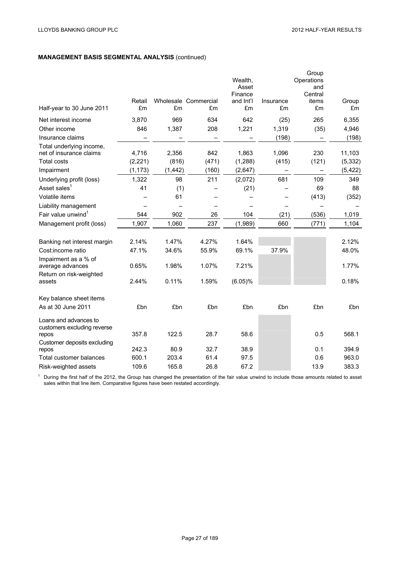# **MANAGEMENT BASIS SEGMENTAL ANALYSIS** (continued)

| Half-year to 30 June 2011                                           | Retail<br>£m | £m       | Wholesale Commercial<br>£m | Wealth,<br>Asset<br>Finance<br>and Int'l<br>£m | Insurance<br>£m | Group<br>Operations<br>and<br>Central<br>items<br>£m | Group<br>£m |
|---------------------------------------------------------------------|--------------|----------|----------------------------|------------------------------------------------|-----------------|------------------------------------------------------|-------------|
| Net interest income                                                 | 3,870        | 969      | 634                        | 642                                            | (25)            | 265                                                  | 6,355       |
| Other income                                                        | 846          | 1,387    | 208                        | 1,221                                          | 1,319           | (35)                                                 | 4,946       |
| Insurance claims                                                    |              |          |                            |                                                | (198)           |                                                      | (198)       |
| Total underlying income,                                            |              |          |                            |                                                |                 |                                                      |             |
| net of insurance claims                                             | 4,716        | 2,356    | 842                        | 1,863                                          | 1,096           | 230                                                  | 11,103      |
| <b>Total costs</b>                                                  | (2, 221)     | (816)    | (471)                      | (1, 288)                                       | (415)           | (121)                                                | (5, 332)    |
| Impairment                                                          | (1, 173)     | (1, 442) | (160)                      | (2,647)                                        |                 |                                                      | (5, 422)    |
| Underlying profit (loss)                                            | 1,322        | 98       | 211                        | (2,072)                                        | 681             | 109                                                  | 349         |
| Asset sales <sup>1</sup>                                            | 41           | (1)      |                            | (21)                                           |                 | 69                                                   | 88          |
| Volatile items                                                      |              | 61       |                            |                                                |                 | (413)                                                | (352)       |
| Liability management                                                |              | ╾        | —                          |                                                | −               |                                                      |             |
| Fair value unwind <sup>1</sup>                                      | 544          | 902      | 26                         | 104                                            | (21)            | (536)                                                | 1,019       |
| Management profit (loss)                                            | 1,907        | 1,060    | 237                        | (1,989)                                        | 660             | (771)                                                | 1,104       |
| Banking net interest margin                                         | 2.14%        | 1.47%    | 4.27%                      | 1.64%                                          |                 |                                                      | 2.12%       |
| Cost:income ratio                                                   | 47.1%        | 34.6%    | 55.9%                      | 69.1%                                          | 37.9%           |                                                      | 48.0%       |
| Impairment as a % of<br>average advances<br>Return on risk-weighted | 0.65%        | 1.98%    | 1.07%                      | 7.21%                                          |                 |                                                      | 1.77%       |
| assets                                                              | 2.44%        | 0.11%    | 1.59%                      | $(6.05)\%$                                     |                 |                                                      | 0.18%       |
| Key balance sheet items                                             |              |          |                            |                                                |                 |                                                      |             |
| As at 30 June 2011                                                  | £bn          | £bn      | £bn                        | £bn                                            | £bn             | £bn                                                  | £bn         |
| Loans and advances to<br>customers excluding reverse                |              |          |                            |                                                |                 |                                                      |             |
| repos                                                               | 357.8        | 122.5    | 28.7                       | 58.6                                           |                 | 0.5                                                  | 568.1       |
| Customer deposits excluding<br>repos                                | 242.3        | 80.9     | 32.7                       | 38.9                                           |                 | 0.1                                                  | 394.9       |
| Total customer balances                                             | 600.1        | 203.4    | 61.4                       | 97.5                                           |                 | 0.6                                                  | 963.0       |
| Risk-weighted assets                                                | 109.6        | 165.8    | 26.8                       | 67.2                                           |                 | 13.9                                                 | 383.3       |

 $1$  During the first half of the 2012, the Group has changed the presentation of the fair value unwind to include those amounts related to asset sales within that line item. Comparative figures have been restated accordingly.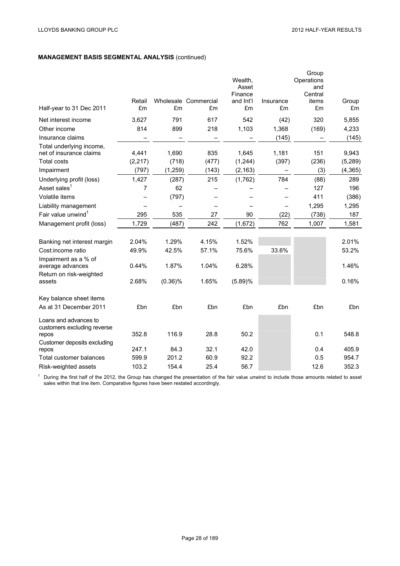# **MANAGEMENT BASIS SEGMENTAL ANALYSIS** (continued)

| Half-year to 31 Dec 2011                                            | Retail<br>£m | £m         | Wholesale Commercial<br>£m | Wealth,<br>Asset<br>Finance<br>and Int'l<br>£m | Insurance<br>£m          | Group<br>Operations<br>and<br>Central<br>items<br>£m | Group<br>£m |
|---------------------------------------------------------------------|--------------|------------|----------------------------|------------------------------------------------|--------------------------|------------------------------------------------------|-------------|
| Net interest income                                                 | 3,627        | 791        | 617                        | 542                                            | (42)                     | 320                                                  | 5,855       |
| Other income                                                        | 814          | 899        | 218                        | 1,103                                          | 1,368                    | (169)                                                | 4,233       |
| Insurance claims                                                    |              |            |                            |                                                | (145)                    |                                                      | (145)       |
| Total underlying income,                                            |              |            |                            |                                                |                          |                                                      |             |
| net of insurance claims                                             | 4,441        | 1,690      | 835                        | 1,645                                          | 1,181                    | 151                                                  | 9,943       |
| <b>Total costs</b>                                                  | (2, 217)     | (718)      | (477)                      | (1, 244)                                       | (397)                    | (236)                                                | (5,289)     |
| Impairment                                                          | (797)        | (1, 259)   | (143)                      | (2, 163)                                       |                          | (3)                                                  | (4, 365)    |
| Underlying profit (loss)                                            | 1,427        | (287)      | 215                        | (1,762)                                        | 784                      | (88)                                                 | 289         |
| Asset sales <sup>1</sup>                                            | 7            | 62         |                            |                                                |                          | 127                                                  | 196         |
| Volatile items                                                      |              | (797)      |                            |                                                |                          | 411                                                  | (386)       |
| Liability management                                                |              |            | —                          |                                                | $\overline{\phantom{0}}$ | 1,295                                                | 1,295       |
| Fair value unwind <sup>1</sup>                                      | 295          | 535        | 27                         | 90                                             | (22)                     | (738)                                                | 187         |
| Management profit (loss)                                            | 1,729        | (487)      | 242                        | (1,672)                                        | 762                      | 1,007                                                | 1,581       |
|                                                                     |              |            |                            |                                                |                          |                                                      |             |
| Banking net interest margin                                         | 2.04%        | 1.29%      | 4.15%                      | 1.52%                                          |                          |                                                      | 2.01%       |
| Cost:income ratio                                                   | 49.9%        | 42.5%      | 57.1%                      | 75.6%                                          | 33.6%                    |                                                      | 53.2%       |
| Impairment as a % of<br>average advances<br>Return on risk-weighted | 0.44%        | 1.87%      | 1.04%                      | 6.28%                                          |                          |                                                      | 1.46%       |
| assets                                                              | 2.68%        | $(0.36)\%$ | 1.65%                      | $(5.89)\%$                                     |                          |                                                      | 0.16%       |
| Key balance sheet items                                             |              |            |                            |                                                |                          |                                                      |             |
| As at 31 December 2011                                              | £bn          | £bn        | £bn                        | £bn                                            | £bn                      | £bn                                                  | £bn         |
| Loans and advances to<br>customers excluding reverse                |              |            |                            |                                                |                          |                                                      |             |
| repos                                                               | 352.8        | 116.9      | 28.8                       | 50.2                                           |                          | 0.1                                                  | 548.8       |
| Customer deposits excluding<br>repos                                | 247.1        | 84.3       | 32.1                       | 42.0                                           |                          | 0.4                                                  | 405.9       |
| Total customer balances                                             | 599.9        | 201.2      | 60.9                       | 92.2                                           |                          | 0.5                                                  | 954.7       |
| Risk-weighted assets                                                | 103.2        | 154.4      | 25.4                       | 56.7                                           |                          | 12.6                                                 | 352.3       |
|                                                                     |              |            |                            |                                                |                          |                                                      |             |

 $1$  During the first half of the 2012, the Group has changed the presentation of the fair value unwind to include those amounts related to asset sales within that line item. Comparative figures have been restated accordingly.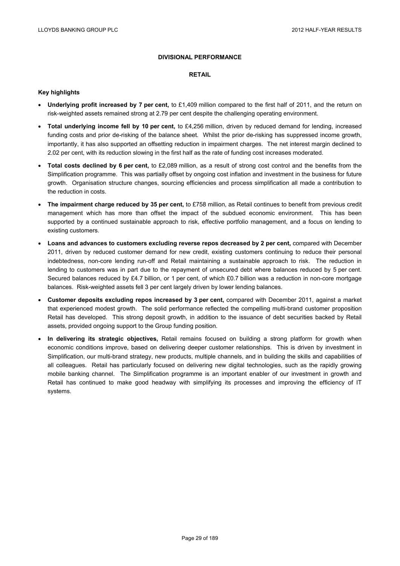## **DIVISIONAL PERFORMANCE**

## **RETAIL**

## **Key highlights**

- **Underlying profit increased by 7 per cent,** to £1,409 million compared to the first half of 2011, and the return on risk-weighted assets remained strong at 2.79 per cent despite the challenging operating environment.
- **Total underlying income fell by 10 per cent,** to £4,256 million, driven by reduced demand for lending, increased funding costs and prior de-risking of the balance sheet. Whilst the prior de-risking has suppressed income growth, importantly, it has also supported an offsetting reduction in impairment charges. The net interest margin declined to 2.02 per cent, with its reduction slowing in the first half as the rate of funding cost increases moderated.
- **Total costs declined by 6 per cent,** to £2,089 million, as a result of strong cost control and the benefits from the Simplification programme. This was partially offset by ongoing cost inflation and investment in the business for future growth. Organisation structure changes, sourcing efficiencies and process simplification all made a contribution to the reduction in costs.
- **The impairment charge reduced by 35 per cent,** to £758 million, as Retail continues to benefit from previous credit management which has more than offset the impact of the subdued economic environment. This has been supported by a continued sustainable approach to risk, effective portfolio management, and a focus on lending to existing customers.
- **Loans and advances to customers excluding reverse repos decreased by 2 per cent,** compared with December 2011, driven by reduced customer demand for new credit, existing customers continuing to reduce their personal indebtedness, non-core lending run-off and Retail maintaining a sustainable approach to risk. The reduction in lending to customers was in part due to the repayment of unsecured debt where balances reduced by 5 per cent. Secured balances reduced by £4.7 billion, or 1 per cent, of which £0.7 billion was a reduction in non-core mortgage balances. Risk-weighted assets fell 3 per cent largely driven by lower lending balances.
- **Customer deposits excluding repos increased by 3 per cent,** compared with December 2011, against a market that experienced modest growth. The solid performance reflected the compelling multi-brand customer proposition Retail has developed. This strong deposit growth, in addition to the issuance of debt securities backed by Retail assets, provided ongoing support to the Group funding position.
- **In delivering its strategic objectives,** Retail remains focused on building a strong platform for growth when economic conditions improve, based on delivering deeper customer relationships. This is driven by investment in Simplification, our multi-brand strategy, new products, multiple channels, and in building the skills and capabilities of all colleagues. Retail has particularly focused on delivering new digital technologies, such as the rapidly growing mobile banking channel. The Simplification programme is an important enabler of our investment in growth and Retail has continued to make good headway with simplifying its processes and improving the efficiency of IT systems.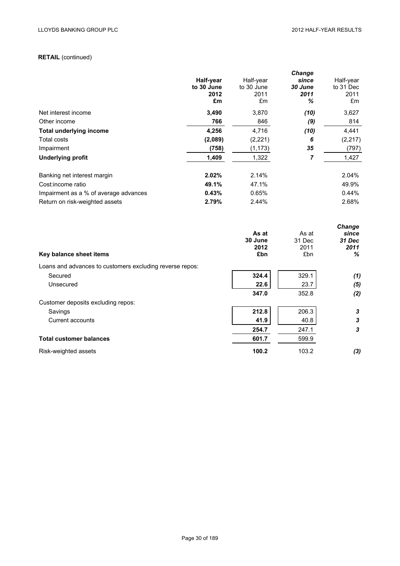|                                       |            |            | Change  |           |  |
|---------------------------------------|------------|------------|---------|-----------|--|
|                                       | Half-year  | Half-year  | since   | Half-year |  |
|                                       | to 30 June | to 30 June | 30 June | to 31 Dec |  |
|                                       | 2012       | 2011       | 2011    | 2011      |  |
|                                       | £m         | £m         | ℅       | £m        |  |
| Net interest income                   | 3,490      | 3,870      | (10)    | 3,627     |  |
| Other income                          | 766        | 846        | (9)     | 814       |  |
| <b>Total underlying income</b>        | 4,256      | 4,716      | (10)    | 4,441     |  |
| Total costs                           | (2,089)    | (2,221)    | 6       | (2, 217)  |  |
| Impairment                            | (758)      | (1, 173)   | 35      | (797)     |  |
| <b>Underlying profit</b>              | 1,409      | 1,322      | 7       | 1,427     |  |
| Banking net interest margin           | 2.02%      | 2.14%      |         | 2.04%     |  |
| Cost: income ratio                    | 49.1%      | 47.1%      |         | 49.9%     |  |
| Impairment as a % of average advances | 0.43%      | 0.65%      |         | 0.44%     |  |
| Return on risk-weighted assets        | 2.79%      | 2.44%      |         | 2.68%     |  |

| Key balance sheet items                                  | As at<br>30 June<br>2012<br>£bn | As at<br>31 Dec<br>2011<br>£bn | <b>Change</b><br>since<br>31 Dec<br>2011<br>% |
|----------------------------------------------------------|---------------------------------|--------------------------------|-----------------------------------------------|
| Loans and advances to customers excluding reverse repos: |                                 |                                |                                               |
| Secured                                                  | 324.4                           | 329.1                          | (1)                                           |
| Unsecured                                                | 22.6                            | 23.7                           | (5)                                           |
|                                                          | 347.0                           | 352.8                          | (2)                                           |
| Customer deposits excluding repos:                       |                                 |                                |                                               |
| Savings                                                  | 212.8                           | 206.3                          | 3                                             |
| Current accounts                                         | 41.9                            | 40.8                           | 3                                             |
|                                                          | 254.7                           | 247.1                          | 3                                             |
| <b>Total customer balances</b>                           | 601.7                           | 599.9                          |                                               |
| Risk-weighted assets                                     | 100.2                           | 103.2                          | (3)                                           |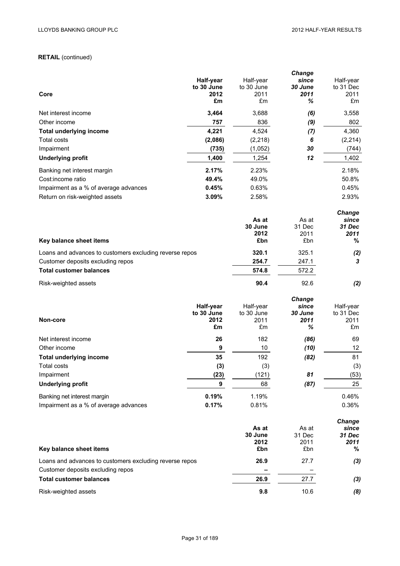| Core                                  | Half-year<br>to 30 June<br>2012<br>£m | Half-year<br>to 30 June<br>2011<br>£m | Change<br>since<br>30 June<br>2011<br>℅ | Half-year<br>to 31 Dec<br>2011<br>£m |
|---------------------------------------|---------------------------------------|---------------------------------------|-----------------------------------------|--------------------------------------|
| Net interest income                   | 3,464                                 | 3,688                                 | (6)                                     | 3,558                                |
| Other income                          | 757                                   | 836                                   | (9)                                     | 802                                  |
| <b>Total underlying income</b>        | 4.221                                 | 4,524                                 | (7)                                     | 4,360                                |
| Total costs                           | (2,086)                               | (2, 218)                              | 6                                       | (2,214)                              |
| Impairment                            | (735)                                 | (1,052)                               | 30                                      | (744)                                |
| <b>Underlying profit</b>              | 1,400                                 | 1,254                                 | 12                                      | 1,402                                |
| Banking net interest margin           | 2.17%                                 | 2.23%                                 |                                         | 2.18%                                |
| Cost:income ratio                     | 49.4%                                 | 49.0%                                 |                                         | 50.8%                                |
| Impairment as a % of average advances | 0.45%                                 | 0.63%                                 |                                         | 0.45%                                |
| Return on risk-weighted assets        | 3.09%                                 | 2.58%                                 |                                         | 2.93%                                |

| Key balance sheet items                                 | As at<br>30 June<br>2012<br>£bn | As at<br>31 Dec<br>2011<br>£bn | Change<br>since<br><b>31 Dec</b><br>2011<br>% |
|---------------------------------------------------------|---------------------------------|--------------------------------|-----------------------------------------------|
| Loans and advances to customers excluding reverse repos | 320.1                           | 325.1                          | (2)                                           |
| Customer deposits excluding repos                       | 254.7                           | 247.1                          | 3                                             |
| <b>Total customer balances</b>                          | 574.8                           | 572.2                          |                                               |
| Risk-weighted assets                                    | 90.4                            | 92.6                           | (2)                                           |

|            | Half-year  | since   | Half-year |
|------------|------------|---------|-----------|
| to 30 June | to 30 June | 30 June | to 31 Dec |
| 2012       | 2011       | 2011    | 2011      |
| £m         | £m         | ℅       | £m        |
| 26         | 182        | (86)    | 69        |
| 9          | 10         | (10)    | 12        |
| 35         | 192        | (82)    | 81        |
| (3)        | (3)        |         | (3)       |
| (23)       | (121)      | 81      | (53)      |
| 9          | 68         | (87)    | 25        |
| 0.19%      | 1.19%      |         | 0.46%     |
| 0.17%      | 0.81%      |         | 0.36%     |
|            | Half-year  |         |           |

| Key balance sheet items                                                                      | As at<br>30 June<br>2012<br>£bn | As at<br>31 Dec<br>2011<br>£bn | <b>Change</b><br>since<br>31 Dec<br>2011<br>% |
|----------------------------------------------------------------------------------------------|---------------------------------|--------------------------------|-----------------------------------------------|
| Loans and advances to customers excluding reverse repos<br>Customer deposits excluding repos | 26.9                            | 27.7                           | (3)                                           |
| <b>Total customer balances</b>                                                               | 26.9                            | 27.7                           | (3)                                           |
| Risk-weighted assets                                                                         | 9.8                             | 10.6                           | (8)                                           |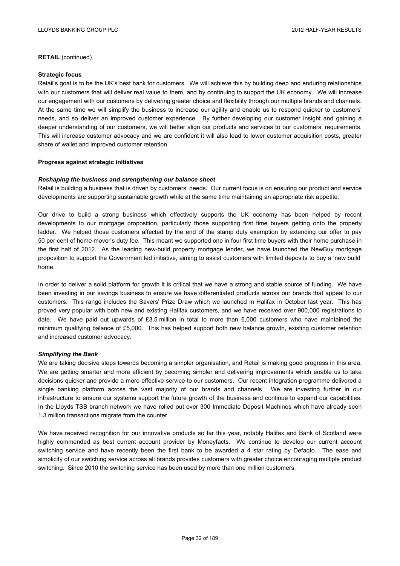#### **Strategic focus**

Retail's goal is to be the UK's best bank for customers. We will achieve this by building deep and enduring relationships with our customers that will deliver real value to them, and by continuing to support the UK economy. We will increase our engagement with our customers by delivering greater choice and flexibility through our multiple brands and channels. At the same time we will simplify the business to increase our agility and enable us to respond quicker to customers' needs, and so deliver an improved customer experience. By further developing our customer insight and gaining a deeper understanding of our customers, we will better align our products and services to our customers' requirements. This will increase customer advocacy and we are confident it will also lead to lower customer acquisition costs, greater share of wallet and improved customer retention.

#### **Progress against strategic initiatives**

## *Reshaping the business and strengthening our balance sheet*

Retail is building a business that is driven by customers' needs. Our current focus is on ensuring our product and service developments are supporting sustainable growth while at the same time maintaining an appropriate risk appetite.

Our drive to build a strong business which effectively supports the UK economy has been helped by recent developments to our mortgage proposition, particularly those supporting first time buyers getting onto the property ladder. We helped those customers affected by the end of the stamp duty exemption by extending our offer to pay 50 per cent of home mover's duty fee. This meant we supported one in four first time buyers with their home purchase in the first half of 2012. As the leading new-build property mortgage lender, we have launched the NewBuy mortgage proposition to support the Government led initiative, aiming to assist customers with limited deposits to buy a 'new build' home.

In order to deliver a solid platform for growth it is critical that we have a strong and stable source of funding. We have been investing in our savings business to ensure we have differentiated products across our brands that appeal to our customers. This range includes the Savers' Prize Draw which we launched in Halifax in October last year. This has proved very popular with both new and existing Halifax customers, and we have received over 900,000 registrations to date. We have paid out upwards of £3.5 million in total to more than 6,000 customers who have maintained the minimum qualifying balance of £5,000. This has helped support both new balance growth, existing customer retention and increased customer advocacy.

## *Simplifying the Bank*

We are taking decisive steps towards becoming a simpler organisation, and Retail is making good progress in this area. We are getting smarter and more efficient by becoming simpler and delivering improvements which enable us to take decisions quicker and provide a more effective service to our customers. Our recent integration programme delivered a single banking platform across the vast majority of our brands and channels. We are investing further in our infrastructure to ensure our systems support the future growth of the business and continue to expand our capabilities. In the Lloyds TSB branch network we have rolled out over 300 Immediate Deposit Machines which have already seen 1.3 million transactions migrate from the counter.

We have received recognition for our innovative products so far this year, notably Halifax and Bank of Scotland were highly commended as best current account provider by Moneyfacts. We continue to develop our current account switching service and have recently been the first bank to be awarded a 4 star rating by Defaqto. The ease and simplicity of our switching service across all brands provides customers with greater choice encouraging multiple product switching. Since 2010 the switching service has been used by more than one million customers.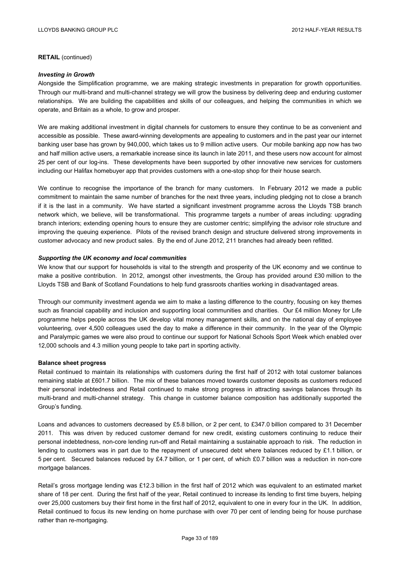#### *Investing in Growth*

Alongside the Simplification programme, we are making strategic investments in preparation for growth opportunities. Through our multi-brand and multi-channel strategy we will grow the business by delivering deep and enduring customer relationships. We are building the capabilities and skills of our colleagues, and helping the communities in which we operate, and Britain as a whole, to grow and prosper.

We are making additional investment in digital channels for customers to ensure they continue to be as convenient and accessible as possible. These award-winning developments are appealing to customers and in the past year our internet banking user base has grown by 940,000, which takes us to 9 million active users. Our mobile banking app now has two and half million active users, a remarkable increase since its launch in late 2011, and these users now account for almost 25 per cent of our log-ins. These developments have been supported by other innovative new services for customers including our Halifax homebuyer app that provides customers with a one-stop shop for their house search.

We continue to recognise the importance of the branch for many customers. In February 2012 we made a public commitment to maintain the same number of branches for the next three years, including pledging not to close a branch if it is the last in a community. We have started a significant investment programme across the Lloyds TSB branch network which, we believe, will be transformational. This programme targets a number of areas including: upgrading branch interiors; extending opening hours to ensure they are customer centric; simplifying the advisor role structure and improving the queuing experience. Pilots of the revised branch design and structure delivered strong improvements in customer advocacy and new product sales. By the end of June 2012, 211 branches had already been refitted.

## *Supporting the UK economy and local communities*

We know that our support for households is vital to the strength and prosperity of the UK economy and we continue to make a positive contribution. In 2012, amongst other investments, the Group has provided around £30 million to the Lloyds TSB and Bank of Scotland Foundations to help fund grassroots charities working in disadvantaged areas.

Through our community investment agenda we aim to make a lasting difference to the country, focusing on key themes such as financial capability and inclusion and supporting local communities and charities. Our £4 million Money for Life programme helps people across the UK develop vital money management skills, and on the national day of employee volunteering, over 4,500 colleagues used the day to make a difference in their community. In the year of the Olympic and Paralympic games we were also proud to continue our support for National Schools Sport Week which enabled over 12,000 schools and 4.3 million young people to take part in sporting activity.

## **Balance sheet progress**

Retail continued to maintain its relationships with customers during the first half of 2012 with total customer balances remaining stable at £601.7 billion. The mix of these balances moved towards customer deposits as customers reduced their personal indebtedness and Retail continued to make strong progress in attracting savings balances through its multi-brand and multi-channel strategy. This change in customer balance composition has additionally supported the Group's funding.

Loans and advances to customers decreased by £5.8 billion, or 2 per cent, to £347.0 billion compared to 31 December 2011. This was driven by reduced customer demand for new credit, existing customers continuing to reduce their personal indebtedness, non-core lending run-off and Retail maintaining a sustainable approach to risk. The reduction in lending to customers was in part due to the repayment of unsecured debt where balances reduced by £1.1 billion, or 5 per cent. Secured balances reduced by £4.7 billion, or 1 per cent, of which £0.7 billion was a reduction in non-core mortgage balances.

Retail's gross mortgage lending was £12.3 billion in the first half of 2012 which was equivalent to an estimated market share of 18 per cent. During the first half of the year, Retail continued to increase its lending to first time buyers, helping over 25,000 customers buy their first home in the first half of 2012, equivalent to one in every four in the UK. In addition, Retail continued to focus its new lending on home purchase with over 70 per cent of lending being for house purchase rather than re-mortgaging.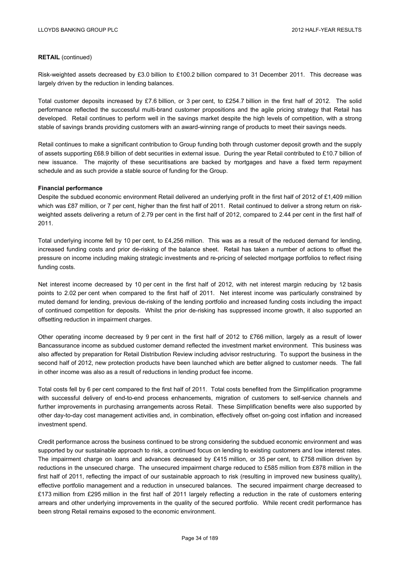## **RETAIL** (continued)

Risk-weighted assets decreased by £3.0 billion to £100.2 billion compared to 31 December 2011. This decrease was largely driven by the reduction in lending balances.

Total customer deposits increased by £7.6 billion, or 3 per cent, to £254.7 billion in the first half of 2012. The solid performance reflected the successful multi-brand customer propositions and the agile pricing strategy that Retail has developed. Retail continues to perform well in the savings market despite the high levels of competition, with a strong stable of savings brands providing customers with an award-winning range of products to meet their savings needs.

Retail continues to make a significant contribution to Group funding both through customer deposit growth and the supply of assets supporting £68.9 billion of debt securities in external issue. During the year Retail contributed to £10.7 billion of new issuance. The majority of these securitisations are backed by mortgages and have a fixed term repayment schedule and as such provide a stable source of funding for the Group.

### **Financial performance**

Despite the subdued economic environment Retail delivered an underlying profit in the first half of 2012 of £1,409 million which was £87 million, or 7 per cent, higher than the first half of 2011. Retail continued to deliver a strong return on riskweighted assets delivering a return of 2.79 per cent in the first half of 2012, compared to 2.44 per cent in the first half of 2011.

Total underlying income fell by 10 per cent, to £4,256 million. This was as a result of the reduced demand for lending, increased funding costs and prior de-risking of the balance sheet. Retail has taken a number of actions to offset the pressure on income including making strategic investments and re-pricing of selected mortgage portfolios to reflect rising funding costs.

Net interest income decreased by 10 per cent in the first half of 2012, with net interest margin reducing by 12 basis points to 2.02 per cent when compared to the first half of 2011. Net interest income was particularly constrained by muted demand for lending, previous de-risking of the lending portfolio and increased funding costs including the impact of continued competition for deposits. Whilst the prior de-risking has suppressed income growth, it also supported an offsetting reduction in impairment charges.

Other operating income decreased by 9 per cent in the first half of 2012 to £766 million, largely as a result of lower Bancassurance income as subdued customer demand reflected the investment market environment. This business was also affected by preparation for Retail Distribution Review including advisor restructuring. To support the business in the second half of 2012, new protection products have been launched which are better aligned to customer needs. The fall in other income was also as a result of reductions in lending product fee income.

Total costs fell by 6 per cent compared to the first half of 2011. Total costs benefited from the Simplification programme with successful delivery of end-to-end process enhancements, migration of customers to self-service channels and further improvements in purchasing arrangements across Retail. These Simplification benefits were also supported by other day-to-day cost management activities and, in combination, effectively offset on-going cost inflation and increased investment spend.

Credit performance across the business continued to be strong considering the subdued economic environment and was supported by our sustainable approach to risk, a continued focus on lending to existing customers and low interest rates. The impairment charge on loans and advances decreased by £415 million, or 35 per cent, to £758 million driven by reductions in the unsecured charge. The unsecured impairment charge reduced to £585 million from £878 million in the first half of 2011, reflecting the impact of our sustainable approach to risk (resulting in improved new business quality), effective portfolio management and a reduction in unsecured balances. The secured impairment charge decreased to £173 million from £295 million in the first half of 2011 largely reflecting a reduction in the rate of customers entering arrears and other underlying improvements in the quality of the secured portfolio. While recent credit performance has been strong Retail remains exposed to the economic environment.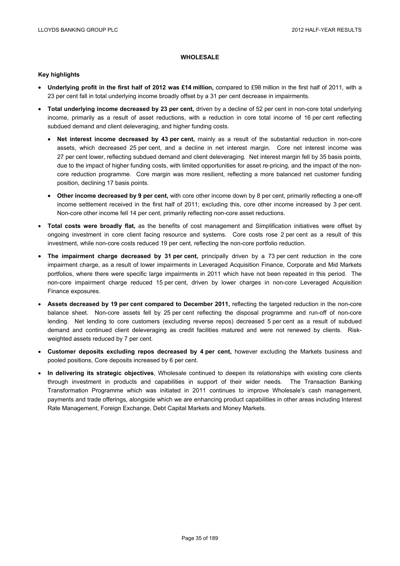# **WHOLESALE**

# **Key highlights**

- **Underlying profit in the first half of 2012 was £14 million,** compared to £98 million in the first half of 2011, with a 23 per cent fall in total underlying income broadly offset by a 31 per cent decrease in impairments.
- **Total underlying income decreased by 23 per cent,** driven by a decline of 52 per cent in non-core total underlying income, primarily as a result of asset reductions, with a reduction in core total income of 16 per cent reflecting subdued demand and client deleveraging, and higher funding costs.
	- **Net interest income decreased by 43 per cent,** mainly as a result of the substantial reduction in non-core assets, which decreased 25 per cent, and a decline in net interest margin. Core net interest income was 27 per cent lower, reflecting subdued demand and client deleveraging. Net interest margin fell by 35 basis points, due to the impact of higher funding costs, with limited opportunities for asset re-pricing, and the impact of the noncore reduction programme. Core margin was more resilient, reflecting a more balanced net customer funding position, declining 17 basis points.
	- **Other income decreased by 9 per cent,** with core other income down by 8 per cent, primarily reflecting a one-off income settlement received in the first half of 2011; excluding this, core other income increased by 3 per cent. Non-core other income fell 14 per cent, primarily reflecting non-core asset reductions.
- **Total costs were broadly flat,** as the benefits of cost management and Simplification initiatives were offset by ongoing investment in core client facing resource and systems. Core costs rose 2 per cent as a result of this investment, while non-core costs reduced 19 per cent, reflecting the non-core portfolio reduction.
- **The impairment charge decreased by 31 per cent,** principally driven by a 73 per cent reduction in the core impairment charge, as a result of lower impairments in Leveraged Acquisition Finance, Corporate and Mid Markets portfolios, where there were specific large impairments in 2011 which have not been repeated in this period. The non-core impairment charge reduced 15 per cent, driven by lower charges in non-core Leveraged Acquisition Finance exposures.
- **Assets decreased by 19 per cent compared to December 2011,** reflecting the targeted reduction in the non-core balance sheet. Non-core assets fell by 25 per cent reflecting the disposal programme and run-off of non-core lending. Net lending to core customers (excluding reverse repos) decreased 5 per cent as a result of subdued demand and continued client deleveraging as credit facilities matured and were not renewed by clients. Riskweighted assets reduced by 7 per cent.
- **Customer deposits excluding repos decreased by 4 per cent,** however excluding the Markets business and pooled positions, Core deposits increased by 6 per cent.
- **In delivering its strategic objectives**, Wholesale continued to deepen its relationships with existing core clients through investment in products and capabilities in support of their wider needs. The Transaction Banking Transformation Programme which was initiated in 2011 continues to improve Wholesale's cash management, payments and trade offerings, alongside which we are enhancing product capabilities in other areas including Interest Rate Management, Foreign Exchange, Debt Capital Markets and Money Markets.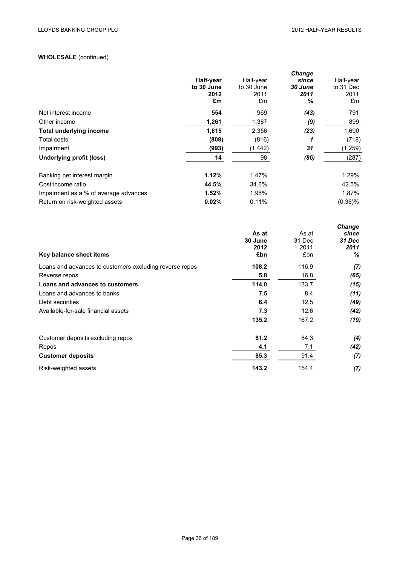|                                       | Half-year<br>to 30 June<br>2012<br>£m | Half-year<br>to 30 June<br>2011<br>£m | <b>Change</b><br>since<br>30 June<br>2011<br>℅ | Half-year<br>to 31 Dec<br>2011<br>£m |
|---------------------------------------|---------------------------------------|---------------------------------------|------------------------------------------------|--------------------------------------|
| Net interest income                   | 554                                   | 969                                   | (43)                                           | 791                                  |
| Other income                          | 1,261                                 | 1,387                                 | (9)                                            | 899                                  |
| <b>Total underlying income</b>        | 1,815                                 | 2,356                                 | (23)                                           | 1,690                                |
| Total costs                           | (808)                                 | (816)                                 | 1                                              | (718)                                |
| Impairment                            | (993)                                 | (1, 442)                              | 31                                             | (1, 259)                             |
| <b>Underlying profit (loss)</b>       | 14                                    | 98                                    | (86)                                           | (287)                                |
| Banking net interest margin           | 1.12%                                 | 1.47%                                 |                                                | 1.29%                                |
| Cost:income ratio                     | 44.5%                                 | 34.6%                                 |                                                | 42.5%                                |
| Impairment as a % of average advances | 1.52%                                 | 1.98%                                 |                                                | 1.87%                                |
| Return on risk-weighted assets        | 0.02%                                 | 0.11%                                 |                                                | $(0.36)\%$                           |

| Key balance sheet items                                 | As at<br>30 June<br>2012<br>£bn | As at<br>31 Dec<br>2011<br>£bn | Change<br>since<br>31 Dec<br>2011<br>℅ |
|---------------------------------------------------------|---------------------------------|--------------------------------|----------------------------------------|
| Loans and advances to customers excluding reverse repos | 108.2                           | 116.9                          | (7)                                    |
| Reverse repos                                           | 5.8                             | 16.8                           | (65)                                   |
| Loans and advances to customers                         | 114.0                           | 133.7                          | (15)                                   |
| Loans and advances to banks                             | 7.5                             | 8.4                            | (11)                                   |
| Debt securities                                         | 6.4                             | 12.5                           | (49)                                   |
| Available-for-sale financial assets                     | 7.3                             | 12.6                           | (42)                                   |
|                                                         | 135.2                           | 167.2                          | (19)                                   |
| Customer deposits excluding repos                       | 81.2                            | 84.3                           | (4)                                    |
| Repos                                                   | 4.1                             | 7.1                            | (42)                                   |
| <b>Customer deposits</b>                                | 85.3                            | 91.4                           | (7)                                    |
| Risk-weighted assets                                    | 143.2                           | 154.4                          | (7)                                    |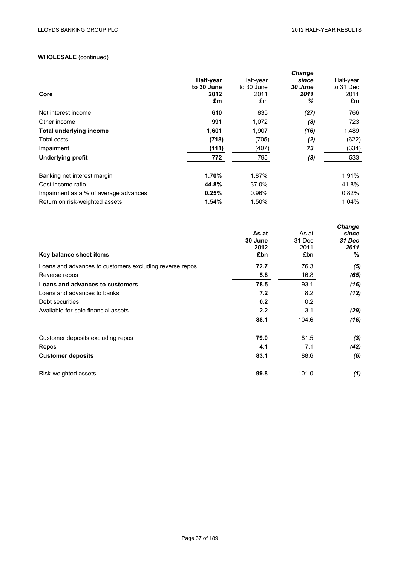| Core                                  | Half-year<br>to 30 June<br>2012<br>£m | Half-year<br>to 30 June<br>2011<br>£m | <b>Change</b><br>since<br>30 June<br>2011<br>% | Half-year<br>to 31 Dec<br>2011<br>£m |
|---------------------------------------|---------------------------------------|---------------------------------------|------------------------------------------------|--------------------------------------|
| Net interest income                   | 610                                   | 835                                   | (27)                                           | 766                                  |
| Other income                          | 991                                   | 1,072                                 | (8)                                            | 723                                  |
| <b>Total underlying income</b>        | 1,601                                 | 1,907                                 | (16)                                           | 1,489                                |
| Total costs                           | (718)                                 | (705)                                 | (2)                                            | (622)                                |
| Impairment                            | (111)                                 | (407)                                 | 73                                             | (334)                                |
| Underlying profit                     | 772                                   | 795                                   | (3)                                            | 533                                  |
| Banking net interest margin           | 1.70%                                 | 1.87%                                 |                                                | 1.91%                                |
| Cost:income ratio                     | 44.8%                                 | 37.0%                                 |                                                | 41.8%                                |
| Impairment as a % of average advances | 0.25%                                 | 0.96%                                 |                                                | 0.82%                                |
| Return on risk-weighted assets        | 1.54%                                 | 1.50%                                 |                                                | 1.04%                                |

| Key balance sheet items                                 | As at<br>30 June<br>2012<br>£bn | As at<br>31 Dec<br>2011<br>£bn | <b>Change</b><br>since<br>31 Dec<br>2011<br>% |
|---------------------------------------------------------|---------------------------------|--------------------------------|-----------------------------------------------|
| Loans and advances to customers excluding reverse repos | 72.7                            | 76.3                           | (5)                                           |
| Reverse repos                                           | 5.8                             | 16.8                           | (65)                                          |
| Loans and advances to customers                         | 78.5                            | 93.1                           | (16)                                          |
| Loans and advances to banks                             | 7.2                             | 8.2                            | (12)                                          |
| Debt securities                                         | 0.2                             | 0.2                            |                                               |
| Available-for-sale financial assets                     | 2.2                             | 3.1                            | (29)                                          |
|                                                         | 88.1                            | 104.6                          | (16)                                          |
| Customer deposits excluding repos                       | 79.0                            | 81.5                           | (3)                                           |
| Repos                                                   | 4.1                             | 7.1                            | (42)                                          |
| <b>Customer deposits</b>                                | 83.1                            | 88.6                           | (6)                                           |
| Risk-weighted assets                                    | 99.8                            | 101.0                          | (1)                                           |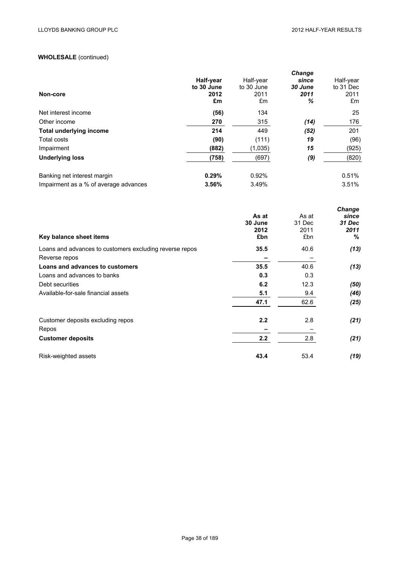|                                       |            |            | <b>Change</b> |           |
|---------------------------------------|------------|------------|---------------|-----------|
|                                       | Half-year  | Half-year  | since         | Half-year |
|                                       | to 30 June | to 30 June | 30 June       | to 31 Dec |
| Non-core                              | 2012       | 2011       | 2011          | 2011      |
|                                       | £m         | £m         | %             | £m        |
| Net interest income                   | (56)       | 134        |               | 25        |
| Other income                          | 270        | 315        | (14)          | 176       |
| Total underlying income               | 214        | 449        | (52)          | 201       |
| Total costs                           | (90)       | (111)      | 19            | (96)      |
| Impairment                            | (882)      | (1,035)    | 15            | (925)     |
| <b>Underlying loss</b>                | (758)      | (697)      | (9)           | (820)     |
| Banking net interest margin           | 0.29%      | 0.92%      |               | 0.51%     |
| Impairment as a % of average advances | 3.56%      | 3.49%      |               | 3.51%     |

| Key balance sheet items                                 | As at<br>30 June<br>2012<br>£bn | As at<br>31 Dec<br>2011<br>£bn | <b>Change</b><br>since<br>31 Dec<br>2011<br>% |
|---------------------------------------------------------|---------------------------------|--------------------------------|-----------------------------------------------|
| Loans and advances to customers excluding reverse repos | 35.5                            | 40.6                           | (13)                                          |
| Reverse repos                                           |                                 |                                |                                               |
| Loans and advances to customers                         | 35.5                            | 40.6                           | (13)                                          |
| Loans and advances to banks                             | 0.3                             | 0.3                            |                                               |
| Debt securities                                         | 6.2                             | 12.3                           | (50)                                          |
| Available-for-sale financial assets                     | 5.1                             | 9.4                            | (46)                                          |
|                                                         | 47.1                            | 62.6                           | (25)                                          |
| Customer deposits excluding repos                       | 2.2                             | 2.8                            | (21)                                          |
| Repos                                                   |                                 |                                |                                               |
| <b>Customer deposits</b>                                | 2.2                             | 2.8                            | (21)                                          |
| Risk-weighted assets                                    | 43.4                            | 53.4                           | (19)                                          |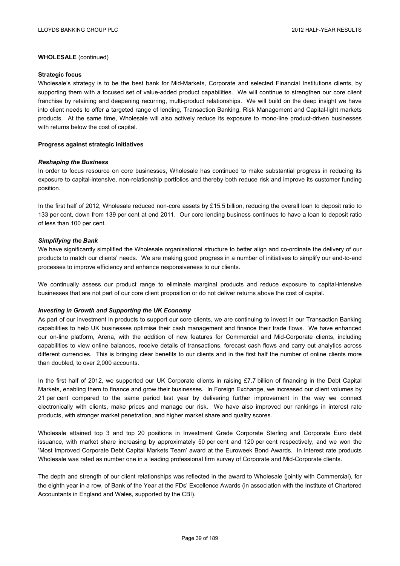#### **Strategic focus**

Wholesale's strategy is to be the best bank for Mid-Markets, Corporate and selected Financial Institutions clients, by supporting them with a focused set of value-added product capabilities. We will continue to strengthen our core client franchise by retaining and deepening recurring, multi-product relationships. We will build on the deep insight we have into client needs to offer a targeted range of lending, Transaction Banking, Risk Management and Capital-light markets products. At the same time, Wholesale will also actively reduce its exposure to mono-line product-driven businesses with returns below the cost of capital.

### **Progress against strategic initiatives**

### *Reshaping the Business*

In order to focus resource on core businesses, Wholesale has continued to make substantial progress in reducing its exposure to capital-intensive, non-relationship portfolios and thereby both reduce risk and improve its customer funding position.

In the first half of 2012, Wholesale reduced non-core assets by £15.5 billion, reducing the overall loan to deposit ratio to 133 per cent, down from 139 per cent at end 2011. Our core lending business continues to have a loan to deposit ratio of less than 100 per cent.

# *Simplifying the Bank*

We have significantly simplified the Wholesale organisational structure to better align and co-ordinate the delivery of our products to match our clients' needs. We are making good progress in a number of initiatives to simplify our end-to-end processes to improve efficiency and enhance responsiveness to our clients.

We continually assess our product range to eliminate marginal products and reduce exposure to capital-intensive businesses that are not part of our core client proposition or do not deliver returns above the cost of capital.

### *Investing in Growth and Supporting the UK Economy*

As part of our investment in products to support our core clients, we are continuing to invest in our Transaction Banking capabilities to help UK businesses optimise their cash management and finance their trade flows. We have enhanced our on-line platform, Arena, with the addition of new features for Commercial and Mid-Corporate clients, including capabilities to view online balances, receive details of transactions, forecast cash flows and carry out analytics across different currencies. This is bringing clear benefits to our clients and in the first half the number of online clients more than doubled, to over 2,000 accounts.

In the first half of 2012, we supported our UK Corporate clients in raising £7.7 billion of financing in the Debt Capital Markets, enabling them to finance and grow their businesses. In Foreign Exchange, we increased our client volumes by 21 per cent compared to the same period last year by delivering further improvement in the way we connect electronically with clients, make prices and manage our risk. We have also improved our rankings in interest rate products, with stronger market penetration, and higher market share and quality scores.

Wholesale attained top 3 and top 20 positions in Investment Grade Corporate Sterling and Corporate Euro debt issuance, with market share increasing by approximately 50 per cent and 120 per cent respectively, and we won the 'Most Improved Corporate Debt Capital Markets Team' award at the Euroweek Bond Awards. In interest rate products Wholesale was rated as number one in a leading professional firm survey of Corporate and Mid-Corporate clients.

The depth and strength of our client relationships was reflected in the award to Wholesale (jointly with Commercial), for the eighth year in a row, of Bank of the Year at the FDs' Excellence Awards (in association with the Institute of Chartered Accountants in England and Wales, supported by the CBI).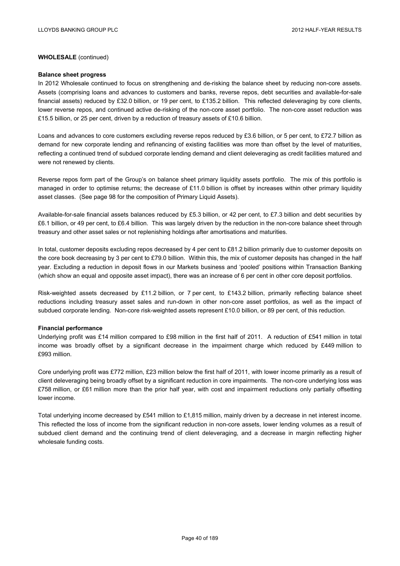#### **Balance sheet progress**

In 2012 Wholesale continued to focus on strengthening and de-risking the balance sheet by reducing non-core assets. Assets (comprising loans and advances to customers and banks, reverse repos, debt securities and available-for-sale financial assets) reduced by £32.0 billion, or 19 per cent, to £135.2 billion. This reflected deleveraging by core clients, lower reverse repos, and continued active de-risking of the non-core asset portfolio. The non-core asset reduction was £15.5 billion, or 25 per cent, driven by a reduction of treasury assets of £10.6 billion.

Loans and advances to core customers excluding reverse repos reduced by £3.6 billion, or 5 per cent, to £72.7 billion as demand for new corporate lending and refinancing of existing facilities was more than offset by the level of maturities, reflecting a continued trend of subdued corporate lending demand and client deleveraging as credit facilities matured and were not renewed by clients.

Reverse repos form part of the Group's on balance sheet primary liquidity assets portfolio. The mix of this portfolio is managed in order to optimise returns; the decrease of £11.0 billion is offset by increases within other primary liquidity asset classes. (See page 98 for the composition of Primary Liquid Assets).

Available-for-sale financial assets balances reduced by £5.3 billion, or 42 per cent, to £7.3 billion and debt securities by £6.1 billion, or 49 per cent, to £6.4 billion. This was largely driven by the reduction in the non-core balance sheet through treasury and other asset sales or not replenishing holdings after amortisations and maturities.

In total, customer deposits excluding repos decreased by 4 per cent to £81.2 billion primarily due to customer deposits on the core book decreasing by 3 per cent to £79.0 billion. Within this, the mix of customer deposits has changed in the half year. Excluding a reduction in deposit flows in our Markets business and 'pooled' positions within Transaction Banking (which show an equal and opposite asset impact), there was an increase of 6 per cent in other core deposit portfolios.

Risk-weighted assets decreased by £11.2 billion, or 7 per cent, to £143.2 billion, primarily reflecting balance sheet reductions including treasury asset sales and run-down in other non-core asset portfolios, as well as the impact of subdued corporate lending. Non-core risk-weighted assets represent £10.0 billion, or 89 per cent, of this reduction.

### **Financial performance**

Underlying profit was £14 million compared to £98 million in the first half of 2011. A reduction of £541 million in total income was broadly offset by a significant decrease in the impairment charge which reduced by £449 million to £993 million.

Core underlying profit was £772 million, £23 million below the first half of 2011, with lower income primarily as a result of client deleveraging being broadly offset by a significant reduction in core impairments. The non-core underlying loss was £758 million, or £61 million more than the prior half year, with cost and impairment reductions only partially offsetting lower income.

Total underlying income decreased by £541 million to £1,815 million, mainly driven by a decrease in net interest income. This reflected the loss of income from the significant reduction in non-core assets, lower lending volumes as a result of subdued client demand and the continuing trend of client deleveraging, and a decrease in margin reflecting higher wholesale funding costs.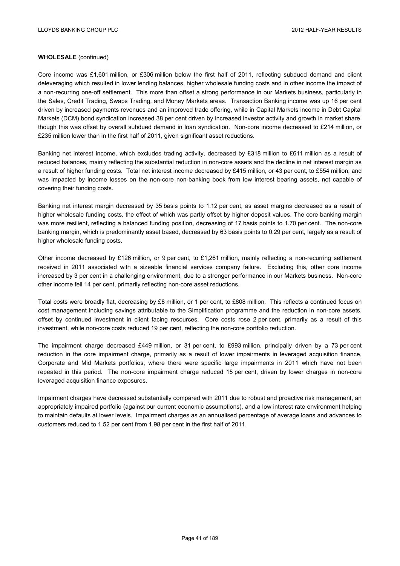Core income was £1,601 million, or £306 million below the first half of 2011, reflecting subdued demand and client deleveraging which resulted in lower lending balances, higher wholesale funding costs and in other income the impact of a non-recurring one-off settlement. This more than offset a strong performance in our Markets business, particularly in the Sales, Credit Trading, Swaps Trading, and Money Markets areas. Transaction Banking income was up 16 per cent driven by increased payments revenues and an improved trade offering, while in Capital Markets income in Debt Capital Markets (DCM) bond syndication increased 38 per cent driven by increased investor activity and growth in market share, though this was offset by overall subdued demand in loan syndication. Non-core income decreased to £214 million, or £235 million lower than in the first half of 2011, given significant asset reductions.

Banking net interest income, which excludes trading activity, decreased by £318 million to £611 million as a result of reduced balances, mainly reflecting the substantial reduction in non-core assets and the decline in net interest margin as a result of higher funding costs. Total net interest income decreased by £415 million, or 43 per cent, to £554 million, and was impacted by income losses on the non-core non-banking book from low interest bearing assets, not capable of covering their funding costs.

Banking net interest margin decreased by 35 basis points to 1.12 per cent, as asset margins decreased as a result of higher wholesale funding costs, the effect of which was partly offset by higher deposit values. The core banking margin was more resilient, reflecting a balanced funding position, decreasing of 17 basis points to 1.70 per cent. The non-core banking margin, which is predominantly asset based, decreased by 63 basis points to 0.29 per cent, largely as a result of higher wholesale funding costs.

Other income decreased by £126 million, or 9 per cent, to £1,261 million, mainly reflecting a non-recurring settlement received in 2011 associated with a sizeable financial services company failure. Excluding this, other core income increased by 3 per cent in a challenging environment, due to a stronger performance in our Markets business. Non-core other income fell 14 per cent, primarily reflecting non-core asset reductions.

Total costs were broadly flat, decreasing by £8 million, or 1 per cent, to £808 million. This reflects a continued focus on cost management including savings attributable to the Simplification programme and the reduction in non-core assets, offset by continued investment in client facing resources. Core costs rose 2 per cent, primarily as a result of this investment, while non-core costs reduced 19 per cent, reflecting the non-core portfolio reduction.

The impairment charge decreased £449 million, or 31 per cent, to £993 million, principally driven by a 73 per cent reduction in the core impairment charge, primarily as a result of lower impairments in leveraged acquisition finance, Corporate and Mid Markets portfolios, where there were specific large impairments in 2011 which have not been repeated in this period. The non-core impairment charge reduced 15 per cent, driven by lower charges in non-core leveraged acquisition finance exposures.

Impairment charges have decreased substantially compared with 2011 due to robust and proactive risk management, an appropriately impaired portfolio (against our current economic assumptions), and a low interest rate environment helping to maintain defaults at lower levels. Impairment charges as an annualised percentage of average loans and advances to customers reduced to 1.52 per cent from 1.98 per cent in the first half of 2011.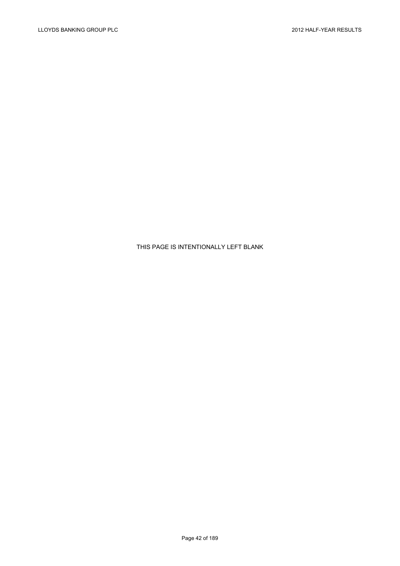# THIS PAGE IS INTENTIONALLY LEFT BLANK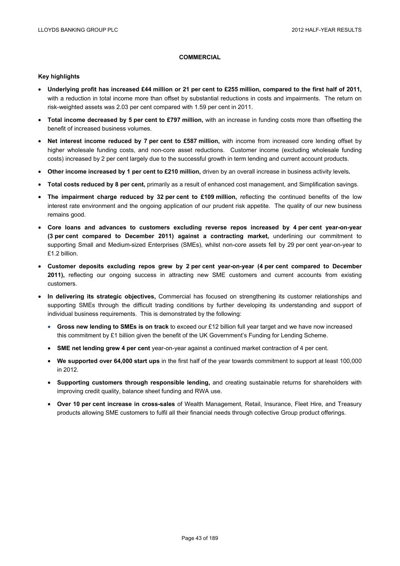# **COMMERCIAL**

### **Key highlights**

- **Underlying profit has increased £44 million or 21 per cent to £255 million, compared to the first half of 2011,** with a reduction in total income more than offset by substantial reductions in costs and impairments. The return on risk-weighted assets was 2.03 per cent compared with 1.59 per cent in 2011.
- **Total income decreased by 5 per cent to £797 million,** with an increase in funding costs more than offsetting the benefit of increased business volumes.
- Net interest income reduced by 7 per cent to £587 million, with income from increased core lending offset by higher wholesale funding costs, and non-core asset reductions. Customer income (excluding wholesale funding costs) increased by 2 per cent largely due to the successful growth in term lending and current account products.
- **Other income increased by 1 per cent to £210 million,** driven by an overall increase in business activity levels**.**
- **Total costs reduced by 8 per cent,** primarily as a result of enhanced cost management, and Simplification savings.
- The impairment charge reduced by 32 per cent to £109 million, reflecting the continued benefits of the low interest rate environment and the ongoing application of our prudent risk appetite. The quality of our new business remains good.
- **Core loans and advances to customers excluding reverse repos increased by 4 per cent year-on-year (3 per cent compared to December 2011) against a contracting market,** underlining our commitment to supporting Small and Medium-sized Enterprises (SMEs), whilst non-core assets fell by 29 per cent year-on-year to £1.2 billion.
- **Customer deposits excluding repos grew by 2 per cent year-on-year (4 per cent compared to December 2011),** reflecting our ongoing success in attracting new SME customers and current accounts from existing customers.
- **In delivering its strategic objectives,** Commercial has focused on strengthening its customer relationships and supporting SMEs through the difficult trading conditions by further developing its understanding and support of individual business requirements. This is demonstrated by the following:
	- **Gross new lending to SMEs is on track** to exceed our £12 billion full year target and we have now increased this commitment by £1 billion given the benefit of the UK Government's Funding for Lending Scheme.
	- **SME net lending grew 4 per cent** year-on-year against a continued market contraction of 4 per cent.
	- **We supported over 64,000 start ups** in the first half of the year towards commitment to support at least 100,000 in 2012.
	- **Supporting customers through responsible lending,** and creating sustainable returns for shareholders with improving credit quality, balance sheet funding and RWA use.
	- **Over 10 per cent increase in cross-sales** of Wealth Management, Retail, Insurance, Fleet Hire, and Treasury products allowing SME customers to fulfil all their financial needs through collective Group product offerings.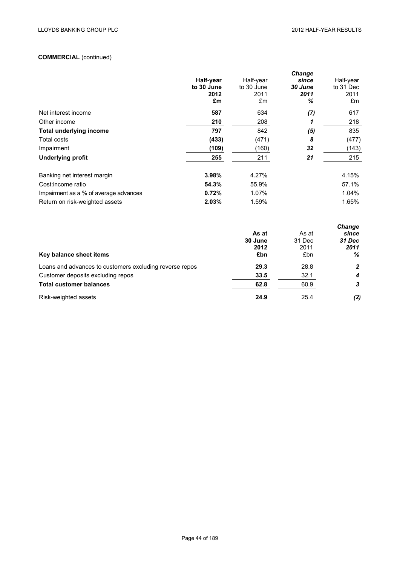|                                       | Half-year<br>to 30 June<br>2012<br>£m | Half-year<br>to 30 June<br>2011<br>£m | <b>Change</b><br>since<br>30 June<br>2011<br>℅ | Half-year<br>to 31 Dec<br>2011<br>£m |
|---------------------------------------|---------------------------------------|---------------------------------------|------------------------------------------------|--------------------------------------|
| Net interest income                   | 587                                   | 634                                   | (7)                                            | 617                                  |
| Other income                          | 210                                   | 208                                   | 1                                              | 218                                  |
| <b>Total underlying income</b>        | 797                                   | 842                                   | (5)                                            | 835                                  |
| Total costs                           | (433)                                 | (471)                                 | 8                                              | (477)                                |
| Impairment                            | (109)                                 | (160)                                 | 32                                             | (143)                                |
| Underlying profit                     | 255                                   | 211                                   | 21                                             | 215                                  |
| Banking net interest margin           | 3.98%                                 | 4.27%                                 |                                                | 4.15%                                |
| Cost:income ratio                     | 54.3%                                 | 55.9%                                 |                                                | 57.1%                                |
| Impairment as a % of average advances | 0.72%                                 | 1.07%                                 |                                                | 1.04%                                |
| Return on risk-weighted assets        | 2.03%                                 | 1.59%                                 |                                                | 1.65%                                |

| Key balance sheet items                                 | As at<br>30 June<br>2012<br>£bn | As at<br>31 Dec<br>2011<br>£bn | <b>Change</b><br>since<br>31 Dec<br>2011<br>% |
|---------------------------------------------------------|---------------------------------|--------------------------------|-----------------------------------------------|
| Loans and advances to customers excluding reverse repos | 29.3                            | 28.8                           | $\overline{2}$                                |
| Customer deposits excluding repos                       | 33.5                            | 32.1                           | $\boldsymbol{4}$                              |
| <b>Total customer balances</b>                          | 62.8                            | 60.9                           | 3                                             |
| Risk-weighted assets                                    | 24.9                            | 25.4                           | (2)                                           |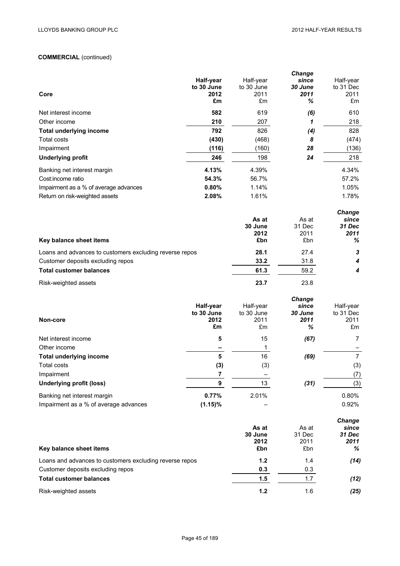|                                       |            |            | Change  |           |
|---------------------------------------|------------|------------|---------|-----------|
|                                       | Half-year  | Half-year  | since   | Half-year |
|                                       | to 30 June | to 30 June | 30 June | to 31 Dec |
| Core                                  | 2012       | 2011       | 2011    | 2011      |
|                                       | £m         | £m         | ℅       | £m        |
| Net interest income                   | 582        | 619        | (6)     | 610       |
| Other income                          | 210        | 207        |         | 218       |
| <b>Total underlying income</b>        | 792        | 826        | (4)     | 828       |
| Total costs                           | (430)      | (468)      | 8       | (474)     |
| Impairment                            | (116)      | (160)      | 28      | (136)     |
| <b>Underlying profit</b>              | 246        | 198        | 24      | 218       |
| Banking net interest margin           | 4.13%      | 4.39%      |         | 4.34%     |
| Cost: income ratio                    | 54.3%      | 56.7%      |         | 57.2%     |
| Impairment as a % of average advances | 0.80%      | 1.14%      |         | 1.05%     |
| Return on risk-weighted assets        | 2.08%      | 1.61%      |         | 1.78%     |

| Key balance sheet items                                 | As at<br>30 June<br>2012<br>£bn | As at<br>31 Dec<br>2011<br>£bn | <b>Change</b><br>since<br>31 Dec<br>2011<br>% |
|---------------------------------------------------------|---------------------------------|--------------------------------|-----------------------------------------------|
| Loans and advances to customers excluding reverse repos | 28.1                            | 27.4                           | 3                                             |
| Customer deposits excluding repos                       | 33.2                            | 31.8                           | 4                                             |
| <b>Total customer balances</b>                          | 61.3                            | 59.2                           | $\boldsymbol{4}$                              |
| Risk-weighted assets                                    | 23.7                            | 23.8                           |                                               |

|                                       |            |            | Change  |           |
|---------------------------------------|------------|------------|---------|-----------|
|                                       | Half-year  | Half-year  | since   | Half-year |
|                                       | to 30 June | to 30 June | 30 June | to 31 Dec |
| Non-core                              | 2012       | 2011       | 2011    | 2011      |
|                                       | £m         | £m         | %       | £m        |
| Net interest income                   | 5          | 15         | (67)    | 7         |
| Other income                          |            |            |         |           |
| <b>Total underlying income</b>        | 5          | 16         | (69)    | 7         |
| Total costs                           | (3)        | (3)        |         | (3)       |
| Impairment                            |            |            |         | (7)       |
| <b>Underlying profit (loss)</b>       | 9          | 13         | (31)    | (3)       |
| Banking net interest margin           | 0.77%      | 2.01%      |         | 0.80%     |
| Impairment as a % of average advances | $(1.15)\%$ |            |         | 0.92%     |
|                                       |            |            |         |           |

| Key balance sheet items                                 | As at<br>30 June<br>2012<br>£bn | As at<br>31 Dec<br>2011<br>£bn | <b>Change</b><br>since<br>31 Dec<br>2011<br>% |
|---------------------------------------------------------|---------------------------------|--------------------------------|-----------------------------------------------|
| Loans and advances to customers excluding reverse repos | 1.2                             | 1.4                            | (14)                                          |
| Customer deposits excluding repos                       | 0.3                             | 0.3                            |                                               |
| <b>Total customer balances</b>                          | 1.5                             | 1.7                            | (12)                                          |
| Risk-weighted assets                                    | 1.2                             | 1.6                            | (25)                                          |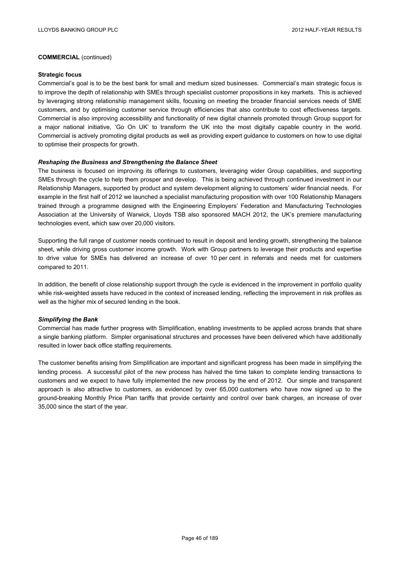### **Strategic focus**

Commercial's goal is to be the best bank for small and medium sized businesses. Commercial's main strategic focus is to improve the depth of relationship with SMEs through specialist customer propositions in key markets. This is achieved by leveraging strong relationship management skills, focusing on meeting the broader financial services needs of SME customers, and by optimising customer service through efficiencies that also contribute to cost effectiveness targets. Commercial is also improving accessibility and functionality of new digital channels promoted through Group support for a major national initiative, 'Go On UK' to transform the UK into the most digitally capable country in the world. Commercial is actively promoting digital products as well as providing expert guidance to customers on how to use digital to optimise their prospects for growth.

# *Reshaping the Business and Strengthening the Balance Sheet*

The business is focused on improving its offerings to customers, leveraging wider Group capabilities, and supporting SMEs through the cycle to help them prosper and develop. This is being achieved through continued investment in our Relationship Managers, supported by product and system development aligning to customers' wider financial needs. For example in the first half of 2012 we launched a specialist manufacturing proposition with over 100 Relationship Managers trained through a programme designed with the Engineering Employers' Federation and Manufacturing Technologies Association at the University of Warwick, Lloyds TSB also sponsored MACH 2012, the UK's premiere manufacturing technologies event, which saw over 20,000 visitors.

Supporting the full range of customer needs continued to result in deposit and lending growth, strengthening the balance sheet, while driving gross customer income growth. Work with Group partners to leverage their products and expertise to drive value for SMEs has delivered an increase of over 10 per cent in referrals and needs met for customers compared to 2011.

In addition, the benefit of close relationship support through the cycle is evidenced in the improvement in portfolio quality while risk-weighted assets have reduced in the context of increased lending, reflecting the improvement in risk profiles as well as the higher mix of secured lending in the book.

### *Simplifying the Bank*

Commercial has made further progress with Simplification, enabling investments to be applied across brands that share a single banking platform. Simpler organisational structures and processes have been delivered which have additionally resulted in lower back office staffing requirements.

The customer benefits arising from Simplification are important and significant progress has been made in simplifying the lending process. A successful pilot of the new process has halved the time taken to complete lending transactions to customers and we expect to have fully implemented the new process by the end of 2012. Our simple and transparent approach is also attractive to customers, as evidenced by over 65,000 customers who have now signed up to the ground-breaking Monthly Price Plan tariffs that provide certainty and control over bank charges, an increase of over 35,000 since the start of the year.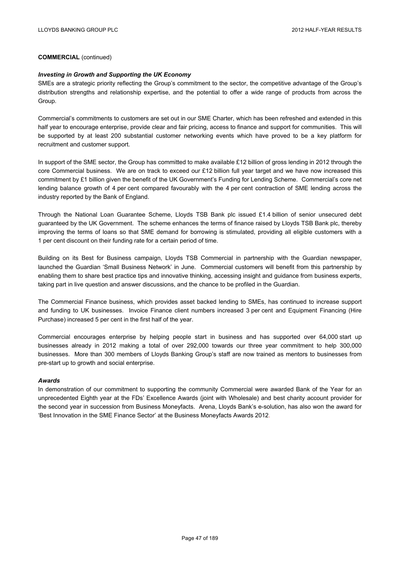### *Investing in Growth and Supporting the UK Economy*

SMEs are a strategic priority reflecting the Group's commitment to the sector, the competitive advantage of the Group's distribution strengths and relationship expertise, and the potential to offer a wide range of products from across the Group.

Commercial's commitments to customers are set out in our SME Charter, which has been refreshed and extended in this half year to encourage enterprise, provide clear and fair pricing, access to finance and support for communities. This will be supported by at least 200 substantial customer networking events which have proved to be a key platform for recruitment and customer support.

In support of the SME sector, the Group has committed to make available £12 billion of gross lending in 2012 through the core Commercial business. We are on track to exceed our £12 billion full year target and we have now increased this commitment by £1 billion given the benefit of the UK Government's Funding for Lending Scheme. Commercial's core net lending balance growth of 4 per cent compared favourably with the 4 per cent contraction of SME lending across the industry reported by the Bank of England.

Through the National Loan Guarantee Scheme, Lloyds TSB Bank plc issued £1.4 billion of senior unsecured debt guaranteed by the UK Government. The scheme enhances the terms of finance raised by Lloyds TSB Bank plc, thereby improving the terms of loans so that SME demand for borrowing is stimulated, providing all eligible customers with a 1 per cent discount on their funding rate for a certain period of time.

Building on its Best for Business campaign, Lloyds TSB Commercial in partnership with the Guardian newspaper, launched the Guardian 'Small Business Network' in June. Commercial customers will benefit from this partnership by enabling them to share best practice tips and innovative thinking, accessing insight and guidance from business experts, taking part in live question and answer discussions, and the chance to be profiled in the Guardian.

The Commercial Finance business, which provides asset backed lending to SMEs, has continued to increase support and funding to UK businesses. Invoice Finance client numbers increased 3 per cent and Equipment Financing (Hire Purchase) increased 5 per cent in the first half of the year.

Commercial encourages enterprise by helping people start in business and has supported over 64,000 start up businesses already in 2012 making a total of over 292,000 towards our three year commitment to help 300,000 businesses. More than 300 members of Lloyds Banking Group's staff are now trained as mentors to businesses from pre-start up to growth and social enterprise.

### *Awards*

In demonstration of our commitment to supporting the community Commercial were awarded Bank of the Year for an unprecedented Eighth year at the FDs' Excellence Awards (joint with Wholesale) and best charity account provider for the second year in succession from Business Moneyfacts. Arena, Lloyds Bank's e-solution, has also won the award for 'Best Innovation in the SME Finance Sector' at the Business Moneyfacts Awards 2012.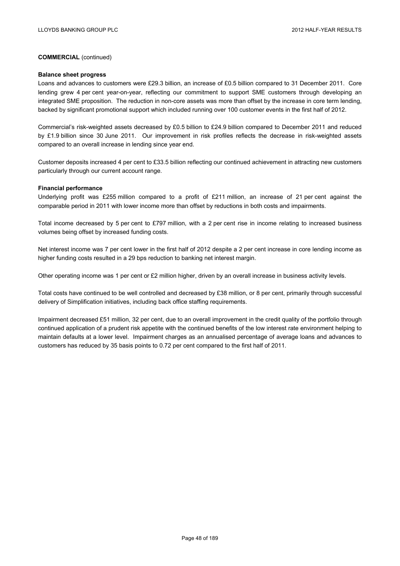#### **Balance sheet progress**

Loans and advances to customers were £29.3 billion, an increase of £0.5 billion compared to 31 December 2011. Core lending grew 4 per cent year-on-year, reflecting our commitment to support SME customers through developing an integrated SME proposition. The reduction in non-core assets was more than offset by the increase in core term lending, backed by significant promotional support which included running over 100 customer events in the first half of 2012.

Commercial's risk-weighted assets decreased by £0.5 billion to £24.9 billion compared to December 2011 and reduced by £1.9 billion since 30 June 2011. Our improvement in risk profiles reflects the decrease in risk-weighted assets compared to an overall increase in lending since year end.

Customer deposits increased 4 per cent to £33.5 billion reflecting our continued achievement in attracting new customers particularly through our current account range.

### **Financial performance**

Underlying profit was £255 million compared to a profit of £211 million, an increase of 21 per cent against the comparable period in 2011 with lower income more than offset by reductions in both costs and impairments.

Total income decreased by 5 per cent to £797 million, with a 2 per cent rise in income relating to increased business volumes being offset by increased funding costs.

Net interest income was 7 per cent lower in the first half of 2012 despite a 2 per cent increase in core lending income as higher funding costs resulted in a 29 bps reduction to banking net interest margin.

Other operating income was 1 per cent or £2 million higher, driven by an overall increase in business activity levels.

Total costs have continued to be well controlled and decreased by £38 million, or 8 per cent, primarily through successful delivery of Simplification initiatives, including back office staffing requirements.

Impairment decreased £51 million, 32 per cent, due to an overall improvement in the credit quality of the portfolio through continued application of a prudent risk appetite with the continued benefits of the low interest rate environment helping to maintain defaults at a lower level. Impairment charges as an annualised percentage of average loans and advances to customers has reduced by 35 basis points to 0.72 per cent compared to the first half of 2011.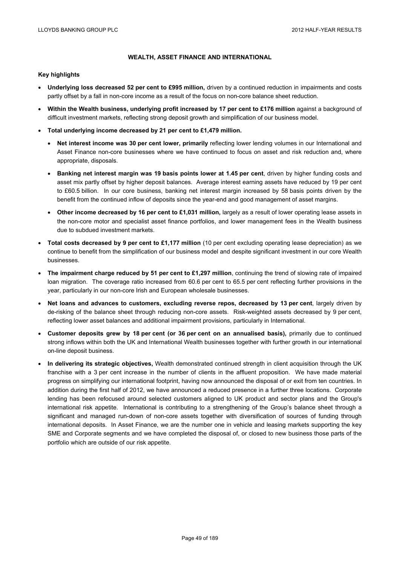# **WEALTH, ASSET FINANCE AND INTERNATIONAL**

### **Key highlights**

- **Underlying loss decreased 52 per cent to £995 million,** driven by a continued reduction in impairments and costs partly offset by a fall in non-core income as a result of the focus on non-core balance sheet reduction.
- **Within the Wealth business, underlying profit increased by 17 per cent to £176 million** against a background of difficult investment markets, reflecting strong deposit growth and simplification of our business model.
- **Total underlying income decreased by 21 per cent to £1,479 million.** 
	- **Net interest income was 30 per cent lower, primarily** reflecting lower lending volumes in our International and Asset Finance non-core businesses where we have continued to focus on asset and risk reduction and, where appropriate, disposals.
	- **Banking net interest margin was 19 basis points lower at 1.45 per cent**, driven by higher funding costs and asset mix partly offset by higher deposit balances. Average interest earning assets have reduced by 19 per cent to £60.5 billion. In our core business, banking net interest margin increased by 58 basis points driven by the benefit from the continued inflow of deposits since the year-end and good management of asset margins.
	- **Other income decreased by 16 per cent to £1,031 million,** largely as a result of lower operating lease assets in the non-core motor and specialist asset finance portfolios, and lower management fees in the Wealth business due to subdued investment markets.
- **Total costs decreased by 9 per cent to £1,177 million** (10 per cent excluding operating lease depreciation) as we continue to benefit from the simplification of our business model and despite significant investment in our core Wealth businesses.
- **The impairment charge reduced by 51 per cent to £1,297 million**, continuing the trend of slowing rate of impaired loan migration. The coverage ratio increased from 60.6 per cent to 65.5 per cent reflecting further provisions in the year, particularly in our non-core Irish and European wholesale businesses.
- **Net loans and advances to customers, excluding reverse repos, decreased by 13 per cent**, largely driven by de-risking of the balance sheet through reducing non-core assets. Risk-weighted assets decreased by 9 per cent, reflecting lower asset balances and additional impairment provisions, particularly in International.
- **Customer deposits grew by 18 per cent (or 36 per cent on an annualised basis),** primarily due to continued strong inflows within both the UK and International Wealth businesses together with further growth in our international on-line deposit business.
- **In delivering its strategic objectives,** Wealth demonstrated continued strength in client acquisition through the UK franchise with a 3 per cent increase in the number of clients in the affluent proposition. We have made material progress on simplifying our international footprint, having now announced the disposal of or exit from ten countries. In addition during the first half of 2012, we have announced a reduced presence in a further three locations. Corporate lending has been refocused around selected customers aligned to UK product and sector plans and the Group's international risk appetite. International is contributing to a strengthening of the Group's balance sheet through a significant and managed run-down of non-core assets together with diversification of sources of funding through international deposits. In Asset Finance, we are the number one in vehicle and leasing markets supporting the key SME and Corporate segments and we have completed the disposal of, or closed to new business those parts of the portfolio which are outside of our risk appetite.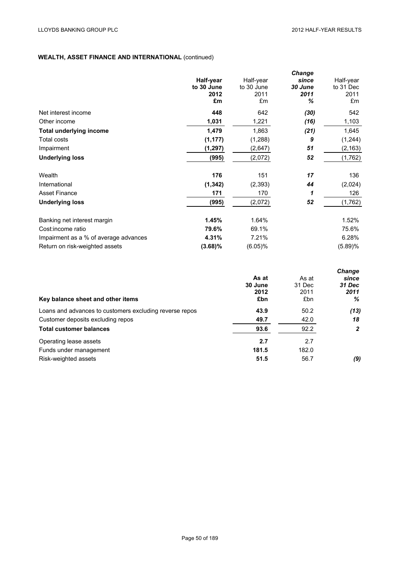|                                       | Half-year<br>to 30 June<br>2012<br>£m | Half-year<br>to 30 June<br>2011<br>£m | <b>Change</b><br>since<br>30 June<br>2011<br>℅ | Half-year<br>to 31 Dec<br>2011<br>£m |
|---------------------------------------|---------------------------------------|---------------------------------------|------------------------------------------------|--------------------------------------|
| Net interest income                   | 448                                   | 642                                   | (30)                                           | 542                                  |
| Other income                          | 1,031                                 | 1,221                                 | (16)                                           | 1,103                                |
| <b>Total underlying income</b>        | 1,479                                 | 1,863                                 | (21)                                           | 1,645                                |
| <b>Total costs</b>                    | (1, 177)                              | (1,288)                               | 9                                              | (1, 244)                             |
| Impairment                            | (1, 297)                              | (2,647)                               | 51                                             | (2, 163)                             |
| <b>Underlying loss</b>                | (995)                                 | (2,072)                               | 52                                             | (1,762)                              |
| Wealth                                | 176                                   | 151                                   | 17                                             | 136                                  |
| International                         | (1, 342)                              | (2, 393)                              | 44                                             | (2,024)                              |
| <b>Asset Finance</b>                  | 171                                   | 170                                   | 1                                              | 126                                  |
| <b>Underlying loss</b>                | (995)                                 | (2,072)                               | 52                                             | (1, 762)                             |
| Banking net interest margin           | 1.45%                                 | 1.64%                                 |                                                | 1.52%                                |
| Cost:income ratio                     | 79.6%                                 | 69.1%                                 |                                                | 75.6%                                |
| Impairment as a % of average advances | 4.31%                                 | 7.21%                                 |                                                | 6.28%                                |
| Return on risk-weighted assets        | $(3.68)\%$                            | (6.05)%                               |                                                | (5.89)%                              |

|                                                         |         |        | <b>Change</b>  |
|---------------------------------------------------------|---------|--------|----------------|
|                                                         | As at   | As at  | since          |
|                                                         | 30 June | 31 Dec | 31 Dec         |
|                                                         | 2012    | 2011   | 2011           |
| Key balance sheet and other items                       | £bn     | £bn    | %              |
| Loans and advances to customers excluding reverse repos | 43.9    | 50.2   | (13)           |
| Customer deposits excluding repos                       | 49.7    | 42.0   | 18             |
| <b>Total customer balances</b>                          | 93.6    | 92.2   | $\overline{2}$ |
| Operating lease assets                                  | 2.7     | 2.7    |                |
| Funds under management                                  | 181.5   | 182.0  |                |
| Risk-weighted assets                                    | 51.5    | 56.7   | (9)            |
|                                                         |         |        |                |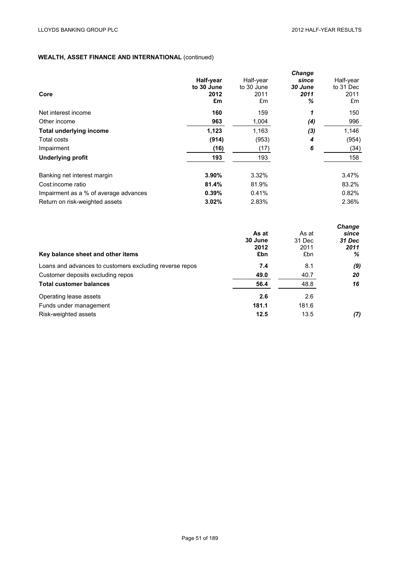| Core                                  | Half-year<br>to 30 June<br>2012<br>£m | Half-year<br>to 30 June<br>2011<br>£m | <b>Change</b><br>since<br>30 June<br>2011<br>% | Half-year<br>to 31 Dec<br>2011<br>£m |
|---------------------------------------|---------------------------------------|---------------------------------------|------------------------------------------------|--------------------------------------|
| Net interest income                   | 160                                   | 159                                   | 1                                              | 150                                  |
| Other income                          | 963                                   | 1,004                                 | (4)                                            | 996                                  |
| <b>Total underlying income</b>        | 1,123                                 | 1,163                                 | (3)                                            | 1,146                                |
| Total costs                           | (914)                                 | (953)                                 | 4                                              | (954)                                |
| Impairment                            | (16)                                  | (17)                                  | 6                                              | (34)                                 |
| <b>Underlying profit</b>              | 193                                   | 193                                   |                                                | 158                                  |
| Banking net interest margin           | 3.90%                                 | 3.32%                                 |                                                | 3.47%                                |
| Cost:income ratio                     | 81.4%                                 | 81.9%                                 |                                                | 83.2%                                |
| Impairment as a % of average advances | 0.39%                                 | 0.41%                                 |                                                | 0.82%                                |
| Return on risk-weighted assets        | 3.02%                                 | 2.83%                                 |                                                | 2.36%                                |

| Key balance sheet and other items                       | As at<br>30 June<br>2012<br>£bn | As at<br>31 Dec<br>2011<br>£bn | <b>Change</b><br>since<br>31 Dec<br>2011<br>% |
|---------------------------------------------------------|---------------------------------|--------------------------------|-----------------------------------------------|
| Loans and advances to customers excluding reverse repos | 7.4                             | 8.1                            | (9)                                           |
| Customer deposits excluding repos                       | 49.0                            | 40.7                           | 20                                            |
| <b>Total customer balances</b>                          | 56.4                            | 48.8                           | 16                                            |
| Operating lease assets                                  | 2.6                             | 2.6                            |                                               |
| Funds under management                                  | 181.1                           | 181.6                          |                                               |
| Risk-weighted assets                                    | 12.5                            | 13.5                           | (7)                                           |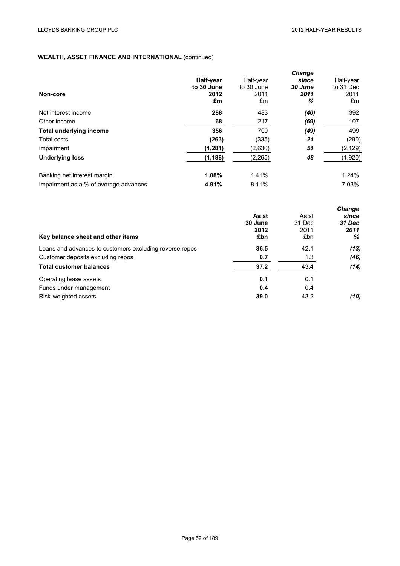|                                       |            |            | <b>Change</b> |           |
|---------------------------------------|------------|------------|---------------|-----------|
|                                       | Half-year  | Half-year  | since         | Half-year |
|                                       | to 30 June | to 30 June | 30 June       | to 31 Dec |
| Non-core                              | 2012       | 2011       | 2011          | 2011      |
|                                       | £m         | £m         | ℅             | £m        |
| Net interest income                   | 288        | 483        | (40)          | 392       |
| Other income                          | 68         | 217        | (69)          | 107       |
| Total underlying income               | 356        | 700        | (49)          | 499       |
| Total costs                           | (263)      | (335)      | 21            | (290)     |
| Impairment                            | (1, 281)   | (2,630)    | 51            | (2, 129)  |
| <b>Underlying loss</b>                | (1, 188)   | (2, 265)   | 48            | (1,920)   |
| Banking net interest margin           | 1.08%      | 1.41%      |               | 1.24%     |
| Impairment as a % of average advances | 4.91%      | 8.11%      |               | 7.03%     |

| Key balance sheet and other items                       | As at<br>30 June<br>2012<br>£bn | As at<br>31 Dec<br>2011<br>£bn | <b>Change</b><br>since<br>31 Dec<br>2011<br>% |
|---------------------------------------------------------|---------------------------------|--------------------------------|-----------------------------------------------|
| Loans and advances to customers excluding reverse repos | 36.5                            | 42.1                           | (13)                                          |
| Customer deposits excluding repos                       | 0.7                             | 1.3                            | (46)                                          |
| <b>Total customer balances</b>                          | 37.2                            | 43.4                           | (14)                                          |
| Operating lease assets                                  | 0.1                             | 0.1                            |                                               |
| Funds under management                                  | 0.4                             | 0.4                            |                                               |
| Risk-weighted assets                                    | 39.0                            | 43.2                           | (10)                                          |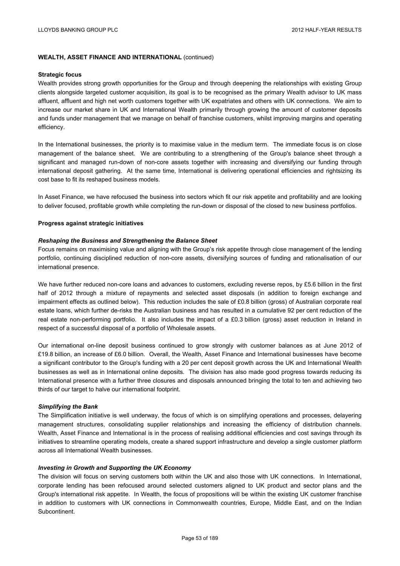#### **Strategic focus**

Wealth provides strong growth opportunities for the Group and through deepening the relationships with existing Group clients alongside targeted customer acquisition, its goal is to be recognised as the primary Wealth advisor to UK mass affluent, affluent and high net worth customers together with UK expatriates and others with UK connections. We aim to increase our market share in UK and International Wealth primarily through growing the amount of customer deposits and funds under management that we manage on behalf of franchise customers, whilst improving margins and operating efficiency.

In the International businesses, the priority is to maximise value in the medium term. The immediate focus is on close management of the balance sheet. We are contributing to a strengthening of the Group's balance sheet through a significant and managed run-down of non-core assets together with increasing and diversifying our funding through international deposit gathering. At the same time, International is delivering operational efficiencies and rightsizing its cost base to fit its reshaped business models.

In Asset Finance, we have refocused the business into sectors which fit our risk appetite and profitability and are looking to deliver focused, profitable growth while completing the run-down or disposal of the closed to new business portfolios.

## **Progress against strategic initiatives**

### *Reshaping the Business and Strengthening the Balance Sheet*

Focus remains on maximising value and aligning with the Group's risk appetite through close management of the lending portfolio, continuing disciplined reduction of non-core assets, diversifying sources of funding and rationalisation of our international presence.

We have further reduced non-core loans and advances to customers, excluding reverse repos, by £5.6 billion in the first half of 2012 through a mixture of repayments and selected asset disposals (in addition to foreign exchange and impairment effects as outlined below). This reduction includes the sale of £0.8 billion (gross) of Australian corporate real estate loans, which further de-risks the Australian business and has resulted in a cumulative 92 per cent reduction of the real estate non-performing portfolio. It also includes the impact of a £0.3 billion (gross) asset reduction in Ireland in respect of a successful disposal of a portfolio of Wholesale assets.

Our international on-line deposit business continued to grow strongly with customer balances as at June 2012 of £19.8 billion, an increase of £6.0 billion. Overall, the Wealth, Asset Finance and International businesses have become a significant contributor to the Group's funding with a 20 per cent deposit growth across the UK and International Wealth businesses as well as in International online deposits. The division has also made good progress towards reducing its International presence with a further three closures and disposals announced bringing the total to ten and achieving two thirds of our target to halve our international footprint.

### *Simplifying the Bank*

The Simplification initiative is well underway, the focus of which is on simplifying operations and processes, delayering management structures, consolidating supplier relationships and increasing the efficiency of distribution channels. Wealth, Asset Finance and International is in the process of realising additional efficiencies and cost savings through its initiatives to streamline operating models, create a shared support infrastructure and develop a single customer platform across all International Wealth businesses.

# *Investing in Growth and Supporting the UK Economy*

The division will focus on serving customers both within the UK and also those with UK connections. In International, corporate lending has been refocused around selected customers aligned to UK product and sector plans and the Group's international risk appetite. In Wealth, the focus of propositions will be within the existing UK customer franchise in addition to customers with UK connections in Commonwealth countries, Europe, Middle East, and on the Indian Subcontinent.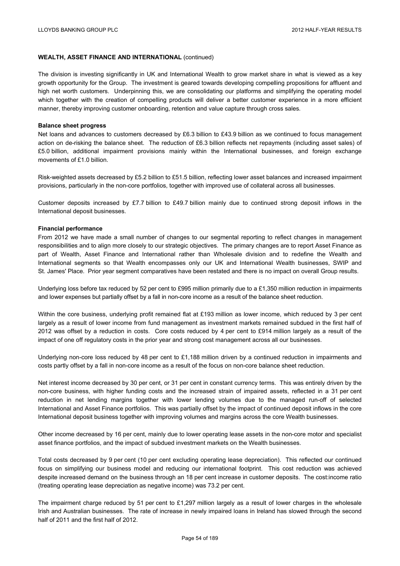The division is investing significantly in UK and International Wealth to grow market share in what is viewed as a key growth opportunity for the Group. The investment is geared towards developing compelling propositions for affluent and high net worth customers. Underpinning this, we are consolidating our platforms and simplifying the operating model which together with the creation of compelling products will deliver a better customer experience in a more efficient manner, thereby improving customer onboarding, retention and value capture through cross sales.

# **Balance sheet progress**

Net loans and advances to customers decreased by £6.3 billion to £43.9 billion as we continued to focus management action on de-risking the balance sheet. The reduction of £6.3 billion reflects net repayments (including asset sales) of £5.0 billion, additional impairment provisions mainly within the International businesses, and foreign exchange movements of £1.0 billion.

Risk-weighted assets decreased by £5.2 billion to £51.5 billion, reflecting lower asset balances and increased impairment provisions, particularly in the non-core portfolios, together with improved use of collateral across all businesses.

Customer deposits increased by £7.7 billion to £49.7 billion mainly due to continued strong deposit inflows in the International deposit businesses.

# **Financial performance**

From 2012 we have made a small number of changes to our segmental reporting to reflect changes in management responsibilities and to align more closely to our strategic objectives. The primary changes are to report Asset Finance as part of Wealth, Asset Finance and International rather than Wholesale division and to redefine the Wealth and International segments so that Wealth encompasses only our UK and International Wealth businesses, SWIP and St. James' Place. Prior year segment comparatives have been restated and there is no impact on overall Group results.

Underlying loss before tax reduced by 52 per cent to £995 million primarily due to a £1,350 million reduction in impairments and lower expenses but partially offset by a fall in non-core income as a result of the balance sheet reduction.

Within the core business, underlying profit remained flat at £193 million as lower income, which reduced by 3 per cent largely as a result of lower income from fund management as investment markets remained subdued in the first half of 2012 was offset by a reduction in costs. Core costs reduced by 4 per cent to £914 million largely as a result of the impact of one off regulatory costs in the prior year and strong cost management across all our businesses.

Underlying non-core loss reduced by 48 per cent to £1,188 million driven by a continued reduction in impairments and costs partly offset by a fall in non-core income as a result of the focus on non-core balance sheet reduction.

Net interest income decreased by 30 per cent, or 31 per cent in constant currency terms. This was entirely driven by the non-core business, with higher funding costs and the increased strain of impaired assets, reflected in a 31 per cent reduction in net lending margins together with lower lending volumes due to the managed run-off of selected International and Asset Finance portfolios. This was partially offset by the impact of continued deposit inflows in the core International deposit business together with improving volumes and margins across the core Wealth businesses.

Other income decreased by 16 per cent, mainly due to lower operating lease assets in the non-core motor and specialist asset finance portfolios, and the impact of subdued investment markets on the Wealth businesses.

Total costs decreased by 9 per cent (10 per cent excluding operating lease depreciation). This reflected our continued focus on simplifying our business model and reducing our international footprint. This cost reduction was achieved despite increased demand on the business through an 18 per cent increase in customer deposits. The cost:income ratio (treating operating lease depreciation as negative income) was 73.2 per cent.

The impairment charge reduced by 51 per cent to £1,297 million largely as a result of lower charges in the wholesale Irish and Australian businesses. The rate of increase in newly impaired loans in Ireland has slowed through the second half of 2011 and the first half of 2012.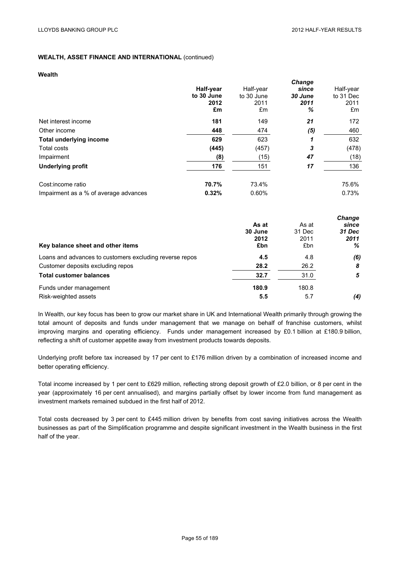# **Wealth**

|                                       |            |            | <b>Change</b> |           |
|---------------------------------------|------------|------------|---------------|-----------|
|                                       | Half-year  | Half-year  | since         | Half-year |
|                                       | to 30 June | to 30 June | 30 June       | to 31 Dec |
|                                       | 2012       | 2011       | 2011          | 2011      |
|                                       | £m         | £m         | ℅             | £m        |
| Net interest income                   | 181        | 149        | 21            | 172       |
| Other income                          | 448        | 474        | (5)           | 460       |
| <b>Total underlying income</b>        | 629        | 623        | 1             | 632       |
| Total costs                           | (445)      | (457)      | 3             | (478)     |
| Impairment                            | (8)        | (15)       | 47            | (18)      |
| <b>Underlying profit</b>              | 176        | 151        | 17            | 136       |
| Cost:income ratio                     | 70.7%      | 73.4%      |               | 75.6%     |
| Impairment as a % of average advances | 0.32%      | 0.60%      |               | 0.73%     |

|         |        | <b>Change</b> |
|---------|--------|---------------|
| As at   | As at  | since         |
| 30 June | 31 Dec | 31 Dec        |
| 2012    | 2011   | 2011          |
| £bn     | £bn    | %             |
| 4.5     | 4.8    | (6)           |
| 28.2    | 26.2   | 8             |
| 32.7    | 31.0   | 5             |
| 180.9   | 180.8  |               |
| 5.5     | 5.7    | (4)           |
|         |        |               |

In Wealth, our key focus has been to grow our market share in UK and International Wealth primarily through growing the total amount of deposits and funds under management that we manage on behalf of franchise customers, whilst improving margins and operating efficiency. Funds under management increased by £0.1 billion at £180.9 billion, reflecting a shift of customer appetite away from investment products towards deposits.

Underlying profit before tax increased by 17 per cent to £176 million driven by a combination of increased income and better operating efficiency.

Total income increased by 1 per cent to £629 million, reflecting strong deposit growth of £2.0 billion, or 8 per cent in the year (approximately 16 per cent annualised), and margins partially offset by lower income from fund management as investment markets remained subdued in the first half of 2012.

Total costs decreased by 3 per cent to £445 million driven by benefits from cost saving initiatives across the Wealth businesses as part of the Simplification programme and despite significant investment in the Wealth business in the first half of the year.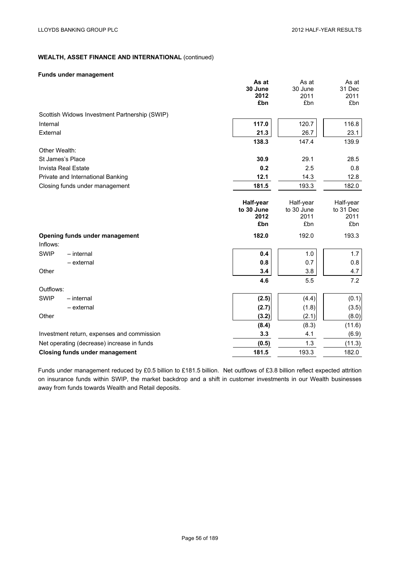# **Funds under management**

|                                               | As at<br>30 June<br>2012<br>£bn        | As at<br>30 June<br>2011<br>£bn        | As at<br>31 Dec<br>2011<br>£bn        |
|-----------------------------------------------|----------------------------------------|----------------------------------------|---------------------------------------|
| Scottish Widows Investment Partnership (SWIP) |                                        |                                        |                                       |
| Internal                                      | 117.0                                  | 120.7                                  | 116.8                                 |
| External                                      | 21.3                                   | 26.7                                   | 23.1                                  |
|                                               | 138.3                                  | 147.4                                  | 139.9                                 |
| Other Wealth:                                 |                                        |                                        |                                       |
| St James's Place                              | 30.9                                   | 29.1                                   | 28.5                                  |
| <b>Invista Real Estate</b>                    | 0.2                                    | 2.5                                    | 0.8                                   |
| Private and International Banking             | 12.1                                   | 14.3                                   | 12.8                                  |
| Closing funds under management                | 181.5                                  | 193.3                                  | 182.0                                 |
|                                               | Half-year<br>to 30 June<br>2012<br>£bn | Half-year<br>to 30 June<br>2011<br>£bn | Half-year<br>to 31 Dec<br>2011<br>£bn |
| Opening funds under management<br>Inflows:    | 182.0                                  | 192.0                                  | 193.3                                 |
| <b>SWIP</b><br>$-$ internal                   | 0.4                                    | 1.0                                    | 1.7                                   |
| $-$ external                                  | 0.8                                    | 0.7                                    | 0.8                                   |
| Other                                         | 3.4                                    | 3.8                                    | 4.7                                   |
|                                               | 4.6                                    | 5.5                                    | 7.2                                   |
| Outflows:                                     |                                        |                                        |                                       |
| <b>SWIP</b><br>- internal                     | (2.5)                                  | (4.4)                                  | (0.1)                                 |
| - external                                    | (2.7)                                  | (1.8)                                  | (3.5)                                 |
| Other                                         | (3.2)                                  | (2.1)                                  | (8.0)                                 |
|                                               | (8.4)                                  | (8.3)                                  | (11.6)                                |
| Investment return, expenses and commission    | 3.3                                    | 4.1                                    | (6.9)                                 |
| Net operating (decrease) increase in funds    | (0.5)                                  | 1.3                                    | (11.3)                                |
| <b>Closing funds under management</b>         | 181.5                                  | 193.3                                  | 182.0                                 |

Funds under management reduced by £0.5 billion to £181.5 billion. Net outflows of £3.8 billion reflect expected attrition on insurance funds within SWIP, the market backdrop and a shift in customer investments in our Wealth businesses away from funds towards Wealth and Retail deposits.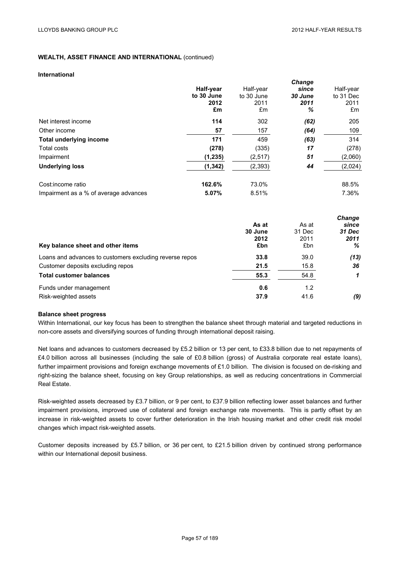## **International**

|                                       |            |            | <b>Change</b> |           |
|---------------------------------------|------------|------------|---------------|-----------|
|                                       | Half-year  | Half-year  | since         | Half-year |
|                                       | to 30 June | to 30 June | 30 June       | to 31 Dec |
|                                       | 2012       | 2011       | 2011          | 2011      |
|                                       | £m         | £m         | ℅             | £m        |
| Net interest income                   | 114        | 302        | (62)          | 205       |
| Other income                          | 57         | 157        | (64)          | 109       |
| <b>Total underlying income</b>        | 171        | 459        | (63)          | 314       |
| Total costs                           | (278)      | (335)      | 17            | (278)     |
| Impairment                            | (1,235)    | (2,517)    | 51            | (2,060)   |
| <b>Underlying loss</b>                | (1, 342)   | (2, 393)   | 44            | (2,024)   |
| Cost:income ratio                     | 162.6%     | 73.0%      |               | 88.5%     |
| Impairment as a % of average advances | 5.07%      | 8.51%      |               | 7.36%     |

|                                                         |         |        | Change |
|---------------------------------------------------------|---------|--------|--------|
|                                                         | As at   | As at  | since  |
|                                                         | 30 June | 31 Dec | 31 Dec |
|                                                         | 2012    | 2011   | 2011   |
| Key balance sheet and other items                       | £bn     | £bn    | %      |
| Loans and advances to customers excluding reverse repos | 33.8    | 39.0   | (13)   |
| Customer deposits excluding repos                       | 21.5    | 15.8   | 36     |
| <b>Total customer balances</b>                          | 55.3    | 54.8   | 1      |
| Funds under management                                  | 0.6     | 1.2    |        |
| Risk-weighted assets                                    | 37.9    | 41.6   | (9)    |
|                                                         |         |        |        |

### **Balance sheet progress**

Within International, our key focus has been to strengthen the balance sheet through material and targeted reductions in non-core assets and diversifying sources of funding through international deposit raising.

Net loans and advances to customers decreased by £5.2 billion or 13 per cent, to £33.8 billion due to net repayments of £4.0 billion across all businesses (including the sale of £0.8 billion (gross) of Australia corporate real estate loans), further impairment provisions and foreign exchange movements of £1.0 billion. The division is focused on de-risking and right-sizing the balance sheet, focusing on key Group relationships, as well as reducing concentrations in Commercial Real Estate.

Risk-weighted assets decreased by £3.7 billion, or 9 per cent, to £37.9 billion reflecting lower asset balances and further impairment provisions, improved use of collateral and foreign exchange rate movements. This is partly offset by an increase in risk-weighted assets to cover further deterioration in the Irish housing market and other credit risk model changes which impact risk-weighted assets.

Customer deposits increased by £5.7 billion, or 36 per cent, to £21.5 billion driven by continued strong performance within our International deposit business.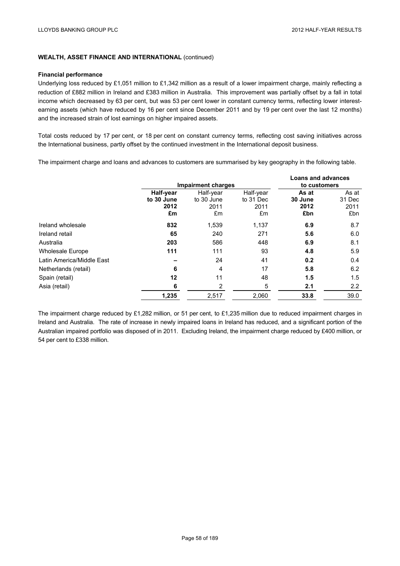#### **Financial performance**

Underlying loss reduced by £1,051 million to £1,342 million as a result of a lower impairment charge, mainly reflecting a reduction of £882 million in Ireland and £383 million in Australia. This improvement was partially offset by a fall in total income which decreased by 63 per cent, but was 53 per cent lower in constant currency terms, reflecting lower interestearning assets (which have reduced by 16 per cent since December 2011 and by 19 per cent over the last 12 months) and the increased strain of lost earnings on higher impaired assets.

Total costs reduced by 17 per cent, or 18 per cent on constant currency terms, reflecting cost saving initiatives across the International business, partly offset by the continued investment in the International deposit business.

The impairment charge and loans and advances to customers are summarised by key geography in the following table.

|                           |                   | <b>Impairment charges</b> |           | <b>Loans and advances</b><br>to customers |        |
|---------------------------|-------------------|---------------------------|-----------|-------------------------------------------|--------|
|                           | Half-year         | Half-year                 | Half-year | As at                                     | As at  |
|                           | to 30 June        | to 30 June                | to 31 Dec | 30 June                                   | 31 Dec |
|                           | 2012              | 2011                      | 2011      | 2012                                      | 2011   |
|                           | £m                | £m                        | £m        | £bn                                       | £bn    |
| Ireland wholesale         | 832               | 1,539                     | 1,137     | 6.9                                       | 8.7    |
| Ireland retail            | 65                | 240                       | 271       | 5.6                                       | 6.0    |
| Australia                 | 203               | 586                       | 448       | 6.9                                       | 8.1    |
| <b>Wholesale Europe</b>   | 111               | 111                       | 93        | 4.8                                       | 5.9    |
| Latin America/Middle East |                   | 24                        | 41        | 0.2                                       | 0.4    |
| Netherlands (retail)      | 6                 | 4                         | 17        | 5.8                                       | 6.2    |
| Spain (retail)            | $12 \overline{ }$ | 11                        | 48        | 1.5                                       | 1.5    |
| Asia (retail)             | 6                 | 2                         | 5         | 2.1                                       | 2.2    |
|                           | 1,235             | 2,517                     | 2,060     | 33.8                                      | 39.0   |

The impairment charge reduced by £1,282 million, or 51 per cent, to £1,235 million due to reduced impairment charges in Ireland and Australia. The rate of increase in newly impaired loans in Ireland has reduced, and a significant portion of the Australian impaired portfolio was disposed of in 2011. Excluding Ireland, the impairment charge reduced by £400 million, or 54 per cent to £338 million.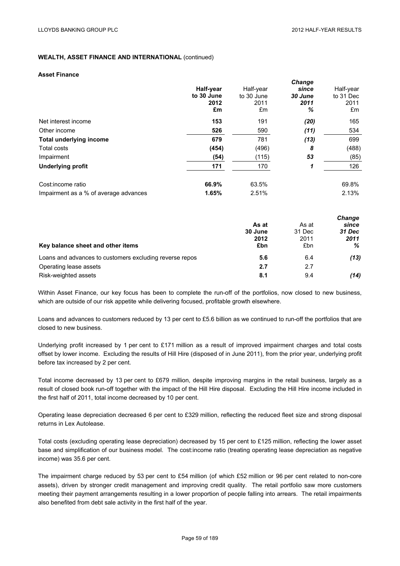#### **Asset Finance**

|                                       |            |            | <b>Change</b> |           |
|---------------------------------------|------------|------------|---------------|-----------|
|                                       | Half-year  | Half-year  | since         | Half-year |
|                                       | to 30 June | to 30 June | 30 June       | to 31 Dec |
|                                       | 2012       | 2011       | 2011          | 2011      |
|                                       | £m         | £m         | ℅             | £m        |
| Net interest income                   | 153        | 191        | (20)          | 165       |
| Other income                          | 526        | 590        | (11)          | 534       |
| <b>Total underlying income</b>        | 679        | 781        | (13)          | 699       |
| Total costs                           | (454)      | (496)      | 8             | (488)     |
| Impairment                            | (54)       | (115)      | 53            | (85)      |
| <b>Underlying profit</b>              | 171        | 170        | 1             | 126       |
| Cost: income ratio                    | 66.9%      | 63.5%      |               | 69.8%     |
| Impairment as a % of average advances | 1.65%      | 2.51%      |               | 2.13%     |

|                                                         |         |        | <b>Change</b> |
|---------------------------------------------------------|---------|--------|---------------|
|                                                         | As at   | As at  | since         |
|                                                         | 30 June | 31 Dec | 31 Dec        |
|                                                         | 2012    | 2011   | 2011          |
| Key balance sheet and other items                       | £bn     | £bn    | %             |
| Loans and advances to customers excluding reverse repos | 5.6     | 6.4    | (13)          |
| Operating lease assets                                  | 2.7     | 2.7    |               |
| Risk-weighted assets                                    | 8.1     | 9.4    | (14)          |

Within Asset Finance, our key focus has been to complete the run-off of the portfolios, now closed to new business, which are outside of our risk appetite while delivering focused, profitable growth elsewhere.

Loans and advances to customers reduced by 13 per cent to £5.6 billion as we continued to run-off the portfolios that are closed to new business.

Underlying profit increased by 1 per cent to £171 million as a result of improved impairment charges and total costs offset by lower income. Excluding the results of Hill Hire (disposed of in June 2011), from the prior year, underlying profit before tax increased by 2 per cent.

Total income decreased by 13 per cent to £679 million, despite improving margins in the retail business, largely as a result of closed book run-off together with the impact of the Hill Hire disposal. Excluding the Hill Hire income included in the first half of 2011, total income decreased by 10 per cent.

Operating lease depreciation decreased 6 per cent to £329 million, reflecting the reduced fleet size and strong disposal returns in Lex Autolease.

Total costs (excluding operating lease depreciation) decreased by 15 per cent to £125 million, reflecting the lower asset base and simplification of our business model. The cost:income ratio (treating operating lease depreciation as negative income) was 35.6 per cent.

The impairment charge reduced by 53 per cent to £54 million (of which £52 million or 96 per cent related to non-core assets), driven by stronger credit management and improving credit quality. The retail portfolio saw more customers meeting their payment arrangements resulting in a lower proportion of people falling into arrears. The retail impairments also benefited from debt sale activity in the first half of the year.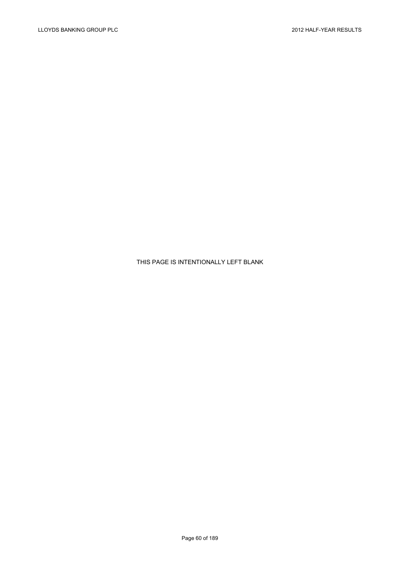# THIS PAGE IS INTENTIONALLY LEFT BLANK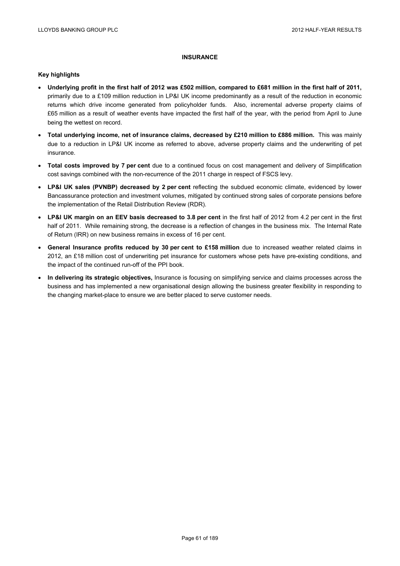# **INSURANCE**

### **Key highlights**

- **Underlying profit in the first half of 2012 was £502 million, compared to £681 million in the first half of 2011,** primarily due to a £109 million reduction in LP&I UK income predominantly as a result of the reduction in economic returns which drive income generated from policyholder funds. Also, incremental adverse property claims of £65 million as a result of weather events have impacted the first half of the year, with the period from April to June being the wettest on record.
- **Total underlying income, net of insurance claims, decreased by £210 million to £886 million.** This was mainly due to a reduction in LP&I UK income as referred to above, adverse property claims and the underwriting of pet insurance.
- **Total costs improved by 7 per cent** due to a continued focus on cost management and delivery of Simplification cost savings combined with the non-recurrence of the 2011 charge in respect of FSCS levy.
- **LP&I UK sales (PVNBP) decreased by 2 per cent** reflecting the subdued economic climate, evidenced by lower Bancassurance protection and investment volumes, mitigated by continued strong sales of corporate pensions before the implementation of the Retail Distribution Review (RDR).
- **LP&I UK margin on an EEV basis decreased to 3.8 per cent** in the first half of 2012 from 4.2 per cent in the first half of 2011. While remaining strong, the decrease is a reflection of changes in the business mix. The Internal Rate of Return (IRR) on new business remains in excess of 16 per cent.
- **General Insurance profits reduced by 30 per cent to £158 million** due to increased weather related claims in 2012, an £18 million cost of underwriting pet insurance for customers whose pets have pre-existing conditions, and the impact of the continued run-off of the PPI book.
- **In delivering its strategic objectives,** Insurance is focusing on simplifying service and claims processes across the business and has implemented a new organisational design allowing the business greater flexibility in responding to the changing market-place to ensure we are better placed to serve customer needs.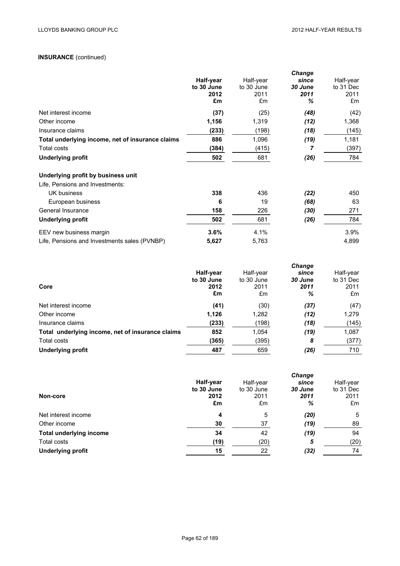|                                                  |            |            | <b>Change</b> |           |
|--------------------------------------------------|------------|------------|---------------|-----------|
|                                                  | Half-year  | Half-year  | since         | Half-year |
|                                                  | to 30 June | to 30 June | 30 June       | to 31 Dec |
|                                                  | 2012       | 2011       | 2011          | 2011      |
|                                                  | £m         | £m         | ℅             | £m        |
| Net interest income                              | (37)       | (25)       | (48)          | (42)      |
| Other income                                     | 1,156      | 1,319      | (12)          | 1,368     |
| Insurance claims                                 | (233)      | (198)      | (18)          | (145)     |
| Total underlying income, net of insurance claims | 886        | 1,096      | (19)          | 1,181     |
| Total costs                                      | (384)      | (415)      | 7             | (397)     |
| <b>Underlying profit</b>                         | 502        | 681        | (26)          | 784       |
| Underlying profit by business unit               |            |            |               |           |
| Life, Pensions and Investments:                  |            |            |               |           |
| UK business                                      | 338        | 436        | (22)          | 450       |
| European business                                | 6          | 19         | (68)          | 63        |
| General Insurance                                | 158        | 226        | (30)          | 271       |
| <b>Underlying profit</b>                         | 502        | 681        | (26)          | 784       |
| EEV new business margin                          | 3.6%       | 4.1%       |               | 3.9%      |
| Life, Pensions and Investments sales (PVNBP)     | 5,627      | 5,763      |               | 4,899     |

|       |                         | <b>Change</b>                   |                          |
|-------|-------------------------|---------------------------------|--------------------------|
|       |                         |                                 | Half-year                |
|       |                         |                                 | to 31 Dec                |
| 2012  |                         |                                 | 2011                     |
| £m    | £m                      | ℅                               | £m                       |
| (41)  | (30)                    | (37)                            | (47)                     |
| 1,126 | 1,282                   | (12)                            | 1,279                    |
| (233) | (198)                   | (18)                            | (145)                    |
| 852   | 1,054                   | (19)                            | 1,087                    |
| (365) | (395)                   | 8                               | (377)                    |
| 487   | 659                     | (26)                            | 710                      |
|       | Half-year<br>to 30 June | Half-year<br>to 30 June<br>2011 | since<br>30 June<br>2011 |

| Non-core                       | Half-year<br>to 30 June<br>2012<br>£m | Half-year<br>to 30 June<br>2011<br>£m | <b>Change</b><br>since<br>30 June<br>2011<br>℅ | Half-year<br>to 31 Dec<br>2011<br>£m |
|--------------------------------|---------------------------------------|---------------------------------------|------------------------------------------------|--------------------------------------|
| Net interest income            | 4                                     | 5                                     | (20)                                           | 5                                    |
| Other income                   | 30                                    | 37                                    | (19)                                           | 89                                   |
| <b>Total underlying income</b> | 34                                    | 42                                    | (19)                                           | 94                                   |
| Total costs                    | (19)                                  | (20)                                  | 5                                              | (20)                                 |
| <b>Underlying profit</b>       | 15                                    | 22                                    | (32)                                           | 74                                   |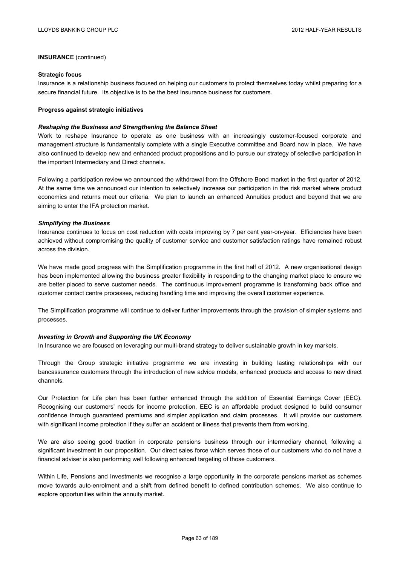#### **Strategic focus**

Insurance is a relationship business focused on helping our customers to protect themselves today whilst preparing for a secure financial future. Its objective is to be the best Insurance business for customers.

#### **Progress against strategic initiatives**

#### *Reshaping the Business and Strengthening the Balance Sheet*

Work to reshape Insurance to operate as one business with an increasingly customer-focused corporate and management structure is fundamentally complete with a single Executive committee and Board now in place. We have also continued to develop new and enhanced product propositions and to pursue our strategy of selective participation in the important Intermediary and Direct channels.

Following a participation review we announced the withdrawal from the Offshore Bond market in the first quarter of 2012. At the same time we announced our intention to selectively increase our participation in the risk market where product economics and returns meet our criteria. We plan to launch an enhanced Annuities product and beyond that we are aiming to enter the IFA protection market.

### *Simplifying the Business*

Insurance continues to focus on cost reduction with costs improving by 7 per cent year-on-year. Efficiencies have been achieved without compromising the quality of customer service and customer satisfaction ratings have remained robust across the division.

We have made good progress with the Simplification programme in the first half of 2012. A new organisational design has been implemented allowing the business greater flexibility in responding to the changing market place to ensure we are better placed to serve customer needs. The continuous improvement programme is transforming back office and customer contact centre processes, reducing handling time and improving the overall customer experience.

The Simplification programme will continue to deliver further improvements through the provision of simpler systems and processes.

### *Investing in Growth and Supporting the UK Economy*

In Insurance we are focused on leveraging our multi-brand strategy to deliver sustainable growth in key markets.

Through the Group strategic initiative programme we are investing in building lasting relationships with our bancassurance customers through the introduction of new advice models, enhanced products and access to new direct channels.

Our Protection for Life plan has been further enhanced through the addition of Essential Earnings Cover (EEC). Recognising our customers' needs for income protection, EEC is an affordable product designed to build consumer confidence through guaranteed premiums and simpler application and claim processes. It will provide our customers with significant income protection if they suffer an accident or illness that prevents them from working.

We are also seeing good traction in corporate pensions business through our intermediary channel, following a significant investment in our proposition. Our direct sales force which serves those of our customers who do not have a financial adviser is also performing well following enhanced targeting of those customers.

Within Life, Pensions and Investments we recognise a large opportunity in the corporate pensions market as schemes move towards auto-enrolment and a shift from defined benefit to defined contribution schemes. We also continue to explore opportunities within the annuity market.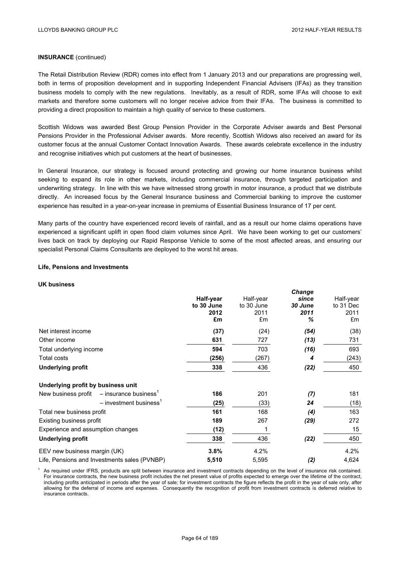*Change* 

# **INSURANCE** (continued)

The Retail Distribution Review (RDR) comes into effect from 1 January 2013 and our preparations are progressing well, both in terms of proposition development and in supporting Independent Financial Advisers (IFAs) as they transition business models to comply with the new regulations. Inevitably, as a result of RDR, some IFAs will choose to exit markets and therefore some customers will no longer receive advice from their IFAs. The business is committed to providing a direct proposition to maintain a high quality of service to these customers.

Scottish Widows was awarded Best Group Pension Provider in the Corporate Adviser awards and Best Personal Pensions Provider in the Professional Adviser awards. More recently, Scottish Widows also received an award for its customer focus at the annual Customer Contact Innovation Awards.These awards celebrate excellence in the industry and recognise initiatives which put customers at the heart of businesses.

In General Insurance, our strategy is focused around protecting and growing our home insurance business whilst seeking to expand its role in other markets, including commercial insurance, through targeted participation and underwriting strategy. In line with this we have witnessed strong growth in motor insurance, a product that we distribute directly. An increased focus by the General Insurance business and Commercial banking to improve the customer experience has resulted in a year-on-year increase in premiums of Essential Business Insurance of 17 per cent.

Many parts of the country have experienced record levels of rainfall, and as a result our home claims operations have experienced a significant uplift in open flood claim volumes since April. We have been working to get our customers' lives back on track by deploying our Rapid Response Vehicle to some of the most affected areas, and ensuring our specialist Personal Claims Consultants are deployed to the worst hit areas.

### **Life, Pensions and Investments**

### **UK business**

|                                    |                                              | Half-year<br>to 30 June<br>2012<br>£m | Half-year<br>to 30 June<br>2011<br>£m | cnange<br>since<br>30 June<br>2011<br>℅ | Half-year<br>to 31 Dec<br>2011<br>£m |
|------------------------------------|----------------------------------------------|---------------------------------------|---------------------------------------|-----------------------------------------|--------------------------------------|
| Net interest income                |                                              | (37)                                  | (24)                                  | (54)                                    | (38)                                 |
| Other income                       |                                              | 631                                   | 727                                   | (13)                                    | 731                                  |
| Total underlying income            |                                              | 594                                   | 703                                   | (16)                                    | 693                                  |
| Total costs                        |                                              | (256)                                 | (267)                                 | 4                                       | (243)                                |
| <b>Underlying profit</b>           |                                              | 338                                   | 436                                   | (22)                                    | 450                                  |
| Underlying profit by business unit |                                              |                                       |                                       |                                         |                                      |
| New business profit                | $-$ insurance business <sup>1</sup>          | 186                                   | 201                                   | (7)                                     | 181                                  |
|                                    | $-$ investment business <sup>1</sup>         | (25)                                  | (33)                                  | 24                                      | (18)                                 |
| Total new business profit          |                                              | 161                                   | 168                                   | (4)                                     | 163                                  |
| Existing business profit           |                                              | 189                                   | 267                                   | (29)                                    | 272                                  |
| Experience and assumption changes  |                                              | (12)                                  | 1                                     |                                         | 15                                   |
| <b>Underlying profit</b>           |                                              | 338                                   | 436                                   | (22)                                    | 450                                  |
| EEV new business margin (UK)       |                                              | 3.8%                                  | 4.2%                                  |                                         | 4.2%                                 |
|                                    | Life, Pensions and Investments sales (PVNBP) | 5,510                                 | 5,595                                 | (2)                                     | 4,624                                |

<sup>1</sup> As required under IFRS, products are split between insurance and investment contracts depending on the level of insurance risk contained. For insurance contracts, the new business profit includes the net present value of profits expected to emerge over the lifetime of the contract, including profits anticipated in periods after the year of sale; for investment contracts the figure reflects the profit in the year of sale only, after allowing for the deferral of income and expenses. Consequently the recognition of profit from investment contracts is deferred relative to insurance contracts.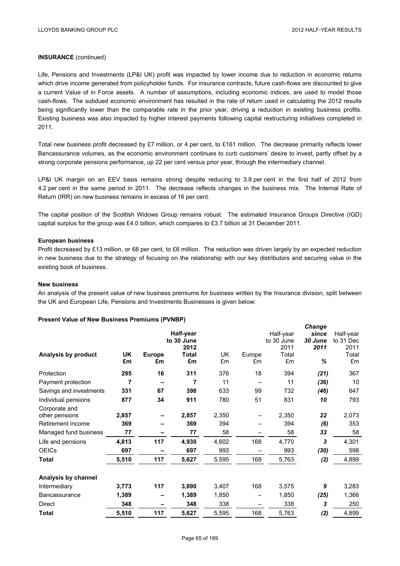*Change* 

# **INSURANCE** (continued)

Life, Pensions and Investments (LP&I UK) profit was impacted by lower income due to reduction in economic returns which drive income generated from policyholder funds. For insurance contracts, future cash-flows are discounted to give a current Value of in Force assets. A number of assumptions, including economic indices, are used to model those cash-flows. The subdued economic environment has resulted in the rate of return used in calculating the 2012 results being significantly lower than the comparable rate in the prior year, driving a reduction in existing business profits. Existing business was also impacted by higher interest payments following capital restructuring initiatives completed in 2011.

Total new business profit decreased by £7 million, or 4 per cent, to £161 million. The decrease primarily reflects lower Bancassurance volumes, as the economic environment continues to curb customers' desire to invest, partly offset by a strong corporate pensions performance, up 22 per cent versus prior year, through the intermediary channel.

LP&I UK margin on an EEV basis remains strong despite reducing to 3.8 per cent in the first half of 2012 from 4.2 per cent in the same period in 2011. The decrease reflects changes in the business mix. The Internal Rate of Return (IRR) on new business remains in excess of 16 per cent.

The capital position of the Scottish Widows Group remains robust. The estimated Insurance Groups Directive (IGD) capital surplus for the group was £4.0 billion, which compares to £3.7 billion at 31 December 2011.

# **European business**

Profit decreased by £13 million, or 68 per cent, to £6 million. The reduction was driven largely by an expected reduction in new business due to the strategy of focusing on the relationship with our key distributors and securing value in the existing book of business.

#### **New business**

An analysis of the present value of new business premiums for business written by the Insurance division, split between the UK and European Life, Pensions and Investments Businesses is given below:

## **Present Value of New Business Premiums (PVNBP)**

|                                                                                                                    |                                    |                     | Half-year<br>to 30 June<br>2012    |                                    |              | Half-year<br>to 30 June<br>2011    | <b>Undinge</b><br>since<br>30 June<br>2011  | Half-year<br>to 31 Dec<br>2011     |
|--------------------------------------------------------------------------------------------------------------------|------------------------------------|---------------------|------------------------------------|------------------------------------|--------------|------------------------------------|---------------------------------------------|------------------------------------|
| Analysis by product                                                                                                | <b>UK</b><br>£m                    | <b>Europe</b><br>£m | Total<br>£m                        | <b>UK</b><br>£m                    | Europe<br>£m | Total<br>£m                        | ℅                                           | Total<br>£m                        |
| Protection                                                                                                         | 295                                | 16                  | 311                                | 376                                | 18           | 394                                | (21)                                        | 367                                |
| Payment protection                                                                                                 | 7                                  |                     | 7                                  | 11                                 |              | 11                                 | (36)                                        | 10                                 |
| Savings and investments                                                                                            | 331                                | 67                  | 398                                | 633                                | 99           | 732                                | (46)                                        | 647                                |
| Individual pensions                                                                                                | 877                                | 34                  | 911                                | 780                                | 51           | 831                                | 10                                          | 793                                |
| Corporate and<br>other pensions<br>Retirement income<br>Managed fund business<br>Life and pensions<br><b>OEICs</b> | 2,857<br>369<br>77<br>4,813<br>697 | 117                 | 2,857<br>369<br>77<br>4,930<br>697 | 2,350<br>394<br>58<br>4,602<br>993 | 168          | 2,350<br>394<br>58<br>4,770<br>993 | 22<br>(6)<br>33<br>$\boldsymbol{3}$<br>(30) | 2,073<br>353<br>58<br>4,301<br>598 |
| Total                                                                                                              | 5,510                              | 117                 | 5,627                              | 5,595                              | 168          | 5,763                              | (2)                                         | 4,899                              |
| Analysis by channel                                                                                                |                                    |                     |                                    |                                    |              |                                    |                                             |                                    |
| Intermediary                                                                                                       | 3,773                              | 117                 | 3,890                              | 3,407                              | 168          | 3,575                              | 9                                           | 3,283                              |
| <b>Bancassurance</b>                                                                                               | 1,389                              |                     | 1,389                              | 1,850                              |              | 1,850                              | (25)                                        | 1,366                              |
| <b>Direct</b>                                                                                                      | 348                                |                     | 348                                | 338                                |              | 338                                | 3                                           | 250                                |
| Total                                                                                                              | 5,510                              | 117                 | 5,627                              | 5,595                              | 168          | 5,763                              | (2)                                         | 4,899                              |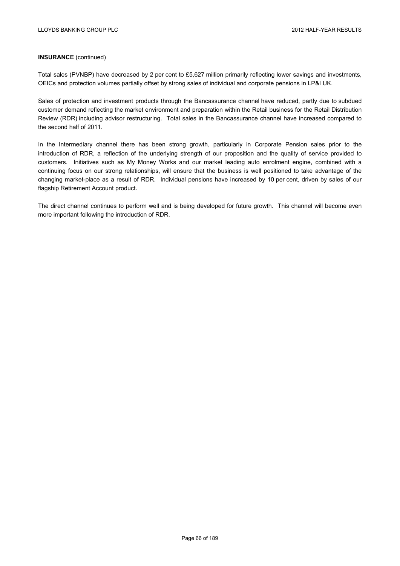Total sales (PVNBP) have decreased by 2 per cent to £5,627 million primarily reflecting lower savings and investments, OEICs and protection volumes partially offset by strong sales of individual and corporate pensions in LP&I UK.

Sales of protection and investment products through the Bancassurance channel have reduced, partly due to subdued customer demand reflecting the market environment and preparation within the Retail business for the Retail Distribution Review (RDR) including advisor restructuring. Total sales in the Bancassurance channel have increased compared to the second half of 2011.

In the Intermediary channel there has been strong growth, particularly in Corporate Pension sales prior to the introduction of RDR, a reflection of the underlying strength of our proposition and the quality of service provided to customers. Initiatives such as My Money Works and our market leading auto enrolment engine, combined with a continuing focus on our strong relationships, will ensure that the business is well positioned to take advantage of the changing market-place as a result of RDR. Individual pensions have increased by 10 per cent, driven by sales of our flagship Retirement Account product.

The direct channel continues to perform well and is being developed for future growth. This channel will become even more important following the introduction of RDR.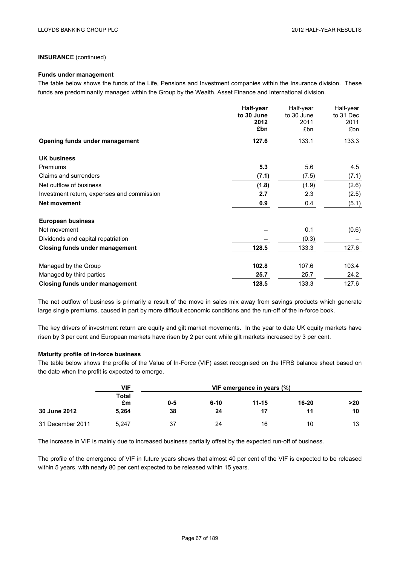#### **Funds under management**

The table below shows the funds of the Life, Pensions and Investment companies within the Insurance division. These funds are predominantly managed within the Group by the Wealth, Asset Finance and International division.

|                                            | Half-year<br>to 30 June<br>2012 | Half-year<br>to 30 June<br>2011 | Half-year<br>to 31 Dec<br>2011 |
|--------------------------------------------|---------------------------------|---------------------------------|--------------------------------|
|                                            | £bn                             | £bn                             | £bn                            |
| Opening funds under management             | 127.6                           | 133.1                           | 133.3                          |
| <b>UK business</b>                         |                                 |                                 |                                |
| Premiums                                   | 5.3                             | 5.6                             | 4.5                            |
| Claims and surrenders                      | (7.1)                           | (7.5)                           | (7.1)                          |
| Net outflow of business                    | (1.8)                           | (1.9)                           | (2.6)                          |
| Investment return, expenses and commission | 2.7                             | 2.3                             | (2.5)                          |
| <b>Net movement</b>                        | 0.9                             | 0.4                             | (5.1)                          |
| <b>European business</b>                   |                                 |                                 |                                |
| Net movement                               |                                 | 0.1                             | (0.6)                          |
| Dividends and capital repatriation         |                                 | (0.3)                           |                                |
| <b>Closing funds under management</b>      | 128.5                           | 133.3                           | 127.6                          |
| Managed by the Group                       | 102.8                           | 107.6                           | 103.4                          |
| Managed by third parties                   | 25.7                            | 25.7                            | 24.2                           |
| <b>Closing funds under management</b>      | 128.5                           | 133.3                           | 127.6                          |

The net outflow of business is primarily a result of the move in sales mix away from savings products which generate large single premiums, caused in part by more difficult economic conditions and the run-off of the in-force book.

The key drivers of investment return are equity and gilt market movements. In the year to date UK equity markets have risen by 3 per cent and European markets have risen by 2 per cent while gilt markets increased by 3 per cent.

### **Maturity profile of in-force business**

The table below shows the profile of the Value of In-Force (VIF) asset recognised on the IFRS balance sheet based on the date when the profit is expected to emerge.

|                  | VIF                  |             |                | VIF emergence in years (%) |             |           |
|------------------|----------------------|-------------|----------------|----------------------------|-------------|-----------|
| 30 June 2012     | Total<br>£m<br>5.264 | $0-5$<br>38 | $6 - 10$<br>24 | $11 - 15$<br>17            | 16-20<br>11 | >20<br>10 |
| 31 December 2011 | 5.247                | 37          | 24             | 16                         | 10          | 13        |

The increase in VIF is mainly due to increased business partially offset by the expected run-off of business.

The profile of the emergence of VIF in future years shows that almost 40 per cent of the VIF is expected to be released within 5 years, with nearly 80 per cent expected to be released within 15 years.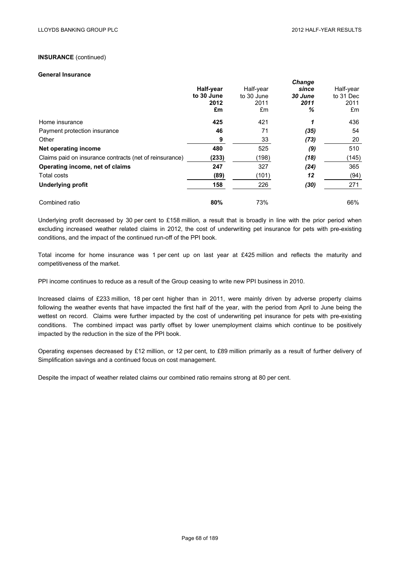#### **General Insurance**

|                                                         |            |            | <b>Change</b> |           |
|---------------------------------------------------------|------------|------------|---------------|-----------|
|                                                         | Half-year  | Half-year  | since         | Half-year |
|                                                         | to 30 June | to 30 June | 30 June       | to 31 Dec |
|                                                         | 2012       | 2011       | 2011          | 2011      |
|                                                         | £m         | £m         | ℅             | £m        |
| Home insurance                                          | 425        | 421        | 1             | 436       |
| Payment protection insurance                            | 46         | 71         | (35)          | 54        |
| Other                                                   | 9          | 33         | (73)          | 20        |
| Net operating income                                    | 480        | 525        | (9)           | 510       |
| Claims paid on insurance contracts (net of reinsurance) | (233)      | (198)      | (18)          | (145)     |
| Operating income, net of claims                         | 247        | 327        | (24)          | 365       |
| Total costs                                             | (89)       | (101)      | 12            | (94)      |
| <b>Underlying profit</b>                                | 158        | 226        | (30)          | 271       |
| Combined ratio                                          | 80%        | 73%        |               | 66%       |

Underlying profit decreased by 30 per cent to £158 million, a result that is broadly in line with the prior period when excluding increased weather related claims in 2012, the cost of underwriting pet insurance for pets with pre-existing conditions, and the impact of the continued run-off of the PPI book.

Total income for home insurance was 1 per cent up on last year at £425 million and reflects the maturity and competitiveness of the market.

PPI income continues to reduce as a result of the Group ceasing to write new PPI business in 2010.

Increased claims of £233 million, 18 per cent higher than in 2011, were mainly driven by adverse property claims following the weather events that have impacted the first half of the year, with the period from April to June being the wettest on record. Claims were further impacted by the cost of underwriting pet insurance for pets with pre-existing conditions. The combined impact was partly offset by lower unemployment claims which continue to be positively impacted by the reduction in the size of the PPI book.

Operating expenses decreased by £12 million, or 12 per cent, to £89 million primarily as a result of further delivery of Simplification savings and a continued focus on cost management.

Despite the impact of weather related claims our combined ratio remains strong at 80 per cent.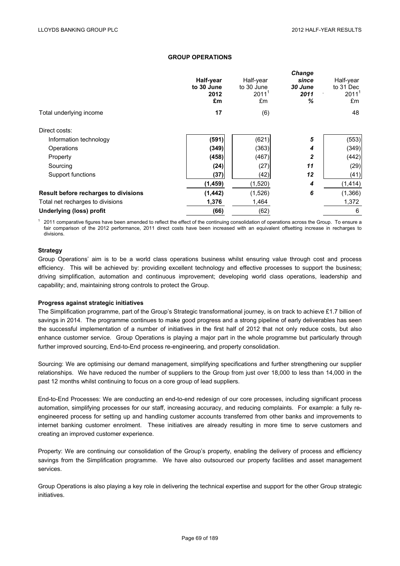## **GROUP OPERATIONS**

|                                      | Half-year<br>to 30 June<br>2012<br>£m | Half-year<br>to 30 June<br>2011 <sup>1</sup><br>£m | <b>Change</b><br>since<br>30 June<br>2011<br>℅ | Half-year<br>to 31 Dec<br>2011 <sup>1</sup><br>£m |
|--------------------------------------|---------------------------------------|----------------------------------------------------|------------------------------------------------|---------------------------------------------------|
| Total underlying income              | 17                                    | (6)                                                |                                                | 48                                                |
| Direct costs:                        |                                       |                                                    |                                                |                                                   |
| Information technology               | (591)                                 | (621)                                              | 5                                              | (553)                                             |
| Operations                           | (349)                                 | (363)                                              | 4                                              | (349)                                             |
| Property                             | (458)                                 | (467)                                              | 2                                              | (442)                                             |
| Sourcing                             | (24)                                  | (27)                                               | 11                                             | (29)                                              |
| Support functions                    | (37)                                  | (42)                                               | 12                                             | (41)                                              |
|                                      | (1, 459)                              | (1,520)                                            | 4                                              | (1, 414)                                          |
| Result before recharges to divisions | (1, 442)                              | (1,526)                                            | 6                                              | (1,366)                                           |
| Total net recharges to divisions     | 1,376                                 | 1,464                                              |                                                | 1,372                                             |
| <b>Underlying (loss) profit</b>      | (66)                                  | (62)                                               |                                                | 6                                                 |

<sup>1</sup> 2011 comparative figures have been amended to reflect the effect of the continuing consolidation of operations across the Group. To ensure a fair comparison of the 2012 performance, 2011 direct costs have been increased with an equivalent offsetting increase in recharges to divisions.

#### **Strategy**

Group Operations' aim is to be a world class operations business whilst ensuring value through cost and process efficiency. This will be achieved by: providing excellent technology and effective processes to support the business; driving simplification, automation and continuous improvement; developing world class operations, leadership and capability; and, maintaining strong controls to protect the Group.

#### **Progress against strategic initiatives**

The Simplification programme, part of the Group's Strategic transformational journey, is on track to achieve £1.7 billion of savings in 2014. The programme continues to make good progress and a strong pipeline of early deliverables has seen the successful implementation of a number of initiatives in the first half of 2012 that not only reduce costs, but also enhance customer service. Group Operations is playing a major part in the whole programme but particularly through further improved sourcing, End-to-End process re-engineering, and property consolidation.

Sourcing: We are optimising our demand management, simplifying specifications and further strengthening our supplier relationships. We have reduced the number of suppliers to the Group from just over 18,000 to less than 14,000 in the past 12 months whilst continuing to focus on a core group of lead suppliers.

End-to-End Processes: We are conducting an end-to-end redesign of our core processes, including significant process automation, simplifying processes for our staff, increasing accuracy, and reducing complaints. For example: a fully reengineered process for setting up and handling customer accounts transferred from other banks and improvements to internet banking customer enrolment. These initiatives are already resulting in more time to serve customers and creating an improved customer experience.

Property: We are continuing our consolidation of the Group's property, enabling the delivery of process and efficiency savings from the Simplification programme. We have also outsourced our property facilities and asset management services.

Group Operations is also playing a key role in delivering the technical expertise and support for the other Group strategic initiatives.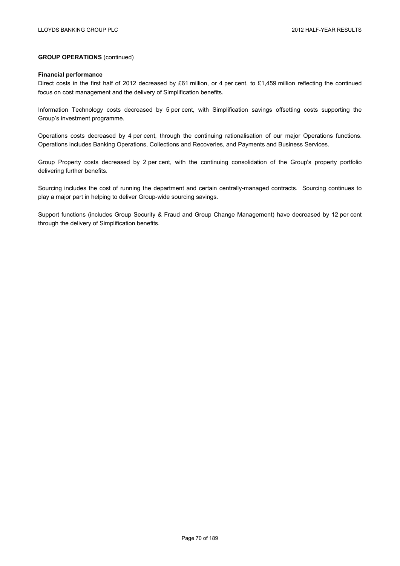### **GROUP OPERATIONS** (continued)

#### **Financial performance**

Direct costs in the first half of 2012 decreased by £61 million, or 4 per cent, to £1,459 million reflecting the continued focus on cost management and the delivery of Simplification benefits.

Information Technology costs decreased by 5 per cent, with Simplification savings offsetting costs supporting the Group's investment programme.

Operations costs decreased by 4 per cent, through the continuing rationalisation of our major Operations functions. Operations includes Banking Operations, Collections and Recoveries, and Payments and Business Services.

Group Property costs decreased by 2 per cent, with the continuing consolidation of the Group's property portfolio delivering further benefits.

Sourcing includes the cost of running the department and certain centrally-managed contracts. Sourcing continues to play a major part in helping to deliver Group-wide sourcing savings.

Support functions (includes Group Security & Fraud and Group Change Management) have decreased by 12 per cent through the delivery of Simplification benefits.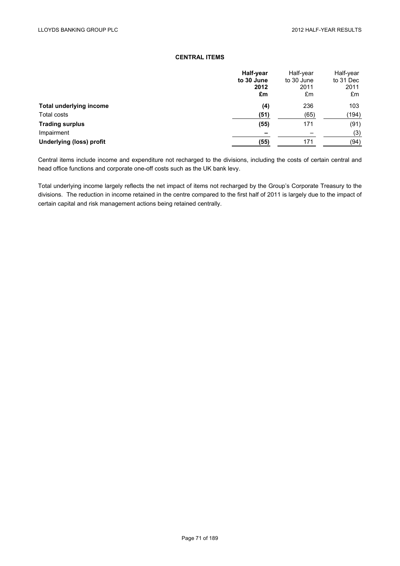### **CENTRAL ITEMS**

|                                | Half-year  | Half-year  | Half-year |
|--------------------------------|------------|------------|-----------|
|                                | to 30 June | to 30 June | to 31 Dec |
|                                | 2012       | 2011       | 2011      |
|                                | £m         | £m         | £m        |
| <b>Total underlying income</b> | (4)        | 236        | 103       |
| Total costs                    | (51)       | (65)       | (194)     |
| <b>Trading surplus</b>         | (55)       | 171        | (91)      |
| Impairment                     |            |            | (3)       |
| Underlying (loss) profit       | (55)       | 171        | (94)      |
|                                |            |            |           |

Central items include income and expenditure not recharged to the divisions, including the costs of certain central and head office functions and corporate one-off costs such as the UK bank levy.

Total underlying income largely reflects the net impact of items not recharged by the Group's Corporate Treasury to the divisions. The reduction in income retained in the centre compared to the first half of 2011 is largely due to the impact of certain capital and risk management actions being retained centrally.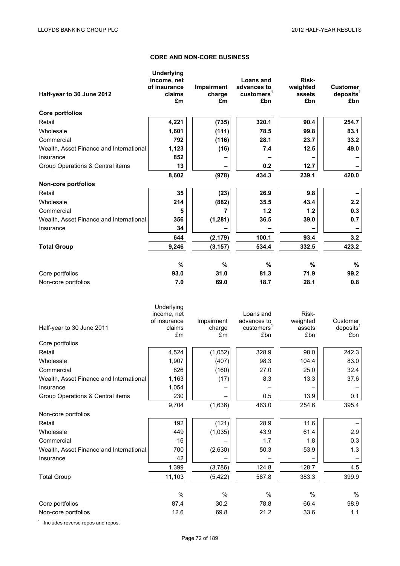## **CORE AND NON-CORE BUSINESS**

| Half-year to 30 June 2012               | <b>Underlying</b><br>income, net<br>of insurance<br>claims<br>£m | Impairment<br>charge<br>£m | Loans and<br>advances to<br>customers <sup>1</sup><br>£bn | Risk-<br>weighted<br>assets<br>£bn | <b>Customer</b><br>deposits <sup>1</sup><br>£bn |
|-----------------------------------------|------------------------------------------------------------------|----------------------------|-----------------------------------------------------------|------------------------------------|-------------------------------------------------|
| <b>Core portfolios</b>                  |                                                                  |                            |                                                           |                                    |                                                 |
| Retail                                  | 4,221                                                            | (735)                      | 320.1                                                     | 90.4                               | 254.7                                           |
| Wholesale                               | 1,601                                                            | (111)                      | 78.5                                                      | 99.8                               | 83.1                                            |
| Commercial                              | 792                                                              | (116)                      | 28.1                                                      | 23.7                               | 33.2                                            |
| Wealth, Asset Finance and International | 1,123                                                            | (16)                       | 7.4                                                       | 12.5                               | 49.0                                            |
| Insurance                               | 852                                                              |                            |                                                           |                                    |                                                 |
| Group Operations & Central items        | 13                                                               |                            | 0.2                                                       | 12.7                               |                                                 |
|                                         | 8,602                                                            | (978)                      | 434.3                                                     | 239.1                              | 420.0                                           |
| <b>Non-core portfolios</b>              |                                                                  |                            |                                                           |                                    |                                                 |
| Retail                                  | 35                                                               | (23)                       | 26.9                                                      | 9.8                                |                                                 |
| Wholesale                               | 214                                                              | (882)                      | 35.5                                                      | 43.4                               | 2.2                                             |
| Commercial                              | 5                                                                | 7                          | 1.2                                                       | 1.2                                | 0.3                                             |
| Wealth, Asset Finance and International | 356                                                              | (1, 281)                   | 36.5                                                      | 39.0                               | 0.7                                             |
| Insurance                               | 34                                                               |                            |                                                           |                                    |                                                 |
|                                         | 644                                                              | (2, 179)                   | 100.1                                                     | 93.4                               | 3.2                                             |
| <b>Total Group</b>                      | 9,246                                                            | (3, 157)                   | 534.4                                                     | 332.5                              | 423.2                                           |
|                                         | %                                                                | %                          | $\frac{9}{6}$                                             | $\frac{0}{0}$                      | %                                               |
| Core portfolios                         | 93.0                                                             | 31.0                       | 81.3                                                      | 71.9                               | 99.2                                            |
| Non-core portfolios                     | 7.0                                                              | 69.0                       | 18.7                                                      | 28.1                               | 0.8                                             |

| Half-year to 30 June 2011               | Underlying<br>income, net<br>of insurance<br>claims<br>£m | Impairment<br>charge<br>£m | Loans and<br>advances to<br>customers <sup>1</sup><br>£bn | Risk-<br>weighted<br>assets<br>£bn | Customer<br>deposits <sup>1</sup><br>£bn |
|-----------------------------------------|-----------------------------------------------------------|----------------------------|-----------------------------------------------------------|------------------------------------|------------------------------------------|
| Core portfolios                         |                                                           |                            |                                                           |                                    |                                          |
| Retail                                  | 4,524                                                     | (1,052)                    | 328.9                                                     | 98.0                               | 242.3                                    |
| Wholesale                               | 1,907                                                     | (407)                      | 98.3                                                      | 104.4                              | 83.0                                     |
| Commercial                              | 826                                                       | (160)                      | 27.0                                                      | 25.0                               | 32.4                                     |
| Wealth, Asset Finance and International | 1,163                                                     | (17)                       | 8.3                                                       | 13.3                               | 37.6                                     |
| Insurance                               | 1,054                                                     |                            |                                                           |                                    |                                          |
| Group Operations & Central items        | 230                                                       |                            | 0.5                                                       | 13.9                               | 0.1                                      |
|                                         | 9,704                                                     | (1,636)                    | 463.0                                                     | 254.6                              | 395.4                                    |
| Non-core portfolios                     |                                                           |                            |                                                           |                                    |                                          |
| Retail                                  | 192                                                       | (121)                      | 28.9                                                      | 11.6                               |                                          |
| Wholesale                               | 449                                                       | (1,035)                    | 43.9                                                      | 61.4                               | 2.9                                      |
| Commercial                              | 16                                                        |                            | 1.7                                                       | 1.8                                | 0.3                                      |
| Wealth, Asset Finance and International | 700                                                       | (2,630)                    | 50.3                                                      | 53.9                               | 1.3                                      |
| Insurance                               | 42                                                        |                            |                                                           |                                    |                                          |
|                                         | 1,399                                                     | (3,786)                    | 124.8                                                     | 128.7                              | 4.5                                      |
| <b>Total Group</b>                      | 11,103                                                    | (5, 422)                   | 587.8                                                     | 383.3                              | 399.9                                    |
|                                         |                                                           |                            |                                                           |                                    |                                          |
|                                         | $\frac{0}{0}$                                             | %                          | $\frac{0}{0}$                                             | $\%$                               | $\frac{0}{0}$                            |
| Core portfolios                         | 87.4                                                      | 30.2                       | 78.8                                                      | 66.4                               | 98.9                                     |
| Non-core portfolios                     | 12.6                                                      | 69.8                       | 21.2                                                      | 33.6                               | 1.1                                      |

<sup>1</sup> Includes reverse repos and repos.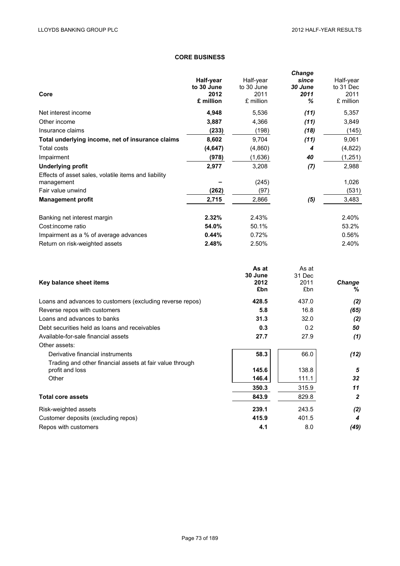## **CORE BUSINESS**

|                                                      |            |            | <b>Change</b> |           |
|------------------------------------------------------|------------|------------|---------------|-----------|
|                                                      | Half-year  | Half-year  | since         | Half-year |
|                                                      | to 30 June | to 30 June | 30 June       | to 31 Dec |
| Core                                                 | 2012       | 2011       | 2011          | 2011      |
|                                                      | £ million  | £ million  | ℅             | £ million |
| Net interest income                                  | 4,948      | 5,536      | (11)          | 5,357     |
| Other income                                         | 3,887      | 4,366      | (11)          | 3,849     |
| Insurance claims                                     | (233)      | (198)      | (18)          | (145)     |
| Total underlying income, net of insurance claims     | 8,602      | 9,704      | (11)          | 9,061     |
| Total costs                                          | (4, 647)   | (4,860)    | 4             | (4,822)   |
| Impairment                                           | (978)      | (1,636)    | 40            | (1,251)   |
| <b>Underlying profit</b>                             | 2,977      | 3,208      | (7)           | 2,988     |
| Effects of asset sales, volatile items and liability |            |            |               |           |
| management                                           |            | (245)      |               | 1,026     |
| Fair value unwind                                    | (262)      | (97)       |               | (531)     |
| <b>Management profit</b>                             | 2,715      | 2,866      | (5)           | 3,483     |
| Banking net interest margin                          | 2.32%      | 2.43%      |               | 2.40%     |
| Cost:income ratio                                    | 54.0%      | 50.1%      |               | 53.2%     |
| Impairment as a % of average advances                | 0.44%      | 0.72%      |               | 0.56%     |
| Return on risk-weighted assets                       | 2.48%      | 2.50%      |               | 2.40%     |

|                                                           | As at<br>30 June | As at<br>31 Dec |               |
|-----------------------------------------------------------|------------------|-----------------|---------------|
| Key balance sheet items                                   | 2012             | 2011            | <b>Change</b> |
|                                                           | £bn              | £bn             | %             |
| Loans and advances to customers (excluding reverse repos) | 428.5            | 437.0           | (2)           |
| Reverse repos with customers                              | 5.8              | 16.8            | (65)          |
| Loans and advances to banks                               | 31.3             | 32.0            | (2)           |
| Debt securities held as loans and receivables             | 0.3              | 0.2             | 50            |
| Available-for-sale financial assets                       | 27.7             | 27.9            | (1)           |
| Other assets:                                             |                  |                 |               |
| Derivative financial instruments                          | 58.3             | 66.0            | (12)          |
| Trading and other financial assets at fair value through  |                  |                 |               |
| profit and loss                                           | 145.6            | 138.8           | 5             |
| Other                                                     | 146.4            | 111.1           | 32            |
|                                                           | 350.3            | 315.9           | 11            |
| <b>Total core assets</b>                                  | 843.9            | 829.8           | 2             |
| Risk-weighted assets                                      | 239.1            | 243.5           | (2)           |
| Customer deposits (excluding repos)                       | 415.9            | 401.5           | 4             |
| Repos with customers                                      | 4.1              | 8.0             | (49)          |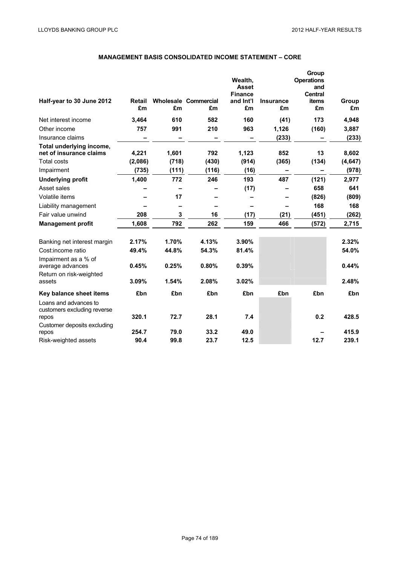## **MANAGEMENT BASIS CONSOLIDATED INCOME STATEMENT – CORE**

| Half-year to 30 June 2012                                                       | Retail<br>£m | £m    | <b>Wholesale Commercial</b><br>£m | Wealth,<br><b>Asset</b><br><b>Finance</b><br>and Int'l<br>£m | <b>Insurance</b><br>£m | Group<br><b>Operations</b><br>and<br>Central<br>items<br>£m | Group<br>£m |
|---------------------------------------------------------------------------------|--------------|-------|-----------------------------------|--------------------------------------------------------------|------------------------|-------------------------------------------------------------|-------------|
| Net interest income                                                             | 3,464        | 610   | 582                               | 160                                                          | (41)                   | 173                                                         | 4,948       |
| Other income                                                                    | 757          | 991   | 210                               | 963                                                          | 1,126                  | (160)                                                       | 3,887       |
| Insurance claims                                                                |              |       |                                   |                                                              | (233)                  |                                                             | (233)       |
| Total underlying income,<br>net of insurance claims                             | 4,221        | 1,601 | 792                               | 1,123                                                        | 852                    | 13                                                          | 8,602       |
| <b>Total costs</b>                                                              | (2,086)      | (718) | (430)                             | (914)                                                        | (365)                  | (134)                                                       | (4, 647)    |
| Impairment                                                                      | (735)        | (111) | (116)                             | (16)                                                         |                        |                                                             | (978)       |
| <b>Underlying profit</b>                                                        | 1,400        | 772   | 246                               | 193                                                          | 487                    | (121)                                                       | 2,977       |
| Asset sales                                                                     |              |       |                                   | (17)                                                         |                        | 658                                                         | 641         |
| Volatile items                                                                  |              | 17    |                                   |                                                              |                        | (826)                                                       | (809)       |
| Liability management                                                            |              |       |                                   |                                                              |                        | 168                                                         | 168         |
| Fair value unwind                                                               | 208          | 3     | 16                                | (17)                                                         | (21)                   | (451)                                                       | (262)       |
| <b>Management profit</b>                                                        | 1,608        | 792   | 262                               | 159                                                          | 466                    | (572)                                                       | 2,715       |
| Banking net interest margin                                                     | 2.17%        | 1.70% | 4.13%                             | 3.90%                                                        |                        |                                                             | 2.32%       |
| Cost:income ratio                                                               | 49.4%        | 44.8% | 54.3%                             | 81.4%                                                        |                        |                                                             | 54.0%       |
| Impairment as a % of<br>average advances<br>Return on risk-weighted             | 0.45%        | 0.25% | 0.80%                             | 0.39%                                                        |                        |                                                             | 0.44%       |
| assets                                                                          | 3.09%        | 1.54% | 2.08%                             | 3.02%                                                        |                        |                                                             | 2.48%       |
| Key balance sheet items<br>Loans and advances to<br>customers excluding reverse | £bn          | £bn   | £bn                               | £bn                                                          | £bn                    | £bn                                                         | £bn         |
| repos                                                                           | 320.1        | 72.7  | 28.1                              | 7.4                                                          |                        | 0.2                                                         | 428.5       |
| Customer deposits excluding<br>repos                                            | 254.7        | 79.0  | 33.2                              | 49.0                                                         |                        |                                                             | 415.9       |
| Risk-weighted assets                                                            | 90.4         | 99.8  | 23.7                              | 12.5                                                         |                        | 12.7                                                        | 239.1       |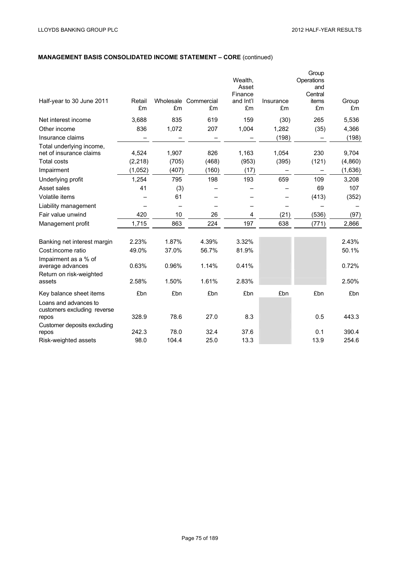## **MANAGEMENT BASIS CONSOLIDATED INCOME STATEMENT – CORE** (continued)

| Half-year to 30 June 2011                                                 | Retail<br>£m      | £m             | Wholesale Commercial<br>£m | Wealth,<br>Asset<br>Finance<br>and Int'l<br>£m | Insurance<br>£m | Group<br>Operations<br>and<br>Central<br>items<br>£m | Group<br>£m      |
|---------------------------------------------------------------------------|-------------------|----------------|----------------------------|------------------------------------------------|-----------------|------------------------------------------------------|------------------|
| Net interest income                                                       | 3,688             | 835            | 619                        | 159                                            | (30)            | 265                                                  | 5,536            |
| Other income                                                              | 836               | 1,072          | 207                        | 1,004                                          | 1,282           | (35)                                                 | 4,366            |
| Insurance claims                                                          |                   |                |                            |                                                | (198)           |                                                      | (198)            |
| Total underlying income,<br>net of insurance claims<br><b>Total costs</b> | 4,524<br>(2, 218) | 1,907<br>(705) | 826<br>(468)               | 1.163<br>(953)                                 | 1.054<br>(395)  | 230<br>(121)                                         | 9,704<br>(4,860) |
| Impairment                                                                | (1,052)           | (407)          | (160)                      | (17)                                           |                 |                                                      | (1,636)          |
| Underlying profit                                                         | 1,254             | 795            | 198                        | 193                                            | 659             | 109                                                  | 3,208            |
| Asset sales                                                               | 41                | (3)            |                            |                                                |                 | 69                                                   | 107              |
| Volatile items                                                            |                   | 61             |                            |                                                |                 | (413)                                                | (352)            |
| Liability management                                                      |                   |                |                            |                                                |                 |                                                      |                  |
| Fair value unwind                                                         | 420               | 10             | 26                         | 4                                              | (21)            | (536)                                                | (97)             |
| Management profit                                                         | 1,715             | 863            | 224                        | 197                                            | 638             | (771)                                                | 2,866            |
| Banking net interest margin                                               | 2.23%             | 1.87%          | 4.39%                      | 3.32%                                          |                 |                                                      | 2.43%            |
| Cost:income ratio                                                         | 49.0%             | 37.0%          | 56.7%                      | 81.9%                                          |                 |                                                      | 50.1%            |
| Impairment as a % of<br>average advances<br>Return on risk-weighted       | 0.63%             | 0.96%          | 1.14%                      | 0.41%                                          |                 |                                                      | 0.72%            |
| assets                                                                    | 2.58%             | 1.50%          | 1.61%                      | 2.83%                                          |                 |                                                      | 2.50%            |
| Key balance sheet items                                                   | £bn               | £bn            | £bn                        | £bn                                            | £bn             | £bn                                                  | £bn              |
| Loans and advances to<br>customers excluding reverse<br>repos             | 328.9             | 78.6           | 27.0                       | 8.3                                            |                 | 0.5                                                  | 443.3            |
| Customer deposits excluding                                               |                   |                |                            |                                                |                 |                                                      |                  |
| repos                                                                     | 242.3             | 78.0           | 32.4                       | 37.6                                           |                 | 0.1                                                  | 390.4            |
| Risk-weighted assets                                                      | 98.0              | 104.4          | 25.0                       | 13.3                                           |                 | 13.9                                                 | 254.6            |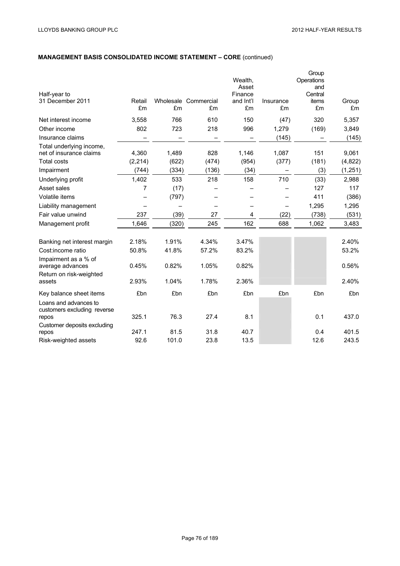## **MANAGEMENT BASIS CONSOLIDATED INCOME STATEMENT – CORE** (continued)

| Half-year to<br>31 December 2011                     | Retail<br>£m | £m    | Wholesale Commercial<br>£m | Wealth,<br>Asset<br>Finance<br>and Int'l<br>£m | Insurance<br>£m | Group<br>Operations<br>and<br>Central<br>items<br>£m | Group<br>£m |
|------------------------------------------------------|--------------|-------|----------------------------|------------------------------------------------|-----------------|------------------------------------------------------|-------------|
| Net interest income                                  | 3,558        | 766   | 610                        | 150                                            | (47)            | 320                                                  | 5,357       |
| Other income                                         | 802          | 723   | 218                        | 996                                            | 1,279           | (169)                                                | 3,849       |
| Insurance claims                                     |              |       |                            |                                                | (145)           |                                                      | (145)       |
| Total underlying income,<br>net of insurance claims  | 4,360        | 1,489 | 828                        | 1,146                                          | 1,087           | 151                                                  | 9,061       |
| <b>Total costs</b>                                   | (2, 214)     | (622) | (474)                      | (954)                                          | (377)           | (181)                                                | (4,822)     |
| Impairment                                           | (744)        | (334) | (136)                      | (34)                                           |                 | (3)                                                  | (1, 251)    |
| Underlying profit                                    | 1,402        | 533   | 218                        | 158                                            | 710             | (33)                                                 | 2,988       |
| Asset sales                                          | 7            | (17)  |                            |                                                |                 | 127                                                  | 117         |
| Volatile items                                       |              | (797) |                            |                                                |                 | 411                                                  | (386)       |
| Liability management                                 |              |       |                            |                                                |                 | 1,295                                                | 1,295       |
| Fair value unwind                                    | 237          | (39)  | 27                         | 4                                              | (22)            | (738)                                                | (531)       |
|                                                      | 1.646        |       | 245                        | 162                                            | 688             |                                                      |             |
| Management profit                                    |              | (320) |                            |                                                |                 | 1,062                                                | 3,483       |
| Banking net interest margin                          | 2.18%        | 1.91% | 4.34%                      | 3.47%                                          |                 |                                                      | 2.40%       |
| Cost:income ratio                                    | 50.8%        | 41.8% | 57.2%                      | 83.2%                                          |                 |                                                      | 53.2%       |
| Impairment as a % of                                 |              |       |                            |                                                |                 |                                                      |             |
| average advances                                     | 0.45%        | 0.82% | 1.05%                      | 0.82%                                          |                 |                                                      | 0.56%       |
| Return on risk-weighted<br>assets                    | 2.93%        | 1.04% | 1.78%                      | 2.36%                                          |                 |                                                      | 2.40%       |
| Key balance sheet items                              | £bn          | £bn   | £bn                        | £bn                                            | £bn             | £bn                                                  | £bn         |
| Loans and advances to<br>customers excluding reverse |              |       |                            |                                                |                 |                                                      |             |
| repos                                                | 325.1        | 76.3  | 27.4                       | 8.1                                            |                 | 0.1                                                  | 437.0       |
| Customer deposits excluding                          | 247.1        | 81.5  | 31.8                       | 40.7                                           |                 | 0.4                                                  | 401.5       |
| repos<br>Risk-weighted assets                        | 92.6         | 101.0 | 23.8                       | 13.5                                           |                 | 12.6                                                 | 243.5       |
|                                                      |              |       |                            |                                                |                 |                                                      |             |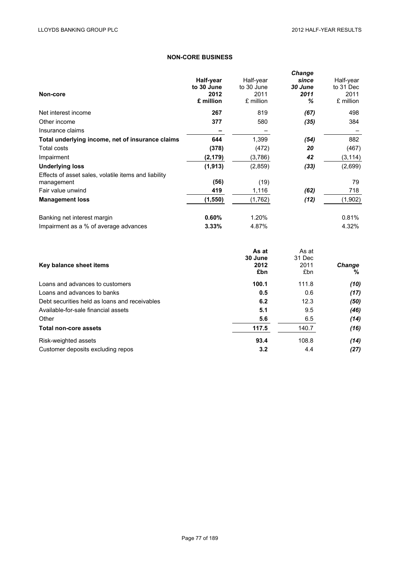## **NON-CORE BUSINESS**

| Non-core                                             | Half-year<br>to 30 June<br>2012<br>£ million | Half-year<br>to 30 June<br>2011<br>£ million | <b>Change</b><br>since<br>30 June<br>2011<br>℅ | Half-year<br>to 31 Dec<br>2011<br>£ million |
|------------------------------------------------------|----------------------------------------------|----------------------------------------------|------------------------------------------------|---------------------------------------------|
| Net interest income                                  | 267                                          | 819                                          | (67)                                           | 498                                         |
| Other income                                         | 377                                          | 580                                          | (35)                                           | 384                                         |
| Insurance claims                                     |                                              |                                              |                                                |                                             |
| Total underlying income, net of insurance claims     | 644                                          | 1,399                                        | (54)                                           | 882                                         |
| Total costs                                          | (378)                                        | (472)                                        | 20                                             | (467)                                       |
| Impairment                                           | (2, 179)                                     | (3,786)                                      | 42                                             | (3, 114)                                    |
| <b>Underlying loss</b>                               | (1, 913)                                     | (2,859)                                      | (33)                                           | (2,699)                                     |
| Effects of asset sales, volatile items and liability |                                              |                                              |                                                |                                             |
| management                                           | (56)                                         | (19)                                         |                                                | 79                                          |
| Fair value unwind                                    | 419                                          | 1,116                                        | (62)                                           | 718                                         |
| <b>Management loss</b>                               | (1, 550)                                     | (1,762)                                      | (12)                                           | (1,902)                                     |
| Banking net interest margin                          | 0.60%                                        | 1.20%                                        |                                                | 0.81%                                       |
| Impairment as a % of average advances                | 3.33%                                        | 4.87%                                        |                                                | 4.32%                                       |

|                                               | As at   | As at  |               |
|-----------------------------------------------|---------|--------|---------------|
|                                               | 30 June | 31 Dec |               |
| Key balance sheet items                       | 2012    | 2011   | <b>Change</b> |
|                                               | £bn     | £bn    | %             |
| Loans and advances to customers               | 100.1   | 111.8  | (10)          |
| Loans and advances to banks                   | 0.5     | 0.6    | (17)          |
| Debt securities held as loans and receivables | 6.2     | 12.3   | (50)          |
| Available-for-sale financial assets           | 5.1     | 9.5    | (46)          |
| Other                                         | 5.6     | 6.5    | (14)          |
| Total non-core assets                         | 117.5   | 140.7  | (16)          |
| Risk-weighted assets                          | 93.4    | 108.8  | (14)          |
| Customer deposits excluding repos             | 3.2     | 4.4    | (27)          |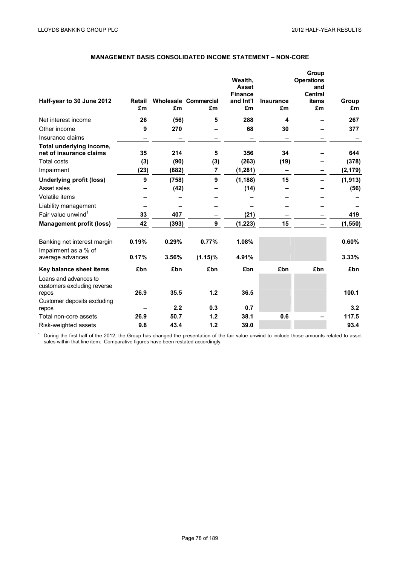## **MANAGEMENT BASIS CONSOLIDATED INCOME STATEMENT – NON-CORE**

|                                                               |              |       |                                   |                 |                        | Group             |             |
|---------------------------------------------------------------|--------------|-------|-----------------------------------|-----------------|------------------------|-------------------|-------------|
|                                                               |              |       |                                   | Wealth,         |                        | <b>Operations</b> |             |
|                                                               |              |       |                                   | <b>Asset</b>    |                        | and               |             |
|                                                               |              |       |                                   | <b>Finance</b>  |                        | <b>Central</b>    |             |
| Half-year to 30 June 2012                                     | Retail<br>£m | £m    | <b>Wholesale Commercial</b><br>£m | and Int'l<br>£m | <b>Insurance</b><br>£m | items<br>£m       | Group<br>£m |
|                                                               |              |       |                                   |                 |                        |                   |             |
| Net interest income                                           | 26           | (56)  | 5                                 | 288             | 4                      |                   | 267         |
| Other income                                                  | 9            | 270   |                                   | 68              | 30                     |                   | 377         |
| Insurance claims                                              |              |       |                                   |                 |                        |                   |             |
| Total underlying income,<br>net of insurance claims           | 35           | 214   | 5                                 | 356             | 34                     |                   | 644         |
| <b>Total costs</b>                                            | (3)          | (90)  | (3)                               | (263)           | (19)                   |                   | (378)       |
| Impairment                                                    | (23)         | (882) | 7                                 | (1, 281)        | -                      |                   | (2, 179)    |
| <b>Underlying profit (loss)</b>                               | 9            | (758) | 9                                 | (1, 188)        | 15                     |                   | (1, 913)    |
| Asset sales <sup>1</sup>                                      |              | (42)  |                                   | (14)            |                        |                   | (56)        |
| Volatile items                                                |              |       |                                   |                 |                        |                   |             |
| Liability management                                          |              |       |                                   |                 |                        |                   |             |
| Fair value unwind <sup>1</sup>                                | 33           | 407   |                                   | (21)            |                        |                   | 419         |
| <b>Management profit (loss)</b>                               | 42           | (393) | 9                                 | (1, 223)        | 15                     |                   | (1, 550)    |
| Banking net interest margin<br>Impairment as a % of           | 0.19%        | 0.29% | 0.77%                             | 1.08%           |                        |                   | 0.60%       |
| average advances                                              | 0.17%        | 3.56% | $(1.15)\%$                        | 4.91%           |                        |                   | 3.33%       |
| Key balance sheet items                                       | £bn          | £bn   | £bn                               | £bn             | £bn                    | £bn               | £bn         |
| Loans and advances to<br>customers excluding reverse<br>repos | 26.9         | 35.5  | 1.2                               | 36.5            |                        |                   | 100.1       |
| Customer deposits excluding                                   |              |       |                                   |                 |                        |                   |             |
| repos                                                         |              | 2.2   | 0.3                               | 0.7             |                        |                   | 3.2         |
| Total non-core assets                                         | 26.9         | 50.7  | 1.2                               | 38.1            | 0.6                    |                   | 117.5       |
| Risk-weighted assets                                          | 9.8          | 43.4  | 1.2                               | 39.0            |                        |                   | 93.4        |

 $1$  During the first half of the 2012, the Group has changed the presentation of the fair value unwind to include those amounts related to asset sales within that line item. Comparative figures have been restated accordingly.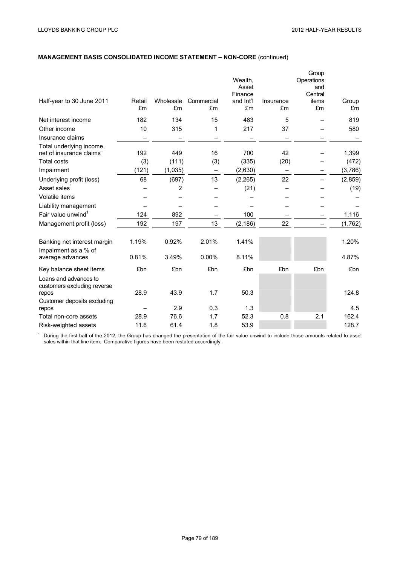# **MANAGEMENT BASIS CONSOLIDATED INCOME STATEMENT – NON-CORE** (continued)

|                                                               |              |                 |                  | Wealth,<br>Asset<br>Finance |                 | Group<br>Operations<br>and<br>Central |             |
|---------------------------------------------------------------|--------------|-----------------|------------------|-----------------------------|-----------------|---------------------------------------|-------------|
| Half-year to 30 June 2011                                     | Retail<br>£m | Wholesale<br>£m | Commercial<br>£m | and Int'l<br>£m             | Insurance<br>£m | items<br>£m                           | Group<br>£m |
| Net interest income                                           | 182          | 134             | 15               | 483                         | 5               |                                       | 819         |
| Other income                                                  | 10           | 315             | 1                | 217                         | 37              |                                       | 580         |
| Insurance claims                                              |              |                 |                  |                             |                 |                                       |             |
| Total underlying income,                                      |              |                 |                  |                             |                 |                                       |             |
| net of insurance claims                                       | 192          | 449             | 16               | 700                         | 42              |                                       | 1,399       |
| <b>Total costs</b>                                            | (3)          | (111)           | (3)              | (335)                       | (20)            |                                       | (472)       |
| Impairment                                                    | (121)        | (1,035)         | -                | (2,630)                     |                 |                                       | (3,786)     |
| Underlying profit (loss)                                      | 68           | (697)           | 13               | (2, 265)                    | 22              |                                       | (2,859)     |
| Asset sales <sup>1</sup>                                      |              | 2               |                  | (21)                        |                 |                                       | (19)        |
| Volatile items                                                |              |                 |                  |                             |                 |                                       |             |
| Liability management                                          |              |                 |                  |                             |                 |                                       |             |
| Fair value unwind <sup>1</sup>                                | 124          | 892             |                  | 100                         |                 |                                       | 1,116       |
| Management profit (loss)                                      | 192          | 197             | 13               | (2, 186)                    | 22              |                                       | (1,762)     |
| Banking net interest margin<br>Impairment as a % of           | 1.19%        | 0.92%           | 2.01%            | 1.41%                       |                 |                                       | 1.20%       |
| average advances                                              | 0.81%        | 3.49%           | 0.00%            | 8.11%                       |                 |                                       | 4.87%       |
| Key balance sheet items                                       | £bn          | £bn             | £bn              | £bn                         | £bn             | £bn                                   | £bn         |
| Loans and advances to<br>customers excluding reverse<br>repos | 28.9         | 43.9            | 1.7              | 50.3                        |                 |                                       | 124.8       |
| Customer deposits excluding                                   |              | 2.9             | 0.3              |                             |                 |                                       | 4.5         |
| repos<br>Total non-core assets                                | 28.9         | 76.6            | 1.7              | 1.3<br>52.3                 | 0.8             | 2.1                                   | 162.4       |
|                                                               |              |                 |                  |                             |                 |                                       |             |
| Risk-weighted assets                                          | 11.6         | 61.4            | 1.8              | 53.9                        |                 |                                       | 128.7       |

 $1$  During the first half of the 2012, the Group has changed the presentation of the fair value unwind to include those amounts related to asset sales within that line item. Comparative figures have been restated accordingly.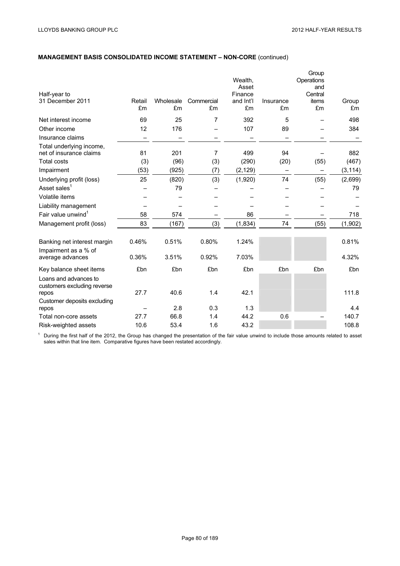# **MANAGEMENT BASIS CONSOLIDATED INCOME STATEMENT – NON-CORE** (continued)

| Half-year to                                                  |        |           |            | Wealth,<br>Asset<br>Finance |           | Group<br>Operations<br>and<br>Central |          |
|---------------------------------------------------------------|--------|-----------|------------|-----------------------------|-----------|---------------------------------------|----------|
| 31 December 2011                                              | Retail | Wholesale | Commercial | and Int'l                   | Insurance | items                                 | Group    |
|                                                               | £m     | £m        | £m         | £m                          | £m        | £m                                    | £m       |
| Net interest income                                           | 69     | 25        | 7          | 392                         | 5         |                                       | 498      |
| Other income                                                  | 12     | 176       |            | 107                         | 89        |                                       | 384      |
| Insurance claims                                              |        |           |            |                             |           |                                       |          |
| Total underlying income,<br>net of insurance claims           | 81     | 201       | 7          | 499                         | 94        |                                       | 882      |
| <b>Total costs</b>                                            | (3)    | (96)      | (3)        | (290)                       | (20)      | (55)                                  | (467)    |
| Impairment                                                    | (53)   | (925)     | (7)        | (2, 129)                    | -         |                                       | (3, 114) |
| Underlying profit (loss)                                      | 25     | (820)     | (3)        | (1,920)                     | 74        | (55)                                  | (2,699)  |
| Asset sales <sup>1</sup>                                      |        | 79        |            |                             |           |                                       | 79       |
| Volatile items                                                |        |           |            |                             |           |                                       |          |
| Liability management                                          |        |           |            |                             |           |                                       |          |
| Fair value unwind <sup>1</sup>                                | 58     | 574       |            | 86                          |           |                                       | 718      |
| Management profit (loss)                                      | 83     | (167)     | (3)        | (1, 834)                    | 74        | (55)                                  | (1,902)  |
| Banking net interest margin<br>Impairment as a % of           | 0.46%  | 0.51%     | 0.80%      | 1.24%                       |           |                                       | 0.81%    |
| average advances                                              | 0.36%  | 3.51%     | 0.92%      | 7.03%                       |           |                                       | 4.32%    |
| Key balance sheet items                                       | £bn    | £bn       | £bn        | £bn                         | £bn       | £bn                                   | £bn      |
| Loans and advances to<br>customers excluding reverse<br>repos | 27.7   | 40.6      | 1.4        | 42.1                        |           |                                       | 111.8    |
| Customer deposits excluding                                   |        | 2.8       | 0.3        | 1.3                         |           |                                       | 4.4      |
| repos<br>Total non-core assets                                | 27.7   | 66.8      | 1.4        | 44.2                        | 0.6       |                                       | 140.7    |
| Risk-weighted assets                                          | 10.6   | 53.4      | 1.6        | 43.2                        |           |                                       | 108.8    |
|                                                               |        |           |            |                             |           |                                       |          |

 $1$  During the first half of the 2012, the Group has changed the presentation of the fair value unwind to include those amounts related to asset sales within that line item. Comparative figures have been restated accordingly.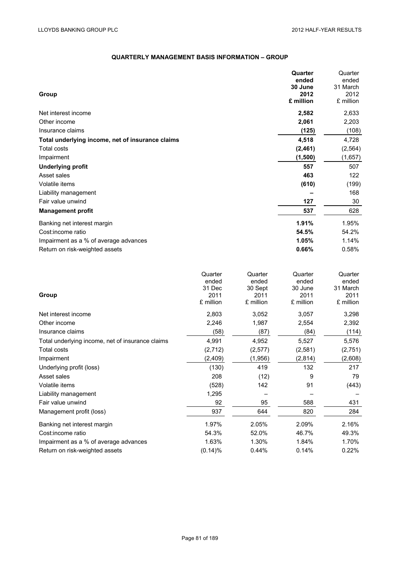## **QUARTERLY MANAGEMENT BASIS INFORMATION – GROUP**

|                                                  | Quarter   | Quarter   |
|--------------------------------------------------|-----------|-----------|
|                                                  | ended     | ended     |
|                                                  | 30 June   | 31 March  |
| Group                                            | 2012      | 2012      |
|                                                  | £ million | £ million |
| Net interest income                              | 2,582     | 2,633     |
| Other income                                     | 2,061     | 2,203     |
| Insurance claims                                 | (125)     | (108)     |
| Total underlying income, net of insurance claims | 4,518     | 4,728     |
| Total costs                                      | (2, 461)  | (2, 564)  |
| Impairment                                       | (1,500)   | (1,657)   |
| <b>Underlying profit</b>                         | 557       | 507       |
| Asset sales                                      | 463       | 122       |
| Volatile items                                   | (610)     | (199)     |
| Liability management                             |           | 168       |
| Fair value unwind                                | 127       | 30        |
| <b>Management profit</b>                         | 537       | 628       |
| Banking net interest margin                      | 1.91%     | 1.95%     |
| Cost:income ratio                                | 54.5%     | 54.2%     |
| Impairment as a % of average advances            | 1.05%     | 1.14%     |
| Return on risk-weighted assets                   | 0.66%     | 0.58%     |

|                                                  | Quarter   | Quarter   | Quarter   | Quarter   |
|--------------------------------------------------|-----------|-----------|-----------|-----------|
|                                                  | ended     | ended     | ended     | ended     |
|                                                  | 31 Dec    | 30 Sept   | 30 June   | 31 March  |
| Group                                            | 2011      | 2011      | 2011      | 2011      |
|                                                  | £ million | £ million | £ million | £ million |
| Net interest income                              | 2,803     | 3,052     | 3,057     | 3,298     |
| Other income                                     | 2,246     | 1,987     | 2,554     | 2,392     |
| Insurance claims                                 | (58)      | (87)      | (84)      | (114)     |
| Total underlying income, net of insurance claims | 4,991     | 4,952     | 5,527     | 5,576     |
| Total costs                                      | (2,712)   | (2,577)   | (2,581)   | (2,751)   |
| Impairment                                       | (2, 409)  | (1,956)   | (2,814)   | (2,608)   |
| Underlying profit (loss)                         | (130)     | 419       | 132       | 217       |
| Asset sales                                      | 208       | (12)      | 9         | 79        |
| Volatile items                                   | (528)     | 142       | 91        | (443)     |
| Liability management                             | 1,295     |           |           |           |
| Fair value unwind                                | 92        | 95        | 588       | 431       |
| Management profit (loss)                         | 937       | 644       | 820       | 284       |
| Banking net interest margin                      | 1.97%     | 2.05%     | 2.09%     | 2.16%     |
| Cost:income ratio                                | 54.3%     | 52.0%     | 46.7%     | 49.3%     |
| Impairment as a % of average advances            | 1.63%     | 1.30%     | 1.84%     | 1.70%     |
| Return on risk-weighted assets                   | (0.14)%   | 0.44%     | 0.14%     | 0.22%     |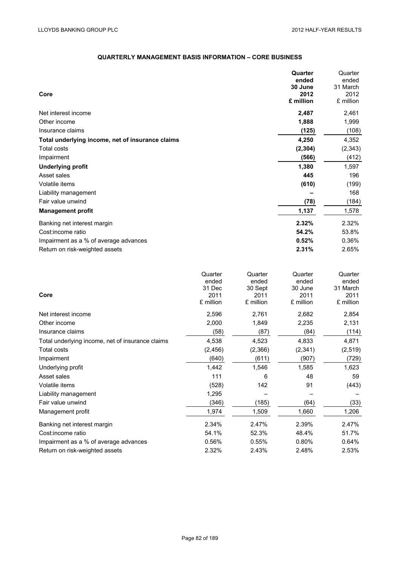## **QUARTERLY MANAGEMENT BASIS INFORMATION – CORE BUSINESS**

|                                                  | Quarter   | Quarter   |
|--------------------------------------------------|-----------|-----------|
|                                                  | ended     | ended     |
|                                                  | 30 June   | 31 March  |
| Core                                             | 2012      | 2012      |
|                                                  | £ million | £ million |
| Net interest income                              | 2,487     | 2,461     |
| Other income                                     | 1,888     | 1,999     |
| Insurance claims                                 | (125)     | (108)     |
| Total underlying income, net of insurance claims | 4,250     | 4,352     |
| Total costs                                      | (2, 304)  | (2, 343)  |
| Impairment                                       | (566)     | (412)     |
| <b>Underlying profit</b>                         | 1,380     | 1,597     |
| Asset sales                                      | 445       | 196       |
| Volatile items                                   | (610)     | (199)     |
| Liability management                             |           | 168       |
| Fair value unwind                                | (78)      | (184)     |
| <b>Management profit</b>                         | 1,137     | 1,578     |
| Banking net interest margin                      | 2.32%     | 2.32%     |
| Cost:income ratio                                | 54.2%     | 53.8%     |
| Impairment as a % of average advances            | 0.52%     | 0.36%     |
| Return on risk-weighted assets                   | 2.31%     | 2.65%     |

|                                                  | Quarter   | Quarter   | Quarter   | Quarter   |
|--------------------------------------------------|-----------|-----------|-----------|-----------|
|                                                  | ended     | ended     | ended     | ended     |
|                                                  | 31 Dec    | 30 Sept   | 30 June   | 31 March  |
| Core                                             | 2011      | 2011      | 2011      | 2011      |
|                                                  | £ million | £ million | £ million | £ million |
| Net interest income                              | 2,596     | 2,761     | 2,682     | 2,854     |
| Other income                                     | 2,000     | 1,849     | 2,235     | 2,131     |
| Insurance claims                                 | (58)      | (87)      | (84)      | (114)     |
| Total underlying income, net of insurance claims | 4,538     | 4,523     | 4,833     | 4,871     |
| Total costs                                      | (2, 456)  | (2,366)   | (2, 341)  | (2, 519)  |
| Impairment                                       | (640)     | (611)     | (907)     | (729)     |
| Underlying profit                                | 1,442     | 1,546     | 1,585     | 1,623     |
| Asset sales                                      | 111       | 6         | 48        | 59        |
| Volatile items                                   | (528)     | 142       | 91        | (443)     |
| Liability management                             | 1,295     |           |           |           |
| Fair value unwind                                | (346)     | (185)     | (64)      | (33)      |
| Management profit                                | 1,974     | 1,509     | 1,660     | 1,206     |
| Banking net interest margin                      | 2.34%     | 2.47%     | 2.39%     | 2.47%     |
| Cost: income ratio                               | 54.1%     | 52.3%     | 48.4%     | 51.7%     |
| Impairment as a % of average advances            | 0.56%     | 0.55%     | 0.80%     | 0.64%     |
| Return on risk-weighted assets                   | 2.32%     | 2.43%     | 2.48%     | 2.53%     |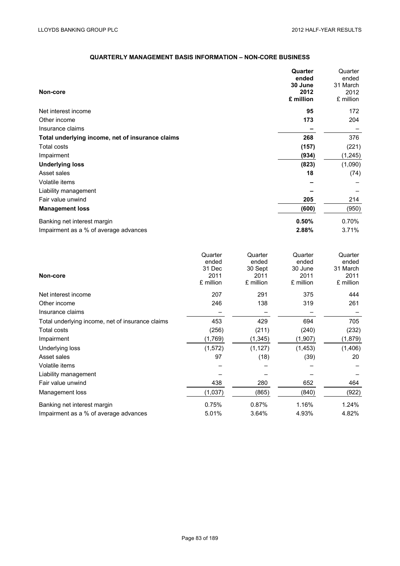## **QUARTERLY MANAGEMENT BASIS INFORMATION – NON-CORE BUSINESS**

| Non-core                                         |         |         | Quarter<br>ended<br>30 June<br>2012<br>£ million | Quarter<br>ended<br>31 March<br>2012<br>£ million |
|--------------------------------------------------|---------|---------|--------------------------------------------------|---------------------------------------------------|
| Net interest income                              |         |         | 95                                               | 172                                               |
| Other income                                     |         |         | 173                                              | 204                                               |
| Insurance claims                                 |         |         |                                                  |                                                   |
| Total underlying income, net of insurance claims |         |         | 268                                              | 376                                               |
| Total costs                                      |         |         | (157)                                            | (221)                                             |
| Impairment                                       |         |         | (934)                                            | (1, 245)                                          |
| <b>Underlying loss</b>                           |         |         | (823)                                            | (1,090)                                           |
| Asset sales                                      |         |         | 18                                               | (74)                                              |
| Volatile items                                   |         |         |                                                  |                                                   |
| Liability management                             |         |         |                                                  |                                                   |
| Fair value unwind                                |         |         | 205                                              | 214                                               |
| <b>Management loss</b>                           |         |         | (600)                                            | (950)                                             |
| Banking net interest margin                      |         |         | 0.50%                                            | 0.70%                                             |
| Impairment as a % of average advances            |         |         | 2.88%                                            | 3.71%                                             |
|                                                  | Quarter | Quarter | Quarter                                          | Quarter                                           |

|                                                  | ended     | ended     | ended     | ended     |
|--------------------------------------------------|-----------|-----------|-----------|-----------|
|                                                  | 31 Dec    | 30 Sept   | 30 June   | 31 March  |
| Non-core                                         | 2011      | 2011      | 2011      | 2011      |
|                                                  | £ million | £ million | £ million | £ million |
| Net interest income                              | 207       | 291       | 375       | 444       |
| Other income                                     | 246       | 138       | 319       | 261       |
| Insurance claims                                 |           |           |           |           |
| Total underlying income, net of insurance claims | 453       | 429       | 694       | 705       |
| Total costs                                      | (256)     | (211)     | (240)     | (232)     |
| Impairment                                       | (1,769)   | (1, 345)  | (1,907)   | (1,879)   |
| Underlying loss                                  | (1, 572)  | (1, 127)  | (1, 453)  | (1,406)   |
| Asset sales                                      | 97        | (18)      | (39)      | 20        |
| Volatile items                                   |           |           |           |           |
| Liability management                             |           |           |           |           |
| Fair value unwind                                | 438       | 280       | 652       | 464       |
| Management loss                                  | (1,037)   | (865)     | (840)     | (922)     |
| Banking net interest margin                      | 0.75%     | 0.87%     | 1.16%     | 1.24%     |
| Impairment as a % of average advances            | 5.01%     | 3.64%     | 4.93%     | 4.82%     |
|                                                  |           |           |           |           |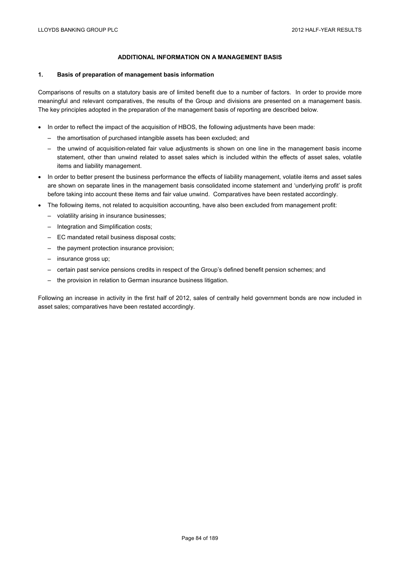### **ADDITIONAL INFORMATION ON A MANAGEMENT BASIS**

#### **1. Basis of preparation of management basis information**

Comparisons of results on a statutory basis are of limited benefit due to a number of factors. In order to provide more meaningful and relevant comparatives, the results of the Group and divisions are presented on a management basis. The key principles adopted in the preparation of the management basis of reporting are described below.

- In order to reflect the impact of the acquisition of HBOS, the following adjustments have been made:
	- the amortisation of purchased intangible assets has been excluded; and
	- the unwind of acquisition-related fair value adjustments is shown on one line in the management basis income statement, other than unwind related to asset sales which is included within the effects of asset sales, volatile items and liability management.
- In order to better present the business performance the effects of liability management, volatile items and asset sales are shown on separate lines in the management basis consolidated income statement and 'underlying profit' is profit before taking into account these items and fair value unwind. Comparatives have been restated accordingly.
- The following items, not related to acquisition accounting, have also been excluded from management profit:
	- volatility arising in insurance businesses;
	- Integration and Simplification costs;
	- EC mandated retail business disposal costs;
	- the payment protection insurance provision;
	- insurance gross up;
	- certain past service pensions credits in respect of the Group's defined benefit pension schemes; and
	- the provision in relation to German insurance business litigation.

Following an increase in activity in the first half of 2012, sales of centrally held government bonds are now included in asset sales; comparatives have been restated accordingly.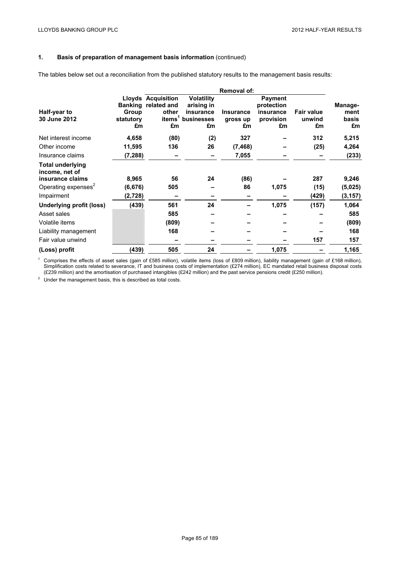## **1. Basis of preparation of management basis information** (continued)

The tables below set out a reconciliation from the published statutory results to the management basis results:

|                                           | <b>Removal of:</b>       |                                          |                                 |                                    |                              |                                   |                     |
|-------------------------------------------|--------------------------|------------------------------------------|---------------------------------|------------------------------------|------------------------------|-----------------------------------|---------------------|
|                                           | <b>Banking</b>           | <b>Lloyds Acquisition</b><br>related and | <b>Volatility</b><br>arising in |                                    | <b>Payment</b><br>protection |                                   | Manage-             |
| Half-year to<br>30 June 2012              | Group<br>statutory<br>£m | other<br>items <sup>1</sup><br>£m        | insurance<br>businesses<br>£m   | <b>Insurance</b><br>gross up<br>£m | insurance<br>provision<br>£m | <b>Fair value</b><br>unwind<br>£m | ment<br>basis<br>£m |
|                                           |                          |                                          |                                 | 327                                |                              |                                   |                     |
| Net interest income                       | 4,658                    | (80)                                     | (2)                             |                                    |                              | 312                               | 5,215               |
| Other income                              | 11,595                   | 136                                      | 26                              | (7, 468)                           |                              | (25)                              | 4,264               |
| Insurance claims                          | (7, 288)                 |                                          |                                 | 7,055                              |                              |                                   | (233)               |
| <b>Total underlying</b><br>income, net of |                          |                                          |                                 |                                    |                              |                                   |                     |
| insurance claims                          | 8,965                    | 56                                       | 24                              | (86)                               |                              | 287                               | 9,246               |
| Operating expenses <sup>2</sup>           | (6, 676)                 | 505                                      |                                 | 86                                 | 1,075                        | (15)                              | (5,025)             |
| Impairment                                | (2,728)                  |                                          |                                 |                                    |                              | (429)                             | (3, 157)            |
| Underlying profit (loss)                  | (439)                    | 561                                      | 24                              |                                    | 1,075                        | (157)                             | 1,064               |
| Asset sales                               |                          | 585                                      |                                 |                                    |                              |                                   | 585                 |
| Volatile items                            |                          | (809)                                    |                                 |                                    |                              |                                   | (809)               |
| Liability management                      |                          | 168                                      |                                 |                                    |                              |                                   | 168                 |
| Fair value unwind                         |                          |                                          |                                 |                                    |                              | 157                               | 157                 |
| (Loss) profit                             | (439)                    | 505                                      | 24                              |                                    | 1,075                        |                                   | 1,165               |

<sup>1</sup> Comprises the effects of asset sales (gain of £585 million), volatile items (loss of £809 million), liability management (gain of £168 million), Simplification costs related to severance, IT and business costs of implementation (£274 million), EC mandated retail business disposal costs (£239 million) and the amortisation of purchased intangibles (£242 million) and the past service pensions credit (£250 million).

<sup>2</sup> Under the management basis, this is described as total costs.

Page 85 of 189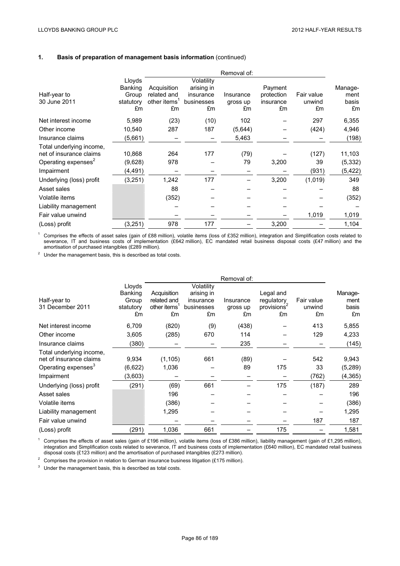## **1. Basis of preparation of management basis information** (continued)

|                                 |                |                          |            | Removal of: |            |            |          |
|---------------------------------|----------------|--------------------------|------------|-------------|------------|------------|----------|
|                                 | Lloyds         |                          | Volatility |             |            |            |          |
|                                 | <b>Banking</b> | Acquisition              | arising in |             | Payment    |            | Manage-  |
| Half-year to                    | Group          | related and              | insurance  | Insurance   | protection | Fair value | ment     |
| 30 June 2011                    | statutory      | other items <sup>1</sup> | businesses | gross up    | insurance  | unwind     | basis    |
|                                 | £m             | £m                       | £m         | £m          | £m         | £m         | £m       |
| Net interest income             | 5,989          | (23)                     | (10)       | 102         |            | 297        | 6,355    |
| Other income                    | 10,540         | 287                      | 187        | (5,644)     |            | (424)      | 4,946    |
| Insurance claims                | (5,661)        |                          |            | 5,463       |            |            | (198)    |
| Total underlying income,        |                |                          |            |             |            |            |          |
| net of insurance claims         | 10,868         | 264                      | 177        | (79)        |            | (127)      | 11,103   |
| Operating expenses <sup>2</sup> | (9,628)        | 978                      |            | 79          | 3,200      | 39         | (5, 332) |
| Impairment                      | (4,491)        |                          |            |             |            | (931)      | (5, 422) |
| Underlying (loss) profit        | (3,251)        | 1,242                    | 177        |             | 3,200      | (1,019)    | 349      |
| Asset sales                     |                | 88                       |            |             |            |            | 88       |
| Volatile items                  |                | (352)                    |            |             |            |            | (352)    |
| Liability management            |                |                          |            |             |            |            |          |
| Fair value unwind               |                |                          |            |             |            | 1,019      | 1,019    |
| (Loss) profit                   | (3, 251)       | 978                      | 177        |             | 3,200      |            | 1,104    |

<sup>1</sup> Comprises the effects of asset sales (gain of £88 million), volatile items (loss of £352 million), integration and Simplification costs related to severance, IT and business costs of implementation (£642 million), EC mandated retail business disposal costs (£47 million) and the amortisation of purchased intangibles (£289 million).

<sup>2</sup> Under the management basis, this is described as total costs.

|                                                     |                                                      |                                                              |                                                           | Removal of:                 |                                                          |                            |                                |
|-----------------------------------------------------|------------------------------------------------------|--------------------------------------------------------------|-----------------------------------------------------------|-----------------------------|----------------------------------------------------------|----------------------------|--------------------------------|
| Half-year to<br>31 December 2011                    | Lloyds<br><b>Banking</b><br>Group<br>statutory<br>£m | Acquisition<br>related and<br>other items <sup>1</sup><br>£m | Volatility<br>arising in<br>insurance<br>businesses<br>£m | Insurance<br>gross up<br>£m | Legal and<br>regulatory<br>provisions <sup>2</sup><br>£m | Fair value<br>unwind<br>£m | Manage-<br>ment<br>basis<br>£m |
| Net interest income                                 | 6,709                                                | (820)                                                        | (9)                                                       | (438)                       |                                                          | 413                        | 5,855                          |
| Other income                                        | 3,605                                                | (285)                                                        | 670                                                       | 114                         |                                                          | 129                        | 4,233                          |
| Insurance claims                                    | (380)                                                |                                                              |                                                           | 235                         |                                                          |                            | (145)                          |
| Total underlying income,<br>net of insurance claims | 9,934                                                | (1, 105)                                                     | 661                                                       | (89)                        |                                                          | 542                        | 9,943                          |
| Operating expenses <sup>3</sup>                     | (6,622)                                              | 1,036                                                        |                                                           | 89                          | 175                                                      | 33                         | (5,289)                        |
| Impairment                                          | (3,603)                                              |                                                              |                                                           |                             |                                                          | (762)                      | (4, 365)                       |
| Underlying (loss) profit                            | (291)                                                | (69)                                                         | 661                                                       |                             | 175                                                      | (187)                      | 289                            |
| Asset sales                                         |                                                      | 196                                                          |                                                           |                             |                                                          |                            | 196                            |
| Volatile items                                      |                                                      | (386)                                                        |                                                           |                             |                                                          |                            | (386)                          |
| Liability management                                |                                                      | 1,295                                                        |                                                           |                             |                                                          |                            | 1,295                          |
| Fair value unwind                                   |                                                      |                                                              |                                                           |                             |                                                          | 187                        | 187                            |
| (Loss) profit                                       | (291)                                                | 1,036                                                        | 661                                                       |                             | 175                                                      |                            | 1,581                          |

<sup>1</sup> Comprises the effects of asset sales (gain of £196 million), volatile items (loss of £386 million), liability management (gain of £1,295 million), integration and Simplification costs related to severance, IT and business costs of implementation (£640 million), EC mandated retail business disposal costs (£123 million) and the amortisation of purchased intangibles (£273 million).

<sup>2</sup> Comprises the provision in relation to German insurance business litigation (£175 million).

<sup>3</sup> Under the management basis, this is described as total costs.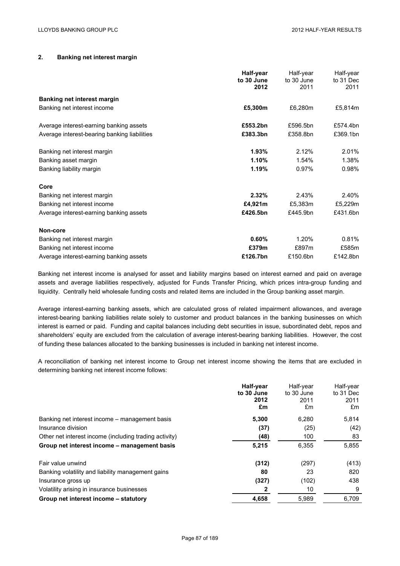### **2. Banking net interest margin**

|                                              | Half-year<br>to 30 June | Half-year<br>to 30 June | Half-year<br>to 31 Dec |
|----------------------------------------------|-------------------------|-------------------------|------------------------|
|                                              | 2012                    | 2011                    | 2011                   |
| Banking net interest margin                  |                         |                         |                        |
| Banking net interest income                  | £5,300m                 | £6,280m                 | £5,814m                |
| Average interest-earning banking assets      | £553.2bn                | £596.5bn                | £574.4bn               |
| Average interest-bearing banking liabilities | £383.3bn                | £358.8bn                | £369.1bn               |
| Banking net interest margin                  | 1.93%                   | 2.12%                   | 2.01%                  |
| Banking asset margin                         | 1.10%                   | 1.54%                   | 1.38%                  |
| Banking liability margin                     | 1.19%                   | 0.97%                   | 0.98%                  |
| Core                                         |                         |                         |                        |
| Banking net interest margin                  | 2.32%                   | 2.43%                   | 2.40%                  |
| Banking net interest income                  | £4,921m                 | £5,383m                 | £5,229m                |
| Average interest-earning banking assets      | £426.5bn                | £445.9bn                | £431.6bn               |
| Non-core                                     |                         |                         |                        |
| Banking net interest margin                  | 0.60%                   | 1.20%                   | 0.81%                  |
| Banking net interest income                  | £379m                   | £897m                   | £585m                  |
| Average interest-earning banking assets      | £126.7bn                | £150.6bn                | £142.8bn               |

Banking net interest income is analysed for asset and liability margins based on interest earned and paid on average assets and average liabilities respectively, adjusted for Funds Transfer Pricing, which prices intra-group funding and liquidity. Centrally held wholesale funding costs and related items are included in the Group banking asset margin.

Average interest-earning banking assets, which are calculated gross of related impairment allowances, and average interest-bearing banking liabilities relate solely to customer and product balances in the banking businesses on which interest is earned or paid. Funding and capital balances including debt securities in issue, subordinated debt, repos and shareholders' equity are excluded from the calculation of average interest-bearing banking liabilities. However, the cost of funding these balances allocated to the banking businesses is included in banking net interest income.

A reconciliation of banking net interest income to Group net interest income showing the items that are excluded in determining banking net interest income follows:

|                                                        | Half-year<br>to 30 June<br>2012<br>£m | Half-year<br>to 30 June<br>2011<br>£m | Half-year<br>to 31 Dec<br>2011<br>£m |
|--------------------------------------------------------|---------------------------------------|---------------------------------------|--------------------------------------|
| Banking net interest income – management basis         | 5,300                                 | 6,280                                 | 5,814                                |
| Insurance division                                     | (37)                                  | (25)                                  | (42)                                 |
| Other net interest income (including trading activity) | (48)                                  | 100                                   | 83                                   |
| Group net interest income – management basis           | 5,215                                 | 6,355                                 | 5,855                                |
| Fair value unwind                                      | (312)                                 | (297)                                 | (413)                                |
| Banking volatility and liability management gains      | 80                                    | 23                                    | 820                                  |
| Insurance gross up                                     | (327)                                 | (102)                                 | 438                                  |
| Volatility arising in insurance businesses             |                                       | 10                                    | 9                                    |
| Group net interest income - statutory                  | 4,658                                 | 5.989                                 | 6.709                                |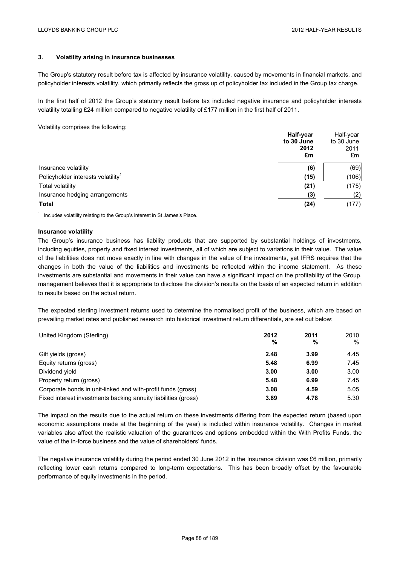### **3. Volatility arising in insurance businesses**

The Group's statutory result before tax is affected by insurance volatility, caused by movements in financial markets, and policyholder interests volatility, which primarily reflects the gross up of policyholder tax included in the Group tax charge.

In the first half of 2012 the Group's statutory result before tax included negative insurance and policyholder interests volatility totalling £24 million compared to negative volatility of £177 million in the first half of 2011.

Volatility comprises the following:

|                                                | Half-year<br>to 30 June<br>2012<br>£m | Half-year<br>to 30 June<br>2011<br>£m |
|------------------------------------------------|---------------------------------------|---------------------------------------|
| Insurance volatility                           | (6)                                   | (69)                                  |
| Policyholder interests volatility <sup>1</sup> | (15)                                  | (106)                                 |
| <b>Total volatility</b>                        | (21)                                  | (175)                                 |
| Insurance hedging arrangements                 | (3)                                   | (2)                                   |
| <b>Total</b>                                   | (24)                                  | (177)                                 |
|                                                |                                       |                                       |

 $1$  Includes volatility relating to the Group's interest in St James's Place.

#### **Insurance volatility**

The Group's insurance business has liability products that are supported by substantial holdings of investments, including equities, property and fixed interest investments, all of which are subject to variations in their value. The value of the liabilities does not move exactly in line with changes in the value of the investments, yet IFRS requires that the changes in both the value of the liabilities and investments be reflected within the income statement. As these investments are substantial and movements in their value can have a significant impact on the profitability of the Group, management believes that it is appropriate to disclose the division's results on the basis of an expected return in addition to results based on the actual return.

The expected sterling investment returns used to determine the normalised profit of the business, which are based on prevailing market rates and published research into historical investment return differentials, are set out below:

| United Kingdom (Sterling)                                      | 2012<br>% | 2011<br>% | 2010<br>% |
|----------------------------------------------------------------|-----------|-----------|-----------|
|                                                                |           |           |           |
| Gilt yields (gross)                                            | 2.48      | 3.99      | 4.45      |
| Equity returns (gross)                                         | 5.48      | 6.99      | 7.45      |
| Dividend yield                                                 | 3.00      | 3.00      | 3.00      |
| Property return (gross)                                        | 5.48      | 6.99      | 7.45      |
| Corporate bonds in unit-linked and with-profit funds (gross)   | 3.08      | 4.59      | 5.05      |
| Fixed interest investments backing annuity liabilities (gross) | 3.89      | 4.78      | 5.30      |

The impact on the results due to the actual return on these investments differing from the expected return (based upon economic assumptions made at the beginning of the year) is included within insurance volatility. Changes in market variables also affect the realistic valuation of the guarantees and options embedded within the With Profits Funds, the value of the in-force business and the value of shareholders' funds.

The negative insurance volatility during the period ended 30 June 2012 in the Insurance division was £6 million, primarily reflecting lower cash returns compared to long-term expectations. This has been broadly offset by the favourable performance of equity investments in the period.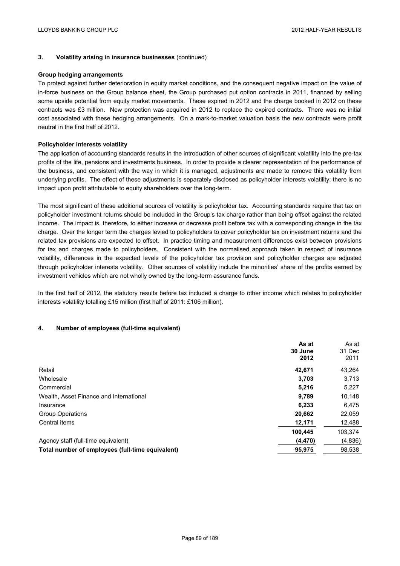### **3. Volatility arising in insurance businesses** (continued)

#### **Group hedging arrangements**

To protect against further deterioration in equity market conditions, and the consequent negative impact on the value of in-force business on the Group balance sheet, the Group purchased put option contracts in 2011, financed by selling some upside potential from equity market movements. These expired in 2012 and the charge booked in 2012 on these contracts was £3 million. New protection was acquired in 2012 to replace the expired contracts. There was no initial cost associated with these hedging arrangements. On a mark-to-market valuation basis the new contracts were profit neutral in the first half of 2012.

### **Policyholder interests volatility**

The application of accounting standards results in the introduction of other sources of significant volatility into the pre-tax profits of the life, pensions and investments business. In order to provide a clearer representation of the performance of the business, and consistent with the way in which it is managed, adjustments are made to remove this volatility from underlying profits. The effect of these adjustments is separately disclosed as policyholder interests volatility; there is no impact upon profit attributable to equity shareholders over the long-term.

The most significant of these additional sources of volatility is policyholder tax. Accounting standards require that tax on policyholder investment returns should be included in the Group's tax charge rather than being offset against the related income. The impact is, therefore, to either increase or decrease profit before tax with a corresponding change in the tax charge. Over the longer term the charges levied to policyholders to cover policyholder tax on investment returns and the related tax provisions are expected to offset. In practice timing and measurement differences exist between provisions for tax and charges made to policyholders. Consistent with the normalised approach taken in respect of insurance volatility, differences in the expected levels of the policyholder tax provision and policyholder charges are adjusted through policyholder interests volatility. Other sources of volatility include the minorities' share of the profits earned by investment vehicles which are not wholly owned by the long-term assurance funds.

In the first half of 2012, the statutory results before tax included a charge to other income which relates to policyholder interests volatility totalling £15 million (first half of 2011: £106 million).

#### **4. Number of employees (full-time equivalent)**

|                                                  | As at    | As at   |
|--------------------------------------------------|----------|---------|
|                                                  | 30 June  | 31 Dec  |
|                                                  | 2012     | 2011    |
| Retail                                           | 42.671   | 43,264  |
| Wholesale                                        | 3,703    | 3,713   |
| Commercial                                       | 5,216    | 5,227   |
| Wealth, Asset Finance and International          | 9,789    | 10,148  |
| Insurance                                        | 6,233    | 6,475   |
| <b>Group Operations</b>                          | 20,662   | 22,059  |
| Central items                                    | 12,171   | 12,488  |
|                                                  | 100,445  | 103,374 |
| Agency staff (full-time equivalent)              | (4, 470) | (4,836) |
| Total number of employees (full-time equivalent) | 95.975   | 98.538  |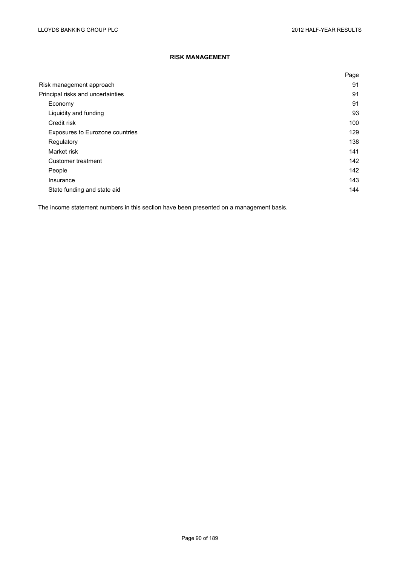## **RISK MANAGEMENT**

|                                   | Page |
|-----------------------------------|------|
| Risk management approach          | 91   |
| Principal risks and uncertainties | 91   |
| Economy                           | 91   |
| Liquidity and funding             | 93   |
| Credit risk                       | 100  |
| Exposures to Eurozone countries   | 129  |
| Regulatory                        | 138  |
| Market risk                       | 141  |
| Customer treatment                | 142  |
| People                            | 142  |
| Insurance                         | 143  |
| State funding and state aid       | 144  |
|                                   |      |

The income statement numbers in this section have been presented on a management basis.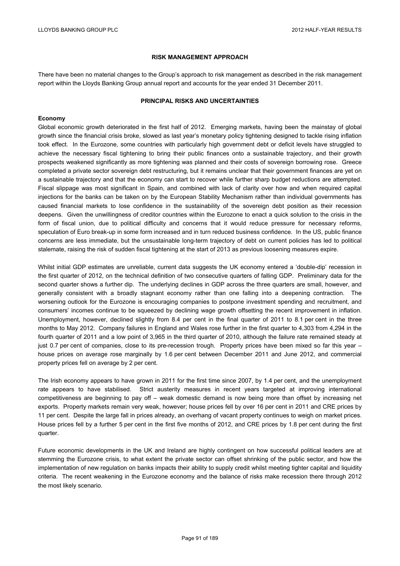### **RISK MANAGEMENT APPROACH**

There have been no material changes to the Group's approach to risk management as described in the risk management report within the Lloyds Banking Group annual report and accounts for the year ended 31 December 2011.

### **PRINCIPAL RISKS AND UNCERTAINTIES**

#### **Economy**

Global economic growth deteriorated in the first half of 2012. Emerging markets, having been the mainstay of global growth since the financial crisis broke, slowed as last year's monetary policy tightening designed to tackle rising inflation took effect. In the Eurozone, some countries with particularly high government debt or deficit levels have struggled to achieve the necessary fiscal tightening to bring their public finances onto a sustainable trajectory, and their growth prospects weakened significantly as more tightening was planned and their costs of sovereign borrowing rose. Greece completed a private sector sovereign debt restructuring, but it remains unclear that their government finances are yet on a sustainable trajectory and that the economy can start to recover while further sharp budget reductions are attempted. Fiscal slippage was most significant in Spain, and combined with lack of clarity over how and when required capital injections for the banks can be taken on by the European Stability Mechanism rather than individual governments has caused financial markets to lose confidence in the sustainability of the sovereign debt position as their recession deepens. Given the unwillingness of creditor countries within the Eurozone to enact a quick solution to the crisis in the form of fiscal union, due to political difficulty and concerns that it would reduce pressure for necessary reforms, speculation of Euro break-up in some form increased and in turn reduced business confidence. In the US, public finance concerns are less immediate, but the unsustainable long-term trajectory of debt on current policies has led to political stalemate, raising the risk of sudden fiscal tightening at the start of 2013 as previous loosening measures expire.

Whilst initial GDP estimates are unreliable, current data suggests the UK economy entered a 'double-dip' recession in the first quarter of 2012, on the technical definition of two consecutive quarters of falling GDP. Preliminary data for the second quarter shows a further dip. The underlying declines in GDP across the three quarters are small, however, and generally consistent with a broadly stagnant economy rather than one falling into a deepening contraction. The worsening outlook for the Eurozone is encouraging companies to postpone investment spending and recruitment, and consumers' incomes continue to be squeezed by declining wage growth offsetting the recent improvement in inflation. Unemployment, however, declined slightly from 8.4 per cent in the final quarter of 2011 to 8.1 per cent in the three months to May 2012. Company failures in England and Wales rose further in the first quarter to 4,303 from 4,294 in the fourth quarter of 2011 and a low point of 3,965 in the third quarter of 2010, although the failure rate remained steady at just 0.7 per cent of companies, close to its pre-recession trough. Property prices have been mixed so far this year – house prices on average rose marginally by 1.6 per cent between December 2011 and June 2012, and commercial property prices fell on average by 2 per cent.

The Irish economy appears to have grown in 2011 for the first time since 2007, by 1.4 per cent, and the unemployment rate appears to have stabilised. Strict austerity measures in recent years targeted at improving international competitiveness are beginning to pay off – weak domestic demand is now being more than offset by increasing net exports. Property markets remain very weak, however; house prices fell by over 16 per cent in 2011 and CRE prices by 11 per cent. Despite the large fall in prices already, an overhang of vacant property continues to weigh on market prices. House prices fell by a further 5 per cent in the first five months of 2012, and CRE prices by 1.8 per cent during the first quarter.

Future economic developments in the UK and Ireland are highly contingent on how successful political leaders are at stemming the Eurozone crisis, to what extent the private sector can offset shrinking of the public sector, and how the implementation of new regulation on banks impacts their ability to supply credit whilst meeting tighter capital and liquidity criteria. The recent weakening in the Eurozone economy and the balance of risks make recession there through 2012 the most likely scenario.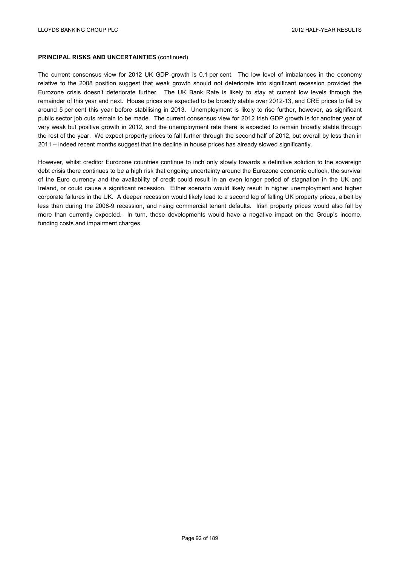### **PRINCIPAL RISKS AND UNCERTAINTIES** (continued)

The current consensus view for 2012 UK GDP growth is 0.1 per cent. The low level of imbalances in the economy relative to the 2008 position suggest that weak growth should not deteriorate into significant recession provided the Eurozone crisis doesn't deteriorate further. The UK Bank Rate is likely to stay at current low levels through the remainder of this year and next. House prices are expected to be broadly stable over 2012-13, and CRE prices to fall by around 5 per cent this year before stabilising in 2013. Unemployment is likely to rise further, however, as significant public sector job cuts remain to be made. The current consensus view for 2012 Irish GDP growth is for another year of very weak but positive growth in 2012, and the unemployment rate there is expected to remain broadly stable through the rest of the year. We expect property prices to fall further through the second half of 2012, but overall by less than in 2011 – indeed recent months suggest that the decline in house prices has already slowed significantly.

However, whilst creditor Eurozone countries continue to inch only slowly towards a definitive solution to the sovereign debt crisis there continues to be a high risk that ongoing uncertainty around the Eurozone economic outlook, the survival of the Euro currency and the availability of credit could result in an even longer period of stagnation in the UK and Ireland, or could cause a significant recession. Either scenario would likely result in higher unemployment and higher corporate failures in the UK. A deeper recession would likely lead to a second leg of falling UK property prices, albeit by less than during the 2008-9 recession, and rising commercial tenant defaults. Irish property prices would also fall by more than currently expected. In turn, these developments would have a negative impact on the Group's income, funding costs and impairment charges.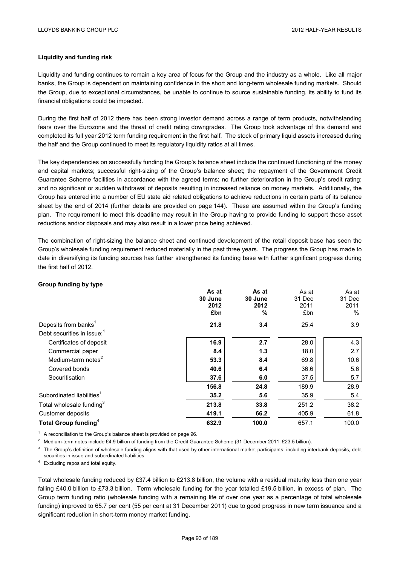### **Liquidity and funding risk**

Liquidity and funding continues to remain a key area of focus for the Group and the industry as a whole. Like all major banks, the Group is dependent on maintaining confidence in the short and long-term wholesale funding markets. Should the Group, due to exceptional circumstances, be unable to continue to source sustainable funding, its ability to fund its financial obligations could be impacted.

During the first half of 2012 there has been strong investor demand across a range of term products, notwithstanding fears over the Eurozone and the threat of credit rating downgrades. The Group took advantage of this demand and completed its full year 2012 term funding requirement in the first half. The stock of primary liquid assets increased during the half and the Group continued to meet its regulatory liquidity ratios at all times.

The key dependencies on successfully funding the Group's balance sheet include the continued functioning of the money and capital markets; successful right-sizing of the Group's balance sheet; the repayment of the Government Credit Guarantee Scheme facilities in accordance with the agreed terms; no further deterioration in the Group's credit rating; and no significant or sudden withdrawal of deposits resulting in increased reliance on money markets. Additionally, the Group has entered into a number of EU state aid related obligations to achieve reductions in certain parts of its balance sheet by the end of 2014 (further details are provided on page 144). These are assumed within the Group's funding plan. The requirement to meet this deadline may result in the Group having to provide funding to support these asset reductions and/or disposals and may also result in a lower price being achieved.

The combination of right-sizing the balance sheet and continued development of the retail deposit base has seen the Group's wholesale funding requirement reduced materially in the past three years. The progress the Group has made to date in diversifying its funding sources has further strengthened its funding base with further significant progress during the first half of 2012.

|                                        | As at<br>30 June<br>2012<br>£bn | As at<br>30 June<br>2012<br>% | As at<br>31 Dec<br>2011<br>£bn | As at<br>31 Dec<br>2011<br>$\%$ |
|----------------------------------------|---------------------------------|-------------------------------|--------------------------------|---------------------------------|
| Deposits from banks <sup>1</sup>       | 21.8                            | 3.4                           | 25.4                           | 3.9                             |
| Debt securities in issue: <sup>1</sup> |                                 |                               |                                |                                 |
| Certificates of deposit                | 16.9                            | 2.7                           | 28.0                           | 4.3                             |
| Commercial paper                       | 8.4                             | 1.3                           | 18.0                           | 2.7                             |
| Medium-term notes <sup>2</sup>         | 53.3                            | 8.4                           | 69.8                           | 10.6                            |
| Covered bonds                          | 40.6                            | 6.4                           | 36.6                           | 5.6                             |
| Securitisation                         | 37.6                            | 6.0                           | 37.5                           | 5.7                             |
|                                        | 156.8                           | 24.8                          | 189.9                          | 28.9                            |
| Subordinated liabilities <sup>1</sup>  | 35.2                            | 5.6                           | 35.9                           | 5.4                             |
| Total wholesale funding <sup>3</sup>   | 213.8                           | 33.8                          | 251.2                          | 38.2                            |
| Customer deposits                      | 419.1                           | 66.2                          | 405.9                          | 61.8                            |
| Total Group funding <sup>4</sup>       | 632.9                           | 100.0                         | 657.1                          | 100.0                           |

#### **Group funding by type**

 $1$  A reconciliation to the Group's balance sheet is provided on page 96.

<sup>2</sup> Medium-term notes include £4.9 billion of funding from the Credit Guarantee Scheme (31 December 2011: £23.5 billion).

The Group's definition of wholesale funding aligns with that used by other international market participants; including interbank deposits, debt securities in issue and subordinated liabilities.

<sup>4</sup> Excluding repos and total equity.

Total wholesale funding reduced by £37.4 billion to £213.8 billion, the volume with a residual maturity less than one year falling £40.0 billion to £73.3 billion. Term wholesale funding for the year totalled £19.5 billion, in excess of plan. The Group term funding ratio (wholesale funding with a remaining life of over one year as a percentage of total wholesale funding) improved to 65.7 per cent (55 per cent at 31 December 2011) due to good progress in new term issuance and a significant reduction in short-term money market funding.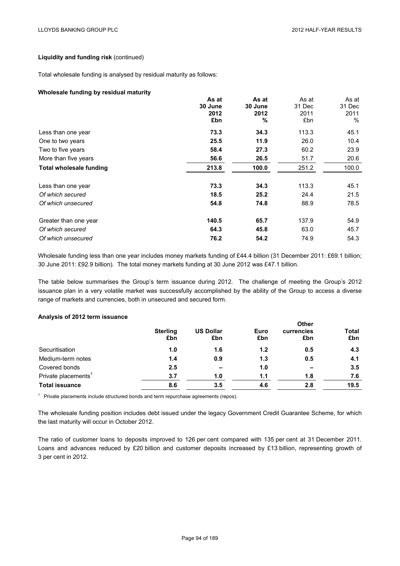Total wholesale funding is analysed by residual maturity as follows:

#### **Wholesale funding by residual maturity**

|                                | As at   | As at   | As at  | As at  |
|--------------------------------|---------|---------|--------|--------|
|                                | 30 June | 30 June | 31 Dec | 31 Dec |
|                                | 2012    | 2012    | 2011   | 2011   |
|                                | £bn     | %       | £bn    | $\%$   |
| Less than one year             | 73.3    | 34.3    | 113.3  | 45.1   |
| One to two years               | 25.5    | 11.9    | 26.0   | 10.4   |
| Two to five years              | 58.4    | 27.3    | 60.2   | 23.9   |
| More than five years           | 56.6    | 26.5    | 51.7   | 20.6   |
| <b>Total wholesale funding</b> | 213.8   | 100.0   | 251.2  | 100.0  |
| Less than one year             | 73.3    | 34.3    | 113.3  | 45.1   |
| Of which secured               | 18.5    | 25.2    | 24.4   | 21.5   |
| Of which unsecured             | 54.8    | 74.8    | 88.9   | 78.5   |
| Greater than one year          | 140.5   | 65.7    | 137.9  | 54.9   |
| Of which secured               | 64.3    | 45.8    | 63.0   | 45.7   |
| Of which unsecured             | 76.2    | 54.2    | 74.9   | 54.3   |

Wholesale funding less than one year includes money markets funding of £44.4 billion (31 December 2011: £69.1 billion; 30 June 2011: £92.9 billion). The total money markets funding at 30 June 2012 was £47.1 billion.

The table below summarises the Group's term issuance during 2012. The challenge of meeting the Group's 2012 issuance plan in a very volatile market was successfully accomplished by the ability of the Group to access a diverse range of markets and currencies, both in unsecured and secured form.

#### **Analysis of 2012 term issuance**

| <b>Sterling</b><br>£bn | <b>US Dollar</b><br>£bn | Euro<br>£bn | <b>Other</b><br>currencies<br>£bn | <b>Total</b><br>£bn |
|------------------------|-------------------------|-------------|-----------------------------------|---------------------|
| 1.0                    | 1.6                     | 1.2         | 0.5                               | 4.3                 |
| 1.4                    | 0.9                     | 1.3         | 0.5                               | 4.1                 |
| 2.5                    |                         | 1.0         |                                   | 3.5                 |
| 3.7                    | 1.0                     | 1.1         | 1.8                               | 7.6                 |
| 8.6                    | 3.5                     | 4.6         | 2.8                               | 19.5                |
|                        |                         |             |                                   |                     |

<sup>1</sup> Private placements include structured bonds and term repurchase agreements (repos).

The wholesale funding position includes debt issued under the legacy Government Credit Guarantee Scheme, for which the last maturity will occur in October 2012.

The ratio of customer loans to deposits improved to 126 per cent compared with 135 per cent at 31 December 2011. Loans and advances reduced by £20 billion and customer deposits increased by £13 billion, representing growth of 3 per cent in 2012.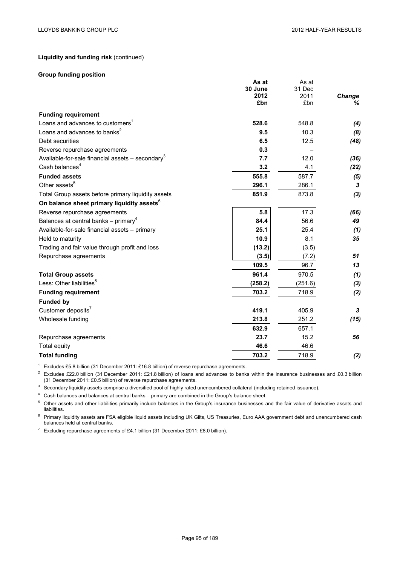### **Group funding position**

|                                                                | As at<br>30 June<br>2012<br>£bn | As at<br>31 Dec<br>2011<br>£bn | Change<br>℅ |
|----------------------------------------------------------------|---------------------------------|--------------------------------|-------------|
| <b>Funding requirement</b>                                     |                                 |                                |             |
| Loans and advances to customers <sup>1</sup>                   | 528.6                           | 548.8                          | (4)         |
| Loans and advances to banks <sup>2</sup>                       | 9.5                             | 10.3                           | (8)         |
| Debt securities                                                | 6.5                             | 12.5                           | (48)        |
| Reverse repurchase agreements                                  | 0.3                             |                                |             |
| Available-for-sale financial assets $-$ secondary <sup>3</sup> | 7.7                             | 12.0                           | (36)        |
| Cash balances <sup>4</sup>                                     | 3.2                             | 4.1                            | (22)        |
| <b>Funded assets</b>                                           | 555.8                           | 587.7                          | (5)         |
| Other assets <sup>5</sup>                                      | 296.1                           | 286.1                          | 3           |
| Total Group assets before primary liquidity assets             | 851.9                           | 873.8                          | (3)         |
| On balance sheet primary liquidity assets <sup>6</sup>         |                                 |                                |             |
| Reverse repurchase agreements                                  | 5.8                             | 17.3                           | (66)        |
| Balances at central banks – primary <sup>4</sup>               | 84.4                            | 56.6                           | 49          |
| Available-for-sale financial assets - primary                  | 25.1                            | 25.4                           | (1)         |
| Held to maturity                                               | 10.9                            | 8.1                            | 35          |
| Trading and fair value through profit and loss                 | (13.2)                          | (3.5)                          |             |
| Repurchase agreements                                          | (3.5)                           | (7.2)                          | 51          |
|                                                                | 109.5                           | 96.7                           | 13          |
| <b>Total Group assets</b>                                      | 961.4                           | 970.5                          | (1)         |
| Less: Other liabilities <sup>5</sup>                           | (258.2)                         | (251.6)                        | (3)         |
| <b>Funding requirement</b>                                     | 703.2                           | 718.9                          | (2)         |
| <b>Funded by</b>                                               |                                 |                                |             |
| Customer deposits <sup>7</sup>                                 | 419.1                           | 405.9                          | 3           |
| Wholesale funding                                              | 213.8                           | 251.2                          | (15)        |
|                                                                | 632.9                           | 657.1                          |             |
| Repurchase agreements                                          | 23.7                            | 15.2                           | 56          |
| Total equity                                                   | 46.6                            | 46.6                           |             |
| <b>Total funding</b>                                           | 703.2                           | 718.9                          | (2)         |

<sup>1</sup> Excludes £5.8 billion (31 December 2011: £16.8 billion) of reverse repurchase agreements.

<sup>2</sup> Excludes £22.0 billion (31 December 2011: £21.8 billion) of loans and advances to banks within the insurance businesses and £0.3 billion (31 December 2011: £0.5 billion) of reverse repurchase agreements.

<sup>3</sup> Secondary liquidity assets comprise a diversified pool of highly rated unencumbered collateral (including retained issuance).

<sup>4</sup> Cash balances and balances at central banks – primary are combined in the Group's balance sheet.

<sup>5</sup> Other assets and other liabilities primarily include balances in the Group's insurance businesses and the fair value of derivative assets and liabilities.

<sup>6</sup> Primary liquidity assets are FSA eligible liquid assets including UK Gilts, US Treasuries, Euro AAA government debt and unencumbered cash balances held at central banks.

<sup>7</sup> Excluding repurchase agreements of £4.1 billion (31 December 2011: £8.0 billion).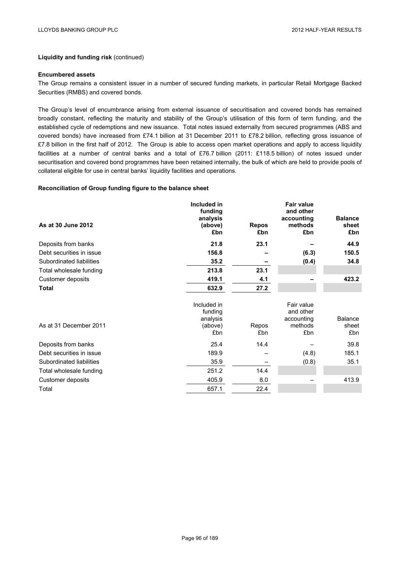#### **Encumbered assets**

The Group remains a consistent issuer in a number of secured funding markets, in particular Retail Mortgage Backed Securities (RMBS) and covered bonds.

The Group's level of encumbrance arising from external issuance of securitisation and covered bonds has remained broadly constant, reflecting the maturity and stability of the Group's utilisation of this form of term funding, and the established cycle of redemptions and new issuance. Total notes issued externally from secured programmes (ABS and covered bonds) have increased from £74.1 billion at 31 December 2011 to £78.2 billion, reflecting gross issuance of £7.8 billion in the first half of 2012. The Group is able to access open market operations and apply to access liquidity facilities at a number of central banks and a total of £76.7 billion (2011: £118.5 billion) of notes issued under securitisation and covered bond programmes have been retained internally, the bulk of which are held to provide pools of collateral eligible for use in central banks' liquidity facilities and operations.

#### **Reconciliation of Group funding figure to the balance sheet**

| Included in<br>funding<br>analysis<br>(above)<br>£bn | <b>Repos</b><br>£bn | <b>Fair value</b><br>and other<br>accounting<br>methods<br>£bn | <b>Balance</b><br>sheet<br>£bn |
|------------------------------------------------------|---------------------|----------------------------------------------------------------|--------------------------------|
| 21.8                                                 | 23.1                |                                                                | 44.9                           |
| 156.8                                                |                     | (6.3)                                                          | 150.5                          |
| 35.2                                                 |                     | (0.4)                                                          | 34.8                           |
| 213.8                                                | 23.1                |                                                                |                                |
| 419.1                                                | 4.1                 |                                                                | 423.2                          |
| 632.9                                                | 27.2                |                                                                |                                |
| Included in<br>funding<br>analysis<br>(above)        | Repos               | Fair value<br>and other<br>accounting<br>methods               | <b>Balance</b><br>sheet        |
|                                                      |                     |                                                                | £bn                            |
| 25.4                                                 | 14.4                |                                                                | 39.8                           |
| 189.9                                                |                     | (4.8)                                                          | 185.1                          |
| 35.9                                                 |                     | (0.8)                                                          | 35.1                           |
| 251.2                                                | 14.4                |                                                                |                                |
| 405.9                                                | 8.0                 |                                                                | 413.9                          |
| 657.1                                                | 22.4                |                                                                |                                |
|                                                      | £bn                 | £bn                                                            | £bn                            |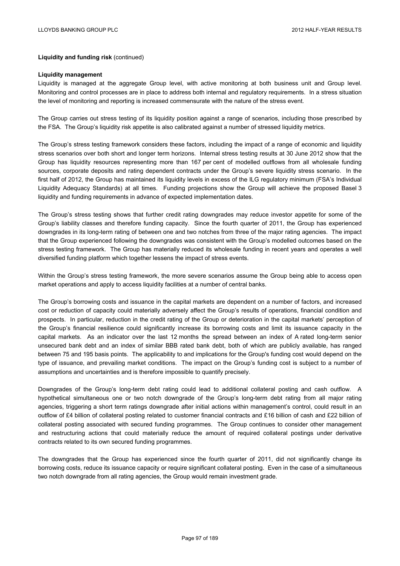#### **Liquidity management**

Liquidity is managed at the aggregate Group level, with active monitoring at both business unit and Group level. Monitoring and control processes are in place to address both internal and regulatory requirements. In a stress situation the level of monitoring and reporting is increased commensurate with the nature of the stress event.

The Group carries out stress testing of its liquidity position against a range of scenarios, including those prescribed by the FSA. The Group's liquidity risk appetite is also calibrated against a number of stressed liquidity metrics.

The Group's stress testing framework considers these factors, including the impact of a range of economic and liquidity stress scenarios over both short and longer term horizons. Internal stress testing results at 30 June 2012 show that the Group has liquidity resources representing more than 167 per cent of modelled outflows from all wholesale funding sources, corporate deposits and rating dependent contracts under the Group's severe liquidity stress scenario. In the first half of 2012, the Group has maintained its liquidity levels in excess of the ILG regulatory minimum (FSA's Individual Liquidity Adequacy Standards) at all times. Funding projections show the Group will achieve the proposed Basel 3 liquidity and funding requirements in advance of expected implementation dates.

The Group's stress testing shows that further credit rating downgrades may reduce investor appetite for some of the Group's liability classes and therefore funding capacity. Since the fourth quarter of 2011, the Group has experienced downgrades in its long-term rating of between one and two notches from three of the major rating agencies. The impact that the Group experienced following the downgrades was consistent with the Group's modelled outcomes based on the stress testing framework. The Group has materially reduced its wholesale funding in recent years and operates a well diversified funding platform which together lessens the impact of stress events.

Within the Group's stress testing framework, the more severe scenarios assume the Group being able to access open market operations and apply to access liquidity facilities at a number of central banks.

The Group's borrowing costs and issuance in the capital markets are dependent on a number of factors, and increased cost or reduction of capacity could materially adversely affect the Group's results of operations, financial condition and prospects. In particular, reduction in the credit rating of the Group or deterioration in the capital markets' perception of the Group's financial resilience could significantly increase its borrowing costs and limit its issuance capacity in the capital markets. As an indicator over the last 12 months the spread between an index of A rated long-term senior unsecured bank debt and an index of similar BBB rated bank debt, both of which are publicly available, has ranged between 75 and 195 basis points. The applicability to and implications for the Group's funding cost would depend on the type of issuance, and prevailing market conditions. The impact on the Group's funding cost is subject to a number of assumptions and uncertainties and is therefore impossible to quantify precisely.

Downgrades of the Group's long-term debt rating could lead to additional collateral posting and cash outflow. A hypothetical simultaneous one or two notch downgrade of the Group's long-term debt rating from all major rating agencies, triggering a short term ratings downgrade after initial actions within management's control, could result in an outflow of £4 billion of collateral posting related to customer financial contracts and £16 billion of cash and £22 billion of collateral posting associated with secured funding programmes. The Group continues to consider other management and restructuring actions that could materially reduce the amount of required collateral postings under derivative contracts related to its own secured funding programmes.

The downgrades that the Group has experienced since the fourth quarter of 2011, did not significantly change its borrowing costs, reduce its issuance capacity or require significant collateral posting. Even in the case of a simultaneous two notch downgrade from all rating agencies, the Group would remain investment grade.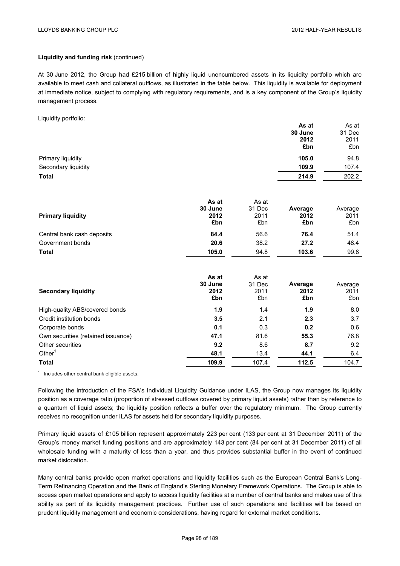At 30 June 2012, the Group had £215 billion of highly liquid unencumbered assets in its liquidity portfolio which are available to meet cash and collateral outflows, as illustrated in the table below. This liquidity is available for deployment at immediate notice, subject to complying with regulatory requirements, and is a key component of the Group's liquidity management process.

#### Liquidity portfolio:

|                                    |                 |                | As at<br>30 June<br>2012<br>£bn | As at<br>31 Dec<br>2011<br>£bn |
|------------------------------------|-----------------|----------------|---------------------------------|--------------------------------|
| Primary liquidity                  |                 |                | 105.0                           | 94.8                           |
| Secondary liquidity                |                 |                | 109.9                           | 107.4                          |
| <b>Total</b>                       |                 |                | 214.9                           | 202.2                          |
|                                    | As at           | As at          |                                 |                                |
|                                    | 30 June<br>2012 | 31 Dec<br>2011 | Average<br>2012                 | Average<br>2011                |
| <b>Primary liquidity</b>           | £bn             | £bn            | £bn                             | £bn                            |
| Central bank cash deposits         | 84.4            | 56.6           | 76.4                            | 51.4                           |
| Government bonds                   | 20.6            | 38.2           | 27.2                            | 48.4                           |
| <b>Total</b>                       | 105.0           | 94.8           | 103.6                           | 99.8                           |
|                                    | As at           | As at          |                                 |                                |
|                                    | 30 June         | 31 Dec         | Average                         | Average                        |
| <b>Secondary liquidity</b>         | 2012<br>£bn     | 2011<br>£bn    | 2012<br>£bn                     | 2011<br>£bn                    |
| High-quality ABS/covered bonds     | 1.9             | 1.4            | 1.9                             | 8.0                            |
| Credit institution bonds           | 3.5             | 2.1            | 2.3                             | 3.7                            |
| Corporate bonds                    | 0.1             | 0.3            | 0.2                             | 0.6                            |
| Own securities (retained issuance) | 47.1            | 81.6           | 55.3                            | 76.8                           |
| Other securities                   | 9.2             | 8.6            | 8.7                             | 9.2                            |
| Other $1$                          | 48.1            | 13.4           | 44.1                            | 6.4                            |
| <b>Total</b>                       | 109.9           | 107.4          | 112.5                           | 104.7                          |
|                                    |                 |                |                                 |                                |

 $1$  Includes other central bank eligible assets.

Following the introduction of the FSA's Individual Liquidity Guidance under ILAS, the Group now manages its liquidity position as a coverage ratio (proportion of stressed outflows covered by primary liquid assets) rather than by reference to a quantum of liquid assets; the liquidity position reflects a buffer over the regulatory minimum. The Group currently receives no recognition under ILAS for assets held for secondary liquidity purposes.

Primary liquid assets of £105 billion represent approximately 223 per cent (133 per cent at 31 December 2011) of the Group's money market funding positions and are approximately 143 per cent (84 per cent at 31 December 2011) of all wholesale funding with a maturity of less than a year, and thus provides substantial buffer in the event of continued market dislocation.

Many central banks provide open market operations and liquidity facilities such as the European Central Bank's Long-Term Refinancing Operation and the Bank of England's Sterling Monetary Framework Operations. The Group is able to access open market operations and apply to access liquidity facilities at a number of central banks and makes use of this ability as part of its liquidity management practices. Further use of such operations and facilities will be based on prudent liquidity management and economic considerations, having regard for external market conditions.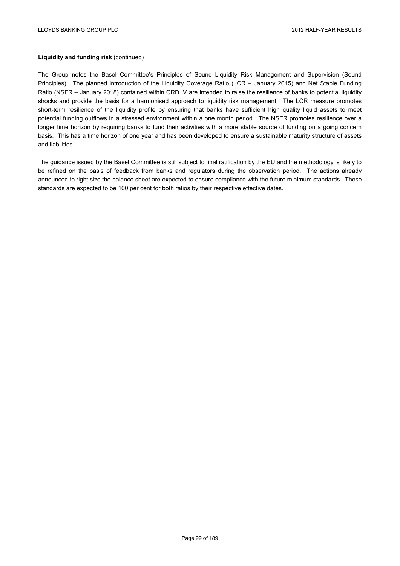The Group notes the Basel Committee's Principles of Sound Liquidity Risk Management and Supervision (Sound Principles). The planned introduction of the Liquidity Coverage Ratio (LCR – January 2015) and Net Stable Funding Ratio (NSFR – January 2018) contained within CRD IV are intended to raise the resilience of banks to potential liquidity shocks and provide the basis for a harmonised approach to liquidity risk management. The LCR measure promotes short-term resilience of the liquidity profile by ensuring that banks have sufficient high quality liquid assets to meet potential funding outflows in a stressed environment within a one month period. The NSFR promotes resilience over a longer time horizon by requiring banks to fund their activities with a more stable source of funding on a going concern basis. This has a time horizon of one year and has been developed to ensure a sustainable maturity structure of assets and liabilities.

The guidance issued by the Basel Committee is still subject to final ratification by the EU and the methodology is likely to be refined on the basis of feedback from banks and regulators during the observation period. The actions already announced to right size the balance sheet are expected to ensure compliance with the future minimum standards. These standards are expected to be 100 per cent for both ratios by their respective effective dates.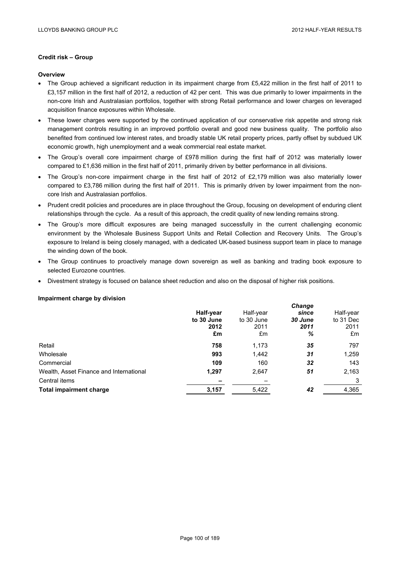### **Credit risk – Group**

#### **Overview**

- The Group achieved a significant reduction in its impairment charge from £5,422 million in the first half of 2011 to £3,157 million in the first half of 2012, a reduction of 42 per cent. This was due primarily to lower impairments in the non-core Irish and Australasian portfolios, together with strong Retail performance and lower charges on leveraged acquisition finance exposures within Wholesale.
- These lower charges were supported by the continued application of our conservative risk appetite and strong risk management controls resulting in an improved portfolio overall and good new business quality. The portfolio also benefited from continued low interest rates, and broadly stable UK retail property prices, partly offset by subdued UK economic growth, high unemployment and a weak commercial real estate market.
- The Group's overall core impairment charge of £978 million during the first half of 2012 was materially lower compared to £1,636 million in the first half of 2011, primarily driven by better performance in all divisions.
- The Group's non-core impairment charge in the first half of 2012 of £2,179 million was also materially lower compared to £3,786 million during the first half of 2011. This is primarily driven by lower impairment from the noncore Irish and Australasian portfolios.
- Prudent credit policies and procedures are in place throughout the Group, focusing on development of enduring client relationships through the cycle. As a result of this approach, the credit quality of new lending remains strong.
- The Group's more difficult exposures are being managed successfully in the current challenging economic environment by the Wholesale Business Support Units and Retail Collection and Recovery Units. The Group's exposure to Ireland is being closely managed, with a dedicated UK-based business support team in place to manage the winding down of the book.
- The Group continues to proactively manage down sovereign as well as banking and trading book exposure to selected Eurozone countries.
- Divestment strategy is focused on balance sheet reduction and also on the disposal of higher risk positions.

#### **Impairment charge by division**

|                                         |            |            | Change  |           |
|-----------------------------------------|------------|------------|---------|-----------|
|                                         | Half-year  | Half-year  | since   | Half-year |
|                                         | to 30 June | to 30 June | 30 June | to 31 Dec |
|                                         | 2012       | 2011       | 2011    | 2011      |
|                                         | £m         | £m         | %       | £m        |
| Retail                                  | 758        | 1,173      | 35      | 797       |
| Wholesale                               | 993        | 1,442      | 31      | 1,259     |
| Commercial                              | 109        | 160        | 32      | 143       |
| Wealth, Asset Finance and International | 1,297      | 2,647      | 51      | 2,163     |
| Central items                           |            |            |         | 3         |
| <b>Total impairment charge</b>          | 3,157      | 5,422      | 42      | 4,365     |
|                                         |            |            |         |           |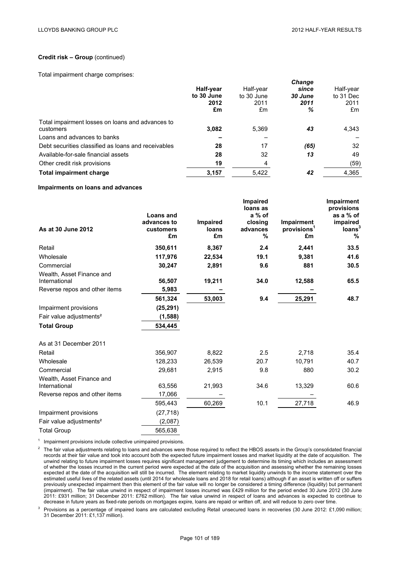Total impairment charge comprises:

|                                                               | Half-year<br>to 30 June<br>2012<br>£m | Half-year<br>to 30 June<br>2011<br>£m | <b>Change</b><br>since<br>30 June<br>2011<br>℅ | Half-year<br>to 31 Dec<br>2011<br>£m |
|---------------------------------------------------------------|---------------------------------------|---------------------------------------|------------------------------------------------|--------------------------------------|
| Total impairment losses on loans and advances to<br>customers | 3,082                                 | 5.369                                 | 43                                             | 4,343                                |
| Loans and advances to banks                                   |                                       |                                       |                                                |                                      |
| Debt securities classified as loans and receivables           | 28                                    | 17                                    | (65)                                           | 32                                   |
| Available-for-sale financial assets                           | 28                                    | 32                                    | 13                                             | 49                                   |
| Other credit risk provisions                                  | 19                                    | 4                                     |                                                | (59)                                 |
| <b>Total impairment charge</b>                                | 3,157                                 | 5.422                                 | 42                                             | 4.365                                |

### **Impairments on loans and advances**

|                                     |                  |                 | <b>Impaired</b>    |                         | Impairment              |
|-------------------------------------|------------------|-----------------|--------------------|-------------------------|-------------------------|
|                                     | <b>Loans and</b> |                 | loans as<br>a % of |                         | provisions<br>as a % of |
|                                     | advances to      | <b>Impaired</b> | closing            | <b>Impairment</b>       | impaired                |
| As at 30 June 2012                  | customers        | loans           | advances           | provisions <sup>1</sup> | Ioans <sup>3</sup>      |
|                                     | £m               | £m              | %                  | £m                      | %                       |
| Retail                              | 350,611          | 8,367           | 2.4                | 2,441                   | 33.5                    |
| Wholesale                           | 117,976          | 22,534          | 19.1               | 9,381                   | 41.6                    |
| Commercial                          | 30,247           | 2,891           | 9.6                | 881                     | 30.5                    |
| Wealth, Asset Finance and           |                  |                 |                    |                         |                         |
| International                       | 56,507           | 19,211          | 34.0               | 12,588                  | 65.5                    |
| Reverse repos and other items       | 5,983            |                 |                    |                         |                         |
|                                     | 561,324          | 53,003          | 9.4                | 25,291                  | 48.7                    |
| Impairment provisions               | (25, 291)        |                 |                    |                         |                         |
| Fair value adjustments <sup>2</sup> | (1,588)          |                 |                    |                         |                         |
| <b>Total Group</b>                  | 534,445          |                 |                    |                         |                         |
| As at 31 December 2011              |                  |                 |                    |                         |                         |
| Retail                              | 356,907          | 8,822           | 2.5                | 2,718                   | 35.4                    |
| Wholesale                           | 128,233          | 26,539          | 20.7               | 10,791                  | 40.7                    |
| Commercial                          | 29,681           | 2,915           | 9.8                | 880                     | 30.2                    |
| Wealth, Asset Finance and           |                  |                 |                    |                         |                         |
| International                       | 63,556           | 21,993          | 34.6               | 13,329                  | 60.6                    |
| Reverse repos and other items       | 17,066           |                 |                    |                         |                         |
|                                     | 595,443          | 60,269          | 10.1               | 27,718                  | 46.9                    |
| Impairment provisions               | (27, 718)        |                 |                    |                         |                         |
| Fair value adjustments <sup>2</sup> | (2,087)          |                 |                    |                         |                         |
| <b>Total Group</b>                  | 565,638          |                 |                    |                         |                         |

 $1$  Impairment provisions include collective unimpaired provisions.

<sup>2</sup> The fair value adjustments relating to loans and advances were those required to reflect the HBOS assets in the Group's consolidated financial records at their fair value and took into account both the expected future impairment losses and market liquidity at the date of acquisition. The unwind relating to future impairment losses requires significant management judgement to determine its timing which includes an assessment of whether the losses incurred in the current period were expected at the date of the acquisition and assessing whether the remaining losses expected at the date of the acquisition will still be incurred. The element relating to market liquidity unwinds to the income statement over the estimated useful lives of the related assets (until 2014 for wholesale loans and 2018 for retail loans) although if an asset is written off or suffers previously unexpected impairment then this element of the fair value will no longer be considered a timing difference (liquidity) but permanent (impairment). The fair value unwind in respect of impairment losses incurred was £429 million for the period ended 30 June 2012 (30 June 2011: £931 million; 31 December 2011: £762 million). The fair value unwind in respect of loans and advances is expected to continue to decrease in future years as fixed-rate periods on mortgages expire, loans are repaid or written off, and will reduce to zero over time.

Provisions as a percentage of impaired loans are calculated excluding Retail unsecured loans in recoveries (30 June 2012: £1,090 million; 31 December 2011: £1,137 million).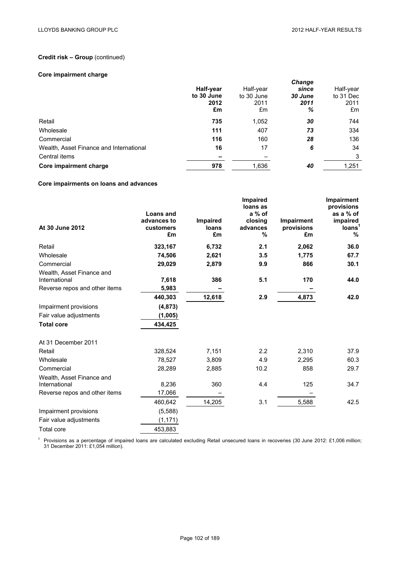### **Core impairment charge**

|                                         | Half-year<br>to 30 June<br>2012<br>£m | Half-year<br>to 30 June<br>2011<br>£m | <b>Change</b><br>since<br>30 June<br>2011<br>℅ | Half-year<br>to 31 Dec<br>2011<br>£m |
|-----------------------------------------|---------------------------------------|---------------------------------------|------------------------------------------------|--------------------------------------|
| Retail                                  | 735                                   | 1,052                                 | 30                                             | 744                                  |
| Wholesale                               | 111                                   | 407                                   | 73                                             | 334                                  |
| Commercial                              | 116                                   | 160                                   | 28                                             | 136                                  |
| Wealth, Asset Finance and International | 16                                    | 17                                    | 6                                              | 34                                   |
| Central items                           |                                       |                                       |                                                | 3                                    |
| Core impairment charge                  | 978                                   | 1,636                                 | 40                                             | 1,251                                |

## **Core impairments on loans and advances**

| At 30 June 2012                                                             | <b>Loans and</b><br>advances to<br><b>customers</b><br>£m | Impaired<br>loans<br>£m | Impaired<br>loans as<br>a % of<br>closing<br>advances<br>% | Impairment<br>provisions<br>£m | Impairment<br>provisions<br>as a % of<br>impaired<br>Ioans <sup>1</sup><br>% |
|-----------------------------------------------------------------------------|-----------------------------------------------------------|-------------------------|------------------------------------------------------------|--------------------------------|------------------------------------------------------------------------------|
| Retail                                                                      | 323,167                                                   | 6,732                   | 2.1                                                        | 2,062                          | 36.0                                                                         |
| Wholesale                                                                   | 74,506                                                    | 2,621                   | 3.5                                                        | 1,775                          | 67.7                                                                         |
| Commercial                                                                  | 29,029                                                    | 2,879                   | 9.9                                                        | 866                            | 30.1                                                                         |
| Wealth, Asset Finance and<br>International<br>Reverse repos and other items | 7,618<br>5,983                                            | 386                     | 5.1                                                        | 170                            | 44.0                                                                         |
|                                                                             | 440,303                                                   | 12,618                  | 2.9                                                        | 4,873                          | 42.0                                                                         |
| Impairment provisions                                                       | (4, 873)                                                  |                         |                                                            |                                |                                                                              |
| Fair value adjustments                                                      | (1,005)                                                   |                         |                                                            |                                |                                                                              |
| <b>Total core</b>                                                           | 434,425                                                   |                         |                                                            |                                |                                                                              |
| At 31 December 2011                                                         |                                                           |                         |                                                            |                                |                                                                              |
| Retail                                                                      | 328,524                                                   | 7,151                   | 2.2                                                        | 2,310                          | 37.9                                                                         |
| Wholesale                                                                   | 78,527                                                    | 3,809                   | 4.9                                                        | 2,295                          | 60.3                                                                         |
| Commercial                                                                  | 28,289                                                    | 2,885                   | 10.2                                                       | 858                            | 29.7                                                                         |
| Wealth, Asset Finance and<br>International                                  | 8,236                                                     | 360                     | 4.4                                                        | 125                            | 34.7                                                                         |
| Reverse repos and other items                                               | 17,066                                                    |                         |                                                            |                                |                                                                              |
|                                                                             | 460,642                                                   | 14,205                  | 3.1                                                        | 5,588                          | 42.5                                                                         |
| Impairment provisions                                                       | (5,588)                                                   |                         |                                                            |                                |                                                                              |
| Fair value adjustments                                                      | (1, 171)                                                  |                         |                                                            |                                |                                                                              |
| Total core                                                                  | 453,883                                                   |                         |                                                            |                                |                                                                              |

<sup>1</sup> Provisions as a percentage of impaired loans are calculated excluding Retail unsecured loans in recoveries (30 June 2012: £1,006 million; 31 December 2011: £1,054 million).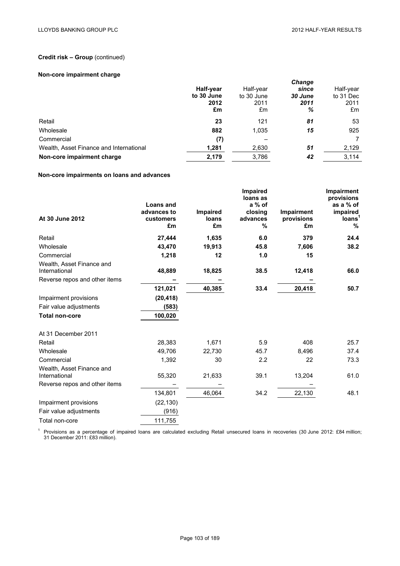## **Non-core impairment charge**

| 1.1                                     |            |            |               |           |
|-----------------------------------------|------------|------------|---------------|-----------|
|                                         |            |            | <b>Change</b> |           |
|                                         | Half-year  | Half-year  | since         | Half-year |
|                                         | to 30 June | to 30 June | 30 June       | to 31 Dec |
|                                         | 2012       | 2011       | 2011          | 2011      |
|                                         | £m         | £m         | %             | £m        |
| Retail                                  | 23         | 121        | 81            | 53        |
| Wholesale                               | 882        | 1,035      | 15            | 925       |
| Commercial                              | (7)        |            |               |           |
| Wealth, Asset Finance and International | 1,281      | 2,630      | 51            | 2,129     |
| Non-core impairment charge              | 2.179      | 3.786      | 42            | 3,114     |

### **Non-core impairments on loans and advances**

|                                            |                                |                         | Impaired<br>loans as     |                                | Impairment                          |
|--------------------------------------------|--------------------------------|-------------------------|--------------------------|--------------------------------|-------------------------------------|
|                                            | <b>Loans and</b>               |                         | a % of                   |                                | provisions<br>as a % of             |
| At 30 June 2012                            | advances to<br>customers<br>£m | Impaired<br>loans<br>£m | closing<br>advances<br>% | Impairment<br>provisions<br>£m | impaired<br>loans <sup>1</sup><br>% |
| Retail                                     | 27,444                         | 1,635                   | 6.0                      | 379                            | 24.4                                |
| Wholesale                                  | 43,470                         | 19,913                  | 45.8                     | 7,606                          | 38.2                                |
| Commercial                                 | 1,218                          | 12                      | 1.0                      | 15                             |                                     |
| Wealth, Asset Finance and<br>International | 48,889                         | 18,825                  | 38.5                     | 12,418                         | 66.0                                |
| Reverse repos and other items              |                                |                         |                          |                                |                                     |
|                                            | 121,021                        | 40,385                  | 33.4                     | 20,418                         | 50.7                                |
| Impairment provisions                      | (20, 418)                      |                         |                          |                                |                                     |
| Fair value adjustments                     | (583)                          |                         |                          |                                |                                     |
| <b>Total non-core</b>                      | 100,020                        |                         |                          |                                |                                     |
| At 31 December 2011                        |                                |                         |                          |                                |                                     |
| Retail                                     | 28,383                         | 1,671                   | 5.9                      | 408                            | 25.7                                |
| Wholesale                                  | 49,706                         | 22,730                  | 45.7                     | 8,496                          | 37.4                                |
| Commercial                                 | 1,392                          | 30                      | 2.2                      | 22                             | 73.3                                |
| Wealth, Asset Finance and<br>International | 55,320                         | 21,633                  | 39.1                     | 13,204                         | 61.0                                |
| Reverse repos and other items              |                                |                         |                          |                                |                                     |
|                                            | 134,801                        | 46,064                  | 34.2                     | 22,130                         | 48.1                                |
| Impairment provisions                      | (22, 130)                      |                         |                          |                                |                                     |
| Fair value adjustments                     | (916)                          |                         |                          |                                |                                     |
| Total non-core                             | 111,755                        |                         |                          |                                |                                     |

 $1$  Provisions as a percentage of impaired loans are calculated excluding Retail unsecured loans in recoveries (30 June 2012: £84 million; 31 December 2011: £83 million).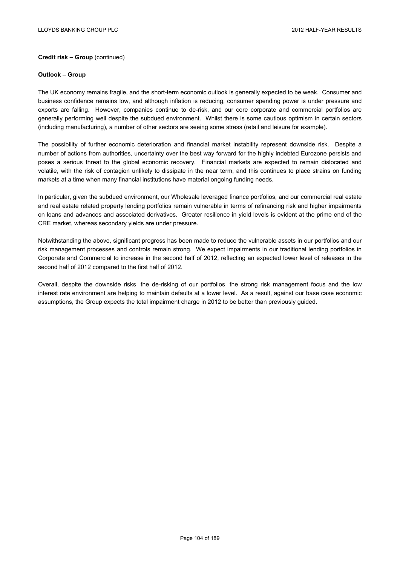#### **Outlook – Group**

The UK economy remains fragile, and the short-term economic outlook is generally expected to be weak. Consumer and business confidence remains low, and although inflation is reducing, consumer spending power is under pressure and exports are falling. However, companies continue to de-risk, and our core corporate and commercial portfolios are generally performing well despite the subdued environment. Whilst there is some cautious optimism in certain sectors (including manufacturing), a number of other sectors are seeing some stress (retail and leisure for example).

The possibility of further economic deterioration and financial market instability represent downside risk. Despite a number of actions from authorities, uncertainty over the best way forward for the highly indebted Eurozone persists and poses a serious threat to the global economic recovery. Financial markets are expected to remain dislocated and volatile, with the risk of contagion unlikely to dissipate in the near term, and this continues to place strains on funding markets at a time when many financial institutions have material ongoing funding needs.

In particular, given the subdued environment, our Wholesale leveraged finance portfolios, and our commercial real estate and real estate related property lending portfolios remain vulnerable in terms of refinancing risk and higher impairments on loans and advances and associated derivatives. Greater resilience in yield levels is evident at the prime end of the CRE market, whereas secondary yields are under pressure.

Notwithstanding the above, significant progress has been made to reduce the vulnerable assets in our portfolios and our risk management processes and controls remain strong. We expect impairments in our traditional lending portfolios in Corporate and Commercial to increase in the second half of 2012, reflecting an expected lower level of releases in the second half of 2012 compared to the first half of 2012.

Overall, despite the downside risks, the de-risking of our portfolios, the strong risk management focus and the low interest rate environment are helping to maintain defaults at a lower level. As a result, against our base case economic assumptions, the Group expects the total impairment charge in 2012 to be better than previously guided.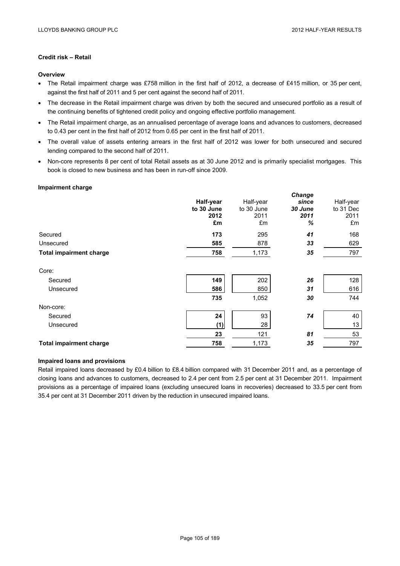## **Credit risk – Retail**

#### **Overview**

- The Retail impairment charge was £758 million in the first half of 2012, a decrease of £415 million, or 35 per cent, against the first half of 2011 and 5 per cent against the second half of 2011.
- The decrease in the Retail impairment charge was driven by both the secured and unsecured portfolio as a result of the continuing benefits of tightened credit policy and ongoing effective portfolio management.
- The Retail impairment charge, as an annualised percentage of average loans and advances to customers, decreased to 0.43 per cent in the first half of 2012 from 0.65 per cent in the first half of 2011.
- The overall value of assets entering arrears in the first half of 2012 was lower for both unsecured and secured lending compared to the second half of 2011.
- Non-core represents 8 per cent of total Retail assets as at 30 June 2012 and is primarily specialist mortgages. This book is closed to new business and has been in run-off since 2009.

#### **Impairment charge**

|                                |                         |                         | Change           |                        |
|--------------------------------|-------------------------|-------------------------|------------------|------------------------|
|                                | Half-year<br>to 30 June | Half-year<br>to 30 June | since<br>30 June | Half-year<br>to 31 Dec |
|                                | 2012                    | 2011                    | 2011             | 2011                   |
|                                | £m                      | £m                      | %                | £m                     |
| Secured                        | 173                     | 295                     | 41               | 168                    |
| Unsecured                      | 585                     | 878                     | 33               | 629                    |
| <b>Total impairment charge</b> | 758                     | 1,173                   | 35               | 797                    |
| Core:                          |                         |                         |                  |                        |
| Secured                        | 149                     | 202                     | 26               | 128                    |
| Unsecured                      | 586                     | 850                     | 31               | 616                    |
|                                | 735                     | 1,052                   | 30               | 744                    |
| Non-core:                      |                         |                         |                  |                        |
| Secured                        | 24                      | 93                      | 74               | 40                     |
| Unsecured                      | (1)                     | 28                      |                  | 13                     |
|                                | 23                      | 121                     | 81               | 53                     |
| <b>Total impairment charge</b> | 758                     | 1,173                   | 35               | 797                    |

#### **Impaired loans and provisions**

Retail impaired loans decreased by £0.4 billion to £8.4 billion compared with 31 December 2011 and, as a percentage of closing loans and advances to customers, decreased to 2.4 per cent from 2.5 per cent at 31 December 2011. Impairment provisions as a percentage of impaired loans (excluding unsecured loans in recoveries) decreased to 33.5 per cent from 35.4 per cent at 31 December 2011 driven by the reduction in unsecured impaired loans.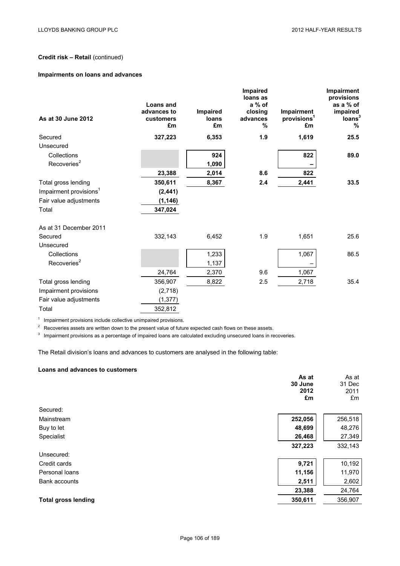# **Impairments on loans and advances**

| As at 30 June 2012                 | <b>Loans and</b><br>advances to<br>customers<br>£m | Impaired<br>loans<br>£m | Impaired<br>loans as<br>a % of<br>closing<br>advances<br>$\frac{0}{0}$ | Impairment<br>provisions <sup>1</sup><br>£m | Impairment<br>provisions<br>as a % of<br>impaired<br>loans<br>% |
|------------------------------------|----------------------------------------------------|-------------------------|------------------------------------------------------------------------|---------------------------------------------|-----------------------------------------------------------------|
| Secured                            | 327,223                                            | 6,353                   | 1.9                                                                    | 1,619                                       | 25.5                                                            |
| Unsecured                          |                                                    |                         |                                                                        |                                             |                                                                 |
| Collections                        |                                                    | 924                     |                                                                        | 822                                         | 89.0                                                            |
| Recoveries <sup>2</sup>            |                                                    | 1,090                   |                                                                        |                                             |                                                                 |
|                                    | 23,388                                             | 2,014                   | 8.6                                                                    | 822                                         |                                                                 |
| Total gross lending                | 350,611                                            | 8,367                   | 2.4                                                                    | 2,441                                       | 33.5                                                            |
| Impairment provisions <sup>1</sup> | (2, 441)                                           |                         |                                                                        |                                             |                                                                 |
| Fair value adjustments             | (1, 146)                                           |                         |                                                                        |                                             |                                                                 |
| Total                              | 347,024                                            |                         |                                                                        |                                             |                                                                 |
| As at 31 December 2011             |                                                    |                         |                                                                        |                                             |                                                                 |
| Secured                            | 332,143                                            | 6,452                   | 1.9                                                                    | 1,651                                       | 25.6                                                            |
| Unsecured                          |                                                    |                         |                                                                        |                                             |                                                                 |
| Collections                        |                                                    | 1,233                   |                                                                        | 1,067                                       | 86.5                                                            |
| Recoveries <sup>2</sup>            |                                                    | 1,137                   |                                                                        |                                             |                                                                 |
|                                    | 24,764                                             | 2,370                   | 9.6                                                                    | 1,067                                       |                                                                 |
| Total gross lending                | 356,907                                            | 8,822                   | 2.5                                                                    | 2,718                                       | 35.4                                                            |
| Impairment provisions              | (2,718)                                            |                         |                                                                        |                                             |                                                                 |
| Fair value adjustments             | (1, 377)                                           |                         |                                                                        |                                             |                                                                 |
| Total                              | 352,812                                            |                         |                                                                        |                                             |                                                                 |

<sup>1</sup> Impairment provisions include collective unimpaired provisions.

<sup>2</sup> Recoveries assets are written down to the present value of future expected cash flows on these assets.

<sup>3</sup> Impairment provisions as a percentage of impaired loans are calculated excluding unsecured loans in recoveries.

The Retail division's loans and advances to customers are analysed in the following table:

### **Loans and advances to customers**

|                            | As at   | As at   |
|----------------------------|---------|---------|
|                            | 30 June | 31 Dec  |
|                            | 2012    | 2011    |
|                            | £m      | £m      |
| Secured:                   |         |         |
| Mainstream                 | 252,056 | 256,518 |
| Buy to let                 | 48,699  | 48,276  |
| Specialist                 | 26,468  | 27,349  |
|                            | 327,223 | 332,143 |
| Unsecured:                 |         |         |
| Credit cards               | 9,721   | 10,192  |
| Personal loans             | 11,156  | 11,970  |
| Bank accounts              | 2,511   | 2,602   |
|                            | 23,388  | 24,764  |
| <b>Total gross lending</b> | 350,611 | 356,907 |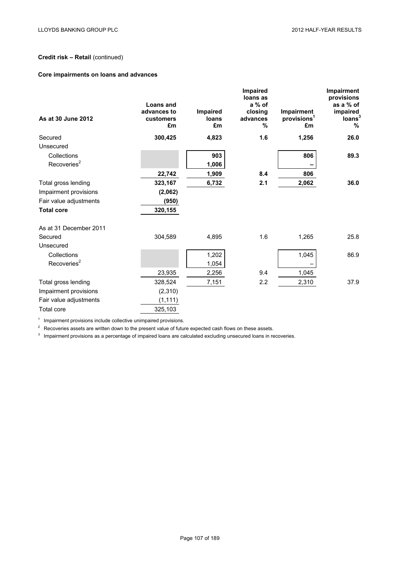# **Core impairments on loans and advances**

| As at 30 June 2012      | <b>Loans and</b><br>advances to<br>customers<br>£m | Impaired<br>loans<br>£m | <b>Impaired</b><br>loans as<br>$a\%$ of<br>closing<br>advances<br>% | Impairment<br>provisions <sup>1</sup><br>£m | Impairment<br>provisions<br>as a % of<br>impaired<br>loans <sup>3</sup><br>% |
|-------------------------|----------------------------------------------------|-------------------------|---------------------------------------------------------------------|---------------------------------------------|------------------------------------------------------------------------------|
| Secured                 | 300,425                                            | 4,823                   | 1.6                                                                 | 1,256                                       | 26.0                                                                         |
| Unsecured               |                                                    |                         |                                                                     |                                             |                                                                              |
| Collections             |                                                    | 903                     |                                                                     | 806                                         | 89.3                                                                         |
| Recoveries <sup>2</sup> |                                                    | 1,006                   |                                                                     |                                             |                                                                              |
|                         | 22,742                                             | 1,909                   | 8.4                                                                 | 806                                         |                                                                              |
| Total gross lending     | 323,167                                            | 6,732                   | 2.1                                                                 | 2,062                                       | 36.0                                                                         |
| Impairment provisions   | (2,062)                                            |                         |                                                                     |                                             |                                                                              |
| Fair value adjustments  | (950)                                              |                         |                                                                     |                                             |                                                                              |
| <b>Total core</b>       | 320,155                                            |                         |                                                                     |                                             |                                                                              |
| As at 31 December 2011  |                                                    |                         |                                                                     |                                             |                                                                              |
| Secured                 | 304,589                                            | 4,895                   | 1.6                                                                 | 1,265                                       | 25.8                                                                         |
| Unsecured               |                                                    |                         |                                                                     |                                             |                                                                              |
| Collections             |                                                    | 1,202                   |                                                                     | 1,045                                       | 86.9                                                                         |
| Recoveries <sup>2</sup> |                                                    | 1,054                   |                                                                     |                                             |                                                                              |
|                         | 23,935                                             | 2,256                   | 9.4                                                                 | 1,045                                       |                                                                              |
| Total gross lending     | 328,524                                            | 7,151                   | 2.2                                                                 | 2,310                                       | 37.9                                                                         |
| Impairment provisions   | (2,310)                                            |                         |                                                                     |                                             |                                                                              |
| Fair value adjustments  | (1, 111)                                           |                         |                                                                     |                                             |                                                                              |
| <b>Total core</b>       | 325,103                                            |                         |                                                                     |                                             |                                                                              |

<sup>1</sup> Impairment provisions include collective unimpaired provisions.

<sup>2</sup> Recoveries assets are written down to the present value of future expected cash flows on these assets.

<sup>3</sup> Impairment provisions as a percentage of impaired loans are calculated excluding unsecured loans in recoveries.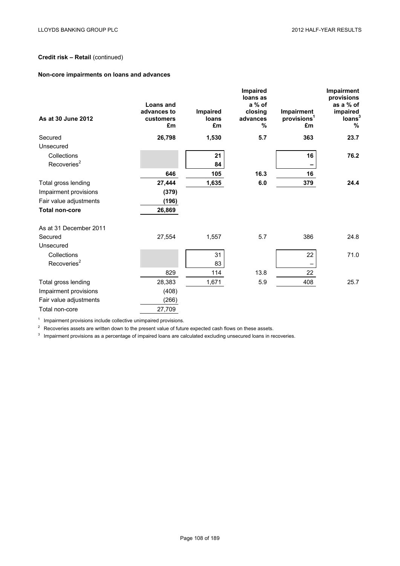# **Non-core impairments on loans and advances**

| As at 30 June 2012      | <b>Loans and</b><br>advances to<br>customers<br>£m | Impaired<br>loans<br>£m | <b>Impaired</b><br>loans as<br>a % of<br>closing<br>advances<br>% | Impairment<br>provisions <sup>1</sup><br>£m | <b>Impairment</b><br>provisions<br>as a % of<br>impaired<br>loans <sup>3</sup><br>$\%$ |
|-------------------------|----------------------------------------------------|-------------------------|-------------------------------------------------------------------|---------------------------------------------|----------------------------------------------------------------------------------------|
| Secured                 | 26,798                                             | 1,530                   | 5.7                                                               | 363                                         | 23.7                                                                                   |
| Unsecured               |                                                    |                         |                                                                   |                                             |                                                                                        |
| Collections             |                                                    | 21                      |                                                                   | 16                                          | 76.2                                                                                   |
| Recoveries <sup>2</sup> |                                                    | 84                      |                                                                   |                                             |                                                                                        |
|                         | 646                                                | 105                     | 16.3                                                              | 16                                          |                                                                                        |
| Total gross lending     | 27,444                                             | 1,635                   | 6.0                                                               | 379                                         | 24.4                                                                                   |
| Impairment provisions   | (379)                                              |                         |                                                                   |                                             |                                                                                        |
| Fair value adjustments  | (196)                                              |                         |                                                                   |                                             |                                                                                        |
| <b>Total non-core</b>   | 26,869                                             |                         |                                                                   |                                             |                                                                                        |
| As at 31 December 2011  |                                                    |                         |                                                                   |                                             |                                                                                        |
| Secured                 | 27,554                                             | 1,557                   | 5.7                                                               | 386                                         | 24.8                                                                                   |
| Unsecured               |                                                    |                         |                                                                   |                                             |                                                                                        |
| Collections             |                                                    | 31                      |                                                                   | 22                                          | 71.0                                                                                   |
| Recoveries <sup>2</sup> |                                                    | 83                      |                                                                   |                                             |                                                                                        |
|                         | 829                                                | 114                     | 13.8                                                              | 22                                          |                                                                                        |
| Total gross lending     | 28,383                                             | 1,671                   | 5.9                                                               | 408                                         | 25.7                                                                                   |
| Impairment provisions   | (408)                                              |                         |                                                                   |                                             |                                                                                        |
| Fair value adjustments  | (266)                                              |                         |                                                                   |                                             |                                                                                        |
| Total non-core          | 27,709                                             |                         |                                                                   |                                             |                                                                                        |

<sup>1</sup> Impairment provisions include collective unimpaired provisions.

<sup>2</sup> Recoveries assets are written down to the present value of future expected cash flows on these assets.

<sup>3</sup> Impairment provisions as a percentage of impaired loans are calculated excluding unsecured loans in recoveries.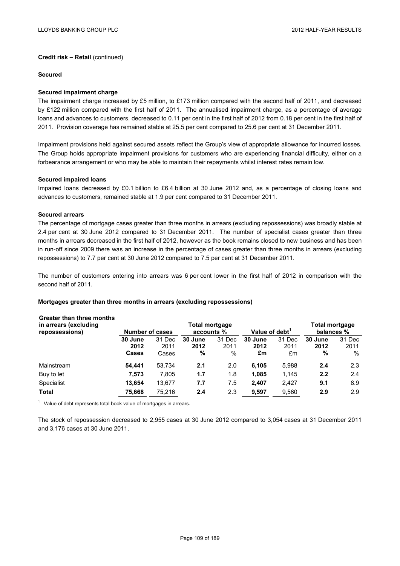### **Secured**

### **Secured impairment charge**

The impairment charge increased by £5 million, to £173 million compared with the second half of 2011, and decreased by £122 million compared with the first half of 2011. The annualised impairment charge, as a percentage of average loans and advances to customers, decreased to 0.11 per cent in the first half of 2012 from 0.18 per cent in the first half of 2011. Provision coverage has remained stable at 25.5 per cent compared to 25.6 per cent at 31 December 2011.

Impairment provisions held against secured assets reflect the Group's view of appropriate allowance for incurred losses. The Group holds appropriate impairment provisions for customers who are experiencing financial difficulty, either on a forbearance arrangement or who may be able to maintain their repayments whilst interest rates remain low.

### **Secured impaired loans**

Impaired loans decreased by £0.1 billion to £6.4 billion at 30 June 2012 and, as a percentage of closing loans and advances to customers, remained stable at 1.9 per cent compared to 31 December 2011.

### **Secured arrears**

The percentage of mortgage cases greater than three months in arrears (excluding repossessions) was broadly stable at 2.4 per cent at 30 June 2012 compared to 31 December 2011. The number of specialist cases greater than three months in arrears decreased in the first half of 2012, however as the book remains closed to new business and has been in run-off since 2009 there was an increase in the percentage of cases greater than three months in arrears (excluding repossessions) to 7.7 per cent at 30 June 2012 compared to 7.5 per cent at 31 December 2011.

The number of customers entering into arrears was 6 per cent lower in the first half of 2012 in comparison with the second half of 2011.

## **Mortgages greater than three months in arrears (excluding repossessions)**

| <b>Greater than three months</b><br>in arrears (excluding<br>repossessions) | Total mortgage<br><b>Number of cases</b><br>accounts % |                |                 | Value of debt' |                 |                | <b>Total mortgage</b><br>balances % |                |  |
|-----------------------------------------------------------------------------|--------------------------------------------------------|----------------|-----------------|----------------|-----------------|----------------|-------------------------------------|----------------|--|
|                                                                             | 30 June<br>2012                                        | 31 Dec<br>2011 | 30 June<br>2012 | 31 Dec<br>2011 | 30 June<br>2012 | 31 Dec<br>2011 | 30 June<br>2012                     | 31 Dec<br>2011 |  |
|                                                                             | <b>Cases</b>                                           | Cases          | %               | %              | £m              | £m             | %                                   | %              |  |
| Mainstream                                                                  | 54.441                                                 | 53,734         | 2.1             | 2.0            | 6.105           | 5,988          | 2.4                                 | 2.3            |  |
| Buy to let                                                                  | 7,573                                                  | 7,805          | 1.7             | 1.8            | 1.085           | 1.145          | 2.2                                 | 2.4            |  |
| Specialist                                                                  | 13,654                                                 | 13,677         | 7.7             | 7.5            | 2,407           | 2,427          | 9.1                                 | 8.9            |  |
| <b>Total</b>                                                                | 75,668                                                 | 75,216         | 2.4             | 2.3            | 9,597           | 9,560          | 2.9                                 | 2.9            |  |

 $1$  Value of debt represents total book value of mortgages in arrears.

The stock of repossession decreased to 2,955 cases at 30 June 2012 compared to 3,054 cases at 31 December 2011 and 3,176 cases at 30 June 2011.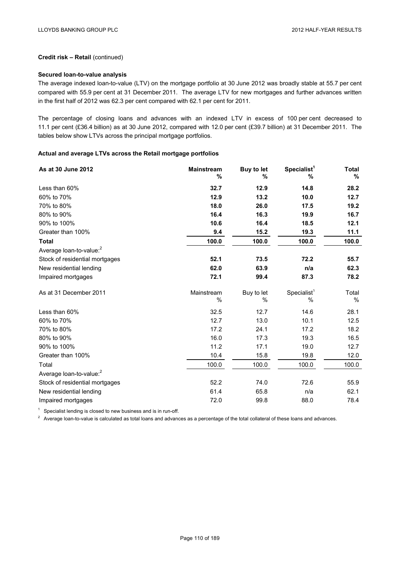## **Secured loan-to-value analysis**

The average indexed loan-to-value (LTV) on the mortgage portfolio at 30 June 2012 was broadly stable at 55.7 per cent compared with 55.9 per cent at 31 December 2011. The average LTV for new mortgages and further advances written in the first half of 2012 was 62.3 per cent compared with 62.1 per cent for 2011.

The percentage of closing loans and advances with an indexed LTV in excess of 100 per cent decreased to 11.1 per cent (£36.4 billion) as at 30 June 2012, compared with 12.0 per cent (£39.7 billion) at 31 December 2011. The tables below show LTVs across the principal mortgage portfolios.

## **Actual and average LTVs across the Retail mortgage portfolios**

| As at 30 June 2012                  | <b>Mainstream</b><br>% | <b>Buy to let</b><br>% | Specialist <sup>1</sup><br>% | <b>Total</b><br>% |
|-------------------------------------|------------------------|------------------------|------------------------------|-------------------|
| Less than 60%                       | 32.7                   | 12.9                   | 14.8                         | 28.2              |
| 60% to 70%                          | 12.9                   | 13.2                   | 10.0                         | 12.7              |
| 70% to 80%                          | 18.0                   | 26.0                   | 17.5                         | 19.2              |
| 80% to 90%                          | 16.4                   | 16.3                   | 19.9                         | 16.7              |
| 90% to 100%                         | 10.6                   | 16.4                   | 18.5                         | 12.1              |
| Greater than 100%                   | 9.4                    | 15.2                   | 19.3                         | 11.1              |
| <b>Total</b>                        | 100.0                  | 100.0                  | 100.0                        | 100.0             |
| Average loan-to-value: <sup>2</sup> |                        |                        |                              |                   |
| Stock of residential mortgages      | 52.1                   | 73.5                   | 72.2                         | 55.7              |
| New residential lending             | 62.0                   | 63.9                   | n/a                          | 62.3              |
| Impaired mortgages                  | 72.1                   | 99.4                   | 87.3                         | 78.2              |
| As at 31 December 2011              | Mainstream<br>$\%$     | Buy to let<br>$\%$     | Specialist <sup>1</sup><br>% | Total<br>%        |
| Less than 60%                       | 32.5                   | 12.7                   | 14.6                         | 28.1              |
| 60% to 70%                          | 12.7                   | 13.0                   | 10.1                         | 12.5              |
| 70% to 80%                          | 17.2                   | 24.1                   | 17.2                         | 18.2              |
| 80% to 90%                          | 16.0                   | 17.3                   | 19.3                         | 16.5              |
| 90% to 100%                         | 11.2                   | 17.1                   | 19.0                         | 12.7              |
| Greater than 100%                   | 10.4                   | 15.8                   | 19.8                         | 12.0              |
| Total                               | 100.0                  | 100.0                  | 100.0                        | 100.0             |
| Average loan-to-value: <sup>2</sup> |                        |                        |                              |                   |
| Stock of residential mortgages      | 52.2                   | 74.0                   | 72.6                         | 55.9              |
| New residential lending             | 61.4                   | 65.8                   | n/a                          | 62.1              |
| Impaired mortgages                  | 72.0                   | 99.8                   | 88.0                         | 78.4              |

 $1$  Specialist lending is closed to new business and is in run-off.

<sup>2</sup> Average loan-to-value is calculated as total loans and advances as a percentage of the total collateral of these loans and advances.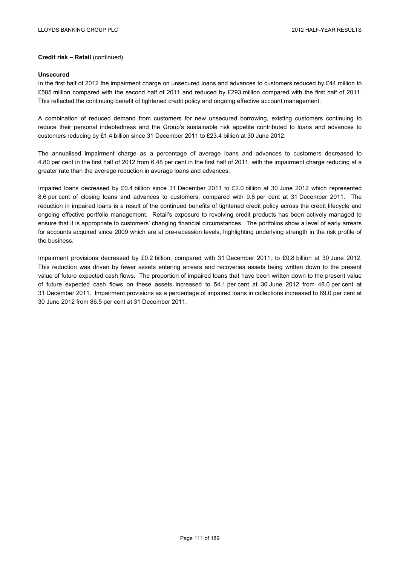#### **Unsecured**

In the first half of 2012 the impairment charge on unsecured loans and advances to customers reduced by £44 million to £585 million compared with the second half of 2011 and reduced by £293 million compared with the first half of 2011. This reflected the continuing benefit of tightened credit policy and ongoing effective account management.

A combination of reduced demand from customers for new unsecured borrowing, existing customers continuing to reduce their personal indebtedness and the Group's sustainable risk appetite contributed to loans and advances to customers reducing by £1.4 billion since 31 December 2011 to £23.4 billion at 30 June 2012.

The annualised impairment charge as a percentage of average loans and advances to customers decreased to 4.80 per cent in the first half of 2012 from 6.48 per cent in the first half of 2011, with the impairment charge reducing at a greater rate than the average reduction in average loans and advances.

Impaired loans decreased by £0.4 billion since 31 December 2011 to £2.0 billion at 30 June 2012 which represented 8.6 per cent of closing loans and advances to customers, compared with 9.6 per cent at 31 December 2011. The reduction in impaired loans is a result of the continued benefits of tightened credit policy across the credit lifecycle and ongoing effective portfolio management. Retail's exposure to revolving credit products has been actively managed to ensure that it is appropriate to customers' changing financial circumstances. The portfolios show a level of early arrears for accounts acquired since 2009 which are at pre-recession levels, highlighting underlying strength in the risk profile of the business.

Impairment provisions decreased by £0.2 billion, compared with 31 December 2011, to £0.8 billion at 30 June 2012. This reduction was driven by fewer assets entering arrears and recoveries assets being written down to the present value of future expected cash flows. The proportion of impaired loans that have been written down to the present value of future expected cash flows on these assets increased to 54.1 per cent at 30 June 2012 from 48.0 per cent at 31 December 2011. Impairment provisions as a percentage of impaired loans in collections increased to 89.0 per cent at 30 June 2012 from 86.5 per cent at 31 December 2011.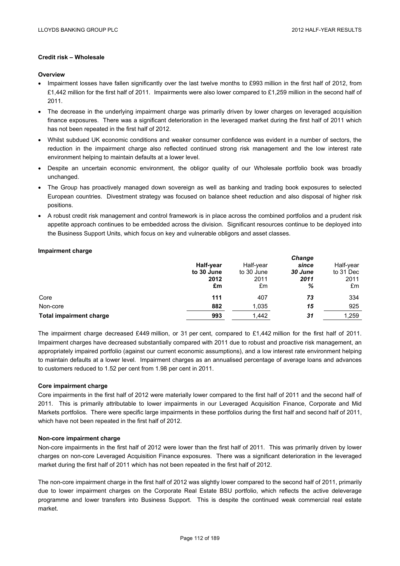## **Credit risk – Wholesale**

## **Overview**

- Impairment losses have fallen significantly over the last twelve months to £993 million in the first half of 2012, from £1,442 million for the first half of 2011. Impairments were also lower compared to £1,259 million in the second half of 2011.
- The decrease in the underlying impairment charge was primarily driven by lower charges on leveraged acquisition finance exposures. There was a significant deterioration in the leveraged market during the first half of 2011 which has not been repeated in the first half of 2012.
- Whilst subdued UK economic conditions and weaker consumer confidence was evident in a number of sectors, the reduction in the impairment charge also reflected continued strong risk management and the low interest rate environment helping to maintain defaults at a lower level.
- Despite an uncertain economic environment, the obligor quality of our Wholesale portfolio book was broadly unchanged.
- The Group has proactively managed down sovereign as well as banking and trading book exposures to selected European countries. Divestment strategy was focused on balance sheet reduction and also disposal of higher risk positions.
- A robust credit risk management and control framework is in place across the combined portfolios and a prudent risk appetite approach continues to be embedded across the division. Significant resources continue to be deployed into the Business Support Units, which focus on key and vulnerable obligors and asset classes.

### **Impairment charge**

|                                |            |            | <b>Change</b> |           |
|--------------------------------|------------|------------|---------------|-----------|
|                                | Half-year  | Half-year  | since         | Half-year |
|                                | to 30 June | to 30 June | 30 June       | to 31 Dec |
|                                | 2012       | 2011       | 2011          | 2011      |
|                                | £m         | £m         | ℅             | £m        |
| Core                           | 111        | 407        | 73            | 334       |
| Non-core                       | 882        | 1,035      | 15            | 925       |
| <b>Total impairment charge</b> | 993        | 1,442      | 31            | 1,259     |

The impairment charge decreased £449 million, or 31 per cent, compared to £1,442 million for the first half of 2011. Impairment charges have decreased substantially compared with 2011 due to robust and proactive risk management, an appropriately impaired portfolio (against our current economic assumptions), and a low interest rate environment helping to maintain defaults at a lower level. Impairment charges as an annualised percentage of average loans and advances to customers reduced to 1.52 per cent from 1.98 per cent in 2011.

### **Core impairment charge**

Core impairments in the first half of 2012 were materially lower compared to the first half of 2011 and the second half of 2011. This is primarily attributable to lower impairments in our Leveraged Acquisition Finance, Corporate and Mid Markets portfolios. There were specific large impairments in these portfolios during the first half and second half of 2011, which have not been repeated in the first half of 2012.

### **Non-core impairment charge**

Non-core impairments in the first half of 2012 were lower than the first half of 2011. This was primarily driven by lower charges on non-core Leveraged Acquisition Finance exposures. There was a significant deterioration in the leveraged market during the first half of 2011 which has not been repeated in the first half of 2012.

The non-core impairment charge in the first half of 2012 was slightly lower compared to the second half of 2011, primarily due to lower impairment charges on the Corporate Real Estate BSU portfolio, which reflects the active deleverage programme and lower transfers into Business Support. This is despite the continued weak commercial real estate market.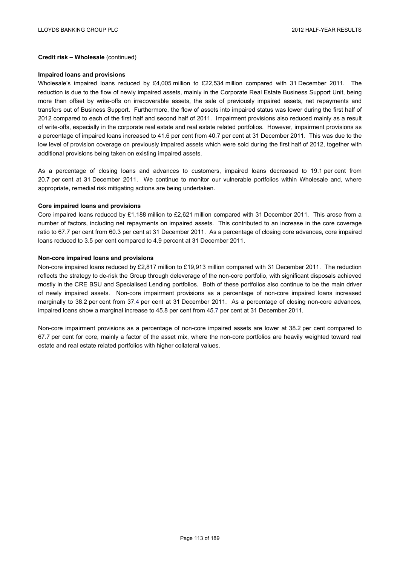#### **Impaired loans and provisions**

Wholesale's impaired loans reduced by £4,005 million to £22,534 million compared with 31 December 2011. The reduction is due to the flow of newly impaired assets, mainly in the Corporate Real Estate Business Support Unit, being more than offset by write-offs on irrecoverable assets, the sale of previously impaired assets, net repayments and transfers out of Business Support. Furthermore, the flow of assets into impaired status was lower during the first half of 2012 compared to each of the first half and second half of 2011. Impairment provisions also reduced mainly as a result of write-offs, especially in the corporate real estate and real estate related portfolios. However, impairment provisions as a percentage of impaired loans increased to 41.6 per cent from 40.7 per cent at 31 December 2011. This was due to the low level of provision coverage on previously impaired assets which were sold during the first half of 2012, together with additional provisions being taken on existing impaired assets.

As a percentage of closing loans and advances to customers, impaired loans decreased to 19.1 per cent from 20.7 per cent at 31 December 2011. We continue to monitor our vulnerable portfolios within Wholesale and, where appropriate, remedial risk mitigating actions are being undertaken.

### **Core impaired loans and provisions**

Core impaired loans reduced by £1,188 million to £2,621 million compared with 31 December 2011. This arose from a number of factors, including net repayments on impaired assets. This contributed to an increase in the core coverage ratio to 67.7 per cent from 60.3 per cent at 31 December 2011. As a percentage of closing core advances, core impaired loans reduced to 3.5 per cent compared to 4.9 percent at 31 December 2011.

### **Non-core impaired loans and provisions**

Non-core impaired loans reduced by £2,817 million to £19,913 million compared with 31 December 2011. The reduction reflects the strategy to de-risk the Group through deleverage of the non-core portfolio, with significant disposals achieved mostly in the CRE BSU and Specialised Lending portfolios. Both of these portfolios also continue to be the main driver of newly impaired assets. Non-core impairment provisions as a percentage of non-core impaired loans increased marginally to 38.2 per cent from 37.4 per cent at 31 December 2011. As a percentage of closing non-core advances, impaired loans show a marginal increase to 45.8 per cent from 45.7 per cent at 31 December 2011.

Non-core impairment provisions as a percentage of non-core impaired assets are lower at 38.2 per cent compared to 67.7 per cent for core, mainly a factor of the asset mix, where the non-core portfolios are heavily weighted toward real estate and real estate related portfolios with higher collateral values.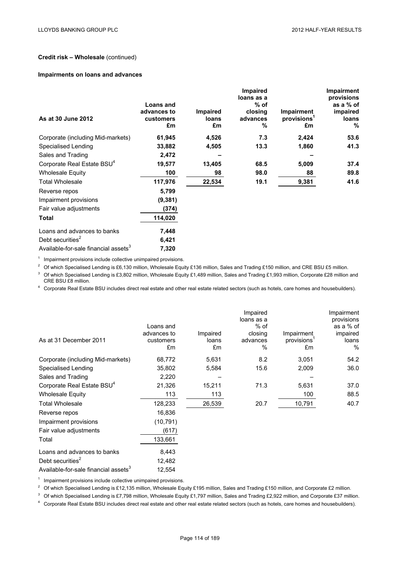### **Impairments on loans and advances**

| As at 30 June 2012                     | Loans and<br>advances to<br>customers<br>£m | <b>Impaired</b><br>loans<br>£m | <b>Impaired</b><br>loans as a<br>% of<br>closing<br>advances<br>% | <b>Impairment</b><br>provisions <sup>1</sup><br>£m | <b>Impairment</b><br>provisions<br>as a % of<br>impaired<br>loans<br>% |
|----------------------------------------|---------------------------------------------|--------------------------------|-------------------------------------------------------------------|----------------------------------------------------|------------------------------------------------------------------------|
| Corporate (including Mid-markets)      | 61,945                                      | 4,526                          | 7.3                                                               | 2,424                                              | 53.6                                                                   |
| Specialised Lending                    | 33,882                                      | 4,505                          | 13.3                                                              | 1,860                                              | 41.3                                                                   |
| Sales and Trading                      | 2,472                                       |                                |                                                                   |                                                    |                                                                        |
| Corporate Real Estate BSU <sup>4</sup> | 19,577                                      | 13,405                         | 68.5                                                              | 5,009                                              | 37.4                                                                   |
| <b>Wholesale Equity</b>                | 100                                         | 98                             | 98.0                                                              | 88                                                 | 89.8                                                                   |
| Total Wholesale                        | 117,976                                     | 22,534                         | 19.1                                                              | 9,381                                              | 41.6                                                                   |
| Reverse repos                          | 5,799                                       |                                |                                                                   |                                                    |                                                                        |
| Impairment provisions                  | (9,381)                                     |                                |                                                                   |                                                    |                                                                        |
| Fair value adjustments                 | (374)                                       |                                |                                                                   |                                                    |                                                                        |
| Total                                  | 114,020                                     |                                |                                                                   |                                                    |                                                                        |
| Loans and advances to banks            | 7,448                                       |                                |                                                                   |                                                    |                                                                        |
| Debt securities <sup>2</sup>           | 6,421                                       |                                |                                                                   |                                                    |                                                                        |

Available-for-sale financial assets $3$ **7,320** 

<sup>1</sup> Impairment provisions include collective unimpaired provisions.

<sup>2</sup> Of which Specialised Lending is £6,130 million, Wholesale Equity £136 million, Sales and Trading £150 million, and CRE BSU £5 million.

<sup>3</sup> Of which Specialised Lending is £3,802 million, Wholesale Equity £1,489 million, Sales and Trading £1,993 million, Corporate £28 million and CRE BSU £8 million.

<sup>4</sup> Corporate Real Estate BSU includes direct real estate and other real estate related sectors (such as hotels, care homes and housebuilders).

| As at 31 December 2011                 | Loans and<br>advances to<br>customers<br>£m | Impaired<br>loans<br>£m | Impaired<br>loans as a<br>$%$ of<br>closing<br>advances<br>$\%$ | Impairment<br>provisions <sup>1</sup><br>£m | Impairment<br>provisions<br>as a % of<br>impaired<br>loans<br>$\%$ |
|----------------------------------------|---------------------------------------------|-------------------------|-----------------------------------------------------------------|---------------------------------------------|--------------------------------------------------------------------|
| Corporate (including Mid-markets)      | 68,772                                      | 5,631                   | 8.2                                                             | 3,051                                       | 54.2                                                               |
| Specialised Lending                    | 35,802                                      | 5,584                   | 15.6                                                            | 2,009                                       | 36.0                                                               |
| Sales and Trading                      | 2,220                                       |                         |                                                                 |                                             |                                                                    |
| Corporate Real Estate BSU <sup>4</sup> | 21,326                                      | 15,211                  | 71.3                                                            | 5,631                                       | 37.0                                                               |
| <b>Wholesale Equity</b>                | 113                                         | 113                     |                                                                 | 100                                         | 88.5                                                               |
| Total Wholesale                        | 128,233                                     | 26,539                  | 20.7                                                            | 10,791                                      | 40.7                                                               |
| Reverse repos                          | 16,836                                      |                         |                                                                 |                                             |                                                                    |
| Impairment provisions                  | (10, 791)                                   |                         |                                                                 |                                             |                                                                    |
| Fair value adjustments                 | (617)                                       |                         |                                                                 |                                             |                                                                    |
| Total                                  | 133,661                                     |                         |                                                                 |                                             |                                                                    |
| Loans and advances to banks            | 8,443                                       |                         |                                                                 |                                             |                                                                    |

<sup>1</sup> Impairment provisions include collective unimpaired provisions.

Available-for-sale financial assets $3$ 

Debt securities $2$ 

<sup>2</sup> Of which Specialised Lending is £12,135 million, Wholesale Equity £195 million, Sales and Trading £150 million, and Corporate £2 million.

12,482

12,554

<sup>3</sup> Of which Specialised Lending is £7,798 million, Wholesale Equity £1,797 million, Sales and Trading £2,922 million, and Corporate £37 million.

<sup>4</sup> Corporate Real Estate BSU includes direct real estate and other real estate related sectors (such as hotels, care homes and housebuilders).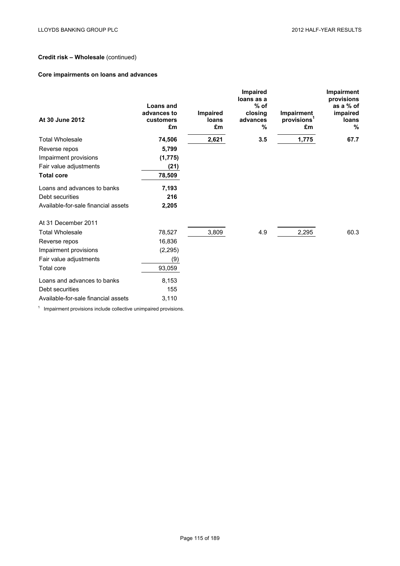# **Core impairments on loans and advances**

| At 30 June 2012                     | <b>Loans and</b><br>advances to<br>customers<br>£m | Impaired<br>loans<br>£m | Impaired<br>loans as a<br>$%$ of<br>closing<br>advances<br>% | <b>Impairment</b><br>provisions <sup>1</sup><br>£m | Impairment<br>provisions<br>as a % of<br>impaired<br>loans<br>% |
|-------------------------------------|----------------------------------------------------|-------------------------|--------------------------------------------------------------|----------------------------------------------------|-----------------------------------------------------------------|
| <b>Total Wholesale</b>              | 74,506                                             | 2,621                   | 3.5                                                          | 1,775                                              | 67.7                                                            |
| Reverse repos                       | 5,799                                              |                         |                                                              |                                                    |                                                                 |
| Impairment provisions               | (1, 775)                                           |                         |                                                              |                                                    |                                                                 |
| Fair value adjustments              | (21)                                               |                         |                                                              |                                                    |                                                                 |
| <b>Total core</b>                   | 78,509                                             |                         |                                                              |                                                    |                                                                 |
| Loans and advances to banks         | 7,193                                              |                         |                                                              |                                                    |                                                                 |
| Debt securities                     | 216                                                |                         |                                                              |                                                    |                                                                 |
| Available-for-sale financial assets | 2,205                                              |                         |                                                              |                                                    |                                                                 |
| At 31 December 2011                 |                                                    |                         |                                                              |                                                    |                                                                 |
| <b>Total Wholesale</b>              | 78,527                                             | 3,809                   | 4.9                                                          | 2,295                                              | 60.3                                                            |
| Reverse repos                       | 16,836                                             |                         |                                                              |                                                    |                                                                 |
| Impairment provisions               | (2, 295)                                           |                         |                                                              |                                                    |                                                                 |
| Fair value adjustments              | (9)                                                |                         |                                                              |                                                    |                                                                 |
| <b>Total core</b>                   | 93,059                                             |                         |                                                              |                                                    |                                                                 |
| Loans and advances to banks         | 8,153                                              |                         |                                                              |                                                    |                                                                 |
| Debt securities                     | 155                                                |                         |                                                              |                                                    |                                                                 |
| Available-for-sale financial assets | 3,110                                              |                         |                                                              |                                                    |                                                                 |

<sup>1</sup> Impairment provisions include collective unimpaired provisions.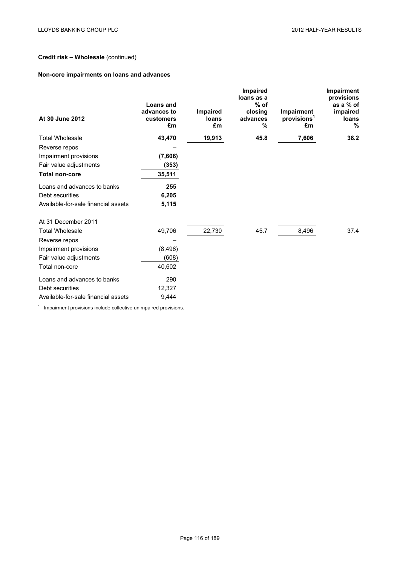# **Non-core impairments on loans and advances**

| At 30 June 2012                     | <b>Loans and</b><br>advances to<br>customers<br>£m | <b>Impaired</b><br>loans<br>£m | <b>Impaired</b><br>loans as a<br>$%$ of<br>closing<br>advances<br>% | Impairment<br>provisions <sup>1</sup><br>£m | Impairment<br>provisions<br>as a % of<br>impaired<br>loans<br>% |
|-------------------------------------|----------------------------------------------------|--------------------------------|---------------------------------------------------------------------|---------------------------------------------|-----------------------------------------------------------------|
| <b>Total Wholesale</b>              | 43,470                                             | 19,913                         | 45.8                                                                | 7,606                                       | 38.2                                                            |
| Reverse repos                       |                                                    |                                |                                                                     |                                             |                                                                 |
| Impairment provisions               | (7,606)                                            |                                |                                                                     |                                             |                                                                 |
| Fair value adjustments              | (353)                                              |                                |                                                                     |                                             |                                                                 |
| <b>Total non-core</b>               | 35,511                                             |                                |                                                                     |                                             |                                                                 |
| Loans and advances to banks         | 255                                                |                                |                                                                     |                                             |                                                                 |
| Debt securities                     | 6,205                                              |                                |                                                                     |                                             |                                                                 |
| Available-for-sale financial assets | 5,115                                              |                                |                                                                     |                                             |                                                                 |
| At 31 December 2011                 |                                                    |                                |                                                                     |                                             |                                                                 |
| <b>Total Wholesale</b>              | 49,706                                             | 22,730                         | 45.7                                                                | 8,496                                       | 37.4                                                            |
| Reverse repos                       |                                                    |                                |                                                                     |                                             |                                                                 |
| Impairment provisions               | (8, 496)                                           |                                |                                                                     |                                             |                                                                 |
| Fair value adjustments              | (608)                                              |                                |                                                                     |                                             |                                                                 |
| Total non-core                      | 40,602                                             |                                |                                                                     |                                             |                                                                 |
| Loans and advances to banks         | 290                                                |                                |                                                                     |                                             |                                                                 |
| Debt securities                     | 12,327                                             |                                |                                                                     |                                             |                                                                 |
| Available-for-sale financial assets | 9,444                                              |                                |                                                                     |                                             |                                                                 |

 $1$  Impairment provisions include collective unimpaired provisions.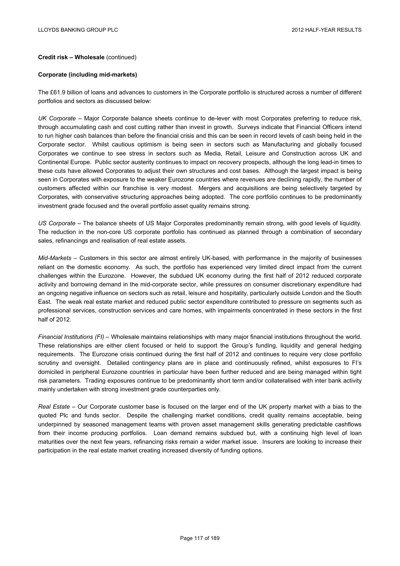#### **Corporate (including mid-markets)**

The £61.9 billion of loans and advances to customers in the Corporate portfolio is structured across a number of different portfolios and sectors as discussed below:

*UK Corporate* – Major Corporate balance sheets continue to de-lever with most Corporates preferring to reduce risk, through accumulating cash and cost cutting rather than invest in growth. Surveys indicate that Financial Officers intend to run higher cash balances than before the financial crisis and this can be seen in record levels of cash being held in the Corporate sector. Whilst cautious optimism is being seen in sectors such as Manufacturing and globally focused Corporates we continue to see stress in sectors such as Media, Retail, Leisure and Construction across UK and Continental Europe. Public sector austerity continues to impact on recovery prospects, although the long lead-in times to these cuts have allowed Corporates to adjust their own structures and cost bases. Although the largest impact is being seen in Corporates with exposure to the weaker Eurozone countries where revenues are declining rapidly, the number of customers affected within our franchise is very modest. Mergers and acquisitions are being selectively targeted by Corporates, with conservative structuring approaches being adopted. The core portfolio continues to be predominantly investment grade focused and the overall portfolio asset quality remains strong.

*US Corporate* – The balance sheets of US Major Corporates predominantly remain strong, with good levels of liquidity. The reduction in the non-core US corporate portfolio has continued as planned through a combination of secondary sales, refinancings and realisation of real estate assets.

*Mid-Markets* – Customers in this sector are almost entirely UK-based, with performance in the majority of businesses reliant on the domestic economy. As such, the portfolio has experienced very limited direct impact from the current challenges within the Eurozone. However, the subdued UK economy during the first half of 2012 reduced corporate activity and borrowing demand in the mid-corporate sector, while pressures on consumer discretionary expenditure had an ongoing negative influence on sectors such as retail, leisure and hospitality, particularly outside London and the South East. The weak real estate market and reduced public sector expenditure contributed to pressure on segments such as professional services, construction services and care homes, with impairments concentrated in these sectors in the first half of 2012.

*Financial Institutions (FI)* – Wholesale maintains relationships with many major financial institutions throughout the world. These relationships are either client focused or held to support the Group's funding, liquidity and general hedging requirements. The Eurozone crisis continued during the first half of 2012 and continues to require very close portfolio scrutiny and oversight. Detailed contingency plans are in place and continuously refined, whilst exposures to FI's domiciled in peripheral Eurozone countries in particular have been further reduced and are being managed within tight risk parameters. Trading exposures continue to be predominantly short term and/or collateralised with inter bank activity mainly undertaken with strong investment grade counterparties only.

*Real Estate* – Our Corporate customer base is focused on the larger end of the UK property market with a bias to the quoted Plc and funds sector. Despite the challenging market conditions, credit quality remains acceptable, being underpinned by seasoned management teams with proven asset management skills generating predictable cashflows from their income producing portfolios. Loan demand remains subdued but, with a continuing high level of loan maturities over the next few years, refinancing risks remain a wider market issue. Insurers are looking to increase their participation in the real estate market creating increased diversity of funding options.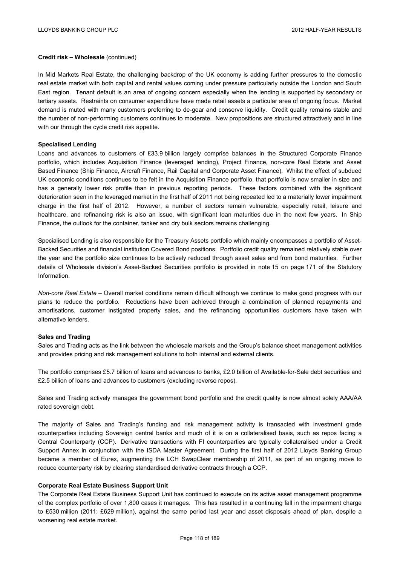In Mid Markets Real Estate, the challenging backdrop of the UK economy is adding further pressures to the domestic real estate market with both capital and rental values coming under pressure particularly outside the London and South East region. Tenant default is an area of ongoing concern especially when the lending is supported by secondary or tertiary assets. Restraints on consumer expenditure have made retail assets a particular area of ongoing focus. Market demand is muted with many customers preferring to de-gear and conserve liquidity. Credit quality remains stable and the number of non-performing customers continues to moderate. New propositions are structured attractively and in line with our through the cycle credit risk appetite.

#### **Specialised Lending**

Loans and advances to customers of £33.9 billion largely comprise balances in the Structured Corporate Finance portfolio, which includes Acquisition Finance (leveraged lending), Project Finance, non-core Real Estate and Asset Based Finance (Ship Finance, Aircraft Finance, Rail Capital and Corporate Asset Finance). Whilst the effect of subdued UK economic conditions continues to be felt in the Acquisition Finance portfolio, that portfolio is now smaller in size and has a generally lower risk profile than in previous reporting periods. These factors combined with the significant deterioration seen in the leveraged market in the first half of 2011 not being repeated led to a materially lower impairment charge in the first half of 2012. However, a number of sectors remain vulnerable, especially retail, leisure and healthcare, and refinancing risk is also an issue, with significant loan maturities due in the next few years. In Ship Finance, the outlook for the container, tanker and dry bulk sectors remains challenging.

Specialised Lending is also responsible for the Treasury Assets portfolio which mainly encompasses a portfolio of Asset-Backed Securities and financial institution Covered Bond positions. Portfolio credit quality remained relatively stable over the year and the portfolio size continues to be actively reduced through asset sales and from bond maturities. Further details of Wholesale division's Asset-Backed Securities portfolio is provided in note 15 on page 171 of the Statutory Information.

*Non-core Real Estate* – Overall market conditions remain difficult although we continue to make good progress with our plans to reduce the portfolio. Reductions have been achieved through a combination of planned repayments and amortisations, customer instigated property sales, and the refinancing opportunities customers have taken with alternative lenders.

### **Sales and Trading**

Sales and Trading acts as the link between the wholesale markets and the Group's balance sheet management activities and provides pricing and risk management solutions to both internal and external clients.

The portfolio comprises £5.7 billion of loans and advances to banks, £2.0 billion of Available-for-Sale debt securities and £2.5 billion of loans and advances to customers (excluding reverse repos).

Sales and Trading actively manages the government bond portfolio and the credit quality is now almost solely AAA/AA rated sovereign debt.

The majority of Sales and Trading's funding and risk management activity is transacted with investment grade counterparties including Sovereign central banks and much of it is on a collateralised basis, such as repos facing a Central Counterparty (CCP). Derivative transactions with FI counterparties are typically collateralised under a Credit Support Annex in conjunction with the ISDA Master Agreement. During the first half of 2012 Lloyds Banking Group became a member of Eurex, augmenting the LCH SwapClear membership of 2011, as part of an ongoing move to reduce counterparty risk by clearing standardised derivative contracts through a CCP.

### **Corporate Real Estate Business Support Unit**

The Corporate Real Estate Business Support Unit has continued to execute on its active asset management programme of the complex portfolio of over 1,800 cases it manages. This has resulted in a continuing fall in the impairment charge to £530 million (2011: £629 million), against the same period last year and asset disposals ahead of plan, despite a worsening real estate market.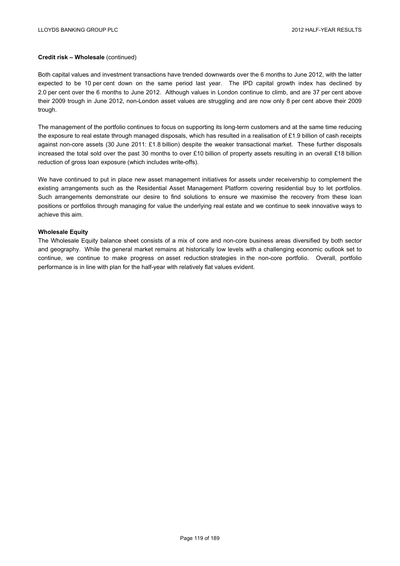Both capital values and investment transactions have trended downwards over the 6 months to June 2012, with the latter expected to be 10 per cent down on the same period last year. The IPD capital growth index has declined by 2.0 per cent over the 6 months to June 2012. Although values in London continue to climb, and are 37 per cent above their 2009 trough in June 2012, non-London asset values are struggling and are now only 8 per cent above their 2009 trough.

The management of the portfolio continues to focus on supporting its long-term customers and at the same time reducing the exposure to real estate through managed disposals, which has resulted in a realisation of £1.9 billion of cash receipts against non-core assets (30 June 2011: £1.8 billion) despite the weaker transactional market. These further disposals increased the total sold over the past 30 months to over £10 billion of property assets resulting in an overall £18 billion reduction of gross loan exposure (which includes write-offs).

We have continued to put in place new asset management initiatives for assets under receivership to complement the existing arrangements such as the Residential Asset Management Platform covering residential buy to let portfolios. Such arrangements demonstrate our desire to find solutions to ensure we maximise the recovery from these loan positions or portfolios through managing for value the underlying real estate and we continue to seek innovative ways to achieve this aim.

### **Wholesale Equity**

The Wholesale Equity balance sheet consists of a mix of core and non-core business areas diversified by both sector and geography. While the general market remains at historically low levels with a challenging economic outlook set to continue, we continue to make progress on asset reduction strategies in the non-core portfolio. Overall, portfolio performance is in line with plan for the half-year with relatively flat values evident.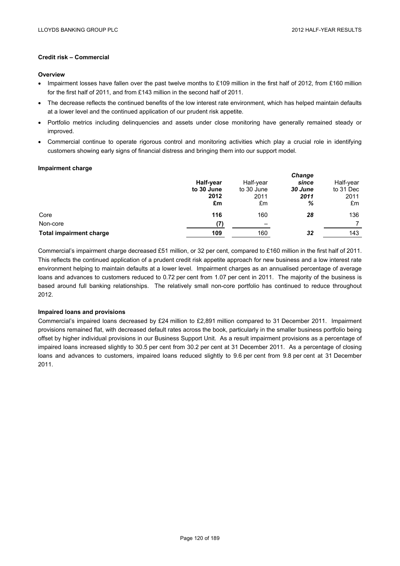## **Credit risk – Commercial**

#### **Overview**

- Impairment losses have fallen over the past twelve months to £109 million in the first half of 2012, from £160 million for the first half of 2011, and from £143 million in the second half of 2011.
- The decrease reflects the continued benefits of the low interest rate environment, which has helped maintain defaults at a lower level and the continued application of our prudent risk appetite.
- Portfolio metrics including delinquencies and assets under close monitoring have generally remained steady or improved.
- Commercial continue to operate rigorous control and monitoring activities which play a crucial role in identifying customers showing early signs of financial distress and bringing them into our support model.

#### **Impairment charge**

|                                |            |            | <b>Change</b> |           |
|--------------------------------|------------|------------|---------------|-----------|
|                                | Half-year  | Half-year  | since         | Half-year |
|                                | to 30 June | to 30 June | 30 June       | to 31 Dec |
|                                | 2012       | 2011       | 2011          | 2011      |
|                                | £m         | £m         | ℅             | £m        |
| Core                           | 116        | 160        | 28            | 136       |
| Non-core                       | (7)        |            |               |           |
| <b>Total impairment charge</b> | 109        | 160        | 32            | 143       |

Commercial's impairment charge decreased £51 million, or 32 per cent, compared to £160 million in the first half of 2011. This reflects the continued application of a prudent credit risk appetite approach for new business and a low interest rate environment helping to maintain defaults at a lower level. Impairment charges as an annualised percentage of average loans and advances to customers reduced to 0.72 per cent from 1.07 per cent in 2011. The majority of the business is based around full banking relationships. The relatively small non-core portfolio has continued to reduce throughout 2012.

### **Impaired loans and provisions**

Commercial's impaired loans decreased by £24 million to £2,891 million compared to 31 December 2011. Impairment provisions remained flat, with decreased default rates across the book, particularly in the smaller business portfolio being offset by higher individual provisions in our Business Support Unit. As a result impairment provisions as a percentage of impaired loans increased slightly to 30.5 per cent from 30.2 per cent at 31 December 2011. As a percentage of closing loans and advances to customers, impaired loans reduced slightly to 9.6 per cent from 9.8 per cent at 31 December 2011.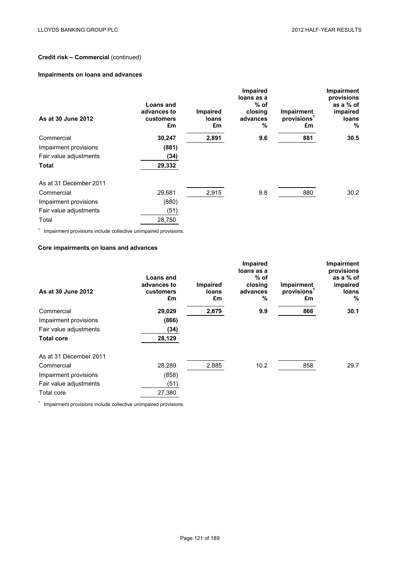# **Credit risk – Commercial** (continued)

# **Impairments on loans and advances**

| As at 30 June 2012     | Loans and<br>advances to<br>customers<br>£m | <b>Impaired</b><br>loans<br>£m | <b>Impaired</b><br>loans as a<br>$%$ of<br>closing<br>advances<br>% | <b>Impairment</b><br>provisions <sup>1</sup><br>£m | Impairment<br>provisions<br>as a % of<br>impaired<br>loans<br>$\%$ |
|------------------------|---------------------------------------------|--------------------------------|---------------------------------------------------------------------|----------------------------------------------------|--------------------------------------------------------------------|
| Commercial             | 30,247                                      | 2,891                          | 9.6                                                                 | 881                                                | 30.5                                                               |
| Impairment provisions  | (881)                                       |                                |                                                                     |                                                    |                                                                    |
| Fair value adjustments | (34)                                        |                                |                                                                     |                                                    |                                                                    |
| <b>Total</b>           | 29,332                                      |                                |                                                                     |                                                    |                                                                    |
| As at 31 December 2011 |                                             |                                |                                                                     |                                                    |                                                                    |
| Commercial             | 29.681                                      | 2,915                          | 9.8                                                                 | 880                                                | 30.2                                                               |
| Impairment provisions  | (880)                                       |                                |                                                                     |                                                    |                                                                    |
| Fair value adjustments | (51)                                        |                                |                                                                     |                                                    |                                                                    |
| Total                  | 28,750                                      |                                |                                                                     |                                                    |                                                                    |

<sup>1</sup> Impairment provisions include collective unimpaired provisions.

# **Core impairments on loans and advances**

| As at 30 June 2012     | <b>Loans and</b><br>advances to<br>customers<br>£m | <b>Impaired</b><br>loans<br>£m | <b>Impaired</b><br>loans as a<br>% of<br>closing<br>advances<br>% | <b>Impairment</b><br>provisions <sup>1</sup><br>£m | Impairment<br>provisions<br>as a % of<br>impaired<br>loans<br>% |
|------------------------|----------------------------------------------------|--------------------------------|-------------------------------------------------------------------|----------------------------------------------------|-----------------------------------------------------------------|
| Commercial             | 29,029                                             | 2,879                          | 9.9                                                               | 866                                                | 30.1                                                            |
| Impairment provisions  | (866)                                              |                                |                                                                   |                                                    |                                                                 |
| Fair value adjustments | (34)                                               |                                |                                                                   |                                                    |                                                                 |
| <b>Total core</b>      | 28,129                                             |                                |                                                                   |                                                    |                                                                 |
| As at 31 December 2011 |                                                    |                                |                                                                   |                                                    |                                                                 |
| Commercial             | 28,289                                             | 2,885                          | 10.2                                                              | 858                                                | 29.7                                                            |
| Impairment provisions  | (858)                                              |                                |                                                                   |                                                    |                                                                 |
| Fair value adjustments | (51)                                               |                                |                                                                   |                                                    |                                                                 |
| Total core             | 27,380                                             |                                |                                                                   |                                                    |                                                                 |

<sup>1</sup> Impairment provisions include collective unimpaired provisions.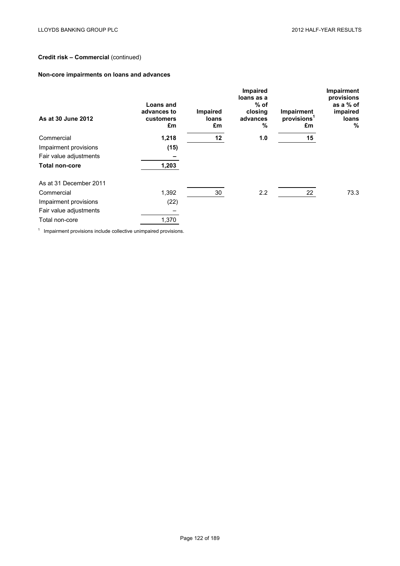# **Credit risk – Commercial** (continued)

# **Non-core impairments on loans and advances**

| As at 30 June 2012     | <b>Loans and</b><br>advances to<br>customers<br>£m | Impaired<br>loans<br>£m | Impaired<br>loans as a<br>$%$ of<br>closing<br>advances<br>% | Impairment<br>provisions <sup>1</sup><br>£m | Impairment<br>provisions<br>as a % of<br>impaired<br>loans<br>% |
|------------------------|----------------------------------------------------|-------------------------|--------------------------------------------------------------|---------------------------------------------|-----------------------------------------------------------------|
| Commercial             | 1,218                                              | 12 <sub>2</sub>         | 1.0                                                          | 15                                          |                                                                 |
| Impairment provisions  | (15)                                               |                         |                                                              |                                             |                                                                 |
| Fair value adjustments |                                                    |                         |                                                              |                                             |                                                                 |
| <b>Total non-core</b>  | 1,203                                              |                         |                                                              |                                             |                                                                 |
| As at 31 December 2011 |                                                    |                         |                                                              |                                             |                                                                 |
| Commercial             | 1,392                                              | 30                      | 2.2                                                          | 22                                          | 73.3                                                            |
| Impairment provisions  | (22)                                               |                         |                                                              |                                             |                                                                 |
| Fair value adjustments |                                                    |                         |                                                              |                                             |                                                                 |
| Total non-core         | 1,370                                              |                         |                                                              |                                             |                                                                 |

<sup>1</sup> Impairment provisions include collective unimpaired provisions.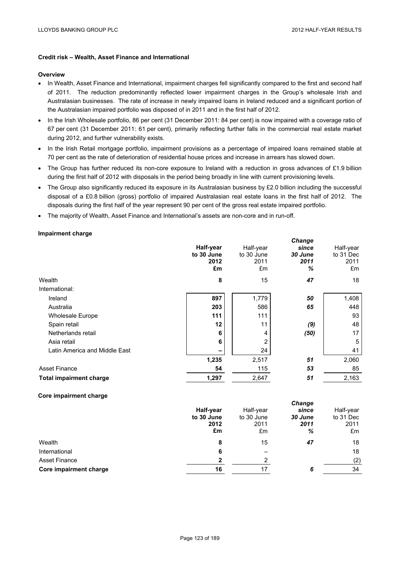## **Credit risk – Wealth, Asset Finance and International**

#### **Overview**

- In Wealth, Asset Finance and International, impairment charges fell significantly compared to the first and second half of 2011. The reduction predominantly reflected lower impairment charges in the Group's wholesale Irish and Australasian businesses. The rate of increase in newly impaired loans in Ireland reduced and a significant portion of the Australasian impaired portfolio was disposed of in 2011 and in the first half of 2012.
- In the Irish Wholesale portfolio, 86 per cent (31 December 2011: 84 per cent) is now impaired with a coverage ratio of 67 per cent (31 December 2011: 61 per cent), primarily reflecting further falls in the commercial real estate market during 2012, and further vulnerability exists.
- In the Irish Retail mortgage portfolio, impairment provisions as a percentage of impaired loans remained stable at 70 per cent as the rate of deterioration of residential house prices and increase in arrears has slowed down.
- The Group has further reduced its non-core exposure to Ireland with a reduction in gross advances of £1.9 billion during the first half of 2012 with disposals in the period being broadly in line with current provisioning levels.
- The Group also significantly reduced its exposure in its Australasian business by £2.0 billion including the successful disposal of a £0.8 billion (gross) portfolio of impaired Australasian real estate loans in the first half of 2012. The disposals during the first half of the year represent 90 per cent of the gross real estate impaired portfolio.
- The majority of Wealth, Asset Finance and International's assets are non-core and in run-off.

### **Impairment charge**

| Half-year<br>to 30 June<br>2012<br>£m | Half-year<br>to 30 June<br>2011<br>£m | Change<br>since<br>30 June<br>2011<br>℅ | Half-year<br>to 31 Dec<br>2011<br>£m |
|---------------------------------------|---------------------------------------|-----------------------------------------|--------------------------------------|
| 8                                     | 15                                    | 47                                      | 18                                   |
|                                       |                                       |                                         |                                      |
| 897                                   | 1,779                                 | 50                                      | 1,408                                |
| 203                                   | 586                                   | 65                                      | 448                                  |
| 111                                   | 111                                   |                                         | 93                                   |
| 12                                    | 11                                    | (9)                                     | 48                                   |
| 6                                     | 4                                     | (50)                                    | 17                                   |
| 6                                     | $\overline{2}$                        |                                         | 5                                    |
|                                       | 24                                    |                                         | 41                                   |
| 1,235                                 | 2,517                                 | 51                                      | 2,060                                |
| 54                                    | 115                                   | 53                                      | 85                                   |
| 1,297                                 | 2,647                                 | 51                                      | 2,163                                |
|                                       |                                       |                                         |                                      |

### **Core impairment charge**

|                        | Half-year<br>to 30 June<br>2012<br>£m | Half-year<br>to 30 June<br>2011<br>£m | Change<br>since<br>30 June<br>2011<br>% | Half-year<br>to 31 Dec<br>2011<br>£m |
|------------------------|---------------------------------------|---------------------------------------|-----------------------------------------|--------------------------------------|
| Wealth                 | 8                                     | 15                                    | 47                                      | 18                                   |
| International          | 6                                     |                                       |                                         | 18                                   |
| <b>Asset Finance</b>   | 2                                     | າ                                     |                                         | (2)                                  |
| Core impairment charge | 16                                    | 17                                    | 6                                       | 34                                   |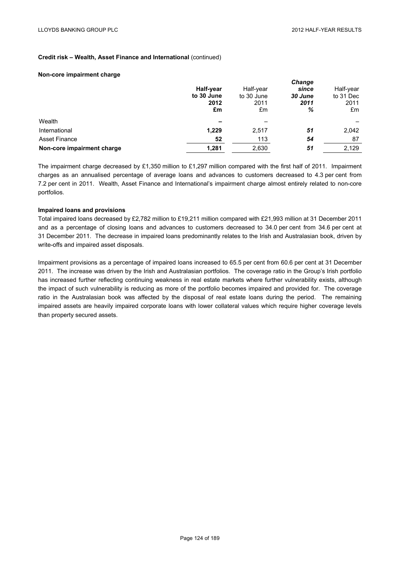#### **Non-core impairment charge**

|                            |            |            | Change  |           |
|----------------------------|------------|------------|---------|-----------|
|                            | Half-year  | Half-year  | since   | Half-year |
|                            | to 30 June | to 30 June | 30 June | to 31 Dec |
|                            | 2012       | 2011       | 2011    | 2011      |
|                            | £m         | £m         | %       | £m        |
| Wealth                     |            |            |         |           |
| International              | 1,229      | 2,517      | 51      | 2,042     |
| <b>Asset Finance</b>       | 52         | 113        | 54      | 87        |
| Non-core impairment charge | 1,281      | 2,630      | 51      | 2,129     |

The impairment charge decreased by £1,350 million to £1,297 million compared with the first half of 2011. Impairment charges as an annualised percentage of average loans and advances to customers decreased to 4.3 per cent from 7.2 per cent in 2011. Wealth, Asset Finance and International's impairment charge almost entirely related to non-core portfolios.

### **Impaired loans and provisions**

Total impaired loans decreased by £2,782 million to £19,211 million compared with £21,993 million at 31 December 2011 and as a percentage of closing loans and advances to customers decreased to 34.0 per cent from 34.6 per cent at 31 December 2011. The decrease in impaired loans predominantly relates to the Irish and Australasian book, driven by write-offs and impaired asset disposals.

Impairment provisions as a percentage of impaired loans increased to 65.5 per cent from 60.6 per cent at 31 December 2011. The increase was driven by the Irish and Australasian portfolios. The coverage ratio in the Group's Irish portfolio has increased further reflecting continuing weakness in real estate markets where further vulnerability exists, although the impact of such vulnerability is reducing as more of the portfolio becomes impaired and provided for. The coverage ratio in the Australasian book was affected by the disposal of real estate loans during the period. The remaining impaired assets are heavily impaired corporate loans with lower collateral values which require higher coverage levels than property secured assets.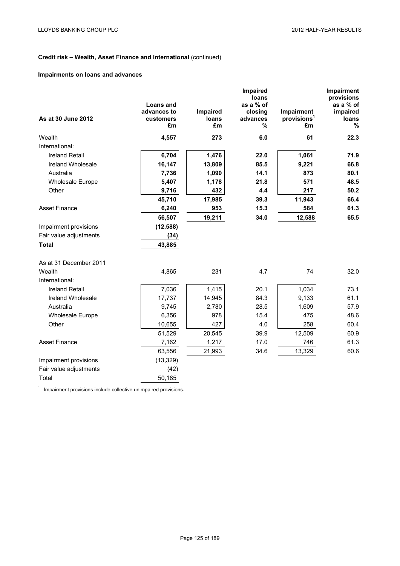# **Impairments on loans and advances**

|                        |                  |          | Impaired<br>loans |                         | Impairment<br>provisions |
|------------------------|------------------|----------|-------------------|-------------------------|--------------------------|
|                        | <b>Loans and</b> |          | as a % of         |                         | as a % of                |
|                        | advances to      | Impaired | closing           | Impairment              | impaired                 |
| As at 30 June 2012     | customers        | loans    | advances          | provisions <sup>1</sup> | loans                    |
|                        | £m               | £m       | %                 | £m                      | %                        |
| Wealth                 | 4,557            | 273      | 6.0               | 61                      | 22.3                     |
| International:         |                  |          |                   |                         |                          |
| Ireland Retail         | 6,704            | 1,476    | 22.0              | 1,061                   | 71.9                     |
| Ireland Wholesale      | 16,147           | 13,809   | 85.5              | 9,221                   | 66.8                     |
| Australia              | 7,736            | 1,090    | 14.1              | 873                     | 80.1                     |
| Wholesale Europe       | 5,407            | 1,178    | 21.8              | 571                     | 48.5                     |
| Other                  | 9,716            | 432      | 4.4               | 217                     | 50.2                     |
|                        | 45,710           | 17,985   | 39.3              | 11,943                  | 66.4                     |
| <b>Asset Finance</b>   | 6,240            | 953      | 15.3              | 584                     | 61.3                     |
|                        | 56,507           | 19,211   | 34.0              | 12,588                  | 65.5                     |
| Impairment provisions  | (12, 588)        |          |                   |                         |                          |
| Fair value adjustments | (34)             |          |                   |                         |                          |
| <b>Total</b>           | 43,885           |          |                   |                         |                          |
| As at 31 December 2011 |                  |          |                   |                         |                          |
| Wealth                 | 4.865            | 231      | 4.7               | 74                      | 32.0                     |
| International:         |                  |          |                   |                         |                          |
| Ireland Retail         | 7,036            | 1,415    | 20.1              | 1,034                   | 73.1                     |
| Ireland Wholesale      | 17,737           | 14,945   | 84.3              | 9,133                   | 61.1                     |
| Australia              | 9,745            | 2,780    | 28.5              | 1,609                   | 57.9                     |
| Wholesale Europe       | 6,356            | 978      | 15.4              | 475                     | 48.6                     |
| Other                  | 10,655           | 427      | 4.0               | 258                     | 60.4                     |
|                        | 51,529           | 20,545   | 39.9              | 12,509                  | 60.9                     |
| <b>Asset Finance</b>   | 7,162            | 1,217    | 17.0              | 746                     | 61.3                     |
|                        | 63,556           | 21,993   | 34.6              | 13,329                  | 60.6                     |
| Impairment provisions  | (13, 329)        |          |                   |                         |                          |
| Fair value adjustments | (42)             |          |                   |                         |                          |
| Total                  | 50,185           |          |                   |                         |                          |

<sup>1</sup> Impairment provisions include collective unimpaired provisions.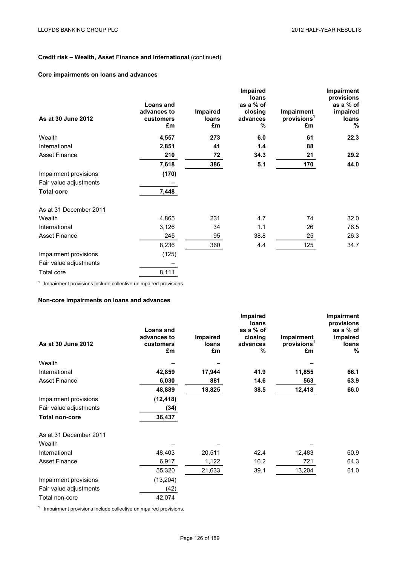# **Core impairments on loans and advances**

| As at 30 June 2012     | Loans and<br>advances to<br>customers<br>£m | Impaired<br>loans<br>£m | Impaired<br>loans<br>as a % of<br>closing<br>advances<br>% | Impairment<br>provisions <sup>1</sup><br>£m | Impairment<br>provisions<br>as a % of<br>impaired<br>loans<br>$\%$ |
|------------------------|---------------------------------------------|-------------------------|------------------------------------------------------------|---------------------------------------------|--------------------------------------------------------------------|
| Wealth                 | 4,557                                       | 273                     | 6.0                                                        | 61                                          | 22.3                                                               |
| International          | 2,851                                       | 41                      | 1.4                                                        | 88                                          |                                                                    |
| <b>Asset Finance</b>   | 210                                         | 72                      | 34.3                                                       | 21                                          | 29.2                                                               |
|                        | 7,618                                       | 386                     | 5.1                                                        | 170                                         | 44.0                                                               |
| Impairment provisions  | (170)                                       |                         |                                                            |                                             |                                                                    |
| Fair value adjustments |                                             |                         |                                                            |                                             |                                                                    |
| <b>Total core</b>      | 7,448                                       |                         |                                                            |                                             |                                                                    |
| As at 31 December 2011 |                                             |                         |                                                            |                                             |                                                                    |
| Wealth                 | 4,865                                       | 231                     | 4.7                                                        | 74                                          | 32.0                                                               |
| International          | 3,126                                       | 34                      | 1.1                                                        | 26                                          | 76.5                                                               |
| <b>Asset Finance</b>   | 245                                         | 95                      | 38.8                                                       | 25                                          | 26.3                                                               |
|                        | 8,236                                       | 360                     | 4.4                                                        | 125                                         | 34.7                                                               |
| Impairment provisions  | (125)                                       |                         |                                                            |                                             |                                                                    |
| Fair value adjustments |                                             |                         |                                                            |                                             |                                                                    |
| Total core             | 8,111                                       |                         |                                                            |                                             |                                                                    |
|                        |                                             |                         |                                                            |                                             |                                                                    |

<sup>1</sup> Impairment provisions include collective unimpaired provisions.

## **Non-core impairments on loans and advances**

|                        |             |          | Impaired<br>loans |                         | <b>Impairment</b><br>provisions |
|------------------------|-------------|----------|-------------------|-------------------------|---------------------------------|
|                        | Loans and   |          | as a % of         |                         | as a % of                       |
|                        | advances to | Impaired | closing           | Impairment              | impaired                        |
| As at 30 June 2012     | customers   | loans    | advances          | provisions <sup>1</sup> | loans                           |
|                        | £m          | £m       | %                 | £m                      | $\%$                            |
| Wealth                 |             |          |                   |                         |                                 |
| International          | 42,859      | 17,944   | 41.9              | 11,855                  | 66.1                            |
| <b>Asset Finance</b>   | 6,030       | 881      | 14.6              | 563                     | 63.9                            |
|                        | 48,889      | 18,825   | 38.5              | 12,418                  | 66.0                            |
| Impairment provisions  | (12, 418)   |          |                   |                         |                                 |
| Fair value adjustments | (34)        |          |                   |                         |                                 |
| <b>Total non-core</b>  | 36,437      |          |                   |                         |                                 |
| As at 31 December 2011 |             |          |                   |                         |                                 |
| Wealth                 |             |          |                   |                         |                                 |
| International          | 48,403      | 20,511   | 42.4              | 12,483                  | 60.9                            |
| <b>Asset Finance</b>   | 6,917       | 1,122    | 16.2              | 721                     | 64.3                            |
|                        | 55,320      | 21,633   | 39.1              | 13,204                  | 61.0                            |
| Impairment provisions  | (13,204)    |          |                   |                         |                                 |
| Fair value adjustments | (42)        |          |                   |                         |                                 |
| Total non-core         | 42,074      |          |                   |                         |                                 |

<sup>1</sup> Impairment provisions include collective unimpaired provisions.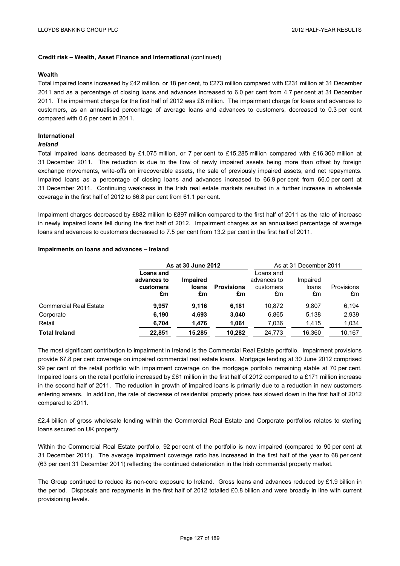#### **Wealth**

Total impaired loans increased by £42 million, or 18 per cent, to £273 million compared with £231 million at 31 December 2011 and as a percentage of closing loans and advances increased to 6.0 per cent from 4.7 per cent at 31 December 2011. The impairment charge for the first half of 2012 was £8 million. The impairment charge for loans and advances to customers, as an annualised percentage of average loans and advances to customers, decreased to 0.3 per cent compared with 0.6 per cent in 2011.

### **International**

## *Ireland*

Total impaired loans decreased by £1,075 million, or 7 per cent to £15,285 million compared with £16,360 million at 31 December 2011. The reduction is due to the flow of newly impaired assets being more than offset by foreign exchange movements, write-offs on irrecoverable assets, the sale of previously impaired assets, and net repayments. Impaired loans as a percentage of closing loans and advances increased to 66.9 per cent from 66.0 per cent at 31 December 2011. Continuing weakness in the Irish real estate markets resulted in a further increase in wholesale coverage in the first half of 2012 to 66.8 per cent from 61.1 per cent.

Impairment charges decreased by £882 million to £897 million compared to the first half of 2011 as the rate of increase in newly impaired loans fell during the first half of 2012. Impairment charges as an annualised percentage of average loans and advances to customers decreased to 7.5 per cent from 13.2 per cent in the first half of 2011.

#### **Impairments on loans and advances – Ireland**

|                               | As at 30 June 2012                          |                         |                         | As at 31 December 2011                      |                         |                  |
|-------------------------------|---------------------------------------------|-------------------------|-------------------------|---------------------------------------------|-------------------------|------------------|
|                               | Loans and<br>advances to<br>customers<br>£m | Impaired<br>loans<br>£m | <b>Provisions</b><br>£m | Loans and<br>advances to<br>customers<br>£m | Impaired<br>loans<br>£m | Provisions<br>£m |
| <b>Commercial Real Estate</b> | 9.957                                       | 9.116                   | 6,181                   | 10.872                                      | 9.807                   | 6,194            |
| Corporate                     | 6,190                                       | 4,693                   | 3,040                   | 6,865                                       | 5,138                   | 2,939            |
| Retail                        | 6,704                                       | 1,476                   | 1,061                   | 7,036                                       | 1,415                   | 1,034            |
| <b>Total Ireland</b>          | 22,851                                      | 15.285                  | 10,282                  | 24,773                                      | 16.360                  | 10.167           |

The most significant contribution to impairment in Ireland is the Commercial Real Estate portfolio. Impairment provisions provide 67.8 per cent coverage on impaired commercial real estate loans. Mortgage lending at 30 June 2012 comprised 99 per cent of the retail portfolio with impairment coverage on the mortgage portfolio remaining stable at 70 per cent. Impaired loans on the retail portfolio increased by £61 million in the first half of 2012 compared to a £171 million increase in the second half of 2011. The reduction in growth of impaired loans is primarily due to a reduction in new customers entering arrears. In addition, the rate of decrease of residential property prices has slowed down in the first half of 2012 compared to 2011.

£2.4 billion of gross wholesale lending within the Commercial Real Estate and Corporate portfolios relates to sterling loans secured on UK property.

Within the Commercial Real Estate portfolio, 92 per cent of the portfolio is now impaired (compared to 90 per cent at 31 December 2011). The average impairment coverage ratio has increased in the first half of the year to 68 per cent (63 per cent 31 December 2011) reflecting the continued deterioration in the Irish commercial property market.

The Group continued to reduce its non-core exposure to Ireland. Gross loans and advances reduced by £1.9 billion in the period. Disposals and repayments in the first half of 2012 totalled £0.8 billion and were broadly in line with current provisioning levels.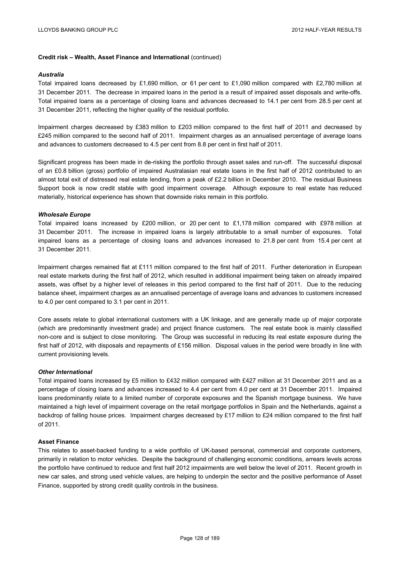#### *Australia*

Total impaired loans decreased by £1,690 million, or 61 per cent to £1,090 million compared with £2,780 million at 31 December 2011. The decrease in impaired loans in the period is a result of impaired asset disposals and write-offs. Total impaired loans as a percentage of closing loans and advances decreased to 14.1 per cent from 28.5 per cent at 31 December 2011, reflecting the higher quality of the residual portfolio.

Impairment charges decreased by £383 million to £203 million compared to the first half of 2011 and decreased by £245 million compared to the second half of 2011. Impairment charges as an annualised percentage of average loans and advances to customers decreased to 4.5 per cent from 8.8 per cent in first half of 2011.

Significant progress has been made in de-risking the portfolio through asset sales and run-off. The successful disposal of an £0.8 billion (gross) portfolio of impaired Australasian real estate loans in the first half of 2012 contributed to an almost total exit of distressed real estate lending, from a peak of £2.2 billion in December 2010. The residual Business Support book is now credit stable with good impairment coverage. Although exposure to real estate has reduced materially, historical experience has shown that downside risks remain in this portfolio.

### *Wholesale Europe*

Total impaired loans increased by £200 million, or 20 per cent to £1,178 million compared with £978 million at 31 December 2011. The increase in impaired loans is largely attributable to a small number of exposures. Total impaired loans as a percentage of closing loans and advances increased to 21.8 per cent from 15.4 per cent at 31 December 2011.

Impairment charges remained flat at £111 million compared to the first half of 2011. Further deterioration in European real estate markets during the first half of 2012, which resulted in additional impairment being taken on already impaired assets, was offset by a higher level of releases in this period compared to the first half of 2011. Due to the reducing balance sheet, impairment charges as an annualised percentage of average loans and advances to customers increased to 4.0 per cent compared to 3.1 per cent in 2011.

Core assets relate to global international customers with a UK linkage, and are generally made up of major corporate (which are predominantly investment grade) and project finance customers. The real estate book is mainly classified non-core and is subject to close monitoring. The Group was successful in reducing its real estate exposure during the first half of 2012, with disposals and repayments of £156 million. Disposal values in the period were broadly in line with current provisioning levels.

### *Other International*

Total impaired loans increased by £5 million to £432 million compared with £427 million at 31 December 2011 and as a percentage of closing loans and advances increased to 4.4 per cent from 4.0 per cent at 31 December 2011. Impaired loans predominantly relate to a limited number of corporate exposures and the Spanish mortgage business. We have maintained a high level of impairment coverage on the retail mortgage portfolios in Spain and the Netherlands, against a backdrop of falling house prices. Impairment charges decreased by £17 million to £24 million compared to the first half of 2011.

### **Asset Finance**

This relates to asset-backed funding to a wide portfolio of UK-based personal, commercial and corporate customers, primarily in relation to motor vehicles. Despite the background of challenging economic conditions, arrears levels across the portfolio have continued to reduce and first half 2012 impairments are well below the level of 2011. Recent growth in new car sales, and strong used vehicle values, are helping to underpin the sector and the positive performance of Asset Finance, supported by strong credit quality controls in the business.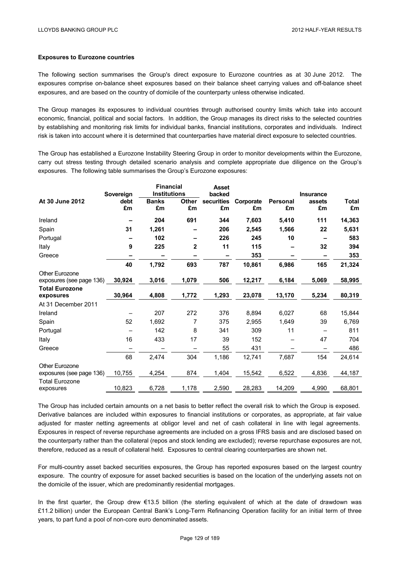### **Exposures to Eurozone countries**

The following section summarises the Group's direct exposure to Eurozone countries as at 30 June 2012. The exposures comprise on-balance sheet exposures based on their balance sheet carrying values and off-balance sheet exposures, and are based on the country of domicile of the counterparty unless otherwise indicated.

The Group manages its exposures to individual countries through authorised country limits which take into account economic, financial, political and social factors. In addition, the Group manages its direct risks to the selected countries by establishing and monitoring risk limits for individual banks, financial institutions, corporates and individuals. Indirect risk is taken into account where it is determined that counterparties have material direct exposure to selected countries.

The Group has established a Eurozone Instability Steering Group in order to monitor developments within the Eurozone, carry out stress testing through detailed scenario analysis and complete appropriate due diligence on the Group's exposures. The following table summarises the Group's Eurozone exposures:

|                          |           | <b>Financial</b>    |              | <b>Asset</b> |           |                 |                  |              |
|--------------------------|-----------|---------------------|--------------|--------------|-----------|-----------------|------------------|--------------|
|                          | Sovereign | <b>Institutions</b> |              | backed       |           |                 | <b>Insurance</b> |              |
| At 30 June 2012          | debt      | <b>Banks</b>        | <b>Other</b> | securities   | Corporate | <b>Personal</b> | assets           | <b>Total</b> |
|                          | £m        | £m                  | £m           | £m           | £m        | £m              | £m               | £m           |
| Ireland                  |           | 204                 | 691          | 344          | 7,603     | 5,410           | 111              | 14,363       |
| Spain                    | 31        | 1,261               |              | 206          | 2,545     | 1,566           | 22               | 5,631        |
| Portugal                 |           | 102                 |              | 226          | 245       | 10              |                  | 583          |
| Italy                    | 9         | 225                 | 2            | 11           | 115       |                 | 32               | 394          |
| Greece                   |           |                     |              |              | 353       |                 |                  | 353          |
|                          | 40        | 1,792               | 693          | 787          | 10,861    | 6,986           | 165              | 21,324       |
| <b>Other Eurozone</b>    |           |                     |              |              |           |                 |                  |              |
| exposures (see page 136) | 30,924    | 3,016               | 1,079        | 506          | 12,217    | 6,184           | 5,069            | 58,995       |
| <b>Total Eurozone</b>    |           |                     |              |              |           |                 |                  |              |
| exposures                | 30,964    | 4,808               | 1,772        | 1,293        | 23,078    | 13,170          | 5,234            | 80,319       |
| At 31 December 2011      |           |                     |              |              |           |                 |                  |              |
| Ireland                  |           | 207                 | 272          | 376          | 8,894     | 6,027           | 68               | 15,844       |
| Spain                    | 52        | 1,692               | 7            | 375          | 2,955     | 1,649           | 39               | 6,769        |
| Portugal                 |           | 142                 | 8            | 341          | 309       | 11              |                  | 811          |
| Italy                    | 16        | 433                 | 17           | 39           | 152       |                 | 47               | 704          |
| Greece                   |           |                     |              | 55           | 431       |                 |                  | 486          |
|                          | 68        | 2,474               | 304          | 1,186        | 12,741    | 7,687           | 154              | 24,614       |
| Other Eurozone           |           |                     |              |              |           |                 |                  |              |
| exposures (see page 136) | 10,755    | 4,254               | 874          | 1,404        | 15,542    | 6,522           | 4,836            | 44,187       |
| <b>Total Eurozone</b>    |           |                     |              |              |           |                 |                  |              |
| exposures                | 10,823    | 6,728               | 1,178        | 2,590        | 28,283    | 14,209          | 4,990            | 68,801       |

The Group has included certain amounts on a net basis to better reflect the overall risk to which the Group is exposed. Derivative balances are included within exposures to financial institutions or corporates, as appropriate, at fair value adjusted for master netting agreements at obligor level and net of cash collateral in line with legal agreements. Exposures in respect of reverse repurchase agreements are included on a gross IFRS basis and are disclosed based on the counterparty rather than the collateral (repos and stock lending are excluded); reverse repurchase exposures are not, therefore, reduced as a result of collateral held. Exposures to central clearing counterparties are shown net.

For multi-country asset backed securities exposures, the Group has reported exposures based on the largest country exposure. The country of exposure for asset backed securities is based on the location of the underlying assets not on the domicile of the issuer, which are predominantly residential mortgages.

In the first quarter, the Group drew €13.5 billion (the sterling equivalent of which at the date of drawdown was £11.2 billion) under the European Central Bank's Long-Term Refinancing Operation facility for an initial term of three years, to part fund a pool of non-core euro denominated assets.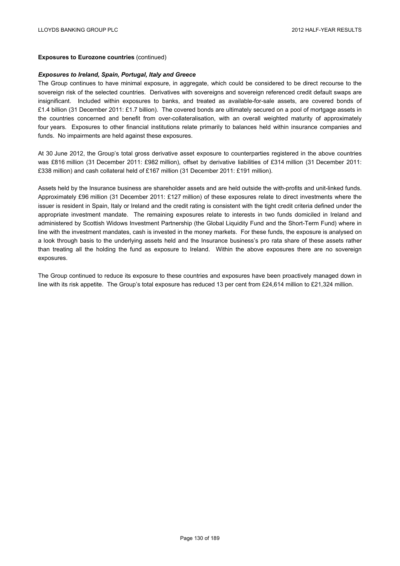#### *Exposures to Ireland, Spain, Portugal, Italy and Greece*

The Group continues to have minimal exposure, in aggregate, which could be considered to be direct recourse to the sovereign risk of the selected countries. Derivatives with sovereigns and sovereign referenced credit default swaps are insignificant. Included within exposures to banks, and treated as available-for-sale assets, are covered bonds of £1.4 billion (31 December 2011: £1.7 billion). The covered bonds are ultimately secured on a pool of mortgage assets in the countries concerned and benefit from over-collateralisation, with an overall weighted maturity of approximately four years. Exposures to other financial institutions relate primarily to balances held within insurance companies and funds. No impairments are held against these exposures.

At 30 June 2012, the Group's total gross derivative asset exposure to counterparties registered in the above countries was £816 million (31 December 2011: £982 million), offset by derivative liabilities of £314 million (31 December 2011: £338 million) and cash collateral held of £167 million (31 December 2011: £191 million).

Assets held by the Insurance business are shareholder assets and are held outside the with-profits and unit-linked funds. Approximately £96 million (31 December 2011: £127 million) of these exposures relate to direct investments where the issuer is resident in Spain, Italy or Ireland and the credit rating is consistent with the tight credit criteria defined under the appropriate investment mandate. The remaining exposures relate to interests in two funds domiciled in Ireland and administered by Scottish Widows Investment Partnership (the Global Liquidity Fund and the Short-Term Fund) where in line with the investment mandates, cash is invested in the money markets. For these funds, the exposure is analysed on a look through basis to the underlying assets held and the Insurance business's pro rata share of these assets rather than treating all the holding the fund as exposure to Ireland. Within the above exposures there are no sovereign exposures.

The Group continued to reduce its exposure to these countries and exposures have been proactively managed down in line with its risk appetite. The Group's total exposure has reduced 13 per cent from £24,614 million to £21,324 million.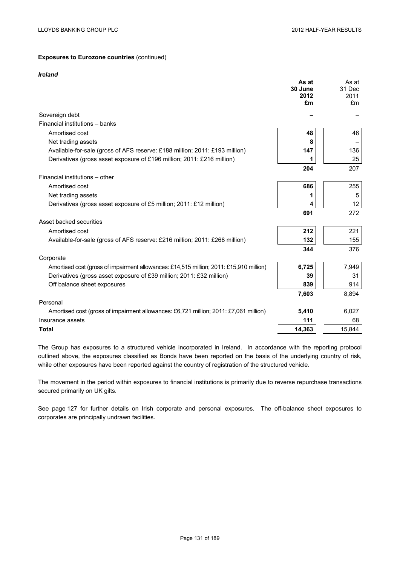### *Ireland*

|                                                                                         | As at   | As at  |
|-----------------------------------------------------------------------------------------|---------|--------|
|                                                                                         | 30 June | 31 Dec |
|                                                                                         | 2012    | 2011   |
|                                                                                         | £m      | £m     |
| Sovereign debt                                                                          |         |        |
| Financial institutions - banks                                                          |         |        |
| Amortised cost                                                                          | 48      | 46     |
| Net trading assets                                                                      | 8       |        |
| Available-for-sale (gross of AFS reserve: £188 million; 2011: £193 million)             | 147     | 136    |
| Derivatives (gross asset exposure of £196 million; 2011: £216 million)                  | 1       | 25     |
|                                                                                         | 204     | 207    |
| Financial institutions - other                                                          |         |        |
| Amortised cost                                                                          | 686     | 255    |
| Net trading assets                                                                      | 1       | 5      |
| Derivatives (gross asset exposure of £5 million; 2011: £12 million)                     | 4       | 12     |
|                                                                                         | 691     | 272    |
| Asset backed securities                                                                 |         |        |
| Amortised cost                                                                          | 212     | 221    |
| Available-for-sale (gross of AFS reserve: £216 million; 2011: £268 million)             | 132     | 155    |
|                                                                                         | 344     | 376    |
| Corporate                                                                               |         |        |
| Amortised cost (gross of impairment allowances: £14,515 million; 2011: £15,910 million) | 6,725   | 7,949  |
| Derivatives (gross asset exposure of £39 million; 2011: £32 million)                    | 39      | 31     |
| Off balance sheet exposures                                                             | 839     | 914    |
|                                                                                         | 7,603   | 8,894  |
| Personal                                                                                |         |        |
| Amortised cost (gross of impairment allowances: £6,721 million; 2011: £7,061 million)   | 5,410   | 6,027  |
| Insurance assets                                                                        | 111     | 68     |
| <b>Total</b>                                                                            | 14,363  | 15,844 |

The Group has exposures to a structured vehicle incorporated in Ireland. In accordance with the reporting protocol outlined above, the exposures classified as Bonds have been reported on the basis of the underlying country of risk, while other exposures have been reported against the country of registration of the structured vehicle.

The movement in the period within exposures to financial institutions is primarily due to reverse repurchase transactions secured primarily on UK gilts.

See page 127 for further details on Irish corporate and personal exposures. The off-balance sheet exposures to corporates are principally undrawn facilities.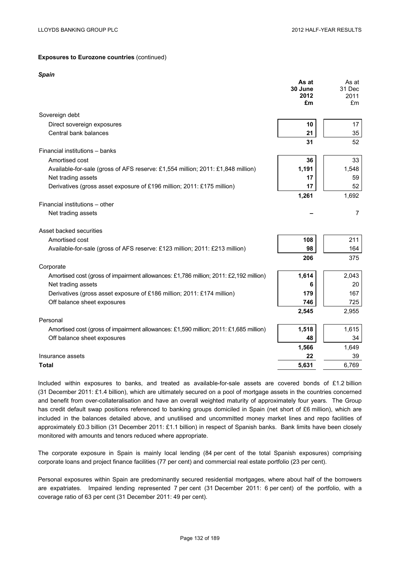| ۰, | . . |  |
|----|-----|--|

|                                                                                       | As at   | As at          |
|---------------------------------------------------------------------------------------|---------|----------------|
|                                                                                       | 30 June | 31 Dec         |
|                                                                                       | 2012    | 2011           |
|                                                                                       | £m      | £m             |
| Sovereign debt                                                                        |         |                |
| Direct sovereign exposures                                                            | 10      | 17             |
| Central bank balances                                                                 | 21      | 35             |
|                                                                                       | 31      | 52             |
| Financial institutions - banks                                                        |         |                |
| Amortised cost                                                                        | 36      | 33             |
| Available-for-sale (gross of AFS reserve: £1,554 million; 2011: £1,848 million)       | 1,191   | 1,548          |
| Net trading assets                                                                    | 17      | 59             |
| Derivatives (gross asset exposure of £196 million; 2011: £175 million)                | 17      | 52             |
|                                                                                       | 1,261   | 1,692          |
| Financial institutions - other                                                        |         |                |
| Net trading assets                                                                    |         | $\overline{7}$ |
|                                                                                       |         |                |
| Asset backed securities                                                               |         |                |
| Amortised cost                                                                        | 108     | 211            |
| Available-for-sale (gross of AFS reserve: £123 million; 2011: £213 million)           | 98      | 164            |
|                                                                                       | 206     | 375            |
| Corporate                                                                             |         |                |
| Amortised cost (gross of impairment allowances: £1,786 million; 2011: £2,192 million) | 1,614   | 2,043          |
| Net trading assets                                                                    | 6       | 20             |
| Derivatives (gross asset exposure of £186 million; 2011: £174 million)                | 179     | 167            |
| Off balance sheet exposures                                                           | 746     | 725            |
|                                                                                       | 2,545   | 2,955          |
| Personal                                                                              |         |                |
| Amortised cost (gross of impairment allowances: £1,590 million; 2011: £1,685 million) | 1,518   | 1,615          |
| Off balance sheet exposures                                                           | 48      | 34             |
|                                                                                       | 1,566   | 1,649          |
| Insurance assets                                                                      | 22      | 39             |
| <b>Total</b>                                                                          | 5,631   | 6,769          |
|                                                                                       |         |                |

Included within exposures to banks, and treated as available-for-sale assets are covered bonds of £1.2 billion (31 December 2011: £1.4 billion), which are ultimately secured on a pool of mortgage assets in the countries concerned and benefit from over-collateralisation and have an overall weighted maturity of approximately four years. The Group has credit default swap positions referenced to banking groups domiciled in Spain (net short of £6 million), which are included in the balances detailed above, and unutilised and uncommitted money market lines and repo facilities of approximately £0.3 billion (31 December 2011: £1.1 billion) in respect of Spanish banks. Bank limits have been closely monitored with amounts and tenors reduced where appropriate.

The corporate exposure in Spain is mainly local lending (84 per cent of the total Spanish exposures) comprising corporate loans and project finance facilities (77 per cent) and commercial real estate portfolio (23 per cent).

Personal exposures within Spain are predominantly secured residential mortgages, where about half of the borrowers are expatriates. Impaired lending represented 7 per cent (31 December 2011: 6 per cent) of the portfolio, with a coverage ratio of 63 per cent (31 December 2011: 49 per cent).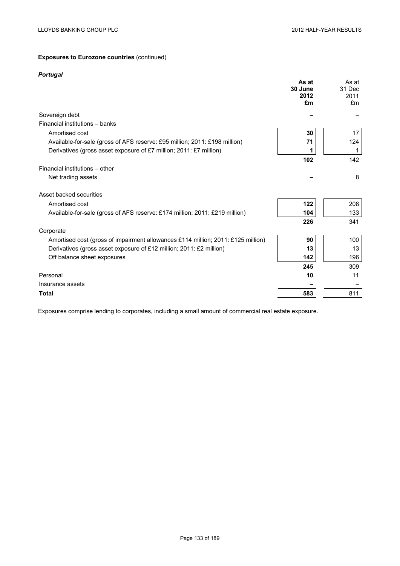# *Portugal*

|                                                                                  | As at           | As at          |
|----------------------------------------------------------------------------------|-----------------|----------------|
|                                                                                  | 30 June<br>2012 | 31 Dec<br>2011 |
|                                                                                  | £m              | £m             |
| Sovereign debt                                                                   |                 |                |
| Financial institutions - banks                                                   |                 |                |
| Amortised cost                                                                   | 30              | 17             |
| Available-for-sale (gross of AFS reserve: £95 million; 2011: £198 million)       | 71              | 124            |
| Derivatives (gross asset exposure of £7 million; 2011: £7 million)               |                 | 1              |
|                                                                                  | 102             | 142            |
| Financial institutions - other                                                   |                 |                |
| Net trading assets                                                               |                 | 8              |
| Asset backed securities                                                          |                 |                |
| Amortised cost                                                                   | 122             | 208            |
| Available-for-sale (gross of AFS reserve: £174 million; 2011: £219 million)      | 104             | 133            |
|                                                                                  | 226             | 341            |
| Corporate                                                                        |                 |                |
| Amortised cost (gross of impairment allowances £114 million; 2011: £125 million) | 90              | 100            |
| Derivatives (gross asset exposure of £12 million; 2011: £2 million)              | 13              | 13             |
| Off balance sheet exposures                                                      | 142             | 196            |
|                                                                                  | 245             | 309            |
| Personal                                                                         | 10              | 11             |
| Insurance assets                                                                 |                 |                |
| <b>Total</b>                                                                     | 583             | 811            |
|                                                                                  |                 |                |

Exposures comprise lending to corporates, including a small amount of commercial real estate exposure.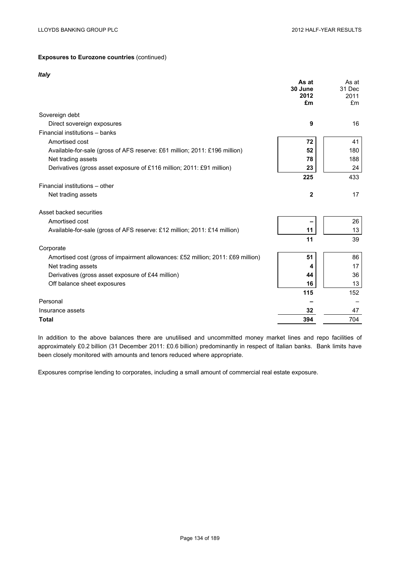| e a           |
|---------------|
| ×<br>. .<br>× |

| 2011<br>2012<br>£m<br>£m<br>Sovereign debt<br>9<br>16<br>Direct sovereign exposures<br>Financial institutions - banks<br>72<br>41<br>Amortised cost<br>52<br>Available-for-sale (gross of AFS reserve: £61 million; 2011: £196 million)<br>180<br>Net trading assets<br>78<br>188<br>Derivatives (gross asset exposure of £116 million; 2011: £91 million)<br>23<br>24<br>433<br>225<br>Financial institutions - other<br>$\mathbf{2}$<br>Net trading assets<br>17<br>26<br>Amortised cost<br>Available-for-sale (gross of AFS reserve: £12 million; 2011: £14 million)<br>11<br>13<br>11<br>39<br>Corporate<br>Amortised cost (gross of impairment allowances: £52 million; 2011: £69 million)<br>51<br>86<br>Net trading assets<br>17<br>4<br>Derivatives (gross asset exposure of £44 million)<br>44<br>36<br>Off balance sheet exposures<br>13<br>16<br>115<br>152<br>Personal<br>32<br>Insurance assets<br>47<br>394<br>704<br>Total |                         | As at   | As at  |
|-------------------------------------------------------------------------------------------------------------------------------------------------------------------------------------------------------------------------------------------------------------------------------------------------------------------------------------------------------------------------------------------------------------------------------------------------------------------------------------------------------------------------------------------------------------------------------------------------------------------------------------------------------------------------------------------------------------------------------------------------------------------------------------------------------------------------------------------------------------------------------------------------------------------------------------------|-------------------------|---------|--------|
|                                                                                                                                                                                                                                                                                                                                                                                                                                                                                                                                                                                                                                                                                                                                                                                                                                                                                                                                           |                         | 30 June | 31 Dec |
|                                                                                                                                                                                                                                                                                                                                                                                                                                                                                                                                                                                                                                                                                                                                                                                                                                                                                                                                           |                         |         |        |
|                                                                                                                                                                                                                                                                                                                                                                                                                                                                                                                                                                                                                                                                                                                                                                                                                                                                                                                                           |                         |         |        |
|                                                                                                                                                                                                                                                                                                                                                                                                                                                                                                                                                                                                                                                                                                                                                                                                                                                                                                                                           |                         |         |        |
|                                                                                                                                                                                                                                                                                                                                                                                                                                                                                                                                                                                                                                                                                                                                                                                                                                                                                                                                           |                         |         |        |
|                                                                                                                                                                                                                                                                                                                                                                                                                                                                                                                                                                                                                                                                                                                                                                                                                                                                                                                                           |                         |         |        |
|                                                                                                                                                                                                                                                                                                                                                                                                                                                                                                                                                                                                                                                                                                                                                                                                                                                                                                                                           |                         |         |        |
|                                                                                                                                                                                                                                                                                                                                                                                                                                                                                                                                                                                                                                                                                                                                                                                                                                                                                                                                           |                         |         |        |
|                                                                                                                                                                                                                                                                                                                                                                                                                                                                                                                                                                                                                                                                                                                                                                                                                                                                                                                                           |                         |         |        |
|                                                                                                                                                                                                                                                                                                                                                                                                                                                                                                                                                                                                                                                                                                                                                                                                                                                                                                                                           |                         |         |        |
|                                                                                                                                                                                                                                                                                                                                                                                                                                                                                                                                                                                                                                                                                                                                                                                                                                                                                                                                           |                         |         |        |
|                                                                                                                                                                                                                                                                                                                                                                                                                                                                                                                                                                                                                                                                                                                                                                                                                                                                                                                                           |                         |         |        |
|                                                                                                                                                                                                                                                                                                                                                                                                                                                                                                                                                                                                                                                                                                                                                                                                                                                                                                                                           |                         |         |        |
|                                                                                                                                                                                                                                                                                                                                                                                                                                                                                                                                                                                                                                                                                                                                                                                                                                                                                                                                           | Asset backed securities |         |        |
|                                                                                                                                                                                                                                                                                                                                                                                                                                                                                                                                                                                                                                                                                                                                                                                                                                                                                                                                           |                         |         |        |
|                                                                                                                                                                                                                                                                                                                                                                                                                                                                                                                                                                                                                                                                                                                                                                                                                                                                                                                                           |                         |         |        |
|                                                                                                                                                                                                                                                                                                                                                                                                                                                                                                                                                                                                                                                                                                                                                                                                                                                                                                                                           |                         |         |        |
|                                                                                                                                                                                                                                                                                                                                                                                                                                                                                                                                                                                                                                                                                                                                                                                                                                                                                                                                           |                         |         |        |
|                                                                                                                                                                                                                                                                                                                                                                                                                                                                                                                                                                                                                                                                                                                                                                                                                                                                                                                                           |                         |         |        |
|                                                                                                                                                                                                                                                                                                                                                                                                                                                                                                                                                                                                                                                                                                                                                                                                                                                                                                                                           |                         |         |        |
|                                                                                                                                                                                                                                                                                                                                                                                                                                                                                                                                                                                                                                                                                                                                                                                                                                                                                                                                           |                         |         |        |
|                                                                                                                                                                                                                                                                                                                                                                                                                                                                                                                                                                                                                                                                                                                                                                                                                                                                                                                                           |                         |         |        |
|                                                                                                                                                                                                                                                                                                                                                                                                                                                                                                                                                                                                                                                                                                                                                                                                                                                                                                                                           |                         |         |        |
|                                                                                                                                                                                                                                                                                                                                                                                                                                                                                                                                                                                                                                                                                                                                                                                                                                                                                                                                           |                         |         |        |
|                                                                                                                                                                                                                                                                                                                                                                                                                                                                                                                                                                                                                                                                                                                                                                                                                                                                                                                                           |                         |         |        |
|                                                                                                                                                                                                                                                                                                                                                                                                                                                                                                                                                                                                                                                                                                                                                                                                                                                                                                                                           |                         |         |        |

In addition to the above balances there are unutilised and uncommitted money market lines and repo facilities of approximately £0.2 billion (31 December 2011: £0.6 billion) predominantly in respect of Italian banks. Bank limits have been closely monitored with amounts and tenors reduced where appropriate.

Exposures comprise lending to corporates, including a small amount of commercial real estate exposure.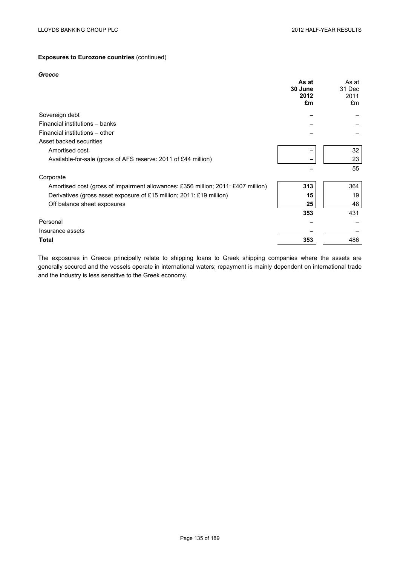## *Greece*

|                                                                                   | As at   | As at  |
|-----------------------------------------------------------------------------------|---------|--------|
|                                                                                   | 30 June | 31 Dec |
|                                                                                   | 2012    | 2011   |
|                                                                                   | £m      | £m     |
| Sovereign debt                                                                    |         |        |
| Financial institutions - banks                                                    |         |        |
| Financial institutions – other                                                    |         |        |
| Asset backed securities                                                           |         |        |
| Amortised cost                                                                    |         | 32     |
| Available-for-sale (gross of AFS reserve: 2011 of £44 million)                    |         | 23     |
|                                                                                   |         | 55     |
| Corporate                                                                         |         |        |
| Amortised cost (gross of impairment allowances: £356 million; 2011: £407 million) | 313     | 364    |
| Derivatives (gross asset exposure of £15 million; 2011: £19 million)              | 15      | 19     |
| Off balance sheet exposures                                                       | 25      | 48     |
|                                                                                   | 353     | 431    |
| Personal                                                                          |         |        |
| Insurance assets                                                                  |         |        |
| Total                                                                             | 353     | 486    |

The exposures in Greece principally relate to shipping loans to Greek shipping companies where the assets are generally secured and the vessels operate in international waters; repayment is mainly dependent on international trade and the industry is less sensitive to the Greek economy.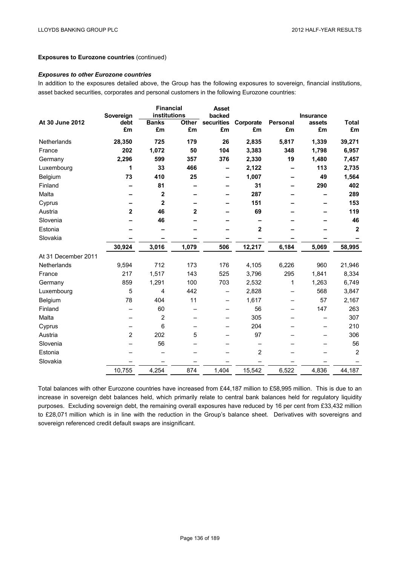### *Exposures to other Eurozone countries*

In addition to the exposures detailed above, the Group has the following exposures to sovereign, financial institutions, asset backed securities, corporates and personal customers in the following Eurozone countries:

|                     |                | <b>Financial</b> |              | <b>Asset</b> |                |                 |           |                  |
|---------------------|----------------|------------------|--------------|--------------|----------------|-----------------|-----------|------------------|
|                     | Sovereign      | institutions     |              | backed       |                |                 | Insurance |                  |
| At 30 June 2012     | debt           | <b>Banks</b>     | <b>Other</b> | securities   | Corporate      | <b>Personal</b> | assets    | <b>Total</b>     |
|                     | £m             | £m               | £m           | £m           | £m             | £m              | £m        | £m               |
| Netherlands         | 28,350         | 725              | 179          | 26           | 2,835          | 5,817           | 1,339     | 39,271           |
| France              | 202            | 1,072            | 50           | 104          | 3,383          | 348             | 1,798     | 6,957            |
| Germany             | 2,296          | 599              | 357          | 376          | 2,330          | 19              | 1,480     | 7,457            |
| Luxembourg          | 1              | 33               | 466          |              | 2,122          |                 | 113       | 2,735            |
| Belgium             | 73             | 410              | 25           |              | 1,007          |                 | 49        | 1,564            |
| Finland             |                | 81               |              |              | 31             |                 | 290       | 402              |
| Malta               |                | 2                |              |              | 287            |                 |           | 289              |
| Cyprus              |                | $\mathbf 2$      |              |              | 151            |                 |           | 153              |
| Austria             | $\mathbf 2$    | 46               | $\mathbf{2}$ |              | 69             |                 |           | 119              |
| Slovenia            |                | 46               |              |              |                |                 |           | 46               |
| Estonia             |                |                  |              |              | $\mathbf{2}$   |                 |           | $\boldsymbol{2}$ |
| Slovakia            |                |                  |              |              |                |                 |           |                  |
|                     | 30,924         | 3,016            | 1,079        | 506          | 12,217         | 6,184           | 5,069     | 58,995           |
| At 31 December 2011 |                |                  |              |              |                |                 |           |                  |
| Netherlands         | 9,594          | 712              | 173          | 176          | 4,105          | 6,226           | 960       | 21,946           |
| France              | 217            | 1,517            | 143          | 525          | 3,796          | 295             | 1,841     | 8,334            |
| Germany             | 859            | 1,291            | 100          | 703          | 2,532          | 1               | 1,263     | 6,749            |
| Luxembourg          | 5              | 4                | 442          |              | 2,828          |                 | 568       | 3,847            |
| Belgium             | 78             | 404              | 11           |              | 1,617          |                 | 57        | 2,167            |
| Finland             |                | 60               |              |              | 56             |                 | 147       | 263              |
| Malta               |                | $\overline{2}$   |              |              | 305            |                 |           | 307              |
| Cyprus              |                | 6                |              |              | 204            |                 |           | 210              |
| Austria             | $\overline{2}$ | 202              | 5            |              | 97             |                 |           | 306              |
| Slovenia            |                | 56               |              |              |                |                 |           | 56               |
| Estonia             |                |                  |              |              | $\overline{2}$ |                 |           | $\overline{2}$   |
| Slovakia            |                |                  |              |              |                |                 |           |                  |
|                     | 10,755         | 4,254            | 874          | 1,404        | 15,542         | 6,522           | 4,836     | 44,187           |

Total balances with other Eurozone countries have increased from £44,187 million to £58,995 million. This is due to an increase in sovereign debt balances held, which primarily relate to central bank balances held for regulatory liquidity purposes. Excluding sovereign debt, the remaining overall exposures have reduced by 16 per cent from £33,432 million to £28,071 million which is in line with the reduction in the Group's balance sheet. Derivatives with sovereigns and sovereign referenced credit default swaps are insignificant.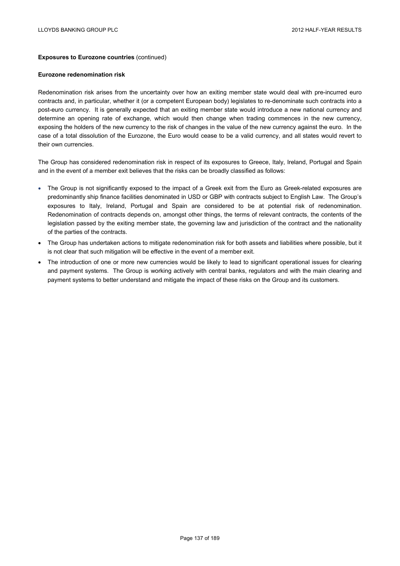# **Eurozone redenomination risk**

Redenomination risk arises from the uncertainty over how an exiting member state would deal with pre-incurred euro contracts and, in particular, whether it (or a competent European body) legislates to re-denominate such contracts into a post-euro currency. It is generally expected that an exiting member state would introduce a new national currency and determine an opening rate of exchange, which would then change when trading commences in the new currency, exposing the holders of the new currency to the risk of changes in the value of the new currency against the euro. In the case of a total dissolution of the Eurozone, the Euro would cease to be a valid currency, and all states would revert to their own currencies.

The Group has considered redenomination risk in respect of its exposures to Greece, Italy, Ireland, Portugal and Spain and in the event of a member exit believes that the risks can be broadly classified as follows:

- The Group is not significantly exposed to the impact of a Greek exit from the Euro as Greek-related exposures are predominantly ship finance facilities denominated in USD or GBP with contracts subject to English Law. The Group's exposures to Italy, Ireland, Portugal and Spain are considered to be at potential risk of redenomination. Redenomination of contracts depends on, amongst other things, the terms of relevant contracts, the contents of the legislation passed by the exiting member state, the governing law and jurisdiction of the contract and the nationality of the parties of the contracts.
- The Group has undertaken actions to mitigate redenomination risk for both assets and liabilities where possible, but it is not clear that such mitigation will be effective in the event of a member exit.
- The introduction of one or more new currencies would be likely to lead to significant operational issues for clearing and payment systems. The Group is working actively with central banks, regulators and with the main clearing and payment systems to better understand and mitigate the impact of these risks on the Group and its customers.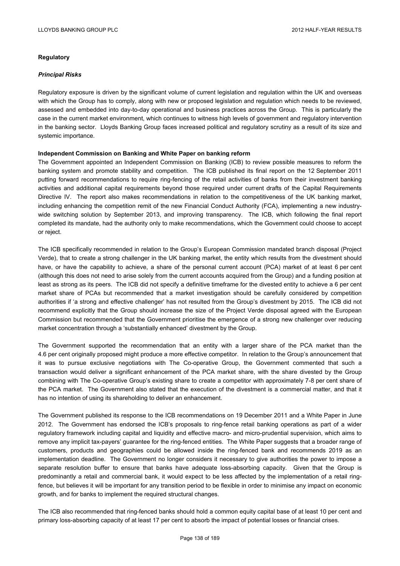### **Regulatory**

#### *Principal Risks*

Regulatory exposure is driven by the significant volume of current legislation and regulation within the UK and overseas with which the Group has to comply, along with new or proposed legislation and regulation which needs to be reviewed, assessed and embedded into day-to-day operational and business practices across the Group. This is particularly the case in the current market environment, which continues to witness high levels of government and regulatory intervention in the banking sector. Lloyds Banking Group faces increased political and regulatory scrutiny as a result of its size and systemic importance.

### **Independent Commission on Banking and White Paper on banking reform**

The Government appointed an Independent Commission on Banking (ICB) to review possible measures to reform the banking system and promote stability and competition. The ICB published its final report on the 12 September 2011 putting forward recommendations to require ring-fencing of the retail activities of banks from their investment banking activities and additional capital requirements beyond those required under current drafts of the Capital Requirements Directive IV. The report also makes recommendations in relation to the competitiveness of the UK banking market, including enhancing the competition remit of the new Financial Conduct Authority (FCA), implementing a new industrywide switching solution by September 2013, and improving transparency. The ICB, which following the final report completed its mandate, had the authority only to make recommendations, which the Government could choose to accept or reject.

The ICB specifically recommended in relation to the Group's European Commission mandated branch disposal (Project Verde), that to create a strong challenger in the UK banking market, the entity which results from the divestment should have, or have the capability to achieve, a share of the personal current account (PCA) market of at least 6 per cent (although this does not need to arise solely from the current accounts acquired from the Group) and a funding position at least as strong as its peers. The ICB did not specify a definitive timeframe for the divested entity to achieve a 6 per cent market share of PCAs but recommended that a market investigation should be carefully considered by competition authorities if 'a strong and effective challenger' has not resulted from the Group's divestment by 2015. The ICB did not recommend explicitly that the Group should increase the size of the Project Verde disposal agreed with the European Commission but recommended that the Government prioritise the emergence of a strong new challenger over reducing market concentration through a 'substantially enhanced' divestment by the Group.

The Government supported the recommendation that an entity with a larger share of the PCA market than the 4.6 per cent originally proposed might produce a more effective competitor. In relation to the Group's announcement that it was to pursue exclusive negotiations with The Co-operative Group, the Government commented that such a transaction would deliver a significant enhancement of the PCA market share, with the share divested by the Group combining with The Co-operative Group's existing share to create a competitor with approximately 7-8 per cent share of the PCA market. The Government also stated that the execution of the divestment is a commercial matter, and that it has no intention of using its shareholding to deliver an enhancement.

The Government published its response to the ICB recommendations on 19 December 2011 and a White Paper in June 2012. The Government has endorsed the ICB's proposals to ring-fence retail banking operations as part of a wider regulatory framework including capital and liquidity and effective macro- and micro-prudential supervision, which aims to remove any implicit tax-payers' guarantee for the ring-fenced entities. The White Paper suggests that a broader range of customers, products and geographies could be allowed inside the ring-fenced bank and recommends 2019 as an implementation deadline. The Government no longer considers it necessary to give authorities the power to impose a separate resolution buffer to ensure that banks have adequate loss-absorbing capacity. Given that the Group is predominantly a retail and commercial bank, it would expect to be less affected by the implementation of a retail ringfence, but believes it will be important for any transition period to be flexible in order to minimise any impact on economic growth, and for banks to implement the required structural changes.

The ICB also recommended that ring-fenced banks should hold a common equity capital base of at least 10 per cent and primary loss-absorbing capacity of at least 17 per cent to absorb the impact of potential losses or financial crises.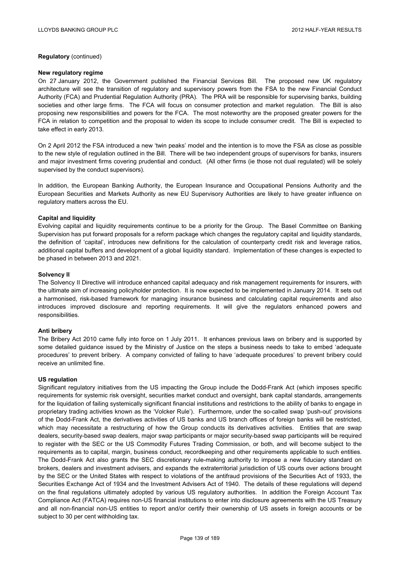### **Regulatory** (continued)

#### **New regulatory regime**

On 27 January 2012, the Government published the Financial Services Bill. The proposed new UK regulatory architecture will see the transition of regulatory and supervisory powers from the FSA to the new Financial Conduct Authority (FCA) and Prudential Regulation Authority (PRA). The PRA will be responsible for supervising banks, building societies and other large firms. The FCA will focus on consumer protection and market regulation. The Bill is also proposing new responsibilities and powers for the FCA. The most noteworthy are the proposed greater powers for the FCA in relation to competition and the proposal to widen its scope to include consumer credit. The Bill is expected to take effect in early 2013.

On 2 April 2012 the FSA introduced a new 'twin peaks' model and the intention is to move the FSA as close as possible to the new style of regulation outlined in the Bill. There will be two independent groups of supervisors for banks, insurers and major investment firms covering prudential and conduct. (All other firms (ie those not dual regulated) will be solely supervised by the conduct supervisors).

In addition, the European Banking Authority, the European Insurance and Occupational Pensions Authority and the European Securities and Markets Authority as new EU Supervisory Authorities are likely to have greater influence on regulatory matters across the EU.

### **Capital and liquidity**

Evolving capital and liquidity requirements continue to be a priority for the Group. The Basel Committee on Banking Supervision has put forward proposals for a reform package which changes the regulatory capital and liquidity standards, the definition of 'capital', introduces new definitions for the calculation of counterparty credit risk and leverage ratios, additional capital buffers and development of a global liquidity standard. Implementation of these changes is expected to be phased in between 2013 and 2021.

#### **Solvency II**

The Solvency II Directive will introduce enhanced capital adequacy and risk management requirements for insurers, with the ultimate aim of increasing policyholder protection. It is now expected to be implemented in January 2014. It sets out a harmonised, risk-based framework for managing insurance business and calculating capital requirements and also introduces improved disclosure and reporting requirements. It will give the regulators enhanced powers and responsibilities.

#### **Anti bribery**

The Bribery Act 2010 came fully into force on 1 July 2011. It enhances previous laws on bribery and is supported by some detailed guidance issued by the Ministry of Justice on the steps a business needs to take to embed 'adequate procedures' to prevent bribery. A company convicted of failing to have 'adequate procedures' to prevent bribery could receive an unlimited fine.

### **US regulation**

Significant regulatory initiatives from the US impacting the Group include the Dodd-Frank Act (which imposes specific requirements for systemic risk oversight, securities market conduct and oversight, bank capital standards, arrangements for the liquidation of failing systemically significant financial institutions and restrictions to the ability of banks to engage in proprietary trading activities known as the 'Volcker Rule'). Furthermore, under the so-called swap 'push-out' provisions of the Dodd-Frank Act, the derivatives activities of US banks and US branch offices of foreign banks will be restricted, which may necessitate a restructuring of how the Group conducts its derivatives activities. Entities that are swap dealers, security-based swap dealers, major swap participants or major security-based swap participants will be required to register with the SEC or the US Commodity Futures Trading Commission, or both, and will become subject to the requirements as to capital, margin, business conduct, recordkeeping and other requirements applicable to such entities. The Dodd-Frank Act also grants the SEC discretionary rule-making authority to impose a new fiduciary standard on brokers, dealers and investment advisers, and expands the extraterritorial jurisdiction of US courts over actions brought by the SEC or the United States with respect to violations of the antifraud provisions of the Securities Act of 1933, the Securities Exchange Act of 1934 and the Investment Advisers Act of 1940. The details of these regulations will depend on the final regulations ultimately adopted by various US regulatory authorities. In addition the Foreign Account Tax Compliance Act (FATCA) requires non-US financial institutions to enter into disclosure agreements with the US Treasury and all non-financial non-US entities to report and/or certify their ownership of US assets in foreign accounts or be subject to 30 per cent withholding tax.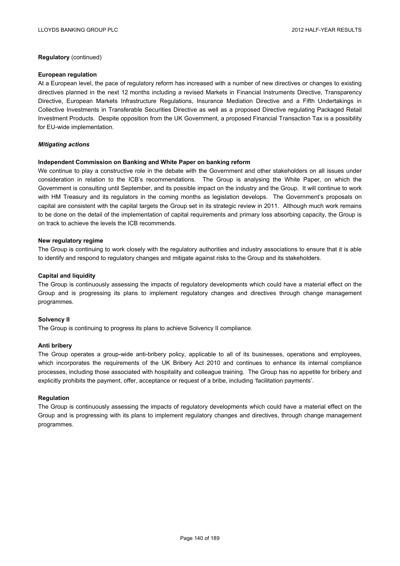## **Regulatory** (continued)

#### **European regulation**

At a European level, the pace of regulatory reform has increased with a number of new directives or changes to existing directives planned in the next 12 months including a revised Markets in Financial Instruments Directive, Transparency Directive, European Markets Infrastructure Regulations, Insurance Mediation Directive and a Fifth Undertakings in Collective Investments in Transferable Securities Directive as well as a proposed Directive regulating Packaged Retail Investment Products. Despite opposition from the UK Government, a proposed Financial Transaction Tax is a possibility for EU-wide implementation.

### *Mitigating actions*

### **Independent Commission on Banking and White Paper on banking reform**

We continue to play a constructive role in the debate with the Government and other stakeholders on all issues under consideration in relation to the ICB's recommendations. The Group is analysing the White Paper, on which the Government is consulting until September, and its possible impact on the industry and the Group. It will continue to work with HM Treasury and its regulators in the coming months as legislation develops. The Government's proposals on capital are consistent with the capital targets the Group set in its strategic review in 2011. Although much work remains to be done on the detail of the implementation of capital requirements and primary loss absorbing capacity, the Group is on track to achieve the levels the ICB recommends.

### **New regulatory regime**

The Group is continuing to work closely with the regulatory authorities and industry associations to ensure that it is able to identify and respond to regulatory changes and mitigate against risks to the Group and its stakeholders.

### **Capital and liquidity**

The Group is continuously assessing the impacts of regulatory developments which could have a material effect on the Group and is progressing its plans to implement regulatory changes and directives through change management programmes.

### **Solvency II**

The Group is continuing to progress its plans to achieve Solvency II compliance.

## **Anti bribery**

The Group operates a group-wide anti-bribery policy, applicable to all of its businesses, operations and employees, which incorporates the requirements of the UK Bribery Act 2010 and continues to enhance its internal compliance processes, including those associated with hospitality and colleague training. The Group has no appetite for bribery and explicitly prohibits the payment, offer, acceptance or request of a bribe, including 'facilitation payments'.

### **Regulation**

The Group is continuously assessing the impacts of regulatory developments which could have a material effect on the Group and is progressing with its plans to implement regulatory changes and directives, through change management programmes.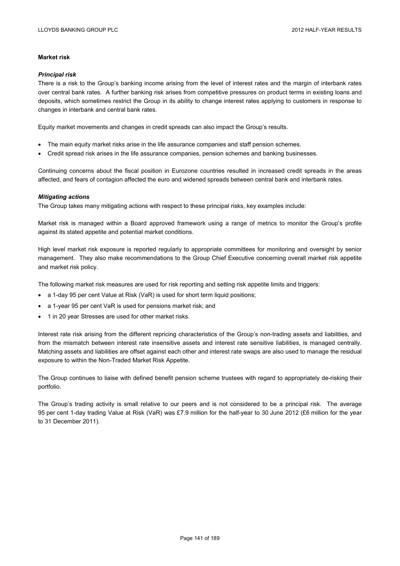## **Market risk**

#### *Principal risk*

There is a risk to the Group's banking income arising from the level of interest rates and the margin of interbank rates over central bank rates. A further banking risk arises from competitive pressures on product terms in existing loans and deposits, which sometimes restrict the Group in its ability to change interest rates applying to customers in response to changes in interbank and central bank rates.

Equity market movements and changes in credit spreads can also impact the Group's results.

- The main equity market risks arise in the life assurance companies and staff pension schemes.
- Credit spread risk arises in the life assurance companies, pension schemes and banking businesses.

Continuing concerns about the fiscal position in Eurozone countries resulted in increased credit spreads in the areas affected, and fears of contagion affected the euro and widened spreads between central bank and interbank rates.

### *Mitigating actions*

The Group takes many mitigating actions with respect to these principal risks, key examples include:

Market risk is managed within a Board approved framework using a range of metrics to monitor the Group's profile against its stated appetite and potential market conditions.

High level market risk exposure is reported regularly to appropriate committees for monitoring and oversight by senior management. They also make recommendations to the Group Chief Executive concerning overall market risk appetite and market risk policy.

The following market risk measures are used for risk reporting and setting risk appetite limits and triggers:

- a 1-day 95 per cent Value at Risk (VaR) is used for short term liquid positions;
- a 1-year 95 per cent VaR is used for pensions market risk; and
- 1 in 20 year Stresses are used for other market risks.

Interest rate risk arising from the different repricing characteristics of the Group's non-trading assets and liabilities, and from the mismatch between interest rate insensitive assets and interest rate sensitive liabilities, is managed centrally. Matching assets and liabilities are offset against each other and interest rate swaps are also used to manage the residual exposure to within the Non-Traded Market Risk Appetite.

The Group continues to liaise with defined benefit pension scheme trustees with regard to appropriately de-risking their portfolio.

The Group's trading activity is small relative to our peers and is not considered to be a principal risk. The average 95 per cent 1-day trading Value at Risk (VaR) was £7.9 million for the half-year to 30 June 2012 (£6 million for the year to 31 December 2011).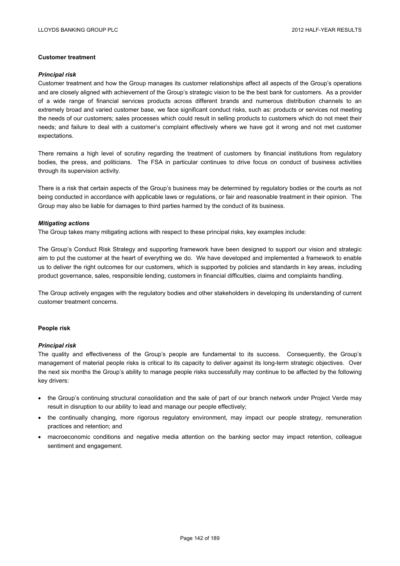### **Customer treatment**

#### *Principal risk*

Customer treatment and how the Group manages its customer relationships affect all aspects of the Group's operations and are closely aligned with achievement of the Group's strategic vision to be the best bank for customers. As a provider of a wide range of financial services products across different brands and numerous distribution channels to an extremely broad and varied customer base, we face significant conduct risks, such as: products or services not meeting the needs of our customers; sales processes which could result in selling products to customers which do not meet their needs; and failure to deal with a customer's complaint effectively where we have got it wrong and not met customer expectations.

There remains a high level of scrutiny regarding the treatment of customers by financial institutions from regulatory bodies, the press, and politicians. The FSA in particular continues to drive focus on conduct of business activities through its supervision activity.

There is a risk that certain aspects of the Group's business may be determined by regulatory bodies or the courts as not being conducted in accordance with applicable laws or regulations, or fair and reasonable treatment in their opinion. The Group may also be liable for damages to third parties harmed by the conduct of its business.

#### *Mitigating actions*

The Group takes many mitigating actions with respect to these principal risks, key examples include:

The Group's Conduct Risk Strategy and supporting framework have been designed to support our vision and strategic aim to put the customer at the heart of everything we do. We have developed and implemented a framework to enable us to deliver the right outcomes for our customers, which is supported by policies and standards in key areas, including product governance, sales, responsible lending, customers in financial difficulties, claims and complaints handling.

The Group actively engages with the regulatory bodies and other stakeholders in developing its understanding of current customer treatment concerns.

#### **People risk**

#### *Principal risk*

The quality and effectiveness of the Group's people are fundamental to its success. Consequently, the Group's management of material people risks is critical to its capacity to deliver against its long-term strategic objectives. Over the next six months the Group's ability to manage people risks successfully may continue to be affected by the following key drivers:

- the Group's continuing structural consolidation and the sale of part of our branch network under Project Verde may result in disruption to our ability to lead and manage our people effectively;
- the continually changing, more rigorous regulatory environment, may impact our people strategy, remuneration practices and retention; and
- macroeconomic conditions and negative media attention on the banking sector may impact retention, colleague sentiment and engagement.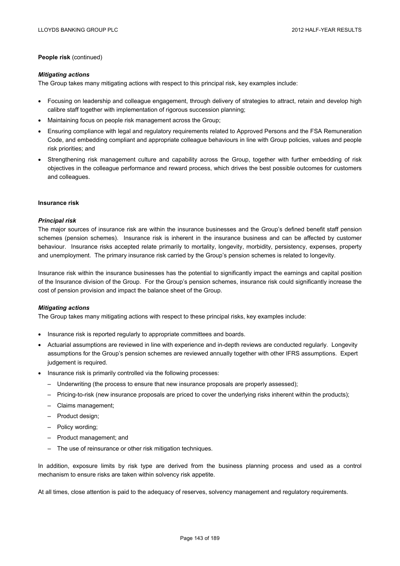## **People risk** (continued)

#### *Mitigating actions*

The Group takes many mitigating actions with respect to this principal risk, key examples include:

- Focusing on leadership and colleague engagement, through delivery of strategies to attract, retain and develop high calibre staff together with implementation of rigorous succession planning;
- Maintaining focus on people risk management across the Group;
- Ensuring compliance with legal and regulatory requirements related to Approved Persons and the FSA Remuneration Code, and embedding compliant and appropriate colleague behaviours in line with Group policies, values and people risk priorities; and
- Strengthening risk management culture and capability across the Group, together with further embedding of risk objectives in the colleague performance and reward process, which drives the best possible outcomes for customers and colleagues.

#### **Insurance risk**

#### *Principal risk*

The major sources of insurance risk are within the insurance businesses and the Group's defined benefit staff pension schemes (pension schemes). Insurance risk is inherent in the insurance business and can be affected by customer behaviour. Insurance risks accepted relate primarily to mortality, longevity, morbidity, persistency, expenses, property and unemployment. The primary insurance risk carried by the Group's pension schemes is related to longevity.

Insurance risk within the insurance businesses has the potential to significantly impact the earnings and capital position of the Insurance division of the Group. For the Group's pension schemes, insurance risk could significantly increase the cost of pension provision and impact the balance sheet of the Group.

#### *Mitigating actions*

The Group takes many mitigating actions with respect to these principal risks, key examples include:

- Insurance risk is reported regularly to appropriate committees and boards.
- Actuarial assumptions are reviewed in line with experience and in-depth reviews are conducted regularly. Longevity assumptions for the Group's pension schemes are reviewed annually together with other IFRS assumptions. Expert judgement is required.
- Insurance risk is primarily controlled via the following processes:
	- Underwriting (the process to ensure that new insurance proposals are properly assessed);
	- Pricing-to-risk (new insurance proposals are priced to cover the underlying risks inherent within the products);
	- Claims management;
	- Product design;
	- Policy wording;
	- Product management; and
	- The use of reinsurance or other risk mitigation techniques.

In addition, exposure limits by risk type are derived from the business planning process and used as a control mechanism to ensure risks are taken within solvency risk appetite.

At all times, close attention is paid to the adequacy of reserves, solvency management and regulatory requirements.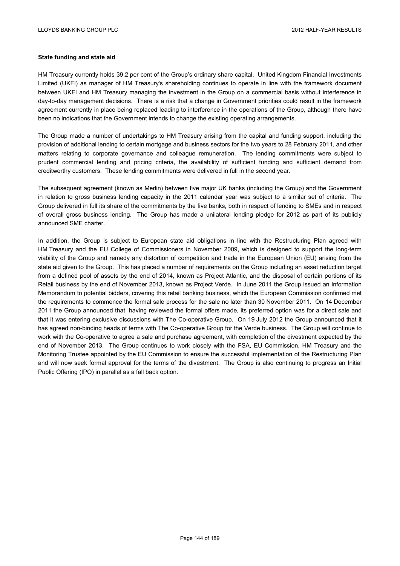### **State funding and state aid**

HM Treasury currently holds 39.2 per cent of the Group's ordinary share capital. United Kingdom Financial Investments Limited (UKFI) as manager of HM Treasury's shareholding continues to operate in line with the framework document between UKFI and HM Treasury managing the investment in the Group on a commercial basis without interference in day-to-day management decisions. There is a risk that a change in Government priorities could result in the framework agreement currently in place being replaced leading to interference in the operations of the Group, although there have been no indications that the Government intends to change the existing operating arrangements.

The Group made a number of undertakings to HM Treasury arising from the capital and funding support, including the provision of additional lending to certain mortgage and business sectors for the two years to 28 February 2011, and other matters relating to corporate governance and colleague remuneration. The lending commitments were subject to prudent commercial lending and pricing criteria, the availability of sufficient funding and sufficient demand from creditworthy customers. These lending commitments were delivered in full in the second year.

The subsequent agreement (known as Merlin) between five major UK banks (including the Group) and the Government in relation to gross business lending capacity in the 2011 calendar year was subject to a similar set of criteria. The Group delivered in full its share of the commitments by the five banks, both in respect of lending to SMEs and in respect of overall gross business lending. The Group has made a unilateral lending pledge for 2012 as part of its publicly announced SME charter.

In addition, the Group is subject to European state aid obligations in line with the Restructuring Plan agreed with HM Treasury and the EU College of Commissioners in November 2009, which is designed to support the long-term viability of the Group and remedy any distortion of competition and trade in the European Union (EU) arising from the state aid given to the Group. This has placed a number of requirements on the Group including an asset reduction target from a defined pool of assets by the end of 2014, known as Project Atlantic, and the disposal of certain portions of its Retail business by the end of November 2013, known as Project Verde. In June 2011 the Group issued an Information Memorandum to potential bidders, covering this retail banking business, which the European Commission confirmed met the requirements to commence the formal sale process for the sale no later than 30 November 2011. On 14 December 2011 the Group announced that, having reviewed the formal offers made, its preferred option was for a direct sale and that it was entering exclusive discussions with The Co-operative Group. On 19 July 2012 the Group announced that it has agreed non-binding heads of terms with The Co-operative Group for the Verde business. The Group will continue to work with the Co-operative to agree a sale and purchase agreement, with completion of the divestment expected by the end of November 2013. The Group continues to work closely with the FSA, EU Commission, HM Treasury and the Monitoring Trustee appointed by the EU Commission to ensure the successful implementation of the Restructuring Plan and will now seek formal approval for the terms of the divestment. The Group is also continuing to progress an Initial Public Offering (IPO) in parallel as a fall back option.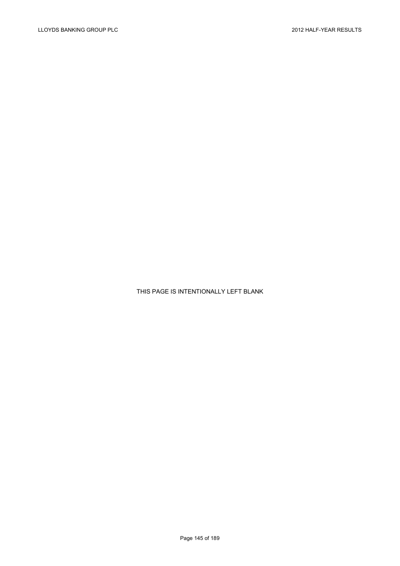THIS PAGE IS INTENTIONALLY LEFT BLANK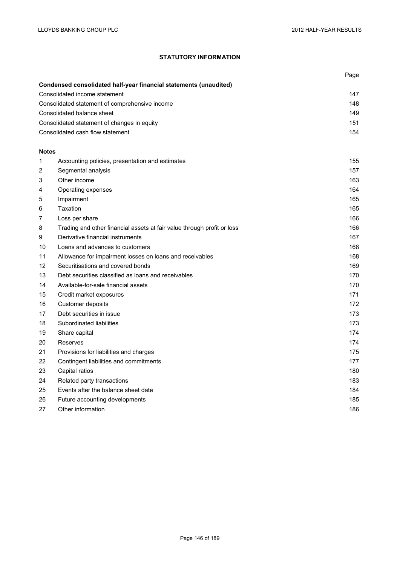# **STATUTORY INFORMATION**

|              |                                                                         | Page |
|--------------|-------------------------------------------------------------------------|------|
|              | Condensed consolidated half-year financial statements (unaudited)       |      |
|              | Consolidated income statement                                           | 147  |
|              | Consolidated statement of comprehensive income                          | 148  |
|              | Consolidated balance sheet                                              | 149  |
|              | Consolidated statement of changes in equity                             | 151  |
|              | Consolidated cash flow statement                                        | 154  |
| <b>Notes</b> |                                                                         |      |
| 1            | Accounting policies, presentation and estimates                         | 155  |
| 2            | Segmental analysis                                                      | 157  |
| 3            | Other income                                                            | 163  |
| 4            | Operating expenses                                                      | 164  |
| 5            | Impairment                                                              | 165  |
| 6            | Taxation                                                                | 165  |
| 7            | Loss per share                                                          | 166  |
| 8            | Trading and other financial assets at fair value through profit or loss | 166  |
| 9            | Derivative financial instruments                                        | 167  |
| 10           | Loans and advances to customers                                         | 168  |
| 11           | Allowance for impairment losses on loans and receivables                | 168  |
| 12           | Securitisations and covered bonds                                       | 169  |
| 13           | Debt securities classified as loans and receivables                     | 170  |
| 14           | Available-for-sale financial assets                                     | 170  |
| 15           | Credit market exposures                                                 | 171  |
| 16           | Customer deposits                                                       | 172  |
| 17           | Debt securities in issue                                                | 173  |
| 18           | Subordinated liabilities                                                | 173  |
| 19           | Share capital                                                           | 174  |
| 20           | Reserves                                                                | 174  |
| 21           | Provisions for liabilities and charges                                  | 175  |
| 22           | Contingent liabilities and commitments                                  | 177  |
| 23           | Capital ratios                                                          | 180  |
| 24           | Related party transactions                                              | 183  |
| 25           | Events after the balance sheet date                                     | 184  |
| 26           | Future accounting developments                                          | 185  |
| 27           | Other information                                                       | 186  |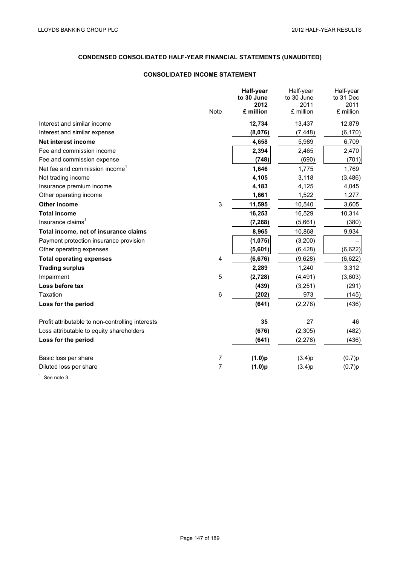### **CONSOLIDATED INCOME STATEMENT**

|                                                  |             | Half-year         | Half-year         | Half-year         |
|--------------------------------------------------|-------------|-------------------|-------------------|-------------------|
|                                                  |             | to 30 June        | to 30 June        | to 31 Dec         |
|                                                  | <b>Note</b> | 2012<br>£ million | 2011<br>£ million | 2011<br>£ million |
|                                                  |             |                   |                   |                   |
| Interest and similar income                      |             | 12,734            | 13,437            | 12,879            |
| Interest and similar expense                     |             | (8,076)           | (7, 448)          | (6, 170)          |
| Net interest income                              |             | 4,658             | 5,989             | 6,709             |
| Fee and commission income                        |             | 2,394             | 2,465             | 2,470             |
| Fee and commission expense                       |             | (748)             | (690)             | (701)             |
| Net fee and commission income <sup>1</sup>       |             | 1,646             | 1,775             | 1,769             |
| Net trading income                               |             | 4,105             | 3,118             | (3, 486)          |
| Insurance premium income                         |             | 4,183             | 4,125             | 4,045             |
| Other operating income                           |             | 1,661             | 1,522             | 1,277             |
| Other income                                     | 3           | 11,595            | 10,540            | 3,605             |
| <b>Total income</b>                              |             | 16,253            | 16,529            | 10,314            |
| Insurance claims <sup>1</sup>                    |             | (7, 288)          | (5,661)           | (380)             |
| Total income, net of insurance claims            |             | 8,965             | 10,868            | 9,934             |
| Payment protection insurance provision           |             | (1,075)           | (3,200)           |                   |
| Other operating expenses                         |             | (5,601)           | (6, 428)          | (6,622)           |
| <b>Total operating expenses</b>                  | 4           | (6, 676)          | (9,628)           | (6,622)           |
| <b>Trading surplus</b>                           |             | 2,289             | 1,240             | 3,312             |
| Impairment                                       | 5           | (2,728)           | (4, 491)          | (3,603)           |
| Loss before tax                                  |             | (439)             | (3,251)           | (291)             |
| Taxation                                         | 6           | (202)             | 973               | (145)             |
| Loss for the period                              |             | (641)             | (2, 278)          | (436)             |
|                                                  |             |                   |                   |                   |
| Profit attributable to non-controlling interests |             | 35                | 27                | 46                |
| Loss attributable to equity shareholders         |             | (676)             | (2, 305)          | (482)             |
| Loss for the period                              |             | (641)             | (2, 278)          | (436)             |
| Basic loss per share                             | 7           | (1.0)p            | (3.4)p            | (0.7)p            |
| Diluted loss per share                           | 7           | (1.0)p            | (3.4)p            | (0.7)p            |

 $1$  See note 3.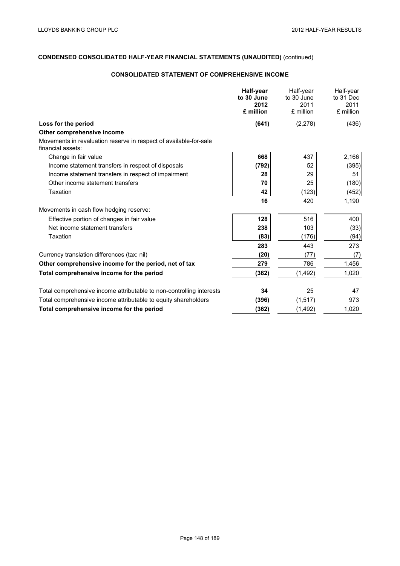## **CONSOLIDATED STATEMENT OF COMPREHENSIVE INCOME**

|                                                                                        | Half-year<br>to 30 June<br>2012<br>£ million | Half-vear<br>to 30 June<br>2011<br>£ million | Half-year<br>to 31 Dec<br>2011<br>£ million |
|----------------------------------------------------------------------------------------|----------------------------------------------|----------------------------------------------|---------------------------------------------|
| Loss for the period                                                                    | (641)                                        | (2,278)                                      | (436)                                       |
| Other comprehensive income                                                             |                                              |                                              |                                             |
| Movements in revaluation reserve in respect of available-for-sale<br>financial assets: |                                              |                                              |                                             |
| Change in fair value                                                                   | 668                                          | 437                                          | 2,166                                       |
| Income statement transfers in respect of disposals                                     | (792)                                        | 52                                           | (395)                                       |
| Income statement transfers in respect of impairment                                    | 28                                           | 29                                           | 51                                          |
| Other income statement transfers                                                       | 70                                           | 25                                           | (180)                                       |
| Taxation                                                                               | 42                                           | (123)                                        | (452)                                       |
|                                                                                        | 16                                           | 420                                          | 1,190                                       |
| Movements in cash flow hedging reserve:                                                |                                              |                                              |                                             |
| Effective portion of changes in fair value                                             | 128                                          | 516                                          | 400                                         |
| Net income statement transfers                                                         | 238                                          | 103                                          | (33)                                        |
| Taxation                                                                               | (83)                                         | (176)                                        | (94)                                        |
|                                                                                        | 283                                          | 443                                          | 273                                         |
| Currency translation differences (tax: nil)                                            | (20)                                         | (77)                                         | (7)                                         |
| Other comprehensive income for the period, net of tax                                  | 279                                          | 786                                          | 1,456                                       |
| Total comprehensive income for the period                                              | (362)                                        | (1, 492)                                     | 1,020                                       |
| Total comprehensive income attributable to non-controlling interests                   | 34                                           | 25                                           | 47                                          |
| Total comprehensive income attributable to equity shareholders                         | (396)                                        | (1, 517)                                     | 973                                         |
| Total comprehensive income for the period                                              | (362)                                        | (1, 492)                                     | 1,020                                       |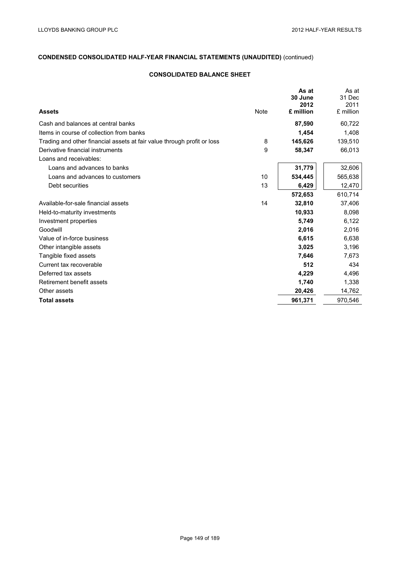## **CONSOLIDATED BALANCE SHEET**

|                                                                         |             | As at<br>30 June  | As at<br>31 Dec   |
|-------------------------------------------------------------------------|-------------|-------------------|-------------------|
| <b>Assets</b>                                                           | <b>Note</b> | 2012<br>£ million | 2011<br>£ million |
| Cash and balances at central banks                                      |             | 87,590            | 60,722            |
| Items in course of collection from banks                                |             | 1,454             | 1,408             |
| Trading and other financial assets at fair value through profit or loss | 8           | 145,626           | 139,510           |
| Derivative financial instruments                                        | 9           | 58,347            | 66,013            |
| Loans and receivables:                                                  |             |                   |                   |
| Loans and advances to banks                                             |             | 31,779            | 32,606            |
| Loans and advances to customers                                         | 10          | 534,445           | 565,638           |
| Debt securities                                                         | 13          | 6,429             | 12,470            |
|                                                                         |             | 572,653           | 610,714           |
| Available-for-sale financial assets                                     | 14          | 32,810            | 37,406            |
| Held-to-maturity investments                                            |             | 10,933            | 8,098             |
| Investment properties                                                   |             | 5,749             | 6,122             |
| Goodwill                                                                |             | 2,016             | 2,016             |
| Value of in-force business                                              |             | 6,615             | 6,638             |
| Other intangible assets                                                 |             | 3,025             | 3,196             |
| Tangible fixed assets                                                   |             | 7,646             | 7,673             |
| Current tax recoverable                                                 |             | 512               | 434               |
| Deferred tax assets                                                     |             | 4,229             | 4,496             |
| Retirement benefit assets                                               |             | 1,740             | 1,338             |
| Other assets                                                            |             | 20,426            | 14,762            |
| <b>Total assets</b>                                                     |             | 961,371           | 970,546           |
|                                                                         |             |                   |                   |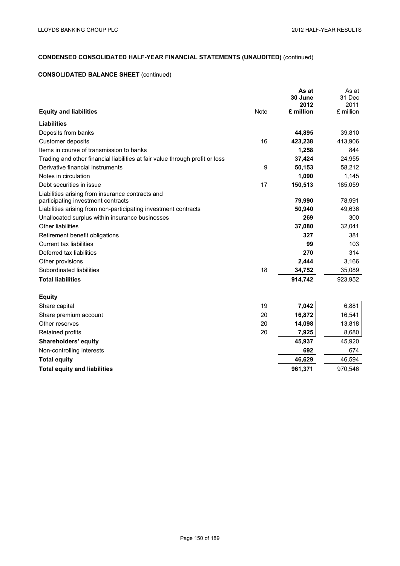## **CONSOLIDATED BALANCE SHEET** (continued)

|                                                                              |             | As at           | As at<br>31 Dec |
|------------------------------------------------------------------------------|-------------|-----------------|-----------------|
|                                                                              |             | 30 June<br>2012 | 2011            |
| <b>Equity and liabilities</b>                                                | <b>Note</b> | £ million       | £ million       |
| <b>Liabilities</b>                                                           |             |                 |                 |
| Deposits from banks                                                          |             | 44,895          | 39,810          |
| Customer deposits                                                            | 16          | 423,238         | 413,906         |
| Items in course of transmission to banks                                     |             | 1,258           | 844             |
| Trading and other financial liabilities at fair value through profit or loss |             | 37,424          | 24,955          |
| Derivative financial instruments                                             | 9           | 50,153          | 58,212          |
| Notes in circulation                                                         |             | 1,090           | 1,145           |
| Debt securities in issue                                                     | 17          | 150,513         | 185,059         |
| Liabilities arising from insurance contracts and                             |             |                 |                 |
| participating investment contracts                                           |             | 79,990          | 78,991          |
| Liabilities arising from non-participating investment contracts              |             | 50,940          | 49,636          |
| Unallocated surplus within insurance businesses                              |             | 269             | 300             |
| <b>Other liabilities</b>                                                     |             | 37,080          | 32,041          |
| Retirement benefit obligations                                               |             | 327             | 381             |
| <b>Current tax liabilities</b>                                               |             | 99              | 103             |
| Deferred tax liabilities                                                     |             | 270             | 314             |
| Other provisions                                                             |             | 2,444           | 3,166           |
| Subordinated liabilities                                                     | 18          | 34,752          | 35,089          |
| <b>Total liabilities</b>                                                     |             | 914,742         | 923,952         |
| <b>Equity</b>                                                                |             |                 |                 |
| Share capital                                                                | 19          | 7,042           | 6,881           |
| Share premium account                                                        | 20          | 16,872          | 16,541          |
| Other reserves                                                               | 20          | 14,098          | 13,818          |
| Retained profits                                                             | 20          | 7,925           | 8,680           |
| Shareholders' equity                                                         |             | 45,937          | 45,920          |
| Non-controlling interests                                                    |             | 692             | 674             |
| <b>Total equity</b>                                                          |             | 46,629          | 46,594          |
| <b>Total equity and liabilities</b>                                          |             | 961,371         | 970,546         |
|                                                                              |             |                 |                 |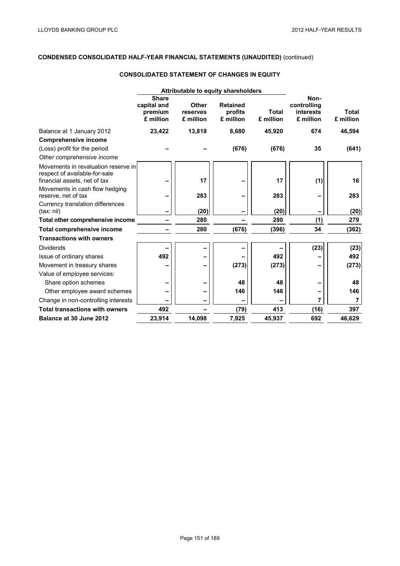|                                                                                                      |                                                     | Attributable to equity shareholders   |                                         |                           |                                               |                    |
|------------------------------------------------------------------------------------------------------|-----------------------------------------------------|---------------------------------------|-----------------------------------------|---------------------------|-----------------------------------------------|--------------------|
|                                                                                                      | <b>Share</b><br>capital and<br>premium<br>£ million | <b>Other</b><br>reserves<br>£ million | <b>Retained</b><br>profits<br>£ million | <b>Total</b><br>£ million | Non-<br>controlling<br>interests<br>£ million | Total<br>£ million |
| Balance at 1 January 2012                                                                            | 23,422                                              | 13,818                                | 8,680                                   | 45,920                    | 674                                           | 46,594             |
| <b>Comprehensive income</b>                                                                          |                                                     |                                       |                                         |                           |                                               |                    |
| (Loss) profit for the period                                                                         |                                                     |                                       | (676)                                   | (676)                     | 35                                            | (641)              |
| Other comprehensive income                                                                           |                                                     |                                       |                                         |                           |                                               |                    |
| Movements in revaluation reserve in<br>respect of available-for-sale<br>financial assets, net of tax |                                                     | 17                                    |                                         | 17                        | (1)                                           | 16                 |
| Movements in cash flow hedging<br>reserve, net of tax                                                |                                                     | 283                                   |                                         | 283                       |                                               | 283                |
| Currency translation differences<br>(tax: nil)                                                       |                                                     | (20)                                  |                                         | (20)                      |                                               | (20)               |
| Total other comprehensive income                                                                     |                                                     | 280                                   |                                         | 280                       | (1)                                           | 279                |
| <b>Total comprehensive income</b>                                                                    |                                                     | 280                                   | (676)                                   | (396)                     | 34                                            | (362)              |
| <b>Transactions with owners</b>                                                                      |                                                     |                                       |                                         |                           |                                               |                    |
| <b>Dividends</b>                                                                                     |                                                     |                                       |                                         |                           | (23)                                          | (23)               |
| Issue of ordinary shares                                                                             | 492                                                 |                                       |                                         | 492                       |                                               | 492                |
| Movement in treasury shares                                                                          |                                                     | $\overline{\phantom{0}}$              | (273)                                   | (273)                     |                                               | (273)              |
| Value of employee services:                                                                          |                                                     |                                       |                                         |                           |                                               |                    |
| Share option schemes                                                                                 |                                                     | -                                     | 48                                      | 48                        |                                               | 48                 |
| Other employee award schemes                                                                         |                                                     | -                                     | 146                                     | 146                       |                                               | 146                |
| Change in non-controlling interests                                                                  |                                                     |                                       |                                         |                           | 7                                             | 7                  |
| <b>Total transactions with owners</b>                                                                | 492                                                 |                                       | (79)                                    | 413                       | (16)                                          | 397                |
| Balance at 30 June 2012                                                                              | 23,914                                              | 14,098                                | 7,925                                   | 45,937                    | 692                                           | 46,629             |

## **CONSOLIDATED STATEMENT OF CHANGES IN EQUITY**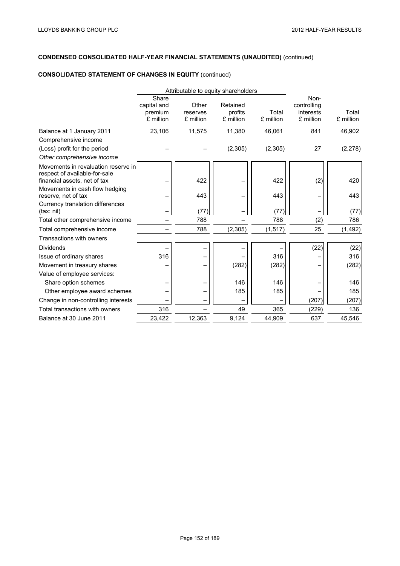## **CONSOLIDATED STATEMENT OF CHANGES IN EQUITY** (continued)

|                                                                                                                                        |                                              | Attributable to equity shareholders |                                  |                    |                                               |                    |
|----------------------------------------------------------------------------------------------------------------------------------------|----------------------------------------------|-------------------------------------|----------------------------------|--------------------|-----------------------------------------------|--------------------|
|                                                                                                                                        | Share<br>capital and<br>premium<br>£ million | Other<br>reserves<br>£ million      | Retained<br>profits<br>£ million | Total<br>£ million | Non-<br>controlling<br>interests<br>£ million | Total<br>£ million |
| Balance at 1 January 2011                                                                                                              | 23,106                                       | 11,575                              | 11,380                           | 46,061             | 841                                           | 46,902             |
| Comprehensive income                                                                                                                   |                                              |                                     |                                  |                    |                                               |                    |
| (Loss) profit for the period                                                                                                           |                                              |                                     | (2,305)                          | (2, 305)           | 27                                            | (2, 278)           |
| Other comprehensive income                                                                                                             |                                              |                                     |                                  |                    |                                               |                    |
| Movements in revaluation reserve in<br>respect of available-for-sale<br>financial assets, net of tax<br>Movements in cash flow hedging |                                              | 422                                 |                                  | 422                | (2)                                           | 420                |
| reserve, net of tax                                                                                                                    |                                              | 443                                 |                                  | 443                |                                               | 443                |
| Currency translation differences<br>(tax: nil)                                                                                         |                                              | (77)                                |                                  | (77)               |                                               | (77)               |
| Total other comprehensive income                                                                                                       |                                              | 788                                 |                                  | 788                | (2)                                           | 786                |
| Total comprehensive income                                                                                                             |                                              | 788                                 | (2, 305)                         | (1, 517)           | 25                                            | (1, 492)           |
| Transactions with owners                                                                                                               |                                              |                                     |                                  |                    |                                               |                    |
| <b>Dividends</b>                                                                                                                       |                                              | -                                   |                                  |                    | (22)                                          | (22)               |
| Issue of ordinary shares                                                                                                               | 316                                          |                                     |                                  | 316                |                                               | 316                |
| Movement in treasury shares                                                                                                            |                                              |                                     | (282)                            | (282)              |                                               | (282)              |
| Value of employee services:                                                                                                            |                                              |                                     |                                  |                    |                                               |                    |
| Share option schemes                                                                                                                   |                                              |                                     | 146                              | 146                |                                               | 146                |
| Other employee award schemes                                                                                                           |                                              |                                     | 185                              | 185                |                                               | 185                |
| Change in non-controlling interests                                                                                                    |                                              |                                     |                                  |                    | (207)                                         | (207)              |
| Total transactions with owners                                                                                                         | 316                                          |                                     | 49                               | 365                | (229)                                         | 136                |
| Balance at 30 June 2011                                                                                                                | 23,422                                       | 12,363                              | 9,124                            | 44,909             | 637                                           | 45,546             |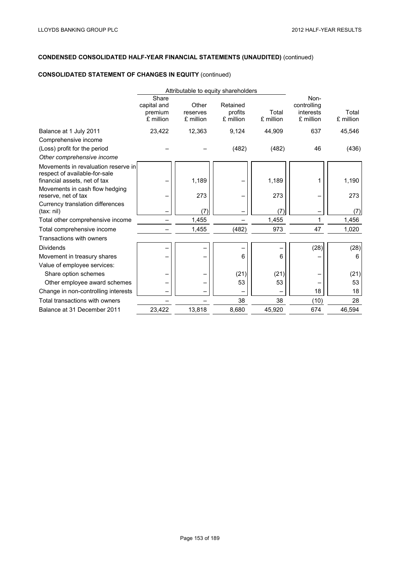## **CONSOLIDATED STATEMENT OF CHANGES IN EQUITY** (continued)

|                                                                                                      |                                              | Attributable to equity shareholders |                                  |                    |                                               |                    |
|------------------------------------------------------------------------------------------------------|----------------------------------------------|-------------------------------------|----------------------------------|--------------------|-----------------------------------------------|--------------------|
|                                                                                                      | Share<br>capital and<br>premium<br>£ million | Other<br>reserves<br>£ million      | Retained<br>profits<br>£ million | Total<br>£ million | Non-<br>controlling<br>interests<br>£ million | Total<br>£ million |
| Balance at 1 July 2011                                                                               | 23,422                                       | 12,363                              | 9,124                            | 44,909             | 637                                           | 45,546             |
| Comprehensive income                                                                                 |                                              |                                     |                                  |                    |                                               |                    |
| (Loss) profit for the period                                                                         |                                              |                                     | (482)                            | (482)              | 46                                            | (436)              |
| Other comprehensive income                                                                           |                                              |                                     |                                  |                    |                                               |                    |
| Movements in revaluation reserve in<br>respect of available-for-sale<br>financial assets, net of tax |                                              | 1,189                               |                                  | 1,189              |                                               | 1,190              |
| Movements in cash flow hedging<br>reserve, net of tax                                                |                                              | 273                                 |                                  | 273                |                                               | 273                |
| Currency translation differences<br>(tax: nil)                                                       |                                              | (7)                                 |                                  | (7)                |                                               | (7)                |
| Total other comprehensive income                                                                     |                                              | 1,455                               |                                  | 1,455              |                                               | 1,456              |
| Total comprehensive income                                                                           |                                              | 1,455                               | (482)                            | 973                | 47                                            | 1,020              |
| Transactions with owners                                                                             |                                              |                                     |                                  |                    |                                               |                    |
| <b>Dividends</b>                                                                                     |                                              |                                     |                                  |                    | (28)                                          | (28)               |
| Movement in treasury shares                                                                          |                                              |                                     | 6                                | 6                  |                                               | 6                  |
| Value of employee services:                                                                          |                                              |                                     |                                  |                    |                                               |                    |
| Share option schemes                                                                                 |                                              |                                     | (21)                             | (21)               |                                               | (21)               |
| Other employee award schemes                                                                         |                                              |                                     | 53                               | 53                 |                                               | 53                 |
| Change in non-controlling interests                                                                  |                                              |                                     |                                  |                    | 18                                            | 18                 |
| Total transactions with owners                                                                       |                                              |                                     | 38                               | 38                 | (10)                                          | 28                 |
| Balance at 31 December 2011                                                                          | 23,422                                       | 13,818                              | 8,680                            | 45,920             | 674                                           | 46,594             |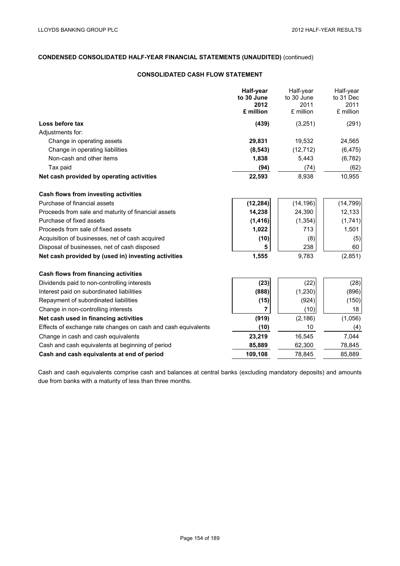## **CONSOLIDATED CASH FLOW STATEMENT**

|                                                               | Half-year<br>to 30 June<br>2012 | Half-year<br>to 30 June<br>2011 | Half-year<br>to 31 Dec<br>2011 |
|---------------------------------------------------------------|---------------------------------|---------------------------------|--------------------------------|
|                                                               | £ million                       | £ million                       | £ million                      |
| Loss before tax                                               | (439)                           | (3,251)                         | (291)                          |
| Adjustments for:                                              |                                 |                                 |                                |
| Change in operating assets                                    | 29,831                          | 19,532                          | 24,565                         |
| Change in operating liabilities                               | (8, 543)                        | (12, 712)                       | (6, 475)                       |
| Non-cash and other items                                      | 1,838                           | 5,443                           | (6, 782)                       |
| Tax paid                                                      | (94)                            | (74)                            | (62)                           |
| Net cash provided by operating activities                     | 22,593                          | 8,938                           | 10,955                         |
| Cash flows from investing activities                          |                                 |                                 |                                |
| Purchase of financial assets                                  | (12, 284)                       | (14, 196)                       | (14, 799)                      |
| Proceeds from sale and maturity of financial assets           | 14,238                          | 24,390                          | 12,133                         |
| Purchase of fixed assets                                      | (1, 416)                        | (1, 354)                        | (1,741)                        |
| Proceeds from sale of fixed assets                            | 1,022                           | 713                             | 1,501                          |
| Acquisition of businesses, net of cash acquired               | (10)                            | (8)                             | (5)                            |
| Disposal of businesses, net of cash disposed                  | 5                               | 238                             | 60                             |
| Net cash provided by (used in) investing activities           | 1,555                           | 9,783                           | (2,851)                        |
| Cash flows from financing activities                          |                                 |                                 |                                |
| Dividends paid to non-controlling interests                   | (23)                            | (22)                            | (28)                           |
| Interest paid on subordinated liabilities                     | (888)                           | (1, 230)                        | (896)                          |
| Repayment of subordinated liabilities                         | (15)                            | (924)                           | (150)                          |
| Change in non-controlling interests                           | 7                               | (10)                            | 18                             |
| Net cash used in financing activities                         | (919)                           | (2, 186)                        | (1,056)                        |
| Effects of exchange rate changes on cash and cash equivalents | (10)                            | 10                              | (4)                            |
| Change in cash and cash equivalents                           | 23,219                          | 16,545                          | 7,044                          |
| Cash and cash equivalents at beginning of period              | 85,889                          | 62,300                          | 78,845                         |
| Cash and cash equivalents at end of period                    | 109,108                         | 78,845                          | 85,889                         |

Cash and cash equivalents comprise cash and balances at central banks (excluding mandatory deposits) and amounts due from banks with a maturity of less than three months.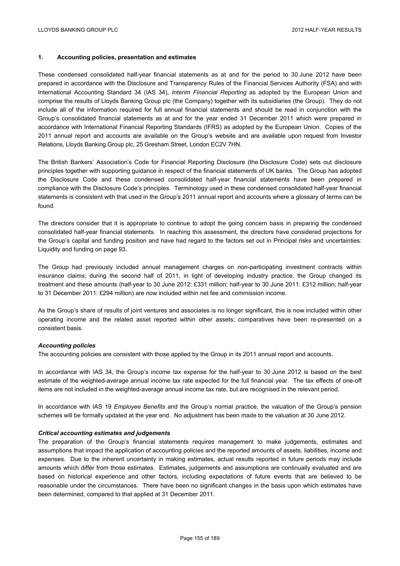### **1. Accounting policies, presentation and estimates**

These condensed consolidated half-year financial statements as at and for the period to 30 June 2012 have been prepared in accordance with the Disclosure and Transparency Rules of the Financial Services Authority (FSA) and with International Accounting Standard 34 (IAS 34), *Interim Financial Reporting* as adopted by the European Union and comprise the results of Lloyds Banking Group plc (the Company) together with its subsidiaries (the Group). They do not include all of the information required for full annual financial statements and should be read in conjunction with the Group's consolidated financial statements as at and for the year ended 31 December 2011 which were prepared in accordance with International Financial Reporting Standards (IFRS) as adopted by the European Union. Copies of the 2011 annual report and accounts are available on the Group's website and are available upon request from Investor Relations, Lloyds Banking Group plc, 25 Gresham Street, London EC2V 7HN.

The British Bankers' Association's Code for Financial Reporting Disclosure (the Disclosure Code) sets out disclosure principles together with supporting guidance in respect of the financial statements of UK banks. The Group has adopted the Disclosure Code and these condensed consolidated half-year financial statements have been prepared in compliance with the Disclosure Code's principles. Terminology used in these condensed consolidated half-year financial statements is consistent with that used in the Group's 2011 annual report and accounts where a glossary of terms can be found.

The directors consider that it is appropriate to continue to adopt the going concern basis in preparing the condensed consolidated half-year financial statements. In reaching this assessment, the directors have considered projections for the Group's capital and funding position and have had regard to the factors set out in Principal risks and uncertainties: Liquidity and funding on page 93.

The Group had previously included annual management charges on non-participating investment contracts within insurance claims; during the second half of 2011, in light of developing industry practice, the Group changed its treatment and these amounts (half-year to 30 June 2012: £331 million; half-year to 30 June 2011: £312 million; half-year to 31 December 2011: £294 million) are now included within net fee and commission income.

As the Group's share of results of joint ventures and associates is no longer significant, this is now included within other operating income and the related asset reported within other assets; comparatives have been re-presented on a consistent basis.

#### *Accounting policies*

The accounting policies are consistent with those applied by the Group in its 2011 annual report and accounts.

In accordance with IAS 34, the Group's income tax expense for the half-year to 30 June 2012 is based on the best estimate of the weighted-average annual income tax rate expected for the full financial year. The tax effects of one-off items are not included in the weighted-average annual income tax rate, but are recognised in the relevant period.

In accordance with IAS 19 *Employee Benefits* and the Group's normal practice, the valuation of the Group's pension schemes will be formally updated at the year end. No adjustment has been made to the valuation at 30 June 2012.

#### *Critical accounting estimates and judgements*

The preparation of the Group's financial statements requires management to make judgements, estimates and assumptions that impact the application of accounting policies and the reported amounts of assets, liabilities, income and expenses. Due to the inherent uncertainty in making estimates, actual results reported in future periods may include amounts which differ from those estimates. Estimates, judgements and assumptions are continually evaluated and are based on historical experience and other factors, including expectations of future events that are believed to be reasonable under the circumstances. There have been no significant changes in the basis upon which estimates have been determined, compared to that applied at 31 December 2011.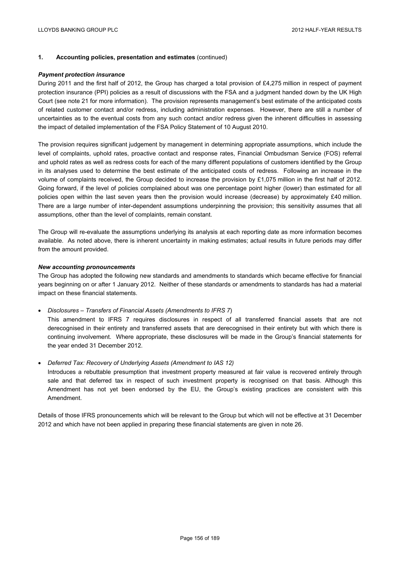### **1. Accounting policies, presentation and estimates** (continued)

#### *Payment protection insurance*

During 2011 and the first half of 2012, the Group has charged a total provision of £4,275 million in respect of payment protection insurance (PPI) policies as a result of discussions with the FSA and a judgment handed down by the UK High Court (see note 21 for more information). The provision represents management's best estimate of the anticipated costs of related customer contact and/or redress, including administration expenses. However, there are still a number of uncertainties as to the eventual costs from any such contact and/or redress given the inherent difficulties in assessing the impact of detailed implementation of the FSA Policy Statement of 10 August 2010.

The provision requires significant judgement by management in determining appropriate assumptions, which include the level of complaints, uphold rates, proactive contact and response rates, Financial Ombudsman Service (FOS) referral and uphold rates as well as redress costs for each of the many different populations of customers identified by the Group in its analyses used to determine the best estimate of the anticipated costs of redress. Following an increase in the volume of complaints received, the Group decided to increase the provision by £1,075 million in the first half of 2012. Going forward, if the level of policies complained about was one percentage point higher (lower) than estimated for all policies open within the last seven years then the provision would increase (decrease) by approximately £40 million. There are a large number of inter-dependent assumptions underpinning the provision; this sensitivity assumes that all assumptions, other than the level of complaints, remain constant.

The Group will re-evaluate the assumptions underlying its analysis at each reporting date as more information becomes available. As noted above, there is inherent uncertainty in making estimates; actual results in future periods may differ from the amount provided.

#### *New accounting pronouncements*

The Group has adopted the following new standards and amendments to standards which became effective for financial years beginning on or after 1 January 2012. Neither of these standards or amendments to standards has had a material impact on these financial statements.

*Disclosures – Transfers of Financial Assets (Amendments to IFRS 7*)

 This amendment to IFRS 7 requires disclosures in respect of all transferred financial assets that are not derecognised in their entirety and transferred assets that are derecognised in their entirety but with which there is continuing involvement. Where appropriate, these disclosures will be made in the Group's financial statements for the year ended 31 December 2012.

 *Deferred Tax: Recovery of Underlying Assets (Amendment to IAS 12)*  Introduces a rebuttable presumption that investment property measured at fair value is recovered entirely through sale and that deferred tax in respect of such investment property is recognised on that basis. Although this Amendment has not yet been endorsed by the EU, the Group's existing practices are consistent with this Amendment.

Details of those IFRS pronouncements which will be relevant to the Group but which will not be effective at 31 December 2012 and which have not been applied in preparing these financial statements are given in note 26.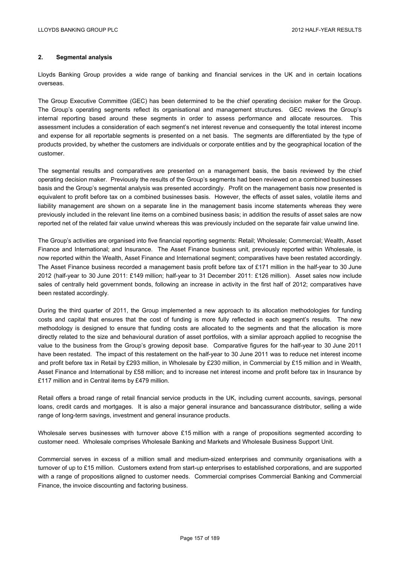## **2. Segmental analysis**

Lloyds Banking Group provides a wide range of banking and financial services in the UK and in certain locations overseas.

The Group Executive Committee (GEC) has been determined to be the chief operating decision maker for the Group. The Group's operating segments reflect its organisational and management structures. GEC reviews the Group's internal reporting based around these segments in order to assess performance and allocate resources. This assessment includes a consideration of each segment's net interest revenue and consequently the total interest income and expense for all reportable segments is presented on a net basis. The segments are differentiated by the type of products provided, by whether the customers are individuals or corporate entities and by the geographical location of the customer.

The segmental results and comparatives are presented on a management basis, the basis reviewed by the chief operating decision maker. Previously the results of the Group's segments had been reviewed on a combined businesses basis and the Group's segmental analysis was presented accordingly. Profit on the management basis now presented is equivalent to profit before tax on a combined businesses basis. However, the effects of asset sales, volatile items and liability management are shown on a separate line in the management basis income statements whereas they were previously included in the relevant line items on a combined business basis; in addition the results of asset sales are now reported net of the related fair value unwind whereas this was previously included on the separate fair value unwind line.

The Group's activities are organised into five financial reporting segments: Retail; Wholesale; Commercial; Wealth, Asset Finance and International; and Insurance. The Asset Finance business unit, previously reported within Wholesale, is now reported within the Wealth, Asset Finance and International segment; comparatives have been restated accordingly. The Asset Finance business recorded a management basis profit before tax of £171 million in the half-year to 30 June 2012 (half-year to 30 June 2011: £149 million; half-year to 31 December 2011: £126 million). Asset sales now include sales of centrally held government bonds, following an increase in activity in the first half of 2012; comparatives have been restated accordingly.

During the third quarter of 2011, the Group implemented a new approach to its allocation methodologies for funding costs and capital that ensures that the cost of funding is more fully reflected in each segment's results. The new methodology is designed to ensure that funding costs are allocated to the segments and that the allocation is more directly related to the size and behavioural duration of asset portfolios, with a similar approach applied to recognise the value to the business from the Group's growing deposit base. Comparative figures for the half-year to 30 June 2011 have been restated. The impact of this restatement on the half-year to 30 June 2011 was to reduce net interest income and profit before tax in Retail by £293 million, in Wholesale by £230 million, in Commercial by £15 million and in Wealth, Asset Finance and International by £58 million; and to increase net interest income and profit before tax in Insurance by £117 million and in Central items by £479 million.

Retail offers a broad range of retail financial service products in the UK, including current accounts, savings, personal loans, credit cards and mortgages. It is also a major general insurance and bancassurance distributor, selling a wide range of long-term savings, investment and general insurance products.

Wholesale serves businesses with turnover above £15 million with a range of propositions segmented according to customer need. Wholesale comprises Wholesale Banking and Markets and Wholesale Business Support Unit.

Commercial serves in excess of a million small and medium-sized enterprises and community organisations with a turnover of up to £15 million. Customers extend from start-up enterprises to established corporations, and are supported with a range of propositions aligned to customer needs. Commercial comprises Commercial Banking and Commercial Finance, the invoice discounting and factoring business.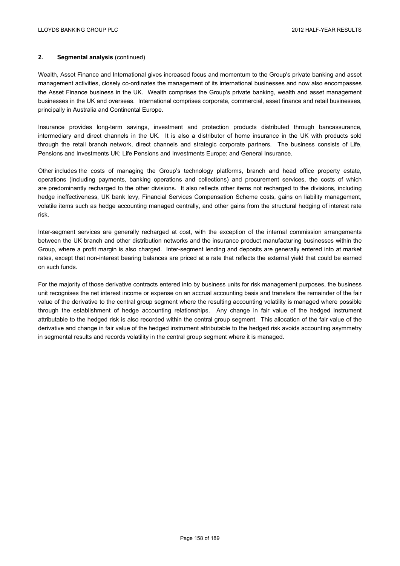Wealth, Asset Finance and International gives increased focus and momentum to the Group's private banking and asset management activities, closely co-ordinates the management of its international businesses and now also encompasses the Asset Finance business in the UK. Wealth comprises the Group's private banking, wealth and asset management businesses in the UK and overseas. International comprises corporate, commercial, asset finance and retail businesses, principally in Australia and Continental Europe.

Insurance provides long-term savings, investment and protection products distributed through bancassurance, intermediary and direct channels in the UK. It is also a distributor of home insurance in the UK with products sold through the retail branch network, direct channels and strategic corporate partners. The business consists of Life, Pensions and Investments UK; Life Pensions and Investments Europe; and General Insurance.

Other includes the costs of managing the Group's technology platforms, branch and head office property estate, operations (including payments, banking operations and collections) and procurement services, the costs of which are predominantly recharged to the other divisions. It also reflects other items not recharged to the divisions, including hedge ineffectiveness, UK bank levy, Financial Services Compensation Scheme costs, gains on liability management, volatile items such as hedge accounting managed centrally, and other gains from the structural hedging of interest rate risk.

Inter-segment services are generally recharged at cost, with the exception of the internal commission arrangements between the UK branch and other distribution networks and the insurance product manufacturing businesses within the Group, where a profit margin is also charged. Inter-segment lending and deposits are generally entered into at market rates, except that non-interest bearing balances are priced at a rate that reflects the external yield that could be earned on such funds.

For the majority of those derivative contracts entered into by business units for risk management purposes, the business unit recognises the net interest income or expense on an accrual accounting basis and transfers the remainder of the fair value of the derivative to the central group segment where the resulting accounting volatility is managed where possible through the establishment of hedge accounting relationships. Any change in fair value of the hedged instrument attributable to the hedged risk is also recorded within the central group segment. This allocation of the fair value of the derivative and change in fair value of the hedged instrument attributable to the hedged risk avoids accounting asymmetry in segmental results and records volatility in the central group segment where it is managed.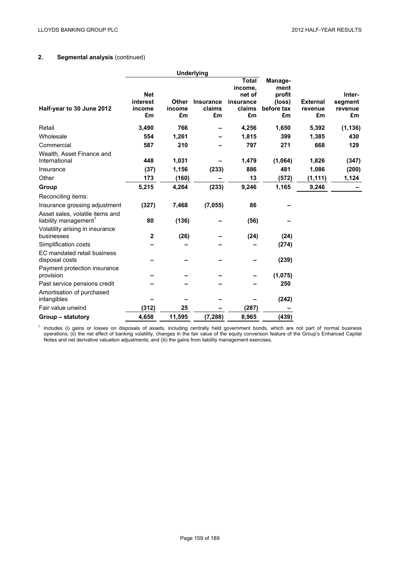|                                               |              |              | <b>Underlying</b> |              |                      |                 |               |
|-----------------------------------------------|--------------|--------------|-------------------|--------------|----------------------|-----------------|---------------|
|                                               |              |              |                   | <b>Total</b> | Manage-              |                 |               |
|                                               |              |              |                   | income,      | ment                 |                 |               |
|                                               | <b>Net</b>   |              |                   | net of       | profit               |                 | Inter-        |
|                                               | interest     | <b>Other</b> | <b>Insurance</b>  | insurance    | (loss)<br>before tax | <b>External</b> | segment       |
| Half-year to 30 June 2012                     | income<br>£m | income<br>£m | claims<br>£m      | claims<br>£m | £m                   | revenue<br>£m   | revenue<br>£m |
| Retail                                        | 3,490        | 766          |                   | 4,256        | 1,650                | 5,392           | (1, 136)      |
| Wholesale                                     | 554          | 1,261        |                   | 1,815        | 399                  | 1,385           | 430           |
| Commercial                                    | 587          | 210          |                   | 797          | 271                  | 668             | 129           |
| Wealth, Asset Finance and                     |              |              |                   |              |                      |                 |               |
| International                                 | 448          | 1,031        |                   | 1,479        | (1,064)              | 1,826           | (347)         |
| Insurance                                     | (37)         | 1,156        | (233)             | 886          | 481                  | 1,086           | (200)         |
| Other                                         | 173          | (160)        |                   | 13           | (572)                | (1, 111)        | 1,124         |
| Group                                         | 5,215        | 4,264        | (233)             | 9,246        | 1,165                | 9,246           |               |
| Reconciling items:                            |              |              |                   |              |                      |                 |               |
| Insurance grossing adjustment                 | (327)        | 7,468        | (7, 055)          | 86           |                      |                 |               |
| Asset sales, volatile items and               |              |              |                   |              |                      |                 |               |
| liability management <sup>1</sup>             | 80           | (136)        |                   | (56)         |                      |                 |               |
| Volatility arising in insurance               |              |              |                   |              |                      |                 |               |
| businesses                                    | $\mathbf{2}$ | (26)         |                   | (24)         | (24)                 |                 |               |
| Simplification costs                          |              |              |                   |              | (274)                |                 |               |
| EC mandated retail business<br>disposal costs |              |              |                   |              | (239)                |                 |               |
| Payment protection insurance                  |              |              |                   |              |                      |                 |               |
| provision                                     |              |              |                   |              | (1,075)              |                 |               |
| Past service pensions credit                  |              |              |                   |              | 250                  |                 |               |
| Amortisation of purchased                     |              |              |                   |              |                      |                 |               |
| intangibles                                   |              |              |                   |              | (242)                |                 |               |
| Fair value unwind                             | (312)        | 25           |                   | (287)        |                      |                 |               |
| Group – statutory                             | 4,658        | 11,595       | (7, 288)          | 8,965        | (439)                |                 |               |

 $<sup>1</sup>$  Includes (i) gains or losses on disposals of assets, including centrally held government bonds, which are not part of normal business</sup> operations; (ii) the net effect of banking volatility, changes in the fair value of the equity conversion feature of the Group's Enhanced Capital Notes and net derivative valuation adjustments; and (iii) the gains from liability management exercises.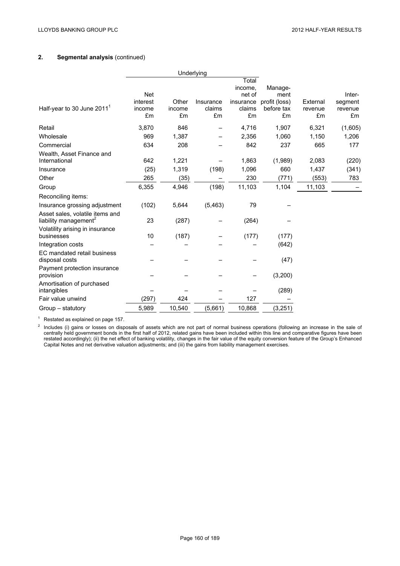|                                               |              |              | Underlying   |              |                  |               |               |
|-----------------------------------------------|--------------|--------------|--------------|--------------|------------------|---------------|---------------|
|                                               |              |              |              | Total        |                  |               |               |
|                                               |              |              |              | income,      | Manage-          |               |               |
|                                               | <b>Net</b>   |              |              | net of       | ment             |               | Inter-        |
|                                               | interest     | Other        | Insurance    | insurance    | profit (loss)    | External      | segment       |
| Half-year to 30 June 2011 <sup>1</sup>        | income<br>£m | income<br>£m | claims<br>£m | claims<br>£m | before tax<br>£m | revenue<br>£m | revenue<br>£m |
| Retail                                        | 3,870        | 846          |              | 4,716        | 1,907            | 6,321         | (1,605)       |
| Wholesale                                     | 969          | 1,387        |              | 2,356        | 1,060            | 1,150         | 1,206         |
| Commercial                                    | 634          | 208          |              | 842          | 237              | 665           | 177           |
| Wealth, Asset Finance and                     |              |              |              |              |                  |               |               |
| International                                 | 642          | 1,221        |              | 1,863        | (1,989)          | 2,083         | (220)         |
| Insurance                                     | (25)         | 1,319        | (198)        | 1,096        | 660              | 1,437         | (341)         |
| Other                                         | 265          | (35)         |              | 230          | (771)            | (553)         | 783           |
| Group                                         | 6,355        | 4,946        | (198)        | 11,103       | 1,104            | 11,103        |               |
| Reconciling items:                            |              |              |              |              |                  |               |               |
| Insurance grossing adjustment                 | (102)        | 5,644        | (5, 463)     | 79           |                  |               |               |
| Asset sales, volatile items and               |              |              |              |              |                  |               |               |
| liability management <sup>2</sup>             | 23           | (287)        |              | (264)        |                  |               |               |
| Volatility arising in insurance               |              |              |              |              |                  |               |               |
| businesses                                    | 10           | (187)        |              | (177)        | (177)            |               |               |
| Integration costs                             |              |              |              |              | (642)            |               |               |
| EC mandated retail business<br>disposal costs |              |              |              |              | (47)             |               |               |
| Payment protection insurance<br>provision     |              |              |              |              | (3,200)          |               |               |
| Amortisation of purchased                     |              |              |              |              |                  |               |               |
| intangibles                                   |              |              |              |              | (289)            |               |               |
| Fair value unwind                             | (297)        | 424          |              | 127          |                  |               |               |
| Group - statutory                             | 5,989        | 10,540       | (5,661)      | 10,868       | (3,251)          |               |               |

 $1$  Restated as explained on page 157.

 $2$  Includes (i) gains or losses on disposals of assets which are not part of normal business operations (following an increase in the sale of centrally held government bonds in the first half of 2012, related gains have been included within this line and comparative figures have been restated accordingly); (ii) the net effect of banking volatility, changes in the fair value of the equity conversion feature of the Group's Enhanced Capital Notes and net derivative valuation adjustments; and (iii) the gains from liability management exercises.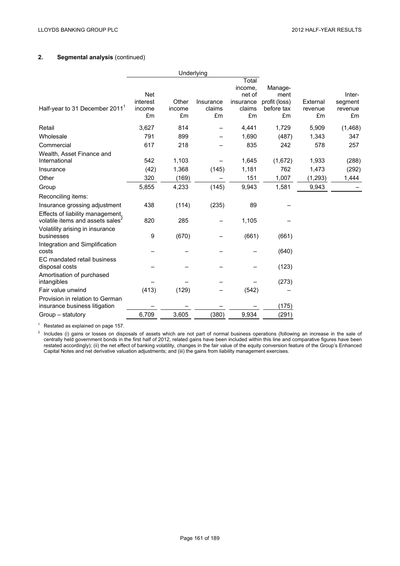|                                               |                    |                 | Underlying          |                     |                             |                     |                    |
|-----------------------------------------------|--------------------|-----------------|---------------------|---------------------|-----------------------------|---------------------|--------------------|
|                                               |                    |                 |                     | Total               |                             |                     |                    |
|                                               |                    |                 |                     | income,             | Manage-                     |                     |                    |
|                                               | <b>Net</b>         |                 |                     | net of              | ment                        |                     | Inter-             |
| Half-year to 31 December 2011 <sup>1</sup>    | interest<br>income | Other<br>income | Insurance<br>claims | insurance<br>claims | profit (loss)<br>before tax | External<br>revenue | segment<br>revenue |
|                                               | £m                 | £m              | £m                  | £m                  | £m                          | £m                  | £m                 |
| Retail                                        | 3,627              | 814             |                     | 4,441               | 1,729                       | 5,909               | (1, 468)           |
| Wholesale                                     | 791                | 899             |                     | 1,690               | (487)                       | 1,343               | 347                |
| Commercial                                    | 617                | 218             |                     | 835                 | 242                         | 578                 | 257                |
| Wealth, Asset Finance and                     |                    |                 |                     |                     |                             |                     |                    |
| International                                 | 542                | 1,103           |                     | 1,645               | (1,672)                     | 1,933               | (288)              |
| Insurance                                     | (42)               | 1,368           | (145)               | 1,181               | 762                         | 1,473               | (292)              |
| Other                                         | 320                | (169)           |                     | 151                 | 1,007                       | (1, 293)            | 1,444              |
| Group                                         | 5,855              | 4,233           | (145)               | 9,943               | 1,581                       | 9,943               |                    |
| Reconciling items:                            |                    |                 |                     |                     |                             |                     |                    |
| Insurance grossing adjustment                 | 438                | (114)           | (235)               | 89                  |                             |                     |                    |
| Effects of liability management,              |                    |                 |                     |                     |                             |                     |                    |
| volatile items and assets sales <sup>2</sup>  | 820                | 285             |                     | 1,105               |                             |                     |                    |
| Volatility arising in insurance<br>businesses | 9                  | (670)           |                     | (661)               | (661)                       |                     |                    |
| Integration and Simplification                |                    |                 |                     |                     |                             |                     |                    |
| costs                                         |                    |                 |                     |                     | (640)                       |                     |                    |
| EC mandated retail business                   |                    |                 |                     |                     |                             |                     |                    |
| disposal costs                                |                    |                 |                     |                     | (123)                       |                     |                    |
| Amortisation of purchased<br>intangibles      |                    |                 |                     |                     | (273)                       |                     |                    |
| Fair value unwind                             | (413)              | (129)           |                     | (542)               |                             |                     |                    |
| Provision in relation to German               |                    |                 |                     |                     |                             |                     |                    |
| insurance business litigation                 |                    |                 |                     |                     | (175)                       |                     |                    |
| Group - statutory                             | 6,709              | 3,605           | (380)               | 9,934               | (291)                       |                     |                    |

 $1$  Restated as explained on page 157.

 $2$  Includes (i) gains or losses on disposals of assets which are not part of normal business operations (following an increase in the sale of centrally held government bonds in the first half of 2012, related gains have been included within this line and comparative figures have been restated accordingly); (ii) the net effect of banking volatility, changes in the fair value of the equity conversion feature of the Group's Enhanced Capital Notes and net derivative valuation adjustments; and (iii) the gains from liability management exercises.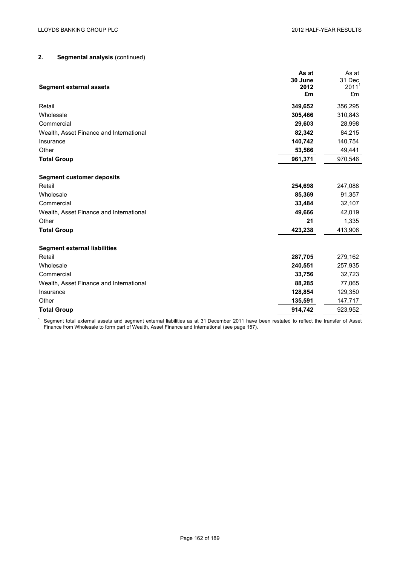| <b>Segment external assets</b>                          | As at<br>30 June<br>2012<br>£m | As at<br>31 Dec<br>$2011^1$<br>£m |
|---------------------------------------------------------|--------------------------------|-----------------------------------|
| Retail                                                  | 349,652                        | 356,295                           |
| Wholesale                                               | 305,466                        | 310,843                           |
| Commercial                                              | 29,603                         | 28,998                            |
| Wealth, Asset Finance and International                 | 82,342                         | 84,215                            |
| Insurance                                               | 140,742                        | 140,754                           |
| Other                                                   | 53,566                         | 49,441                            |
| <b>Total Group</b>                                      | 961,371                        | 970,546                           |
| <b>Segment customer deposits</b><br>Retail<br>Wholesale | 254,698<br>85,369              | 247,088<br>91,357                 |
| Commercial                                              | 33,484                         | 32,107                            |
| Wealth, Asset Finance and International                 | 49,666                         | 42,019                            |
| Other                                                   | 21                             | 1,335                             |
| <b>Total Group</b>                                      | 423,238                        | 413,906                           |
| <b>Segment external liabilities</b>                     |                                |                                   |
| Retail                                                  | 287,705                        | 279,162                           |
| Wholesale                                               | 240,551                        | 257,935                           |
| Commercial                                              | 33,756                         | 32,723                            |
| Wealth, Asset Finance and International                 | 88,285                         | 77,065                            |
| Insurance                                               | 128,854                        | 129,350                           |
| Other                                                   | 135,591                        | 147,717                           |
| <b>Total Group</b>                                      | 914,742                        | 923,952                           |

 $<sup>1</sup>$  Segment total external assets and segment external liabilities as at 31 December 2011 have been restated to reflect the transfer of Asset</sup> Finance from Wholesale to form part of Wealth, Asset Finance and International (see page 157).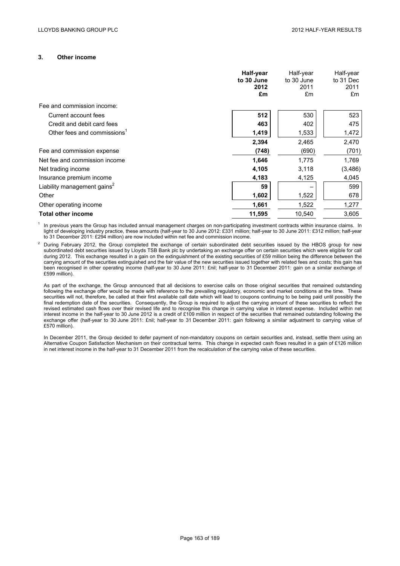#### **3. Other income**

|                                         | Half-year<br>to 30 June<br>2012<br>£m | Half-year<br>to 30 June<br>2011<br>£m | Half-year<br>to 31 Dec<br>2011<br>£m |
|-----------------------------------------|---------------------------------------|---------------------------------------|--------------------------------------|
| Fee and commission income:              |                                       |                                       |                                      |
| Current account fees                    | 512                                   | 530                                   | 523                                  |
| Credit and debit card fees              | 463                                   | 402                                   | 475                                  |
| Other fees and commissions <sup>1</sup> | 1,419                                 | 1,533                                 | 1,472                                |
|                                         | 2,394                                 | 2,465                                 | 2,470                                |
| Fee and commission expense              | (748)                                 | (690)                                 | (701)                                |
| Net fee and commission income           | 1,646                                 | 1,775                                 | 1,769                                |
| Net trading income                      | 4,105                                 | 3,118                                 | (3,486)                              |
| Insurance premium income                | 4,183                                 | 4,125                                 | 4,045                                |
| Liability management gains <sup>2</sup> | 59                                    |                                       | 599                                  |
| Other                                   | 1,602                                 | 1,522                                 | 678                                  |
| Other operating income                  | 1,661                                 | 1,522                                 | 1,277                                |
| <b>Total other income</b>               | 11,595                                | 10,540                                | 3,605                                |

In previous years the Group has included annual management charges on non-participating investment contracts within insurance claims. In light of developing industry practice, these amounts (half-year to 30 June 2012: £331 million; half-year to 30 June 2011: £312 million; half-year to 31 December 2011: £294 million) are now included within net fee and commission income.

<sup>2</sup> During February 2012, the Group completed the exchange of certain subordinated debt securities issued by the HBOS group for new subordinated debt securities issued by Lloyds TSB Bank plc by undertaking an exchange offer on certain securities which were eligible for call during 2012. This exchange resulted in a gain on the extinguishment of the existing securities of £59 million being the difference between the carrying amount of the securities extinguished and the fair value of the new securities issued together with related fees and costs; this gain has been recognised in other operating income (half-year to 30 June 2011: £nil; half-year to 31 December 2011: gain on a similar exchange of £599 million).

As part of the exchange, the Group announced that all decisions to exercise calls on those original securities that remained outstanding following the exchange offer would be made with reference to the prevailing regulatory, economic and market conditions at the time. These securities will not, therefore, be called at their first available call date which will lead to coupons continuing to be being paid until possibly the final redemption date of the securities. Consequently, the Group is required to adjust the carrying amount of these securities to reflect the revised estimated cash flows over their revised life and to recognise this change in carrying value in interest expense. Included within net interest income in the half-year to 30 June 2012 is a credit of £109 million in respect of the securities that remained outstanding following the exchange offer (half-year to 30 June 2011: £nil; half-year to 31 December 2011: gain following a similar adjustment to carrying value of £570 million).

In December 2011, the Group decided to defer payment of non-mandatory coupons on certain securities and, instead, settle them using an Alternative Coupon Satisfaction Mechanism on their contractual terms. This change in expected cash flows resulted in a gain of £126 million in net interest income in the half-year to 31 December 2011 from the recalculation of the carrying value of these securities.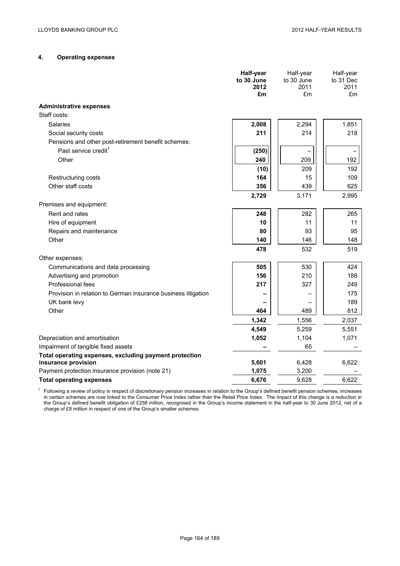## **4. Operating expenses**

|                                                               | Half-year<br>to 30 June<br>2012<br>£m | Half-year<br>to 30 June<br>2011<br>£m | Half-year<br>to 31 Dec<br>2011<br>£m |
|---------------------------------------------------------------|---------------------------------------|---------------------------------------|--------------------------------------|
| <b>Administrative expenses</b>                                |                                       |                                       |                                      |
| Staff costs:                                                  |                                       |                                       |                                      |
| Salaries                                                      | 2,008                                 | 2,294                                 | 1,851                                |
| Social security costs                                         | 211                                   | 214                                   | 218                                  |
| Pensions and other post-retirement benefit schemes:           |                                       |                                       |                                      |
| Past service credit <sup>1</sup>                              | (250)                                 |                                       |                                      |
| Other                                                         | 240                                   | 209                                   | 192                                  |
|                                                               | (10)                                  | 209                                   | 192                                  |
| Restructuring costs                                           | 164                                   | 15                                    | 109                                  |
| Other staff costs                                             | 356                                   | 439                                   | 625                                  |
|                                                               | 2,729                                 | 3,171                                 | 2,995                                |
| Premises and equipment:                                       |                                       |                                       |                                      |
| Rent and rates                                                | 248                                   | 282                                   | 265                                  |
| Hire of equipment                                             | 10                                    | 11                                    | 11                                   |
| Repairs and maintenance                                       | 80                                    | 93                                    | 95                                   |
| Other                                                         | 140                                   | 146                                   | 148                                  |
|                                                               | 478                                   | 532                                   | 519                                  |
| Other expenses:                                               |                                       |                                       |                                      |
| Communications and data processing                            | 505                                   | 530                                   | 424                                  |
| Advertising and promotion                                     | 156                                   | 210                                   | 188                                  |
| Professional fees                                             | 217                                   | 327                                   | 249                                  |
| Provision in relation to German insurance business litigation |                                       |                                       | 175                                  |
| UK bank levy                                                  |                                       |                                       | 189                                  |
| Other                                                         | 464                                   | 489                                   | 812                                  |
|                                                               | 1,342                                 | 1,556                                 | 2,037                                |
|                                                               | 4,549                                 | 5,259                                 | 5,551                                |
| Depreciation and amortisation                                 | 1,052                                 | 1,104                                 | 1,071                                |
| Impairment of tangible fixed assets                           |                                       | 65                                    |                                      |
| Total operating expenses, excluding payment protection        |                                       |                                       |                                      |
| insurance provision                                           | 5,601                                 | 6,428                                 | 6,622                                |
| Payment protection insurance provision (note 21)              | 1,075                                 | 3,200                                 |                                      |
| <b>Total operating expenses</b>                               | 6,676                                 | 9,628                                 | 6,622                                |

 $1$  Following a review of policy in respect of discretionary pension increases in relation to the Group's defined benefit pension schemes, increases in certain schemes are now linked to the Consumer Price Index rather than the Retail Price Index. The impact of this change is a reduction in the Group's defined benefit obligation of £258 million, recognised in the Group's income statement in the half-year to 30 June 2012, net of a charge of £8 million in respect of one of the Group's smaller schemes.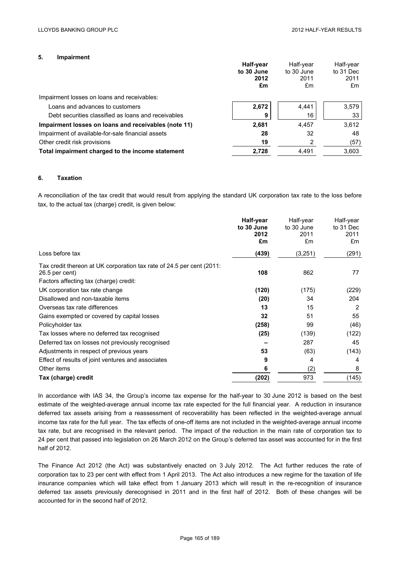### **5. Impairment**

|                                                      | Half-year<br>to 30 June<br>2012<br>£m | Half-year<br>to 30 June<br>2011<br>£m | Half-year<br>to 31 Dec<br>2011<br>£m |
|------------------------------------------------------|---------------------------------------|---------------------------------------|--------------------------------------|
| Impairment losses on loans and receivables:          |                                       |                                       |                                      |
| Loans and advances to customers                      | 2,672                                 | 4.441                                 | 3,579                                |
| Debt securities classified as loans and receivables  | 9                                     | 16                                    | 33                                   |
| Impairment losses on loans and receivables (note 11) | 2,681                                 | 4,457                                 | 3,612                                |
| Impairment of available-for-sale financial assets    | 28                                    | 32                                    | 48                                   |
| Other credit risk provisions                         | 19                                    |                                       | (57)                                 |
| Total impairment charged to the income statement     | 2,728                                 | 4,491                                 | 3,603                                |

### **6. Taxation**

A reconciliation of the tax credit that would result from applying the standard UK corporation tax rate to the loss before tax, to the actual tax (charge) credit, is given below:

|                                                                                                                                     | Half-year<br>to 30 June<br>2012<br>£m | Half-year<br>to 30 June<br>2011<br>£m | Half-year<br>to 31 Dec<br>2011<br>£m |
|-------------------------------------------------------------------------------------------------------------------------------------|---------------------------------------|---------------------------------------|--------------------------------------|
| Loss before tax                                                                                                                     | (439)                                 | (3,251)                               | (291)                                |
| Tax credit thereon at UK corporation tax rate of 24.5 per cent (2011:<br>$26.5$ per cent)<br>Factors affecting tax (charge) credit: | 108                                   | 862                                   | 77                                   |
| UK corporation tax rate change                                                                                                      | (120)                                 | (175)                                 | (229)                                |
| Disallowed and non-taxable items                                                                                                    | (20)                                  | 34                                    | 204                                  |
| Overseas tax rate differences                                                                                                       | 13                                    | 15                                    | 2                                    |
| Gains exempted or covered by capital losses                                                                                         | 32                                    | 51                                    | 55                                   |
| Policyholder tax                                                                                                                    | (258)                                 | 99                                    | (46)                                 |
| Tax losses where no deferred tax recognised                                                                                         | (25)                                  | (139)                                 | (122)                                |
| Deferred tax on losses not previously recognised                                                                                    |                                       | 287                                   | 45                                   |
| Adjustments in respect of previous years                                                                                            | 53                                    | (63)                                  | (143)                                |
| Effect of results of joint ventures and associates                                                                                  | 9                                     | 4                                     | 4                                    |
| Other items                                                                                                                         | 6                                     | (2)                                   | 8                                    |
| Tax (charge) credit                                                                                                                 | (202)                                 | 973                                   | (145)                                |

In accordance with IAS 34, the Group's income tax expense for the half-year to 30 June 2012 is based on the best estimate of the weighted-average annual income tax rate expected for the full financial year. A reduction in insurance deferred tax assets arising from a reassessment of recoverability has been reflected in the weighted-average annual income tax rate for the full year. The tax effects of one-off items are not included in the weighted-average annual income tax rate, but are recognised in the relevant period. The impact of the reduction in the main rate of corporation tax to 24 per cent that passed into legislation on 26 March 2012 on the Group's deferred tax asset was accounted for in the first half of 2012.

The Finance Act 2012 (the Act) was substantively enacted on 3 July 2012. The Act further reduces the rate of corporation tax to 23 per cent with effect from 1 April 2013. The Act also introduces a new regime for the taxation of life insurance companies which will take effect from 1 January 2013 which will result in the re-recognition of insurance deferred tax assets previously derecognised in 2011 and in the first half of 2012. Both of these changes will be accounted for in the second half of 2012.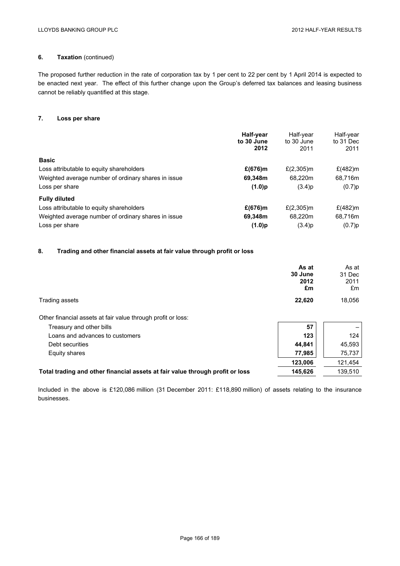## **6.** Taxation (continued)

The proposed further reduction in the rate of corporation tax by 1 per cent to 22 per cent by 1 April 2014 is expected to be enacted next year. The effect of this further change upon the Group's deferred tax balances and leasing business cannot be reliably quantified at this stage.

## **7. Loss per share**

|                                                     | Half-year<br>to 30 June<br>2012 | Half-vear<br>to 30 June<br>2011 | Half-year<br>to 31 Dec<br>2011 |
|-----------------------------------------------------|---------------------------------|---------------------------------|--------------------------------|
| <b>Basic</b>                                        |                                 |                                 |                                |
| Loss attributable to equity shareholders            | $£(676)$ m                      | £ $(2,305)$ m                   | $£(482)$ m                     |
| Weighted average number of ordinary shares in issue | 69,348m                         | 68.220m                         | 68,716m                        |
| Loss per share                                      | (1.0)p                          | (3.4)p                          | (0.7)p                         |
| <b>Fully diluted</b>                                |                                 |                                 |                                |
| Loss attributable to equity shareholders            | $£(676)$ m                      | £ $(2,305)$ m                   | £(482) $m$                     |
| Weighted average number of ordinary shares in issue | 69,348m                         | 68.220m                         | 68,716m                        |
| Loss per share                                      | $(1.0)$ p                       | (3.4)p                          | (0.7)p                         |

## **8. Trading and other financial assets at fair value through profit or loss**

|                                                                               | As at<br>30 June<br>2012<br>£m | As at<br>31 Dec<br>2011<br>£m |
|-------------------------------------------------------------------------------|--------------------------------|-------------------------------|
| Trading assets                                                                | 22,620                         | 18,056                        |
| Other financial assets at fair value through profit or loss:                  |                                |                               |
| Treasury and other bills                                                      | 57                             |                               |
| Loans and advances to customers                                               | 123                            | 124                           |
| Debt securities                                                               | 44,841                         | 45,593                        |
| Equity shares                                                                 | 77,985                         | 75,737                        |
|                                                                               | 123,006                        | 121,454                       |
| Total trading and other financial assets at fair value through profit or loss | 145,626                        | 139.510                       |

Included in the above is £120,086 million (31 December 2011: £118,890 million) of assets relating to the insurance businesses.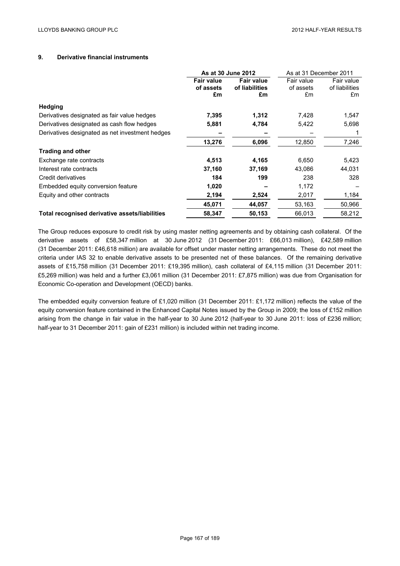### **9. Derivative financial instruments**

|                                                 | As at 30 June 2012             |                                     | As at 31 December 2011  |                              |
|-------------------------------------------------|--------------------------------|-------------------------------------|-------------------------|------------------------------|
|                                                 | <b>Fair value</b><br>of assets | <b>Fair value</b><br>of liabilities | Fair value<br>of assets | Fair value<br>of liabilities |
|                                                 | £m                             | £m                                  | £m                      | £m                           |
| Hedging                                         |                                |                                     |                         |                              |
| Derivatives designated as fair value hedges     | 7,395                          | 1,312                               | 7,428                   | 1,547                        |
| Derivatives designated as cash flow hedges      | 5,881                          | 4,784                               | 5,422                   | 5,698                        |
| Derivatives designated as net investment hedges |                                |                                     |                         |                              |
|                                                 | 13,276                         | 6,096                               | 12,850                  | 7,246                        |
| <b>Trading and other</b>                        |                                |                                     |                         |                              |
| Exchange rate contracts                         | 4,513                          | 4,165                               | 6,650                   | 5,423                        |
| Interest rate contracts                         | 37,160                         | 37,169                              | 43,086                  | 44,031                       |
| Credit derivatives                              | 184                            | 199                                 | 238                     | 328                          |
| Embedded equity conversion feature              | 1,020                          |                                     | 1,172                   |                              |
| Equity and other contracts                      | 2,194                          | 2,524                               | 2,017                   | 1,184                        |
|                                                 | 45,071                         | 44,057                              | 53,163                  | 50,966                       |
| Total recognised derivative assets/liabilities  | 58,347                         | 50,153                              | 66,013                  | 58,212                       |

The Group reduces exposure to credit risk by using master netting agreements and by obtaining cash collateral. Of the derivative assets of £58,347 million at 30 June 2012 (31 December 2011: £66,013 million), £42,589 million (31 December 2011: £46,618 million) are available for offset under master netting arrangements. These do not meet the criteria under IAS 32 to enable derivative assets to be presented net of these balances. Of the remaining derivative assets of £15,758 million (31 December 2011: £19,395 million), cash collateral of £4,115 million (31 December 2011: £5,269 million) was held and a further £3,061 million (31 December 2011: £7,875 million) was due from Organisation for Economic Co-operation and Development (OECD) banks.

The embedded equity conversion feature of £1,020 million (31 December 2011: £1,172 million) reflects the value of the equity conversion feature contained in the Enhanced Capital Notes issued by the Group in 2009; the loss of £152 million arising from the change in fair value in the half-year to 30 June 2012 (half-year to 30 June 2011: loss of £236 million; half-year to 31 December 2011: gain of £231 million) is included within net trading income.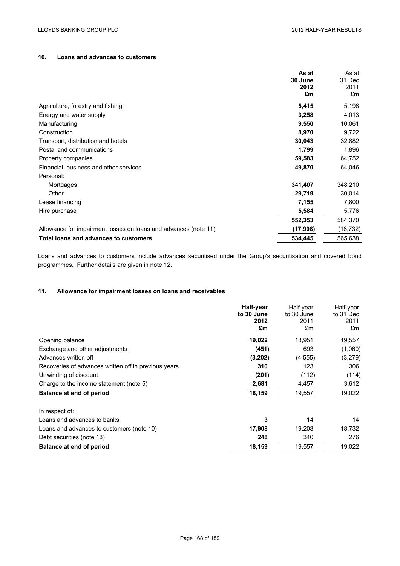## **10. Loans and advances to customers**

|                                                                 | As at<br>30 June<br>2012<br>£m | As at<br>31 Dec<br>2011<br>£m |
|-----------------------------------------------------------------|--------------------------------|-------------------------------|
| Agriculture, forestry and fishing                               | 5,415                          | 5,198                         |
| Energy and water supply                                         | 3,258                          | 4,013                         |
| Manufacturing                                                   | 9,550                          | 10,061                        |
| Construction                                                    | 8,970                          | 9,722                         |
| Transport, distribution and hotels                              | 30,043                         | 32,882                        |
| Postal and communications                                       | 1,799                          | 1,896                         |
| Property companies                                              | 59,583                         | 64,752                        |
| Financial, business and other services                          | 49,870                         | 64,046                        |
| Personal:                                                       |                                |                               |
| Mortgages                                                       | 341,407                        | 348,210                       |
| Other                                                           | 29,719                         | 30,014                        |
| Lease financing                                                 | 7,155                          | 7,800                         |
| Hire purchase                                                   | 5,584                          | 5,776                         |
|                                                                 | 552,353                        | 584,370                       |
| Allowance for impairment losses on loans and advances (note 11) | (17,908)                       | (18, 732)                     |
| Total loans and advances to customers                           | 534.445                        | 565,638                       |

Loans and advances to customers include advances securitised under the Group's securitisation and covered bond programmes. Further details are given in note 12.

## **11. Allowance for impairment losses on loans and receivables**

|                                                      | Half-year  | Half-year  | Half-year |
|------------------------------------------------------|------------|------------|-----------|
|                                                      | to 30 June | to 30 June | to 31 Dec |
|                                                      | 2012       | 2011       | 2011      |
|                                                      | £m         | £m         | £m        |
| Opening balance                                      | 19,022     | 18,951     | 19,557    |
| Exchange and other adjustments                       | (451)      | 693        | (1,060)   |
| Advances written off                                 | (3,202)    | (4, 555)   | (3,279)   |
| Recoveries of advances written off in previous years | 310        | 123        | 306       |
| Unwinding of discount                                | (201)      | (112)      | (114)     |
| Charge to the income statement (note 5)              | 2,681      | 4,457      | 3,612     |
| Balance at end of period                             | 18,159     | 19,557     | 19,022    |
| In respect of:                                       |            |            |           |
| Loans and advances to banks                          | 3          | 14         | 14        |
| Loans and advances to customers (note 10)            | 17,908     | 19,203     | 18,732    |
| Debt securities (note 13)                            | 248        | 340        | 276       |
| Balance at end of period                             | 18,159     | 19,557     | 19,022    |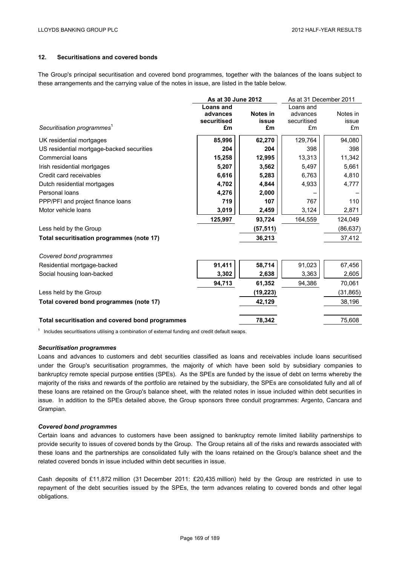## **12. Securitisations and covered bonds**

The Group's principal securitisation and covered bond programmes, together with the balances of the loans subject to these arrangements and the carrying value of the notes in issue, are listed in the table below.

|                                                  | As at 30 June 2012 |           | As at 31 December 2011 |           |
|--------------------------------------------------|--------------------|-----------|------------------------|-----------|
|                                                  | <b>Loans and</b>   |           | Loans and              |           |
|                                                  | advances           | Notes in  | advances               | Notes in  |
|                                                  | securitised        | issue     | securitised            | issue     |
| Securitisation programmes <sup>1</sup>           | £m                 | £m        | £m                     | £m        |
| UK residential mortgages                         | 85,996             | 62,270    | 129,764                | 94,080    |
| US residential mortgage-backed securities        | 204                | 204       | 398                    | 398       |
| Commercial loans                                 | 15,258             | 12,995    | 13,313                 | 11,342    |
| Irish residential mortgages                      | 5,207              | 3,562     | 5,497                  | 5,661     |
| Credit card receivables                          | 6,616              | 5,283     | 6,763                  | 4,810     |
| Dutch residential mortgages                      | 4,702              | 4,844     | 4,933                  | 4,777     |
| Personal loans                                   | 4,276              | 2,000     |                        |           |
| PPP/PFI and project finance loans                | 719                | 107       | 767                    | 110       |
| Motor vehicle loans                              | 3,019              | 2,459     | 3,124                  | 2,871     |
|                                                  | 125,997            | 93,724    | 164,559                | 124,049   |
| Less held by the Group                           |                    | (57,511)  |                        | (86, 637) |
| Total securitisation programmes (note 17)        |                    | 36,213    |                        | 37,412    |
| Covered bond programmes                          |                    |           |                        |           |
| Residential mortgage-backed                      | 91,411             | 58,714    | 91,023                 | 67,456    |
| Social housing loan-backed                       | 3,302              | 2,638     | 3,363                  | 2,605     |
|                                                  | 94,713             | 61,352    | 94,386                 | 70,061    |
| Less held by the Group                           |                    | (19, 223) |                        | (31, 865) |
| Total covered bond programmes (note 17)          |                    | 42,129    |                        | 38,196    |
| Total securitisation and covered bond programmes |                    | 78,342    |                        | 75,608    |

 $<sup>1</sup>$  Includes securitisations utilising a combination of external funding and credit default swaps.</sup>

#### *Securitisation programmes*

Loans and advances to customers and debt securities classified as loans and receivables include loans securitised under the Group's securitisation programmes, the majority of which have been sold by subsidiary companies to bankruptcy remote special purpose entities (SPEs). As the SPEs are funded by the issue of debt on terms whereby the majority of the risks and rewards of the portfolio are retained by the subsidiary, the SPEs are consolidated fully and all of these loans are retained on the Group's balance sheet, with the related notes in issue included within debt securities in issue. In addition to the SPEs detailed above, the Group sponsors three conduit programmes: Argento, Cancara and Grampian.

#### *Covered bond programmes*

Certain loans and advances to customers have been assigned to bankruptcy remote limited liability partnerships to provide security to issues of covered bonds by the Group. The Group retains all of the risks and rewards associated with these loans and the partnerships are consolidated fully with the loans retained on the Group's balance sheet and the related covered bonds in issue included within debt securities in issue.

Cash deposits of £11,872 million (31 December 2011: £20,435 million) held by the Group are restricted in use to repayment of the debt securities issued by the SPEs, the term advances relating to covered bonds and other legal obligations.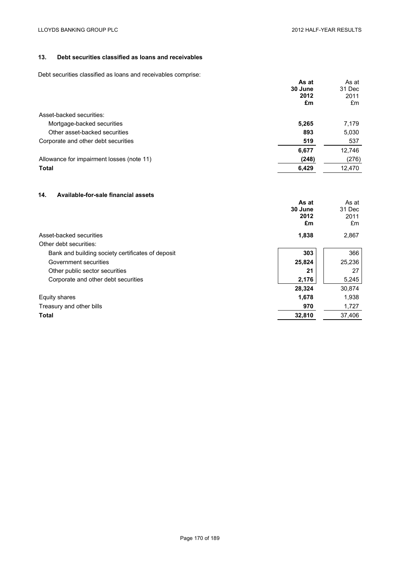## **13. Debt securities classified as loans and receivables**

Debt securities classified as loans and receivables comprise:

|                                           | As at   | As at  |
|-------------------------------------------|---------|--------|
|                                           | 30 June | 31 Dec |
|                                           | 2012    | 2011   |
|                                           | £m      | £m     |
| Asset-backed securities:                  |         |        |
| Mortgage-backed securities                | 5,265   | 7,179  |
| Other asset-backed securities             | 893     | 5,030  |
| Corporate and other debt securities       | 519     | 537    |
|                                           | 6,677   | 12,746 |
| Allowance for impairment losses (note 11) | (248)   | (276)  |
| <b>Total</b>                              | 6,429   | 12,470 |

### **14. Available-for-sale financial assets**

|                                                   | As at   | As at  |
|---------------------------------------------------|---------|--------|
|                                                   | 30 June | 31 Dec |
|                                                   | 2012    | 2011   |
|                                                   | £m      | £m     |
| Asset-backed securities                           | 1,838   | 2,867  |
| Other debt securities:                            |         |        |
| Bank and building society certificates of deposit | 303     | 366    |
| Government securities                             | 25,824  | 25,236 |
| Other public sector securities                    | 21      | 27     |
| Corporate and other debt securities               | 2,176   | 5,245  |
|                                                   | 28,324  | 30,874 |
| Equity shares                                     | 1,678   | 1,938  |
| Treasury and other bills                          | 970     | 1,727  |
| <b>Total</b>                                      | 32,810  | 37,406 |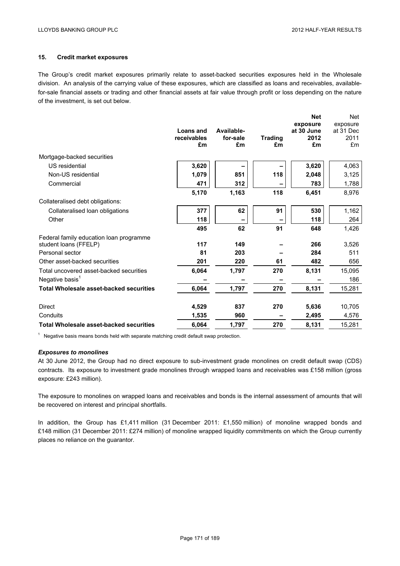**Net** 

Net

## **15. Credit market exposures**

The Group's credit market exposures primarily relate to asset-backed securities exposures held in the Wholesale division. An analysis of the carrying value of these exposures, which are classified as loans and receivables, availablefor-sale financial assets or trading and other financial assets at fair value through profit or loss depending on the nature of the investment, is set out below.

|                                                |                  |            |                | net        | <b>Net</b> |
|------------------------------------------------|------------------|------------|----------------|------------|------------|
|                                                |                  |            |                | exposure   | exposure   |
|                                                | <b>Loans and</b> | Available- |                | at 30 June | at 31 Dec  |
|                                                | receivables      | for-sale   | <b>Trading</b> | 2012       | 2011       |
|                                                | £m               | £m         | £m             | £m         | £m         |
| Mortgage-backed securities                     |                  |            |                |            |            |
| US residential                                 | 3,620            |            |                | 3,620      | 4,063      |
| Non-US residential                             | 1,079            | 851        | 118            | 2,048      | 3,125      |
| Commercial                                     | 471              | 312        |                | 783        | 1,788      |
|                                                | 5,170            | 1,163      | 118            | 6,451      | 8,976      |
| Collateralised debt obligations:               |                  |            |                |            |            |
| Collateralised loan obligations                | 377              | 62         | 91             | 530        | 1,162      |
| Other                                          | 118              | -          |                | 118        | 264        |
|                                                | 495              | 62         | 91             | 648        | 1,426      |
| Federal family education loan programme        |                  |            |                |            |            |
| student loans (FFELP)                          | 117              | 149        |                | 266        | 3,526      |
| Personal sector                                | 81               | 203        |                | 284        | 511        |
| Other asset-backed securities                  | 201              | 220        | 61             | 482        | 656        |
| Total uncovered asset-backed securities        | 6,064            | 1,797      | 270            | 8,131      | 15,095     |
| Negative basis $1$                             |                  |            |                |            | 186        |
| <b>Total Wholesale asset-backed securities</b> | 6,064            | 1,797      | 270            | 8,131      | 15,281     |
| Direct                                         |                  | 837        | 270            | 5,636      | 10,705     |
|                                                | 4,529            |            |                |            |            |
| Conduits                                       | 1,535            | 960        |                | 2,495      | 4,576      |
| <b>Total Wholesale asset-backed securities</b> | 6,064            | 1,797      | 270            | 8,131      | 15,281     |

 $1$  Negative basis means bonds held with separate matching credit default swap protection.

#### *Exposures to monolines*

At 30 June 2012, the Group had no direct exposure to sub-investment grade monolines on credit default swap (CDS) contracts. Its exposure to investment grade monolines through wrapped loans and receivables was £158 million (gross exposure: £243 million).

The exposure to monolines on wrapped loans and receivables and bonds is the internal assessment of amounts that will be recovered on interest and principal shortfalls.

In addition, the Group has £1,411 million (31 December 2011: £1,550 million) of monoline wrapped bonds and £148 million (31 December 2011: £274 million) of monoline wrapped liquidity commitments on which the Group currently places no reliance on the guarantor.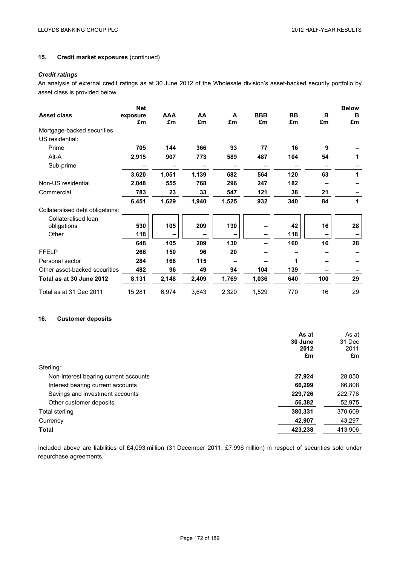## **15. Credit market exposures** (continued)

## *Credit ratings*

An analysis of external credit ratings as at 30 June 2012 of the Wholesale division's asset-backed security portfolio by asset class is provided below.

| <b>Asset class</b>               | <b>Net</b><br>exposure<br>£m | <b>AAA</b><br>£m | AA<br>£m | A<br>£m | <b>BBB</b><br>£m | <b>BB</b><br>£m | B<br>£m | <b>Below</b><br>в<br>£m |
|----------------------------------|------------------------------|------------------|----------|---------|------------------|-----------------|---------|-------------------------|
| Mortgage-backed securities       |                              |                  |          |         |                  |                 |         |                         |
| US residential:                  |                              |                  |          |         |                  |                 |         |                         |
| Prime                            | 705                          | 144              | 366      | 93      | 77               | 16              | 9       |                         |
| Alt-A                            | 2,915                        | 907              | 773      | 589     | 487              | 104             | 54      | 1                       |
| Sub-prime                        |                              |                  |          |         |                  |                 |         |                         |
|                                  | 3,620                        | 1,051            | 1,139    | 682     | 564              | 120             | 63      | 1                       |
| Non-US residential               | 2,048                        | 555              | 768      | 296     | 247              | 182             |         |                         |
| Commercial                       | 783                          | 23               | 33       | 547     | 121              | 38              | 21      |                         |
|                                  | 6,451                        | 1,629            | 1,940    | 1,525   | 932              | 340             | 84      | 1                       |
| Collateralised debt obligations: |                              |                  |          |         |                  |                 |         |                         |
| Collateralised loan              |                              |                  |          |         |                  |                 |         |                         |
| obligations                      | 530                          | 105              | 209      | 130     |                  | 42              | 16      | 28                      |
| Other                            | 118                          |                  |          |         | -                | 118             | -       |                         |
|                                  | 648                          | 105              | 209      | 130     |                  | 160             | 16      | 28                      |
| <b>FFELP</b>                     | 266                          | 150              | 96       | 20      |                  |                 |         |                         |
| Personal sector                  | 284                          | 168              | 115      |         |                  | 1               |         |                         |
| Other asset-backed securities    | 482                          | 96               | 49       | 94      | 104              | 139             |         |                         |
| Total as at 30 June 2012         | 8,131                        | 2,148            | 2,409    | 1,769   | 1,036            | 640             | 100     | 29                      |
| Total as at 31 Dec 2011          | 15,281                       | 6,974            | 3,643    | 2,320   | 1,529            | 770             | 16      | 29                      |

### **16. Customer deposits**

|                                       | As at<br>30 June<br>2012<br>£m | As at<br>31 Dec<br>2011<br>£m |
|---------------------------------------|--------------------------------|-------------------------------|
| Sterling:                             |                                |                               |
| Non-interest bearing current accounts | 27.924                         | 28,050                        |
| Interest bearing current accounts     | 66,299                         | 66,808                        |
| Savings and investment accounts       | 229,726                        | 222,776                       |
| Other customer deposits               | 56,382                         | 52,975                        |
| Total sterling                        | 380.331                        | 370.609                       |
| Currency                              | 42,907                         | 43,297                        |
| <b>Total</b>                          | 423.238                        | 413,906                       |

Included above are liabilities of £4,093 million (31 December 2011: £7,996 million) in respect of securities sold under repurchase agreements.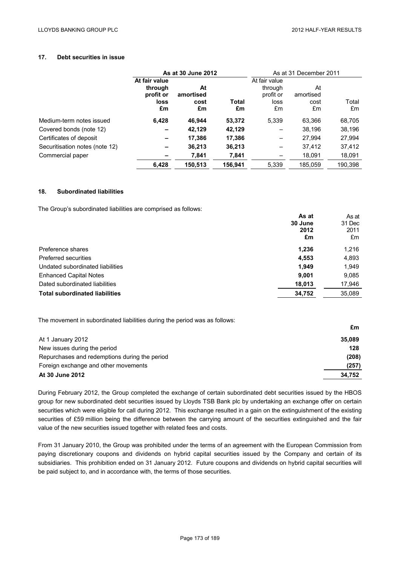**As at** 

As at

**£m**

## **17. Debt securities in issue**

|                                | As at 30 June 2012                                  |                               |             |                                                     | As at 31 December 2011        |             |
|--------------------------------|-----------------------------------------------------|-------------------------------|-------------|-----------------------------------------------------|-------------------------------|-------------|
|                                | At fair value<br>through<br>profit or<br>loss<br>£m | At<br>amortised<br>cost<br>£m | Total<br>£m | At fair value<br>through<br>profit or<br>loss<br>£m | At<br>amortised<br>cost<br>£m | Total<br>£m |
| Medium-term notes issued       | 6.428                                               | 46.944                        | 53,372      | 5.339                                               | 63,366                        | 68,705      |
| Covered bonds (note 12)        |                                                     | 42,129                        | 42,129      |                                                     | 38.196                        | 38,196      |
| Certificates of deposit        |                                                     | 17,386                        | 17,386      |                                                     | 27.994                        | 27,994      |
| Securitisation notes (note 12) | -                                                   | 36,213                        | 36,213      |                                                     | 37.412                        | 37,412      |
| Commercial paper               |                                                     | 7,841                         | 7,841       |                                                     | 18.091                        | 18,091      |
|                                | 6,428                                               | 150.513                       | 156,941     | 5,339                                               | 185.059                       | 190.398     |

## **18. Subordinated liabilities**

The Group's subordinated liabilities are comprised as follows:

|                                       | As at<br>30 June | As at<br>31 Dec |
|---------------------------------------|------------------|-----------------|
|                                       | 2012             | 2011            |
|                                       | £m               | £m              |
| Preference shares                     | 1,236            | 1,216           |
| Preferred securities                  | 4,553            | 4,893           |
| Undated subordinated liabilities      | 1.949            | 1,949           |
| <b>Enhanced Capital Notes</b>         | 9,001            | 9,085           |
| Dated subordinated liabilities        | 18,013           | 17,946          |
| <b>Total subordinated liabilities</b> | 34.752           | 35.089          |

The movement in subordinated liabilities during the period was as follows:

| At 30 June 2012                               | 34,752 |
|-----------------------------------------------|--------|
| Foreign exchange and other movements          | (257)  |
| Repurchases and redemptions during the period | (208)  |
| New issues during the period                  | 128    |
| At 1 January 2012                             | 35.089 |
|                                               |        |

During February 2012, the Group completed the exchange of certain subordinated debt securities issued by the HBOS group for new subordinated debt securities issued by Lloyds TSB Bank plc by undertaking an exchange offer on certain securities which were eligible for call during 2012. This exchange resulted in a gain on the extinguishment of the existing securities of £59 million being the difference between the carrying amount of the securities extinguished and the fair value of the new securities issued together with related fees and costs.

From 31 January 2010, the Group was prohibited under the terms of an agreement with the European Commission from paying discretionary coupons and dividends on hybrid capital securities issued by the Company and certain of its subsidiaries. This prohibition ended on 31 January 2012. Future coupons and dividends on hybrid capital securities will be paid subject to, and in accordance with, the terms of those securities.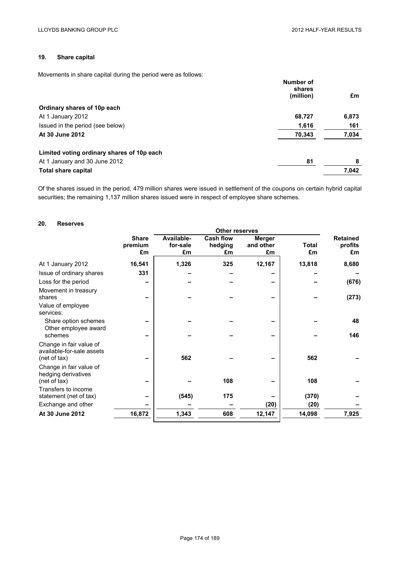## **19. Share capital**

Movements in share capital during the period were as follows:

|                                            | Number of<br>shares |       |
|--------------------------------------------|---------------------|-------|
|                                            | (million)           | £m    |
| Ordinary shares of 10p each                |                     |       |
| At 1 January 2012                          | 68,727              | 6,873 |
| Issued in the period (see below)           | 1,616               | 161   |
| At 30 June 2012                            | 70,343              | 7,034 |
| Limited voting ordinary shares of 10p each |                     |       |
| At 1 January and 30 June 2012              | 81                  | 8     |
| <b>Total share capital</b>                 |                     | 7,042 |

Of the shares issued in the period, 479 million shares were issued in settlement of the coupons on certain hybrid capital securities; the remaining 1,137 million shares issued were in respect of employee share schemes.

## **20. Reserves**

|                                                                      | <b>Other reserves</b> |            |                  |           |        |                 |
|----------------------------------------------------------------------|-----------------------|------------|------------------|-----------|--------|-----------------|
|                                                                      | <b>Share</b>          | Available- | <b>Cash flow</b> | Merger    |        | <b>Retained</b> |
|                                                                      | premium               | for-sale   | hedging          | and other | Total  | profits         |
|                                                                      | £m                    | £m         | £m               | £m        | £m     | £m              |
| At 1 January 2012                                                    | 16,541                | 1,326      | 325              | 12,167    | 13,818 | 8,680           |
| Issue of ordinary shares                                             | 331                   |            |                  |           |        |                 |
| Loss for the period                                                  |                       |            |                  |           |        | (676)           |
| Movement in treasury                                                 |                       |            |                  |           |        |                 |
| shares                                                               |                       |            |                  |           |        | (273)           |
| Value of employee<br>services:                                       |                       |            |                  |           |        |                 |
| Share option schemes                                                 |                       |            |                  |           |        | 48              |
| Other employee award                                                 |                       |            |                  |           |        |                 |
| schemes                                                              |                       |            |                  |           |        | 146             |
| Change in fair value of<br>available-for-sale assets<br>(net of tax) |                       | 562        |                  |           | 562    |                 |
| Change in fair value of<br>hedging derivatives<br>(net of tax)       |                       |            | 108              |           | 108    |                 |
| Transfers to income                                                  |                       |            |                  |           |        |                 |
| statement (net of tax)                                               |                       | (545)      | 175              |           | (370)  |                 |
| Exchange and other                                                   |                       |            |                  | (20)      | (20)   |                 |
| At 30 June 2012                                                      | 16,872                | 1,343      | 608              | 12,147    | 14,098 | 7,925           |
|                                                                      |                       |            |                  |           |        |                 |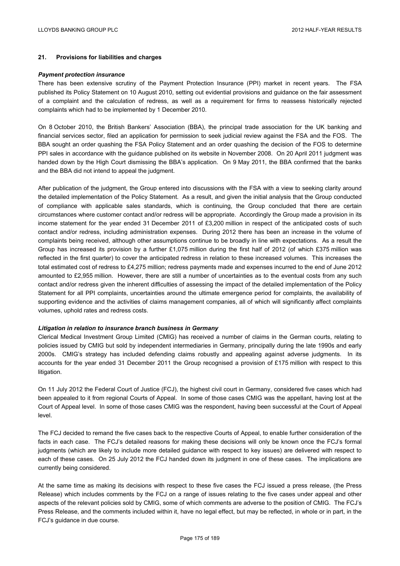## **21. Provisions for liabilities and charges**

#### *Payment protection insurance*

There has been extensive scrutiny of the Payment Protection Insurance (PPI) market in recent years. The FSA published its Policy Statement on 10 August 2010, setting out evidential provisions and guidance on the fair assessment of a complaint and the calculation of redress, as well as a requirement for firms to reassess historically rejected complaints which had to be implemented by 1 December 2010.

On 8 October 2010, the British Bankers' Association (BBA), the principal trade association for the UK banking and financial services sector, filed an application for permission to seek judicial review against the FSA and the FOS. The BBA sought an order quashing the FSA Policy Statement and an order quashing the decision of the FOS to determine PPI sales in accordance with the guidance published on its website in November 2008. On 20 April 2011 judgment was handed down by the High Court dismissing the BBA's application. On 9 May 2011, the BBA confirmed that the banks and the BBA did not intend to appeal the judgment.

After publication of the judgment, the Group entered into discussions with the FSA with a view to seeking clarity around the detailed implementation of the Policy Statement. As a result, and given the initial analysis that the Group conducted of compliance with applicable sales standards, which is continuing, the Group concluded that there are certain circumstances where customer contact and/or redress will be appropriate. Accordingly the Group made a provision in its income statement for the year ended 31 December 2011 of £3,200 million in respect of the anticipated costs of such contact and/or redress, including administration expenses. During 2012 there has been an increase in the volume of complaints being received, although other assumptions continue to be broadly in line with expectations. As a result the Group has increased its provision by a further £1,075 million during the first half of 2012 (of which £375 million was reflected in the first quarter) to cover the anticipated redress in relation to these increased volumes. This increases the total estimated cost of redress to £4,275 million; redress payments made and expenses incurred to the end of June 2012 amounted to £2,955 million. However, there are still a number of uncertainties as to the eventual costs from any such contact and/or redress given the inherent difficulties of assessing the impact of the detailed implementation of the Policy Statement for all PPI complaints, uncertainties around the ultimate emergence period for complaints, the availability of supporting evidence and the activities of claims management companies, all of which will significantly affect complaints volumes, uphold rates and redress costs.

#### *Litigation in relation to insurance branch business in Germany*

Clerical Medical Investment Group Limited (CMIG) has received a number of claims in the German courts, relating to policies issued by CMIG but sold by independent intermediaries in Germany, principally during the late 1990s and early 2000s. CMIG's strategy has included defending claims robustly and appealing against adverse judgments. In its accounts for the year ended 31 December 2011 the Group recognised a provision of £175 million with respect to this litigation.

On 11 July 2012 the Federal Court of Justice (FCJ), the highest civil court in Germany, considered five cases which had been appealed to it from regional Courts of Appeal. In some of those cases CMIG was the appellant, having lost at the Court of Appeal level. In some of those cases CMIG was the respondent, having been successful at the Court of Appeal level.

The FCJ decided to remand the five cases back to the respective Courts of Appeal, to enable further consideration of the facts in each case. The FCJ's detailed reasons for making these decisions will only be known once the FCJ's formal judgments (which are likely to include more detailed guidance with respect to key issues) are delivered with respect to each of these cases. On 25 July 2012 the FCJ handed down its judgment in one of these cases. The implications are currently being considered.

At the same time as making its decisions with respect to these five cases the FCJ issued a press release, (the Press Release) which includes comments by the FCJ on a range of issues relating to the five cases under appeal and other aspects of the relevant policies sold by CMIG, some of which comments are adverse to the position of CMIG. The FCJ's Press Release, and the comments included within it, have no legal effect, but may be reflected, in whole or in part, in the FCJ's guidance in due course.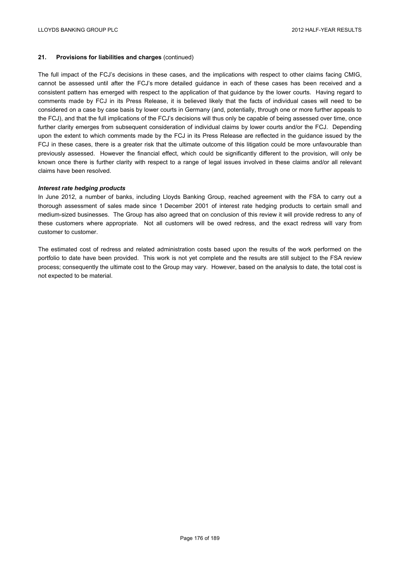### **21. Provisions for liabilities and charges** (continued)

The full impact of the FCJ's decisions in these cases, and the implications with respect to other claims facing CMIG, cannot be assessed until after the FCJ's more detailed guidance in each of these cases has been received and a consistent pattern has emerged with respect to the application of that guidance by the lower courts. Having regard to comments made by FCJ in its Press Release, it is believed likely that the facts of individual cases will need to be considered on a case by case basis by lower courts in Germany (and, potentially, through one or more further appeals to the FCJ), and that the full implications of the FCJ's decisions will thus only be capable of being assessed over time, once further clarity emerges from subsequent consideration of individual claims by lower courts and/or the FCJ. Depending upon the extent to which comments made by the FCJ in its Press Release are reflected in the guidance issued by the FCJ in these cases, there is a greater risk that the ultimate outcome of this litigation could be more unfavourable than previously assessed. However the financial effect, which could be significantly different to the provision, will only be known once there is further clarity with respect to a range of legal issues involved in these claims and/or all relevant claims have been resolved.

#### *Interest rate hedging products*

In June 2012, a number of banks, including Lloyds Banking Group, reached agreement with the FSA to carry out a thorough assessment of sales made since 1 December 2001 of interest rate hedging products to certain small and medium-sized businesses. The Group has also agreed that on conclusion of this review it will provide redress to any of these customers where appropriate. Not all customers will be owed redress, and the exact redress will vary from customer to customer.

The estimated cost of redress and related administration costs based upon the results of the work performed on the portfolio to date have been provided. This work is not yet complete and the results are still subject to the FSA review process; consequently the ultimate cost to the Group may vary. However, based on the analysis to date, the total cost is not expected to be material.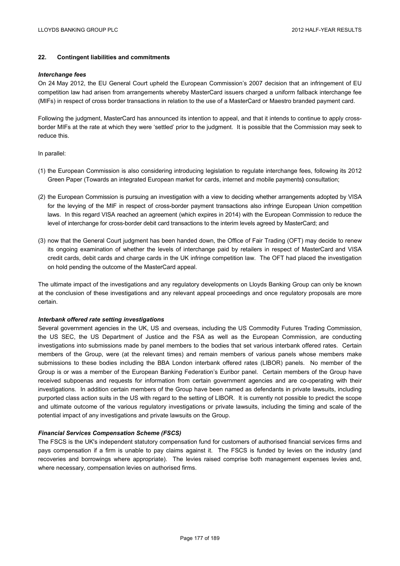## **22. Contingent liabilities and commitments**

#### *Interchange fees*

On 24 May 2012, the EU General Court upheld the European Commission's 2007 decision that an infringement of EU competition law had arisen from arrangements whereby MasterCard issuers charged a uniform fallback interchange fee (MIFs) in respect of cross border transactions in relation to the use of a MasterCard or Maestro branded payment card.

Following the judgment, MasterCard has announced its intention to appeal, and that it intends to continue to apply crossborder MIFs at the rate at which they were 'settled' prior to the judgment. It is possible that the Commission may seek to reduce this.

In parallel:

- (1) the European Commission is also considering introducing legislation to regulate interchange fees, following its 2012 Green Paper (Towards an integrated European market for cards, internet and mobile payments**)** consultation;
- (2) the European Commission is pursuing an investigation with a view to deciding whether arrangements adopted by VISA for the levying of the MIF in respect of cross-border payment transactions also infringe European Union competition laws. In this regard VISA reached an agreement (which expires in 2014) with the European Commission to reduce the level of interchange for cross-border debit card transactions to the interim levels agreed by MasterCard; and
- (3) now that the General Court judgment has been handed down, the Office of Fair Trading (OFT) may decide to renew its ongoing examination of whether the levels of interchange paid by retailers in respect of MasterCard and VISA credit cards, debit cards and charge cards in the UK infringe competition law. The OFT had placed the investigation on hold pending the outcome of the MasterCard appeal.

The ultimate impact of the investigations and any regulatory developments on Lloyds Banking Group can only be known at the conclusion of these investigations and any relevant appeal proceedings and once regulatory proposals are more certain.

#### *Interbank offered rate setting investigations*

Several government agencies in the UK, US and overseas, including the US Commodity Futures Trading Commission, the US SEC, the US Department of Justice and the FSA as well as the European Commission, are conducting investigations into submissions made by panel members to the bodies that set various interbank offered rates. Certain members of the Group, were (at the relevant times) and remain members of various panels whose members make submissions to these bodies including the BBA London interbank offered rates (LIBOR) panels. No member of the Group is or was a member of the European Banking Federation's Euribor panel. Certain members of the Group have received subpoenas and requests for information from certain government agencies and are co-operating with their investigations. In addition certain members of the Group have been named as defendants in private lawsuits, including purported class action suits in the US with regard to the setting of LIBOR. It is currently not possible to predict the scope and ultimate outcome of the various regulatory investigations or private lawsuits, including the timing and scale of the potential impact of any investigations and private lawsuits on the Group.

#### *Financial Services Compensation Scheme (FSCS)*

The FSCS is the UK's independent statutory compensation fund for customers of authorised financial services firms and pays compensation if a firm is unable to pay claims against it. The FSCS is funded by levies on the industry (and recoveries and borrowings where appropriate). The levies raised comprise both management expenses levies and, where necessary, compensation levies on authorised firms.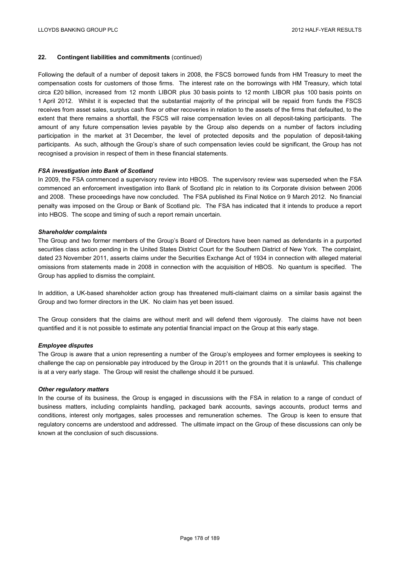# **22. Contingent liabilities and commitments** (continued)

Following the default of a number of deposit takers in 2008, the FSCS borrowed funds from HM Treasury to meet the compensation costs for customers of those firms. The interest rate on the borrowings with HM Treasury, which total circa £20 billion, increased from 12 month LIBOR plus 30 basis points to 12 month LIBOR plus 100 basis points on 1 April 2012. Whilst it is expected that the substantial majority of the principal will be repaid from funds the FSCS receives from asset sales, surplus cash flow or other recoveries in relation to the assets of the firms that defaulted, to the extent that there remains a shortfall, the FSCS will raise compensation levies on all deposit-taking participants. The amount of any future compensation levies payable by the Group also depends on a number of factors including participation in the market at 31 December, the level of protected deposits and the population of deposit-taking participants. As such, although the Group's share of such compensation levies could be significant, the Group has not recognised a provision in respect of them in these financial statements.

## *FSA investigation into Bank of Scotland*

In 2009, the FSA commenced a supervisory review into HBOS. The supervisory review was superseded when the FSA commenced an enforcement investigation into Bank of Scotland plc in relation to its Corporate division between 2006 and 2008. These proceedings have now concluded. The FSA published its Final Notice on 9 March 2012. No financial penalty was imposed on the Group or Bank of Scotland plc. The FSA has indicated that it intends to produce a report into HBOS. The scope and timing of such a report remain uncertain.

## *Shareholder complaints*

The Group and two former members of the Group's Board of Directors have been named as defendants in a purported securities class action pending in the United States District Court for the Southern District of New York. The complaint, dated 23 November 2011, asserts claims under the Securities Exchange Act of 1934 in connection with alleged material omissions from statements made in 2008 in connection with the acquisition of HBOS. No quantum is specified. The Group has applied to dismiss the complaint.

In addition, a UK-based shareholder action group has threatened multi-claimant claims on a similar basis against the Group and two former directors in the UK. No claim has yet been issued.

The Group considers that the claims are without merit and will defend them vigorously. The claims have not been quantified and it is not possible to estimate any potential financial impact on the Group at this early stage.

## *Employee disputes*

The Group is aware that a union representing a number of the Group's employees and former employees is seeking to challenge the cap on pensionable pay introduced by the Group in 2011 on the grounds that it is unlawful. This challenge is at a very early stage. The Group will resist the challenge should it be pursued.

## *Other regulatory matters*

In the course of its business, the Group is engaged in discussions with the FSA in relation to a range of conduct of business matters, including complaints handling, packaged bank accounts, savings accounts, product terms and conditions, interest only mortgages, sales processes and remuneration schemes. The Group is keen to ensure that regulatory concerns are understood and addressed. The ultimate impact on the Group of these discussions can only be known at the conclusion of such discussions.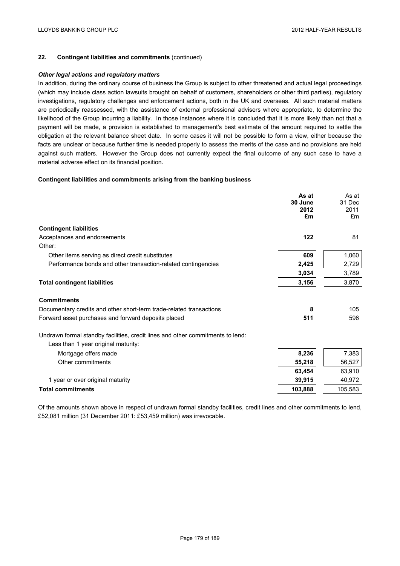# **22. Contingent liabilities and commitments** (continued)

## *Other legal actions and regulatory matters*

In addition, during the ordinary course of business the Group is subject to other threatened and actual legal proceedings (which may include class action lawsuits brought on behalf of customers, shareholders or other third parties), regulatory investigations, regulatory challenges and enforcement actions, both in the UK and overseas. All such material matters are periodically reassessed, with the assistance of external professional advisers where appropriate, to determine the likelihood of the Group incurring a liability. In those instances where it is concluded that it is more likely than not that a payment will be made, a provision is established to management's best estimate of the amount required to settle the obligation at the relevant balance sheet date. In some cases it will not be possible to form a view, either because the facts are unclear or because further time is needed properly to assess the merits of the case and no provisions are held against such matters. However the Group does not currently expect the final outcome of any such case to have a material adverse effect on its financial position.

## **Contingent liabilities and commitments arising from the banking business**

| £m<br><b>Contingent liabilities</b><br>122<br>Acceptances and endorsements<br>Other:<br>609<br>Other items serving as direct credit substitutes<br>Performance bonds and other transaction-related contingencies<br>2,425<br>3,034<br><b>Total contingent liabilities</b><br>3,156<br><b>Commitments</b><br>8<br>Documentary credits and other short-term trade-related transactions<br>Forward asset purchases and forward deposits placed<br>511<br>Undrawn formal standby facilities, credit lines and other commitments to lend:<br>Less than 1 year original maturity:<br>8,236<br>Mortgage offers made<br>Other commitments<br>55,218<br>63,454<br>1 year or over original maturity<br>39,915 |                          | As at<br>30 June | As at<br>31 Dec |
|-----------------------------------------------------------------------------------------------------------------------------------------------------------------------------------------------------------------------------------------------------------------------------------------------------------------------------------------------------------------------------------------------------------------------------------------------------------------------------------------------------------------------------------------------------------------------------------------------------------------------------------------------------------------------------------------------------|--------------------------|------------------|-----------------|
|                                                                                                                                                                                                                                                                                                                                                                                                                                                                                                                                                                                                                                                                                                     |                          | 2012             | 2011<br>£m      |
|                                                                                                                                                                                                                                                                                                                                                                                                                                                                                                                                                                                                                                                                                                     |                          |                  |                 |
|                                                                                                                                                                                                                                                                                                                                                                                                                                                                                                                                                                                                                                                                                                     |                          |                  | 81              |
|                                                                                                                                                                                                                                                                                                                                                                                                                                                                                                                                                                                                                                                                                                     |                          |                  |                 |
|                                                                                                                                                                                                                                                                                                                                                                                                                                                                                                                                                                                                                                                                                                     |                          |                  | 1,060           |
|                                                                                                                                                                                                                                                                                                                                                                                                                                                                                                                                                                                                                                                                                                     |                          |                  | 2,729           |
|                                                                                                                                                                                                                                                                                                                                                                                                                                                                                                                                                                                                                                                                                                     |                          |                  | 3,789           |
|                                                                                                                                                                                                                                                                                                                                                                                                                                                                                                                                                                                                                                                                                                     |                          |                  | 3,870           |
|                                                                                                                                                                                                                                                                                                                                                                                                                                                                                                                                                                                                                                                                                                     |                          |                  |                 |
|                                                                                                                                                                                                                                                                                                                                                                                                                                                                                                                                                                                                                                                                                                     |                          |                  | 105             |
|                                                                                                                                                                                                                                                                                                                                                                                                                                                                                                                                                                                                                                                                                                     |                          |                  | 596             |
|                                                                                                                                                                                                                                                                                                                                                                                                                                                                                                                                                                                                                                                                                                     |                          |                  |                 |
|                                                                                                                                                                                                                                                                                                                                                                                                                                                                                                                                                                                                                                                                                                     |                          |                  |                 |
|                                                                                                                                                                                                                                                                                                                                                                                                                                                                                                                                                                                                                                                                                                     |                          |                  | 7,383           |
|                                                                                                                                                                                                                                                                                                                                                                                                                                                                                                                                                                                                                                                                                                     |                          |                  | 56,527          |
|                                                                                                                                                                                                                                                                                                                                                                                                                                                                                                                                                                                                                                                                                                     |                          |                  | 63,910          |
|                                                                                                                                                                                                                                                                                                                                                                                                                                                                                                                                                                                                                                                                                                     |                          |                  | 40,972          |
|                                                                                                                                                                                                                                                                                                                                                                                                                                                                                                                                                                                                                                                                                                     | <b>Total commitments</b> | 103,888          | 105,583         |

Of the amounts shown above in respect of undrawn formal standby facilities, credit lines and other commitments to lend, £52,081 million (31 December 2011: £53,459 million) was irrevocable.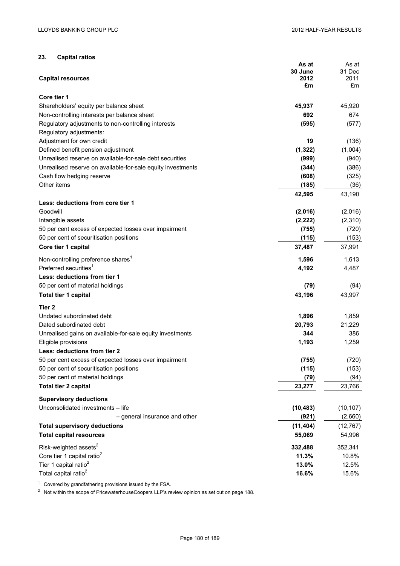# **23. Capital ratios Capital resources As at 30 June 2012**  As at 31 Dec 2011 **£m** £m **Core tier 1**  Shareholders' equity per balance sheet **45,937** 45,920 Non-controlling interests per balance sheet **692** 674 Regulatory adjustments to non-controlling interests **(595)** (577) Regulatory adjustments: Adjustment for own credit **19** (136) Defined benefit pension adjustment **(1,322)** (1,004) Unrealised reserve on available-for-sale debt securities **(999)** (940) Unrealised reserve on available-for-sale equity investments **(344)** (386) Cash flow hedging reserve **(608)** (325) Other items **(185)** (36) **42,595** 43,190 **Less: deductions from core tier 1**  Goodwill **(2,016)** (2,016) Intangible assets **(2,222)** (2,310) 50 per cent excess of expected losses over impairment **(755)** (720) 50 per cent of securitisation positions **(115)** (153) **Core tier 1 capital 37,487** 37,991 Non-controlling preference shares<sup>1</sup> **1,613 1,613** Preferred securities<sup>1</sup> 4,487 **Less: deductions from tier 1**  50 per cent of material holdings **(79)** (94) **Total tier 1 capital 43,997 43,196 43,997 Tier 2**  Undated subordinated debt **1,896** 1,859 Dated subordinated debt **20,793** 21,229 Unrealised gains on available-for-sale equity investments **344** 386 Eligible provisions **1,193** 1,259 **Less: deductions from tier 2**  50 per cent excess of expected losses over impairment **(755)** (720) 50 per cent of securitisation positions **(115)** (153) 50 per cent of material holdings **(79)** (94) **Total tier 2 capital 23,277** 23,766 **Supervisory deductions**  Unconsolidated investments – life **(10,483)** (10,107) – general insurance and other **(921)** (2,660) **Total supervisory deductions (11,404)** (12,767) **Total capital resources 55,069** 54,996 Risk-weighted assets2 **332,488** 352,341 Core tier 1 capital ratio2 **11.3%** 10.8% Tier 1 capital ratio2 **13.0%** 12.5% Total capital ratio<sup>2</sup>**16.6%** 15.6%

Covered by grandfathering provisions issued by the FSA.

<sup>2</sup> Not within the scope of PricewaterhouseCoopers LLP's review opinion as set out on page 188.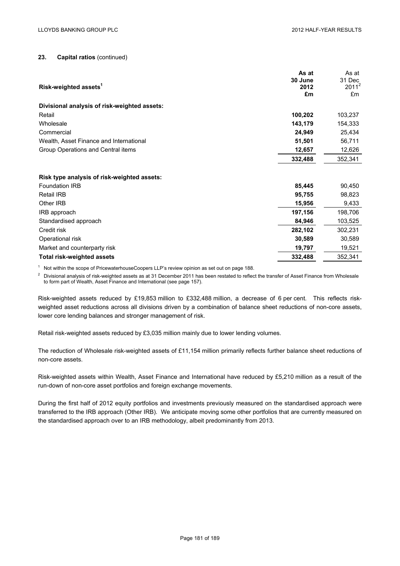## **23. Capital ratios** (continued)

|                                              | As at   | As at    |
|----------------------------------------------|---------|----------|
|                                              | 30 June | 31 Dec   |
| Risk-weighted assets <sup>1</sup>            | 2012    | $2011^2$ |
|                                              | £m      | £m       |
| Divisional analysis of risk-weighted assets: |         |          |
| Retail                                       | 100,202 | 103,237  |
| Wholesale                                    | 143,179 | 154,333  |
| Commercial                                   | 24,949  | 25,434   |
| Wealth, Asset Finance and International      | 51,501  | 56,711   |
| Group Operations and Central items           | 12,657  | 12,626   |
|                                              | 332,488 | 352,341  |
| Risk type analysis of risk-weighted assets:  |         |          |
| <b>Foundation IRB</b>                        | 85,445  | 90,450   |
| Retail IRB                                   | 95,755  | 98,823   |
| Other IRB                                    | 15,956  | 9,433    |
| IRB approach                                 | 197,156 | 198,706  |
| Standardised approach                        | 84,946  | 103,525  |
| Credit risk                                  | 282,102 | 302,231  |
| Operational risk                             | 30,589  | 30,589   |
| Market and counterparty risk                 | 19,797  | 19,521   |
| <b>Total risk-weighted assets</b>            | 332,488 | 352,341  |

 $1$  Not within the scope of PricewaterhouseCoopers LLP's review opinion as set out on page 188.

<sup>2</sup> Divisional analysis of risk-weighted assets as at 31 December 2011 has been restated to reflect the transfer of Asset Finance from Wholesale to form part of Wealth, Asset Finance and International (see page 157).

Risk-weighted assets reduced by £19,853 million to £332,488 million, a decrease of 6 per cent. This reflects riskweighted asset reductions across all divisions driven by a combination of balance sheet reductions of non-core assets, lower core lending balances and stronger management of risk.

Retail risk-weighted assets reduced by £3,035 million mainly due to lower lending volumes.

The reduction of Wholesale risk-weighted assets of £11,154 million primarily reflects further balance sheet reductions of non-core assets.

Risk-weighted assets within Wealth, Asset Finance and International have reduced by £5,210 million as a result of the run-down of non-core asset portfolios and foreign exchange movements.

During the first half of 2012 equity portfolios and investments previously measured on the standardised approach were transferred to the IRB approach (Other IRB). We anticipate moving some other portfolios that are currently measured on the standardised approach over to an IRB methodology, albeit predominantly from 2013.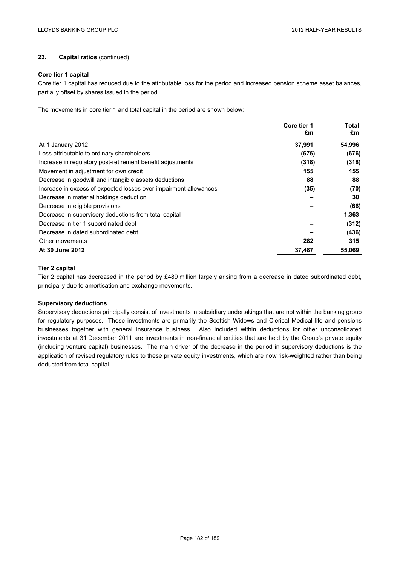# **23. Capital ratios** (continued)

#### **Core tier 1 capital**

Core tier 1 capital has reduced due to the attributable loss for the period and increased pension scheme asset balances, partially offset by shares issued in the period.

The movements in core tier 1 and total capital in the period are shown below:

|                                                                  | Core tier 1 | Total  |
|------------------------------------------------------------------|-------------|--------|
|                                                                  | £m          | £m     |
| At 1 January 2012                                                | 37,991      | 54,996 |
| Loss attributable to ordinary shareholders                       | (676)       | (676)  |
| Increase in regulatory post-retirement benefit adjustments       | (318)       | (318)  |
| Movement in adjustment for own credit                            | 155         | 155    |
| Decrease in goodwill and intangible assets deductions            | 88          | 88     |
| Increase in excess of expected losses over impairment allowances | (35)        | (70)   |
| Decrease in material holdings deduction                          |             | 30     |
| Decrease in eligible provisions                                  |             | (66)   |
| Decrease in supervisory deductions from total capital            |             | 1,363  |
| Decrease in tier 1 subordinated debt                             |             | (312)  |
| Decrease in dated subordinated debt                              |             | (436)  |
| Other movements                                                  | 282         | 315    |
| At 30 June 2012                                                  | 37,487      | 55,069 |

## **Tier 2 capital**

Tier 2 capital has decreased in the period by £489 million largely arising from a decrease in dated subordinated debt, principally due to amortisation and exchange movements.

## **Supervisory deductions**

Supervisory deductions principally consist of investments in subsidiary undertakings that are not within the banking group for regulatory purposes. These investments are primarily the Scottish Widows and Clerical Medical life and pensions businesses together with general insurance business. Also included within deductions for other unconsolidated investments at 31 December 2011 are investments in non-financial entities that are held by the Group's private equity (including venture capital) businesses. The main driver of the decrease in the period in supervisory deductions is the application of revised regulatory rules to these private equity investments, which are now risk-weighted rather than being deducted from total capital.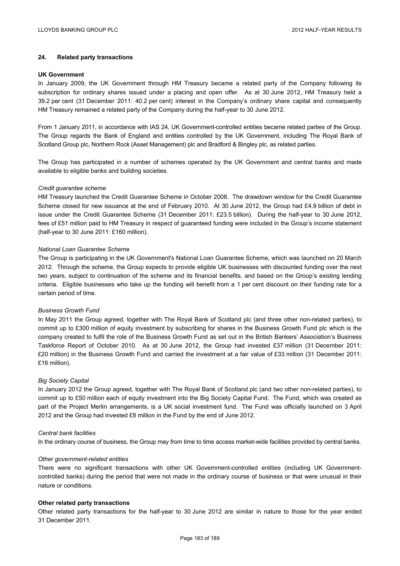# **24. Related party transactions**

#### **UK Government**

In January 2009, the UK Government through HM Treasury became a related party of the Company following its subscription for ordinary shares issued under a placing and open offer. As at 30 June 2012, HM Treasury held a 39.2 per cent (31 December 2011: 40.2 per cent) interest in the Company's ordinary share capital and consequently HM Treasury remained a related party of the Company during the half-year to 30 June 2012.

From 1 January 2011, in accordance with IAS 24, UK Government-controlled entities became related parties of the Group. The Group regards the Bank of England and entities controlled by the UK Government, including The Royal Bank of Scotland Group plc, Northern Rock (Asset Management) plc and Bradford & Bingley plc, as related parties.

The Group has participated in a number of schemes operated by the UK Government and central banks and made available to eligible banks and building societies.

#### *Credit guarantee scheme*

HM Treasury launched the Credit Guarantee Scheme in October 2008. The drawdown window for the Credit Guarantee Scheme closed for new issuance at the end of February 2010. At 30 June 2012, the Group had £4.9 billion of debt in issue under the Credit Guarantee Scheme (31 December 2011: £23.5 billion). During the half-year to 30 June 2012, fees of £51 million paid to HM Treasury in respect of guaranteed funding were included in the Group's income statement (half-year to 30 June 2011: £160 million).

## *National Loan Guarantee Scheme*

The Group is participating in the UK Government's National Loan Guarantee Scheme, which was launched on 20 March 2012. Through the scheme, the Group expects to provide eligible UK businesses with discounted funding over the next two years, subject to continuation of the scheme and its financial benefits, and based on the Group's existing lending criteria. Eligible businesses who take up the funding will benefit from a 1 per cent discount on their funding rate for a certain period of time.

## *Business Growth Fund*

In May 2011 the Group agreed, together with The Royal Bank of Scotland plc (and three other non-related parties), to commit up to £300 million of equity investment by subscribing for shares in the Business Growth Fund plc which is the company created to fulfil the role of the Business Growth Fund as set out in the British Bankers' Association's Business Taskforce Report of October 2010. As at 30 June 2012, the Group had invested £37 million (31 December 2011: £20 million) in the Business Growth Fund and carried the investment at a fair value of £33 million (31 December 2011: £16 million).

## *Big Society Capital*

In January 2012 the Group agreed, together with The Royal Bank of Scotland plc (and two other non-related parties), to commit up to £50 million each of equity investment into the Big Society Capital Fund. The Fund, which was created as part of the Project Merlin arrangements, is a UK social investment fund. The Fund was officially launched on 3 April 2012 and the Group had invested £8 million in the Fund by the end of June 2012.

#### *Central bank facilities*

In the ordinary course of business, the Group may from time to time access market-wide facilities provided by central banks.

## *Other government-related entities*

There were no significant transactions with other UK Government-controlled entities (including UK Governmentcontrolled banks) during the period that were not made in the ordinary course of business or that were unusual in their nature or conditions.

## **Other related party transactions**

Other related party transactions for the half-year to 30 June 2012 are similar in nature to those for the year ended 31 December 2011.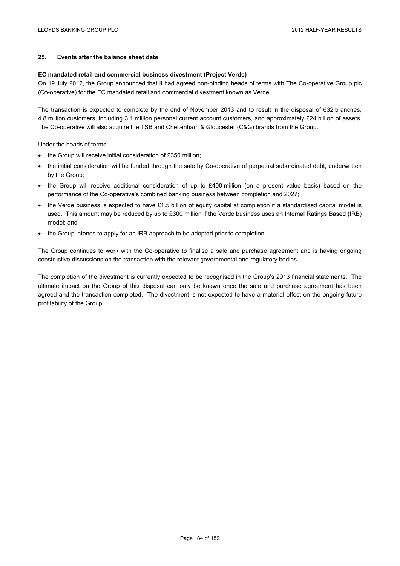# **25. Events after the balance sheet date**

#### **EC mandated retail and commercial business divestment (Project Verde)**

On 19 July 2012, the Group announced that it had agreed non-binding heads of terms with The Co-operative Group plc (Co-operative) for the EC mandated retail and commercial divestment known as Verde.

The transaction is expected to complete by the end of November 2013 and to result in the disposal of 632 branches, 4.8 million customers, including 3.1 million personal current account customers, and approximately £24 billion of assets. The Co-operative will also acquire the TSB and Cheltenham & Gloucester (C&G) brands from the Group.

Under the heads of terms:

- the Group will receive initial consideration of £350 million;
- the initial consideration will be funded through the sale by Co-operative of perpetual subordinated debt, underwritten by the Group;
- the Group will receive additional consideration of up to £400 million (on a present value basis) based on the performance of the Co-operative's combined banking business between completion and 2027;
- $\bullet$  the Verde business is expected to have £1.5 billion of equity capital at completion if a standardised capital model is used. This amount may be reduced by up to £300 million if the Verde business uses an Internal Ratings Based (IRB) model; and
- the Group intends to apply for an IRB approach to be adopted prior to completion.

The Group continues to work with the Co-operative to finalise a sale and purchase agreement and is having ongoing constructive discussions on the transaction with the relevant governmental and regulatory bodies.

The completion of the divestment is currently expected to be recognised in the Group's 2013 financial statements. The ultimate impact on the Group of this disposal can only be known once the sale and purchase agreement has been agreed and the transaction completed. The divestment is not expected to have a material effect on the ongoing future profitability of the Group.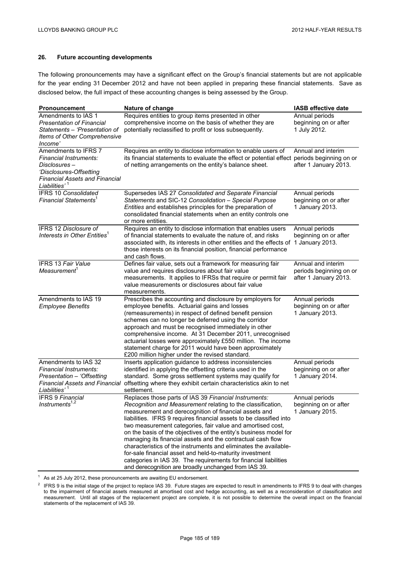# **26. Future accounting developments**

The following pronouncements may have a significant effect on the Group's financial statements but are not applicable for the year ending 31 December 2012 and have not been applied in preparing these financial statements. Save as disclosed below, the full impact of these accounting changes is being assessed by the Group.

| <b>Pronouncement</b>                                                                                                                                                    | Nature of change                                                                                                                                                                                                                                                                                                                                                                                                                                                                                                                                                                                                                                                                                                   | IASB effective date                                                    |
|-------------------------------------------------------------------------------------------------------------------------------------------------------------------------|--------------------------------------------------------------------------------------------------------------------------------------------------------------------------------------------------------------------------------------------------------------------------------------------------------------------------------------------------------------------------------------------------------------------------------------------------------------------------------------------------------------------------------------------------------------------------------------------------------------------------------------------------------------------------------------------------------------------|------------------------------------------------------------------------|
| Amendments to IAS 1<br><b>Presentation of Financial</b><br>Statements - 'Presentation of<br>Items of Other Comprehensive<br>Income'                                     | Requires entities to group items presented in other<br>comprehensive income on the basis of whether they are<br>potentially reclassified to profit or loss subsequently.                                                                                                                                                                                                                                                                                                                                                                                                                                                                                                                                           | Annual periods<br>beginning on or after<br>1 July 2012.                |
| Amendments to IFRS 7<br><b>Financial Instruments:</b><br>Disclosures –<br>'Disclosures-Offsetting<br><b>Financial Assets and Financial</b><br>Liabilities' <sup>1</sup> | Requires an entity to disclose information to enable users of<br>its financial statements to evaluate the effect or potential effect periods beginning on or<br>of netting arrangements on the entity's balance sheet.                                                                                                                                                                                                                                                                                                                                                                                                                                                                                             | Annual and interim<br>after 1 January 2013.                            |
| IFRS 10 Consolidated<br><b>Financial Statements</b>                                                                                                                     | Supersedes IAS 27 Consolidated and Separate Financial<br>Statements and SIC-12 Consolidation - Special Purpose<br>Entities and establishes principles for the preparation of<br>consolidated financial statements when an entity controls one<br>or more entities.                                                                                                                                                                                                                                                                                                                                                                                                                                                 | Annual periods<br>beginning on or after<br>1 January 2013.             |
| IFRS 12 Disclosure of<br>Interests in Other Entities <sup>1</sup>                                                                                                       | Requires an entity to disclose information that enables users<br>of financial statements to evaluate the nature of, and risks<br>associated with, its interests in other entities and the effects of 1 January 2013.<br>those interests on its financial position, financial performance<br>and cash flows.                                                                                                                                                                                                                                                                                                                                                                                                        | Annual periods<br>beginning on or after                                |
| IFRS 13 Fair Value<br>Measurement <sup>1</sup>                                                                                                                          | Defines fair value, sets out a framework for measuring fair<br>value and requires disclosures about fair value<br>measurements. It applies to IFRSs that require or permit fair<br>value measurements or disclosures about fair value<br>measurements.                                                                                                                                                                                                                                                                                                                                                                                                                                                             | Annual and interim<br>periods beginning on or<br>after 1 January 2013. |
| Amendments to IAS 19<br><b>Employee Benefits</b>                                                                                                                        | Prescribes the accounting and disclosure by employers for<br>employee benefits. Actuarial gains and losses<br>(remeasurements) in respect of defined benefit pension<br>schemes can no longer be deferred using the corridor<br>approach and must be recognised immediately in other<br>comprehensive income. At 31 December 2011, unrecognised<br>actuarial losses were approximately £550 million. The income<br>statement charge for 2011 would have been approximately<br>£200 million higher under the revised standard.                                                                                                                                                                                      | Annual periods<br>beginning on or after<br>1 January 2013.             |
| Amendments to IAS 32<br><b>Financial Instruments:</b><br>Presentation - 'Offsetting<br><b>Financial Assets and Financial</b><br>Liabilities'                            | Inserts application guidance to address inconsistencies<br>identified in applying the offsetting criteria used in the<br>standard. Some gross settlement systems may qualify for<br>offsetting where they exhibit certain characteristics akin to net<br>settlement.                                                                                                                                                                                                                                                                                                                                                                                                                                               | Annual periods<br>beginning on or after<br>1 January 2014.             |
| <b>IFRS 9 Financial</b><br>Instruments <sup>1,2</sup>                                                                                                                   | Replaces those parts of IAS 39 Financial Instruments:<br>Recognition and Measurement relating to the classification,<br>measurement and derecognition of financial assets and<br>liabilities. IFRS 9 requires financial assets to be classified into<br>two measurement categories, fair value and amortised cost,<br>on the basis of the objectives of the entity's business model for<br>managing its financial assets and the contractual cash flow<br>characteristics of the instruments and eliminates the available-<br>for-sale financial asset and held-to-maturity investment<br>categories in IAS 39. The requirements for financial liabilities<br>and derecognition are broadly unchanged from IAS 39. | Annual periods<br>beginning on or after<br>1 January 2015.             |

<sup>1</sup> As at 25 July 2012, these pronouncements are awaiting EU endorsement.

<sup>2</sup> IFRS 9 is the initial stage of the project to replace IAS 39. Future stages are expected to result in amendments to IFRS 9 to deal with changes to the impairment of financial assets measured at amortised cost and hedge accounting, as well as a reconsideration of classification and measurement. Until all stages of the replacement project are complete, it is not possible to determine the overall impact on the financial statements of the replacement of IAS 39.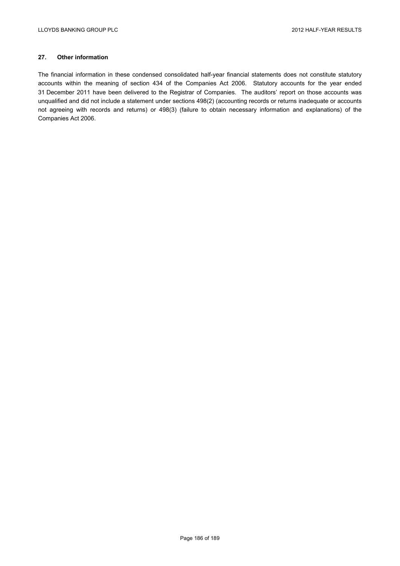# **27. Other information**

The financial information in these condensed consolidated half-year financial statements does not constitute statutory accounts within the meaning of section 434 of the Companies Act 2006. Statutory accounts for the year ended 31 December 2011 have been delivered to the Registrar of Companies. The auditors' report on those accounts was unqualified and did not include a statement under sections 498(2) (accounting records or returns inadequate or accounts not agreeing with records and returns) or 498(3) (failure to obtain necessary information and explanations) of the Companies Act 2006.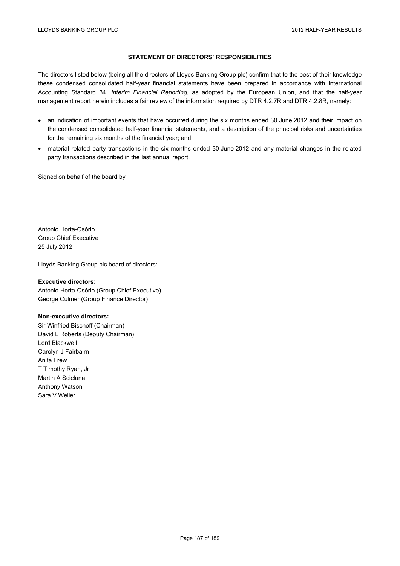# **STATEMENT OF DIRECTORS' RESPONSIBILITIES**

The directors listed below (being all the directors of Lloyds Banking Group plc) confirm that to the best of their knowledge these condensed consolidated half-year financial statements have been prepared in accordance with International Accounting Standard 34, *Interim Financial Reporting*, as adopted by the European Union, and that the half-year management report herein includes a fair review of the information required by DTR 4.2.7R and DTR 4.2.8R, namely:

- an indication of important events that have occurred during the six months ended 30 June 2012 and their impact on the condensed consolidated half-year financial statements, and a description of the principal risks and uncertainties for the remaining six months of the financial year; and
- material related party transactions in the six months ended 30 June 2012 and any material changes in the related party transactions described in the last annual report.

Signed on behalf of the board by

António Horta-Osório Group Chief Executive 25 July 2012

Lloyds Banking Group plc board of directors:

#### **Executive directors:**

António Horta-Osório (Group Chief Executive) George Culmer (Group Finance Director)

#### **Non-executive directors:**

Sir Winfried Bischoff (Chairman) David L Roberts (Deputy Chairman) Lord Blackwell Carolyn J Fairbairn Anita Frew T Timothy Ryan, Jr Martin A Scicluna Anthony Watson Sara V Weller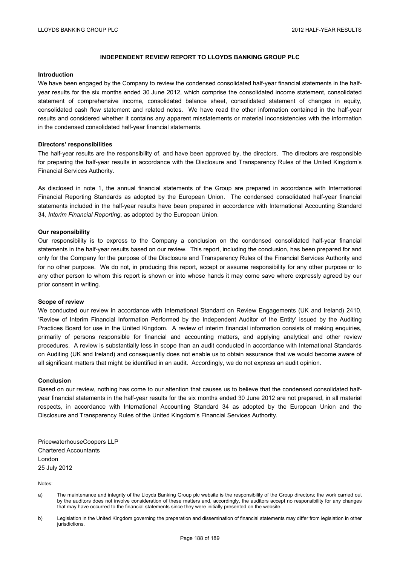# **INDEPENDENT REVIEW REPORT TO LLOYDS BANKING GROUP PLC**

#### **Introduction**

We have been engaged by the Company to review the condensed consolidated half-year financial statements in the halfyear results for the six months ended 30 June 2012, which comprise the consolidated income statement, consolidated statement of comprehensive income, consolidated balance sheet, consolidated statement of changes in equity, consolidated cash flow statement and related notes. We have read the other information contained in the half-year results and considered whether it contains any apparent misstatements or material inconsistencies with the information in the condensed consolidated half-year financial statements.

## **Directors' responsibilities**

The half-year results are the responsibility of, and have been approved by, the directors. The directors are responsible for preparing the half-year results in accordance with the Disclosure and Transparency Rules of the United Kingdom's Financial Services Authority.

As disclosed in note 1, the annual financial statements of the Group are prepared in accordance with International Financial Reporting Standards as adopted by the European Union. The condensed consolidated half-year financial statements included in the half-year results have been prepared in accordance with International Accounting Standard 34, *Interim Financial Reporting*, as adopted by the European Union.

## **Our responsibility**

Our responsibility is to express to the Company a conclusion on the condensed consolidated half-year financial statements in the half-year results based on our review. This report, including the conclusion, has been prepared for and only for the Company for the purpose of the Disclosure and Transparency Rules of the Financial Services Authority and for no other purpose. We do not, in producing this report, accept or assume responsibility for any other purpose or to any other person to whom this report is shown or into whose hands it may come save where expressly agreed by our prior consent in writing.

## **Scope of review**

We conducted our review in accordance with International Standard on Review Engagements (UK and Ireland) 2410, 'Review of Interim Financial Information Performed by the Independent Auditor of the Entity' issued by the Auditing Practices Board for use in the United Kingdom. A review of interim financial information consists of making enquiries, primarily of persons responsible for financial and accounting matters, and applying analytical and other review procedures. A review is substantially less in scope than an audit conducted in accordance with International Standards on Auditing (UK and Ireland) and consequently does not enable us to obtain assurance that we would become aware of all significant matters that might be identified in an audit. Accordingly, we do not express an audit opinion.

## **Conclusion**

Based on our review, nothing has come to our attention that causes us to believe that the condensed consolidated halfyear financial statements in the half-year results for the six months ended 30 June 2012 are not prepared, in all material respects, in accordance with International Accounting Standard 34 as adopted by the European Union and the Disclosure and Transparency Rules of the United Kingdom's Financial Services Authority.

PricewaterhouseCoopers LLP Chartered Accountants London 25 July 2012

Notes:

- a) The maintenance and integrity of the Lloyds Banking Group plc website is the responsibility of the Group directors; the work carried out by the auditors does not involve consideration of these matters and, accordingly, the auditors accept no responsibility for any changes that may have occurred to the financial statements since they were initially presented on the website.
- b) Legislation in the United Kingdom governing the preparation and dissemination of financial statements may differ from legislation in other jurisdictions.